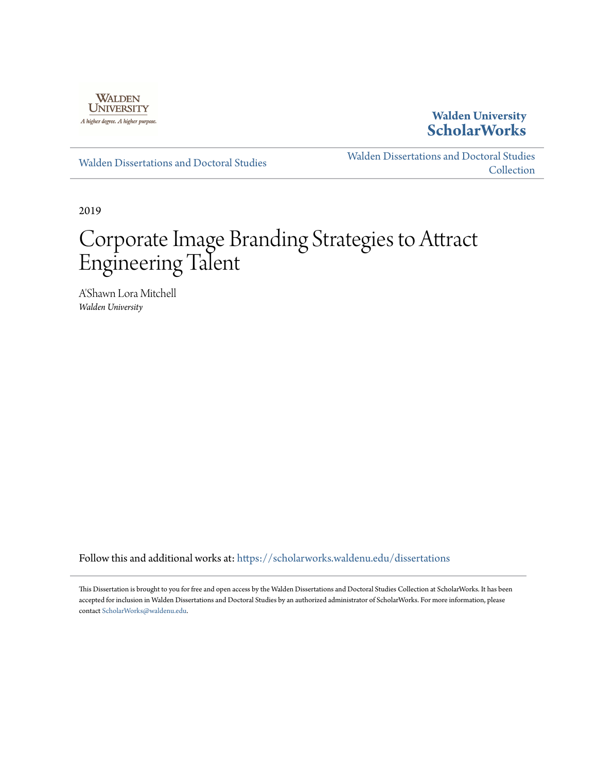

## **Walden University [ScholarWorks](https://scholarworks.waldenu.edu/?utm_source=scholarworks.waldenu.edu%2Fdissertations%2F7561&utm_medium=PDF&utm_campaign=PDFCoverPages)**

[Walden Dissertations and Doctoral Studies](https://scholarworks.waldenu.edu/dissertations?utm_source=scholarworks.waldenu.edu%2Fdissertations%2F7561&utm_medium=PDF&utm_campaign=PDFCoverPages)

[Walden Dissertations and Doctoral Studies](https://scholarworks.waldenu.edu/dissanddoc?utm_source=scholarworks.waldenu.edu%2Fdissertations%2F7561&utm_medium=PDF&utm_campaign=PDFCoverPages) **[Collection](https://scholarworks.waldenu.edu/dissanddoc?utm_source=scholarworks.waldenu.edu%2Fdissertations%2F7561&utm_medium=PDF&utm_campaign=PDFCoverPages)** 

2019

# Corporate Image Branding Strategies to Attract Engineering Talent

A'Shawn Lora Mitchell *Walden University*

Follow this and additional works at: [https://scholarworks.waldenu.edu/dissertations](https://scholarworks.waldenu.edu/dissertations?utm_source=scholarworks.waldenu.edu%2Fdissertations%2F7561&utm_medium=PDF&utm_campaign=PDFCoverPages)

This Dissertation is brought to you for free and open access by the Walden Dissertations and Doctoral Studies Collection at ScholarWorks. It has been accepted for inclusion in Walden Dissertations and Doctoral Studies by an authorized administrator of ScholarWorks. For more information, please contact [ScholarWorks@waldenu.edu](mailto:ScholarWorks@waldenu.edu).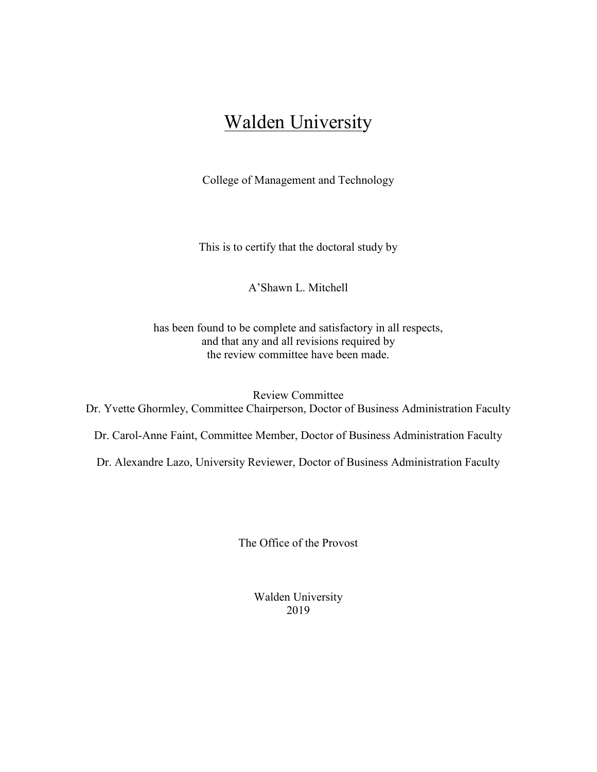## Walden University

College of Management and Technology

This is to certify that the doctoral study by

A'Shawn L. Mitchell

has been found to be complete and satisfactory in all respects, and that any and all revisions required by the review committee have been made.

Review Committee Dr. Yvette Ghormley, Committee Chairperson, Doctor of Business Administration Faculty

Dr. Carol-Anne Faint, Committee Member, Doctor of Business Administration Faculty

Dr. Alexandre Lazo, University Reviewer, Doctor of Business Administration Faculty

The Office of the Provost

Walden University 2019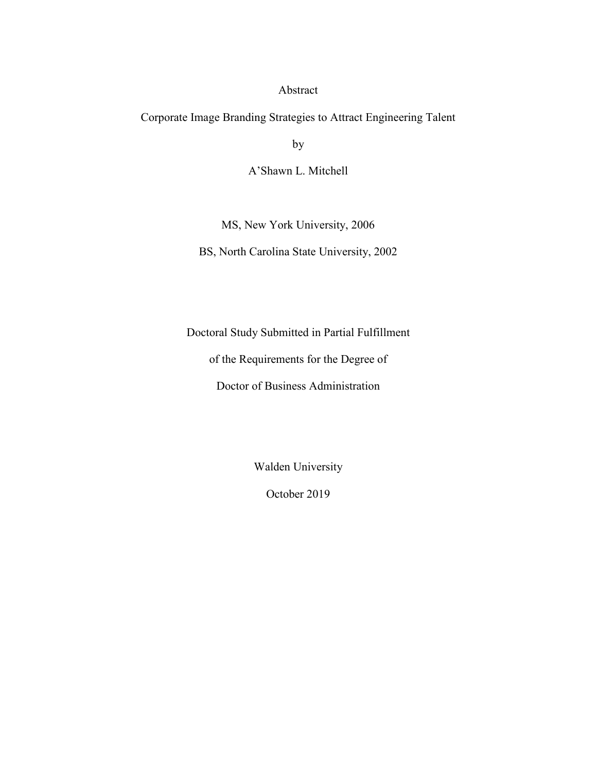#### Abstract

Corporate Image Branding Strategies to Attract Engineering Talent

by

A'Shawn L. Mitchell

MS, New York University, 2006

BS, North Carolina State University, 2002

Doctoral Study Submitted in Partial Fulfillment

of the Requirements for the Degree of

Doctor of Business Administration

Walden University

October 2019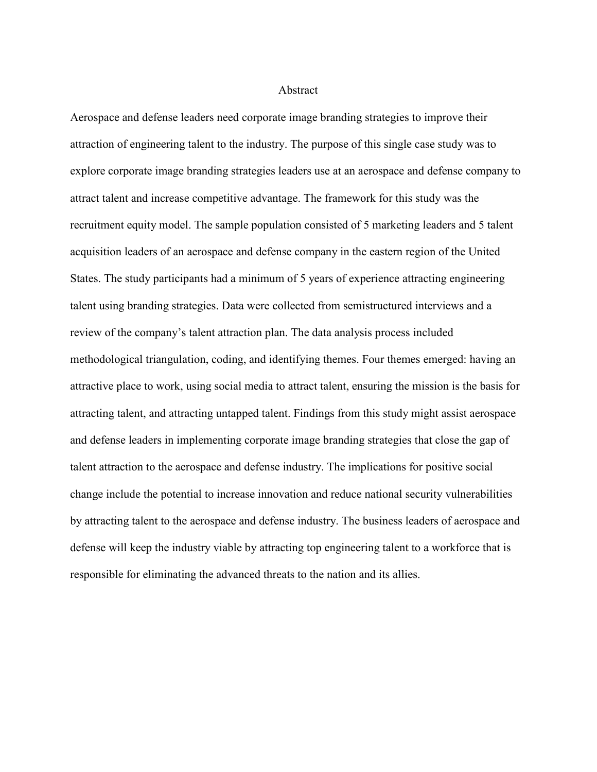#### Abstract

Aerospace and defense leaders need corporate image branding strategies to improve their attraction of engineering talent to the industry. The purpose of this single case study was to explore corporate image branding strategies leaders use at an aerospace and defense company to attract talent and increase competitive advantage. The framework for this study was the recruitment equity model. The sample population consisted of 5 marketing leaders and 5 talent acquisition leaders of an aerospace and defense company in the eastern region of the United States. The study participants had a minimum of 5 years of experience attracting engineering talent using branding strategies. Data were collected from semistructured interviews and a review of the company's talent attraction plan. The data analysis process included methodological triangulation, coding, and identifying themes. Four themes emerged: having an attractive place to work, using social media to attract talent, ensuring the mission is the basis for attracting talent, and attracting untapped talent. Findings from this study might assist aerospace and defense leaders in implementing corporate image branding strategies that close the gap of talent attraction to the aerospace and defense industry. The implications for positive social change include the potential to increase innovation and reduce national security vulnerabilities by attracting talent to the aerospace and defense industry. The business leaders of aerospace and defense will keep the industry viable by attracting top engineering talent to a workforce that is responsible for eliminating the advanced threats to the nation and its allies.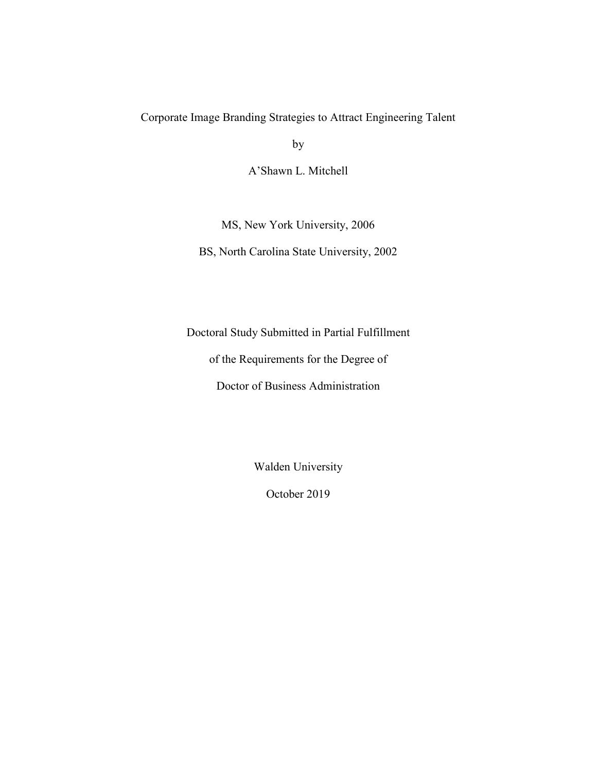### Corporate Image Branding Strategies to Attract Engineering Talent

by

A'Shawn L. Mitchell

MS, New York University, 2006

BS, North Carolina State University, 2002

Doctoral Study Submitted in Partial Fulfillment

of the Requirements for the Degree of

Doctor of Business Administration

Walden University

October 2019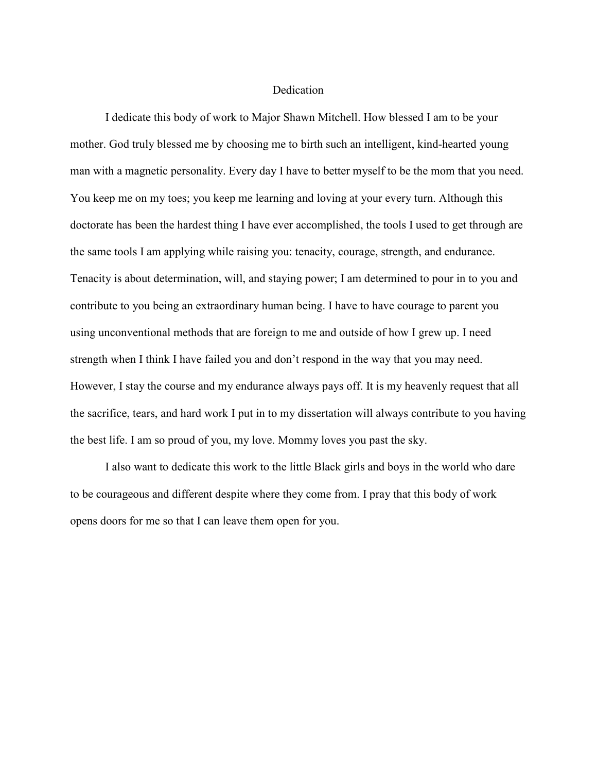#### **Dedication**

I dedicate this body of work to Major Shawn Mitchell. How blessed I am to be your mother. God truly blessed me by choosing me to birth such an intelligent, kind-hearted young man with a magnetic personality. Every day I have to better myself to be the mom that you need. You keep me on my toes; you keep me learning and loving at your every turn. Although this doctorate has been the hardest thing I have ever accomplished, the tools I used to get through are the same tools I am applying while raising you: tenacity, courage, strength, and endurance. Tenacity is about determination, will, and staying power; I am determined to pour in to you and contribute to you being an extraordinary human being. I have to have courage to parent you using unconventional methods that are foreign to me and outside of how I grew up. I need strength when I think I have failed you and don't respond in the way that you may need. However, I stay the course and my endurance always pays off. It is my heavenly request that all the sacrifice, tears, and hard work I put in to my dissertation will always contribute to you having the best life. I am so proud of you, my love. Mommy loves you past the sky.

I also want to dedicate this work to the little Black girls and boys in the world who dare to be courageous and different despite where they come from. I pray that this body of work opens doors for me so that I can leave them open for you.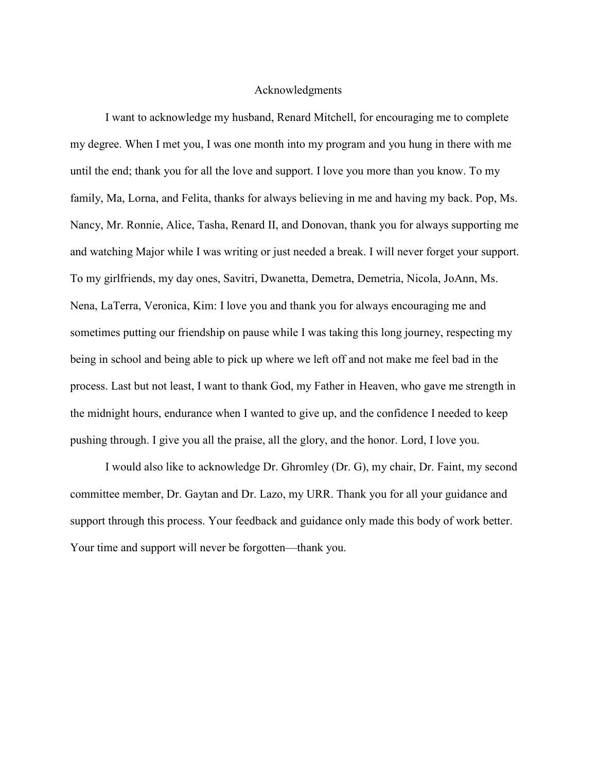#### Acknowledgments

I want to acknowledge my husband, Renard Mitchell, for encouraging me to complete my degree. When I met you, I was one month into my program and you hung in there with me until the end; thank you for all the love and support. I love you more than you know. To my family, Ma, Lorna, and Felita, thanks for always believing in me and having my back. Pop, Ms. Nancy, Mr. Ronnie, Alice, Tasha, Renard II, and Donovan, thank you for always supporting me and watching Major while I was writing or just needed a break. I will never forget your support. To my girlfriends, my day ones, Savitri, Dwanetta, Demetra, Demetria, Nicola, JoAnn, Ms. Nena, LaTerra, Veronica, Kim: I love you and thank you for always encouraging me and sometimes putting our friendship on pause while I was taking this long journey, respecting my being in school and being able to pick up where we left off and not make me feel bad in the process. Last but not least, I want to thank God, my Father in Heaven, who gave me strength in the midnight hours, endurance when I wanted to give up, and the confidence I needed to keep pushing through. I give you all the praise, all the glory, and the honor. Lord, I love you.

I would also like to acknowledge Dr. Ghromley (Dr. G), my chair, Dr. Faint, my second committee member, Dr. Gaytan and Dr. Lazo, my URR. Thank you for all your guidance and support through this process. Your feedback and guidance only made this body of work better. Your time and support will never be forgotten—thank you.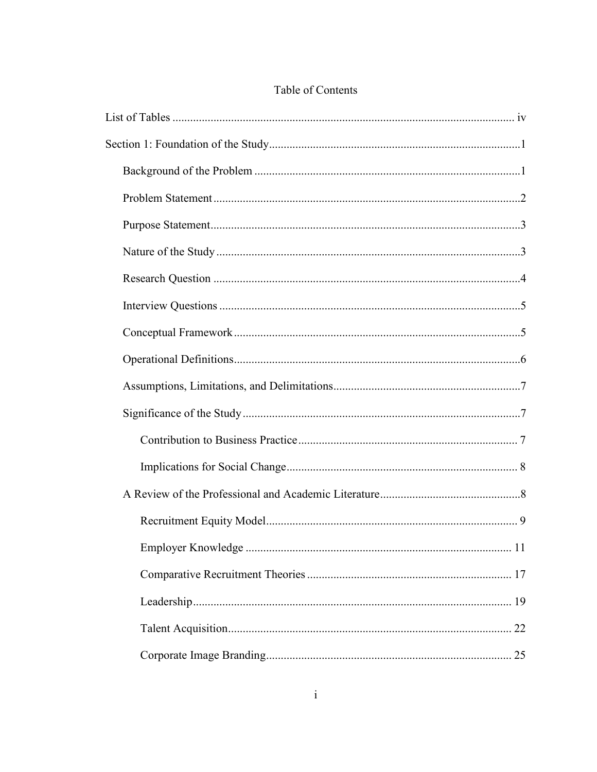## Table of Contents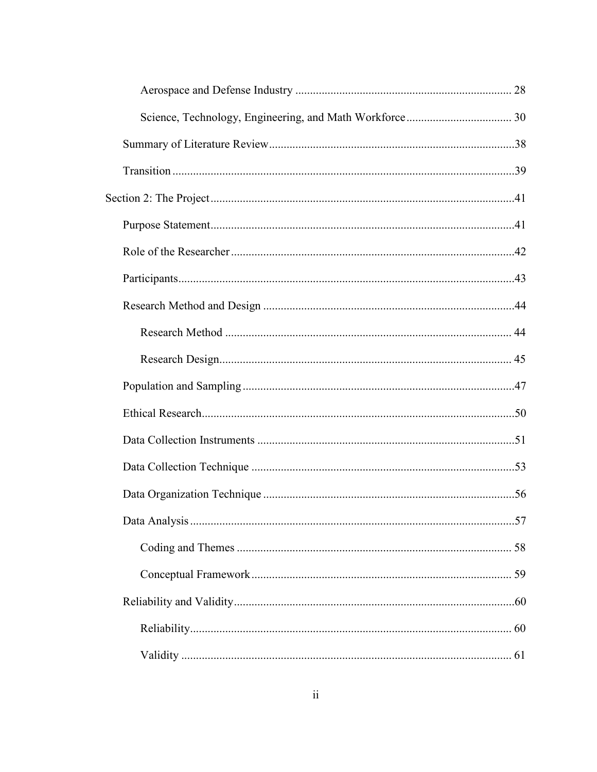| 57 |
|----|
|    |
|    |
|    |
|    |
|    |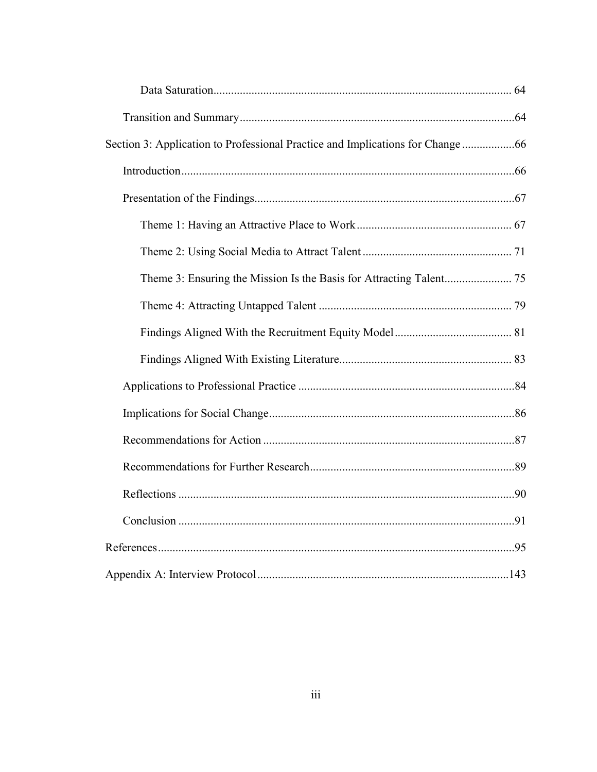| Section 3: Application to Professional Practice and Implications for Change 66 |  |
|--------------------------------------------------------------------------------|--|
|                                                                                |  |
|                                                                                |  |
|                                                                                |  |
|                                                                                |  |
|                                                                                |  |
|                                                                                |  |
|                                                                                |  |
|                                                                                |  |
|                                                                                |  |
|                                                                                |  |
|                                                                                |  |
|                                                                                |  |
|                                                                                |  |
|                                                                                |  |
|                                                                                |  |
|                                                                                |  |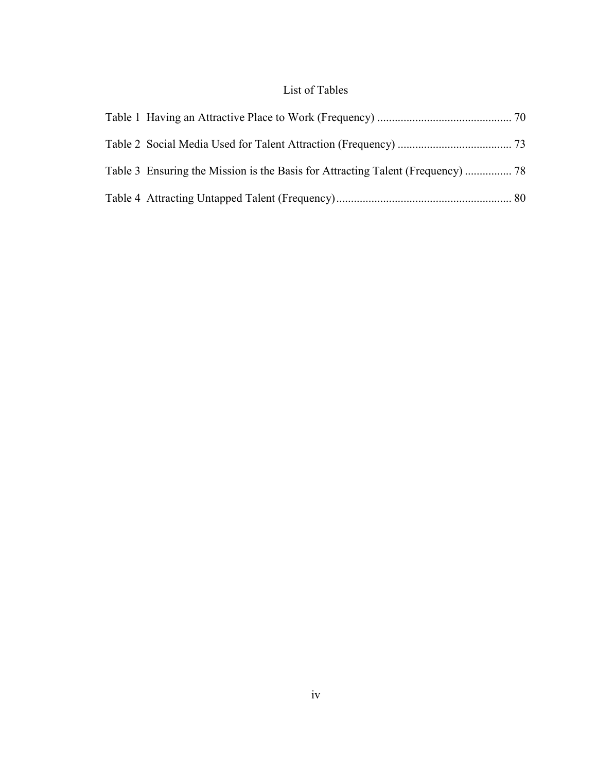## List of Tables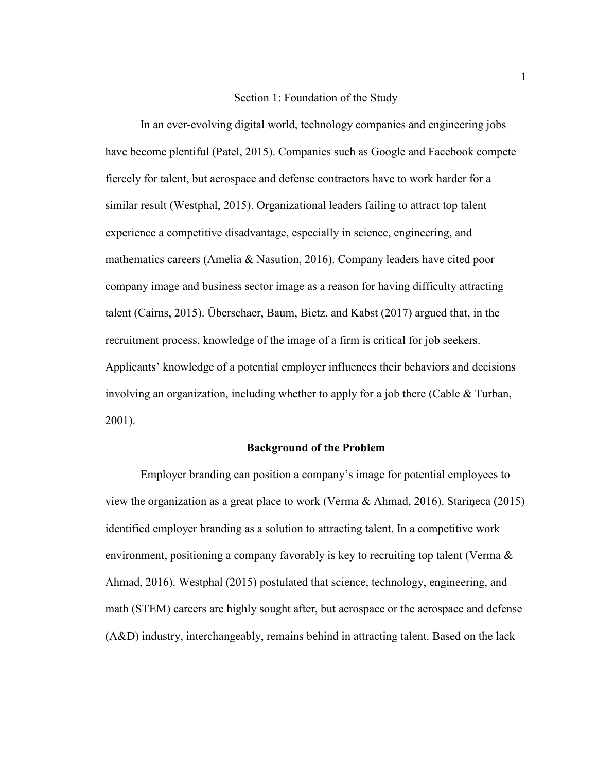#### Section 1: Foundation of the Study

In an ever-evolving digital world, technology companies and engineering jobs have become plentiful (Patel, 2015). Companies such as Google and Facebook compete fiercely for talent, but aerospace and defense contractors have to work harder for a similar result (Westphal, 2015). Organizational leaders failing to attract top talent experience a competitive disadvantage, especially in science, engineering, and mathematics careers (Amelia & Nasution, 2016). Company leaders have cited poor company image and business sector image as a reason for having difficulty attracting talent (Cairns, 2015). Überschaer, Baum, Bietz, and Kabst (2017) argued that, in the recruitment process, knowledge of the image of a firm is critical for job seekers. Applicants' knowledge of a potential employer influences their behaviors and decisions involving an organization, including whether to apply for a job there (Cable & Turban, 2001).

#### **Background of the Problem**

Employer branding can position a company's image for potential employees to view the organization as a great place to work (Verma & Ahmad, 2016). Stariņeca (2015) identified employer branding as a solution to attracting talent. In a competitive work environment, positioning a company favorably is key to recruiting top talent (Verma & Ahmad, 2016). Westphal (2015) postulated that science, technology, engineering, and math (STEM) careers are highly sought after, but aerospace or the aerospace and defense (A&D) industry, interchangeably, remains behind in attracting talent. Based on the lack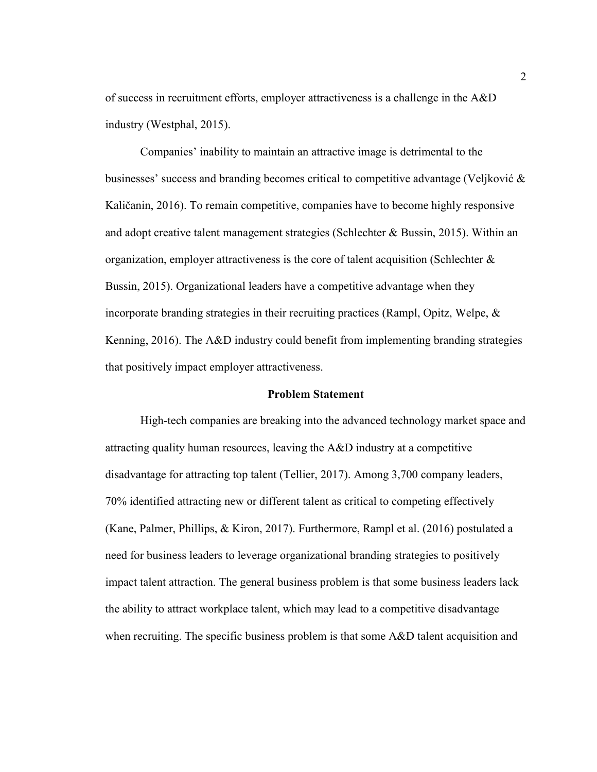of success in recruitment efforts, employer attractiveness is a challenge in the A&D industry (Westphal, 2015).

Companies' inability to maintain an attractive image is detrimental to the businesses' success and branding becomes critical to competitive advantage (Veljković & Kaličanin, 2016). To remain competitive, companies have to become highly responsive and adopt creative talent management strategies (Schlechter & Bussin, 2015). Within an organization, employer attractiveness is the core of talent acquisition (Schlechter  $\&$ Bussin, 2015). Organizational leaders have a competitive advantage when they incorporate branding strategies in their recruiting practices (Rampl, Opitz, Welpe, & Kenning, 2016). The A&D industry could benefit from implementing branding strategies that positively impact employer attractiveness.

#### **Problem Statement**

High-tech companies are breaking into the advanced technology market space and attracting quality human resources, leaving the A&D industry at a competitive disadvantage for attracting top talent (Tellier, 2017). Among 3,700 company leaders, 70% identified attracting new or different talent as critical to competing effectively (Kane, Palmer, Phillips, & Kiron, 2017). Furthermore, Rampl et al. (2016) postulated a need for business leaders to leverage organizational branding strategies to positively impact talent attraction. The general business problem is that some business leaders lack the ability to attract workplace talent, which may lead to a competitive disadvantage when recruiting. The specific business problem is that some A&D talent acquisition and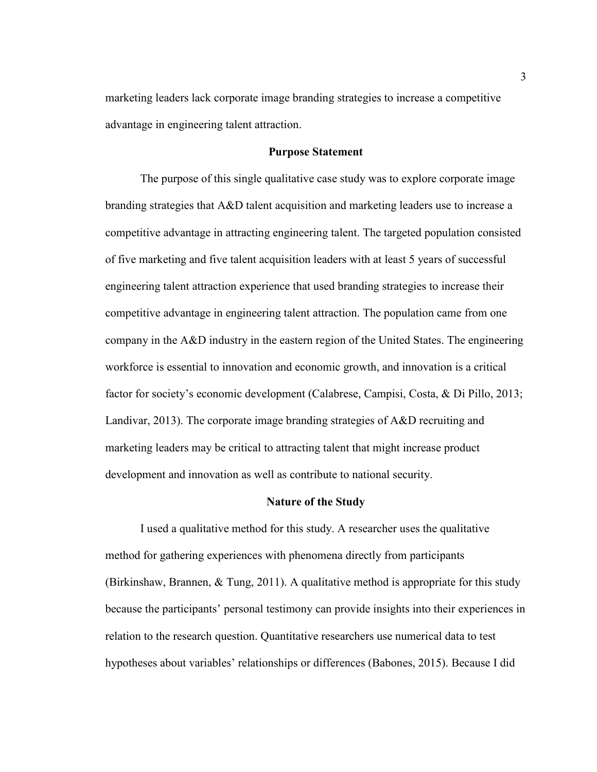marketing leaders lack corporate image branding strategies to increase a competitive advantage in engineering talent attraction.

#### **Purpose Statement**

The purpose of this single qualitative case study was to explore corporate image branding strategies that A&D talent acquisition and marketing leaders use to increase a competitive advantage in attracting engineering talent. The targeted population consisted of five marketing and five talent acquisition leaders with at least 5 years of successful engineering talent attraction experience that used branding strategies to increase their competitive advantage in engineering talent attraction. The population came from one company in the A&D industry in the eastern region of the United States. The engineering workforce is essential to innovation and economic growth, and innovation is a critical factor for society's economic development (Calabrese, Campisi, Costa, & Di Pillo, 2013; Landivar, 2013). The corporate image branding strategies of A&D recruiting and marketing leaders may be critical to attracting talent that might increase product development and innovation as well as contribute to national security.

#### **Nature of the Study**

I used a qualitative method for this study. A researcher uses the qualitative method for gathering experiences with phenomena directly from participants (Birkinshaw, Brannen, & Tung, 2011). A qualitative method is appropriate for this study because the participants' personal testimony can provide insights into their experiences in relation to the research question. Quantitative researchers use numerical data to test hypotheses about variables' relationships or differences (Babones, 2015). Because I did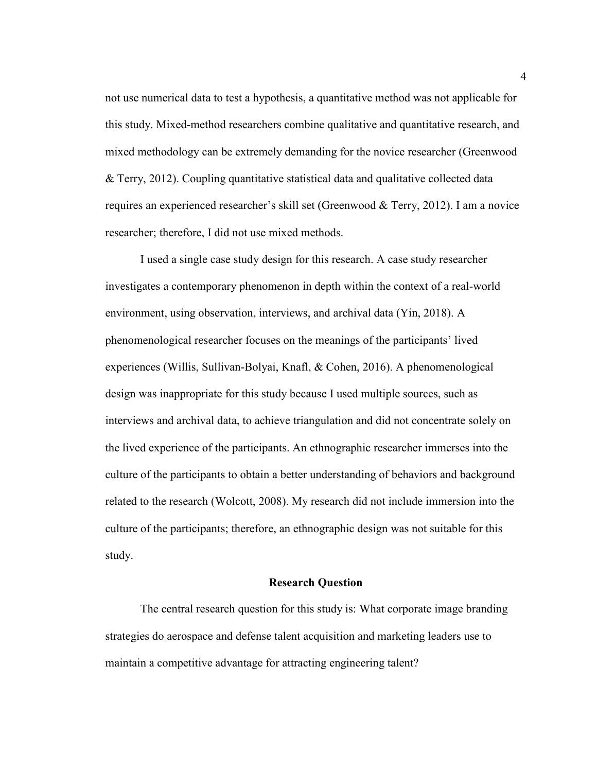not use numerical data to test a hypothesis, a quantitative method was not applicable for this study. Mixed-method researchers combine qualitative and quantitative research, and mixed methodology can be extremely demanding for the novice researcher (Greenwood & Terry, 2012). Coupling quantitative statistical data and qualitative collected data requires an experienced researcher's skill set (Greenwood & Terry, 2012). I am a novice researcher; therefore, I did not use mixed methods.

I used a single case study design for this research. A case study researcher investigates a contemporary phenomenon in depth within the context of a real-world environment, using observation, interviews, and archival data (Yin, 2018). A phenomenological researcher focuses on the meanings of the participants' lived experiences (Willis, Sullivan-Bolyai, Knafl, & Cohen, 2016). A phenomenological design was inappropriate for this study because I used multiple sources, such as interviews and archival data, to achieve triangulation and did not concentrate solely on the lived experience of the participants. An ethnographic researcher immerses into the culture of the participants to obtain a better understanding of behaviors and background related to the research (Wolcott, 2008). My research did not include immersion into the culture of the participants; therefore, an ethnographic design was not suitable for this study.

#### **Research Question**

The central research question for this study is: What corporate image branding strategies do aerospace and defense talent acquisition and marketing leaders use to maintain a competitive advantage for attracting engineering talent?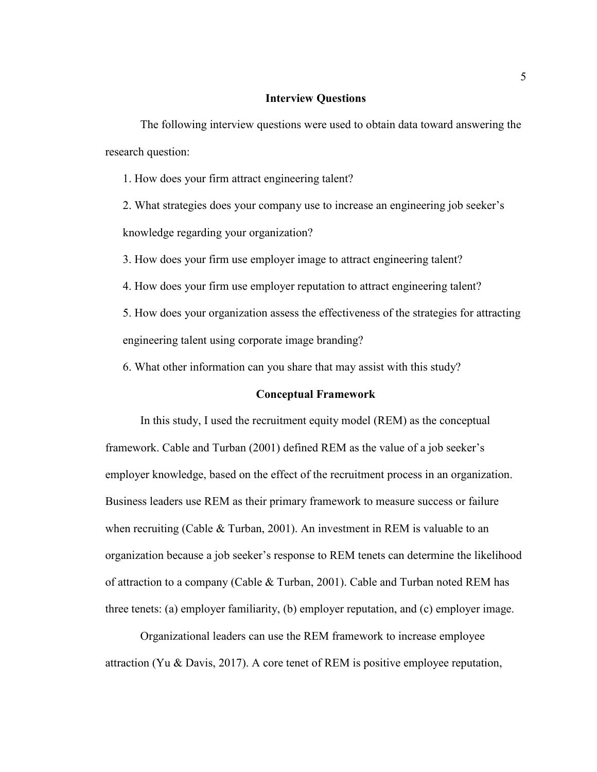#### **Interview Questions**

The following interview questions were used to obtain data toward answering the research question:

1. How does your firm attract engineering talent?

2. What strategies does your company use to increase an engineering job seeker's knowledge regarding your organization?

3. How does your firm use employer image to attract engineering talent?

4. How does your firm use employer reputation to attract engineering talent?

5. How does your organization assess the effectiveness of the strategies for attracting engineering talent using corporate image branding?

6. What other information can you share that may assist with this study?

#### **Conceptual Framework**

In this study, I used the recruitment equity model (REM) as the conceptual framework. Cable and Turban (2001) defined REM as the value of a job seeker's employer knowledge, based on the effect of the recruitment process in an organization. Business leaders use REM as their primary framework to measure success or failure when recruiting (Cable & Turban, 2001). An investment in REM is valuable to an organization because a job seeker's response to REM tenets can determine the likelihood of attraction to a company (Cable & Turban, 2001). Cable and Turban noted REM has three tenets: (a) employer familiarity, (b) employer reputation, and (c) employer image.

Organizational leaders can use the REM framework to increase employee attraction (Yu & Davis, 2017). A core tenet of REM is positive employee reputation,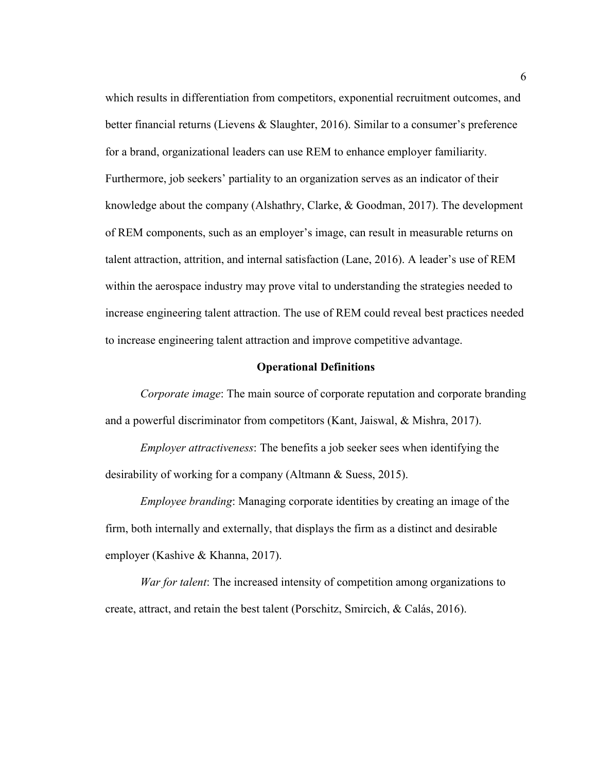which results in differentiation from competitors, exponential recruitment outcomes, and better financial returns (Lievens & Slaughter, 2016). Similar to a consumer's preference for a brand, organizational leaders can use REM to enhance employer familiarity. Furthermore, job seekers' partiality to an organization serves as an indicator of their knowledge about the company (Alshathry, Clarke, & Goodman, 2017). The development of REM components, such as an employer's image, can result in measurable returns on talent attraction, attrition, and internal satisfaction (Lane, 2016). A leader's use of REM within the aerospace industry may prove vital to understanding the strategies needed to increase engineering talent attraction. The use of REM could reveal best practices needed to increase engineering talent attraction and improve competitive advantage.

#### **Operational Definitions**

*Corporate image*: The main source of corporate reputation and corporate branding and a powerful discriminator from competitors (Kant, Jaiswal, & Mishra, 2017).

*Employer attractiveness*: The benefits a job seeker sees when identifying the desirability of working for a company (Altmann & Suess, 2015).

*Employee branding*: Managing corporate identities by creating an image of the firm, both internally and externally, that displays the firm as a distinct and desirable employer (Kashive & Khanna, 2017).

*War for talent*: The increased intensity of competition among organizations to create, attract, and retain the best talent (Porschitz, Smircich, & Calás, 2016).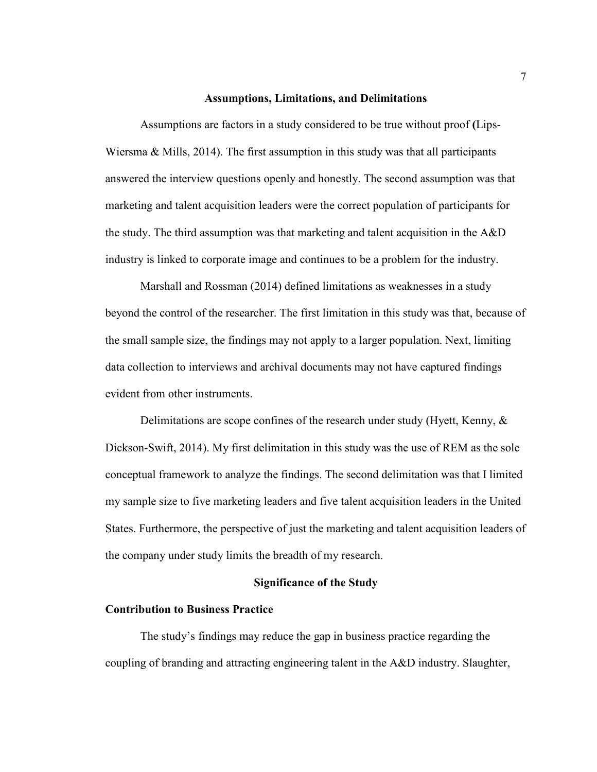#### **Assumptions, Limitations, and Delimitations**

Assumptions are factors in a study considered to be true without proof **(**Lips-Wiersma  $\&$  Mills, 2014). The first assumption in this study was that all participants answered the interview questions openly and honestly. The second assumption was that marketing and talent acquisition leaders were the correct population of participants for the study. The third assumption was that marketing and talent acquisition in the A&D industry is linked to corporate image and continues to be a problem for the industry.

Marshall and Rossman (2014) defined limitations as weaknesses in a study beyond the control of the researcher. The first limitation in this study was that, because of the small sample size, the findings may not apply to a larger population. Next, limiting data collection to interviews and archival documents may not have captured findings evident from other instruments.

Delimitations are scope confines of the research under study (Hyett, Kenny, & Dickson-Swift, 2014). My first delimitation in this study was the use of REM as the sole conceptual framework to analyze the findings. The second delimitation was that I limited my sample size to five marketing leaders and five talent acquisition leaders in the United States. Furthermore, the perspective of just the marketing and talent acquisition leaders of the company under study limits the breadth of my research.

#### **Significance of the Study**

#### **Contribution to Business Practice**

The study's findings may reduce the gap in business practice regarding the coupling of branding and attracting engineering talent in the A&D industry. Slaughter,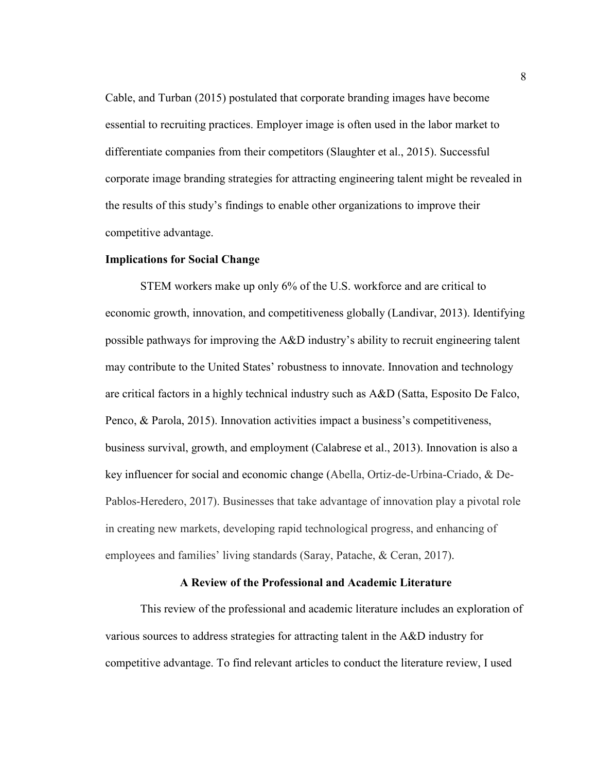Cable, and Turban (2015) postulated that corporate branding images have become essential to recruiting practices. Employer image is often used in the labor market to differentiate companies from their competitors (Slaughter et al., 2015). Successful corporate image branding strategies for attracting engineering talent might be revealed in the results of this study's findings to enable other organizations to improve their competitive advantage.

#### **Implications for Social Change**

STEM workers make up only 6% of the U.S. workforce and are critical to economic growth, innovation, and competitiveness globally (Landivar, 2013). Identifying possible pathways for improving the A&D industry's ability to recruit engineering talent may contribute to the United States' robustness to innovate. Innovation and technology are critical factors in a highly technical industry such as A&D (Satta, Esposito De Falco, Penco, & Parola, 2015). Innovation activities impact a business's competitiveness, business survival, growth, and employment (Calabrese et al., 2013). Innovation is also a key influencer for social and economic change (Abella, Ortiz-de-Urbina-Criado, & De-Pablos-Heredero, 2017). Businesses that take advantage of innovation play a pivotal role in creating new markets, developing rapid technological progress, and enhancing of employees and families' living standards (Saray, Patache, & Ceran, 2017).

#### **A Review of the Professional and Academic Literature**

This review of the professional and academic literature includes an exploration of various sources to address strategies for attracting talent in the A&D industry for competitive advantage. To find relevant articles to conduct the literature review, I used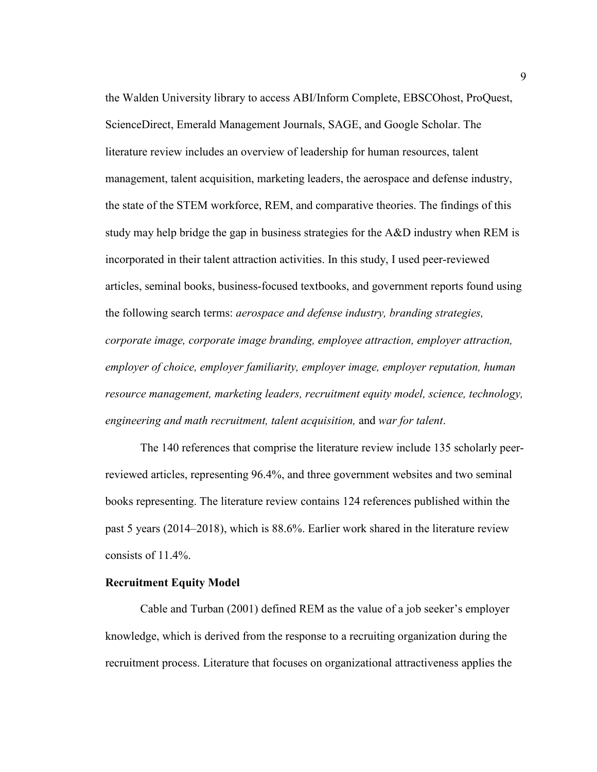the Walden University library to access ABI/Inform Complete, EBSCOhost, ProQuest, ScienceDirect, Emerald Management Journals, SAGE, and Google Scholar. The literature review includes an overview of leadership for human resources, talent management, talent acquisition, marketing leaders, the aerospace and defense industry, the state of the STEM workforce, REM, and comparative theories. The findings of this study may help bridge the gap in business strategies for the A&D industry when REM is incorporated in their talent attraction activities. In this study, I used peer-reviewed articles, seminal books, business-focused textbooks, and government reports found using the following search terms: *aerospace and defense industry, branding strategies, corporate image, corporate image branding, employee attraction, employer attraction, employer of choice, employer familiarity, employer image, employer reputation, human resource management, marketing leaders, recruitment equity model, science, technology, engineering and math recruitment, talent acquisition,* and *war for talent*.

The 140 references that comprise the literature review include 135 scholarly peerreviewed articles, representing 96.4%, and three government websites and two seminal books representing. The literature review contains 124 references published within the past 5 years (2014–2018), which is 88.6%. Earlier work shared in the literature review consists of 11.4%.

#### **Recruitment Equity Model**

Cable and Turban (2001) defined REM as the value of a job seeker's employer knowledge, which is derived from the response to a recruiting organization during the recruitment process. Literature that focuses on organizational attractiveness applies the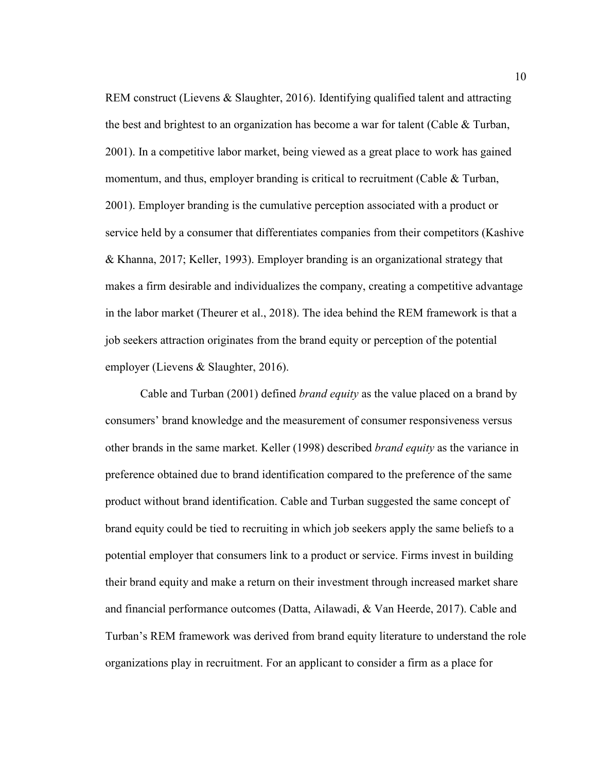REM construct (Lievens & Slaughter, 2016). Identifying qualified talent and attracting the best and brightest to an organization has become a war for talent (Cable & Turban, 2001). In a competitive labor market, being viewed as a great place to work has gained momentum, and thus, employer branding is critical to recruitment (Cable & Turban, 2001). Employer branding is the cumulative perception associated with a product or service held by a consumer that differentiates companies from their competitors (Kashive & Khanna, 2017; Keller, 1993). Employer branding is an organizational strategy that makes a firm desirable and individualizes the company, creating a competitive advantage in the labor market (Theurer et al., 2018). The idea behind the REM framework is that a job seekers attraction originates from the brand equity or perception of the potential employer (Lievens & Slaughter, 2016).

Cable and Turban (2001) defined *brand equity* as the value placed on a brand by consumers' brand knowledge and the measurement of consumer responsiveness versus other brands in the same market. Keller (1998) described *brand equity* as the variance in preference obtained due to brand identification compared to the preference of the same product without brand identification. Cable and Turban suggested the same concept of brand equity could be tied to recruiting in which job seekers apply the same beliefs to a potential employer that consumers link to a product or service. Firms invest in building their brand equity and make a return on their investment through increased market share and financial performance outcomes (Datta, Ailawadi, & Van Heerde, 2017). Cable and Turban's REM framework was derived from brand equity literature to understand the role organizations play in recruitment. For an applicant to consider a firm as a place for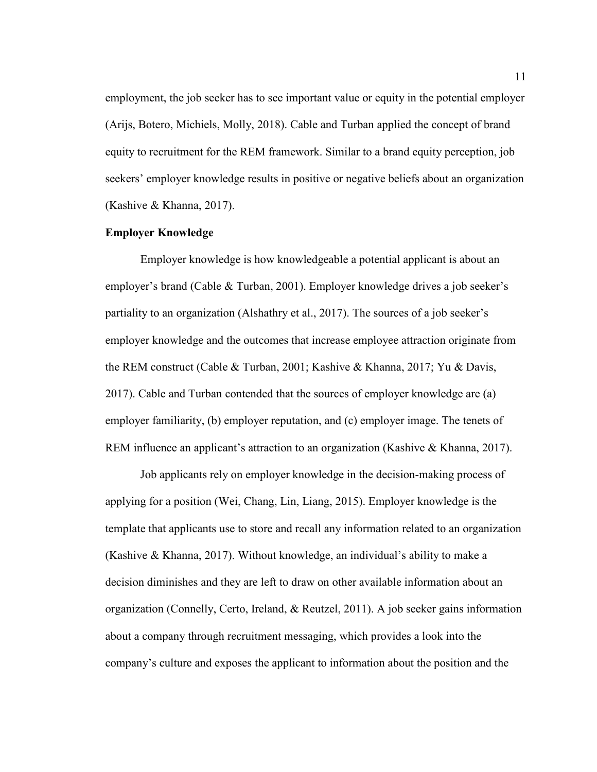employment, the job seeker has to see important value or equity in the potential employer (Arijs, Botero, Michiels, Molly, 2018). Cable and Turban applied the concept of brand equity to recruitment for the REM framework. Similar to a brand equity perception, job seekers' employer knowledge results in positive or negative beliefs about an organization (Kashive & Khanna, 2017).

#### **Employer Knowledge**

Employer knowledge is how knowledgeable a potential applicant is about an employer's brand (Cable & Turban, 2001). Employer knowledge drives a job seeker's partiality to an organization (Alshathry et al., 2017). The sources of a job seeker's employer knowledge and the outcomes that increase employee attraction originate from the REM construct (Cable & Turban, 2001; Kashive & Khanna, 2017; Yu & Davis, 2017). Cable and Turban contended that the sources of employer knowledge are (a) employer familiarity, (b) employer reputation, and (c) employer image. The tenets of REM influence an applicant's attraction to an organization (Kashive & Khanna, 2017).

Job applicants rely on employer knowledge in the decision-making process of applying for a position (Wei, Chang, Lin, Liang, 2015). Employer knowledge is the template that applicants use to store and recall any information related to an organization (Kashive & Khanna, 2017). Without knowledge, an individual's ability to make a decision diminishes and they are left to draw on other available information about an organization (Connelly, Certo, Ireland, & Reutzel, 2011). A job seeker gains information about a company through recruitment messaging, which provides a look into the company's culture and exposes the applicant to information about the position and the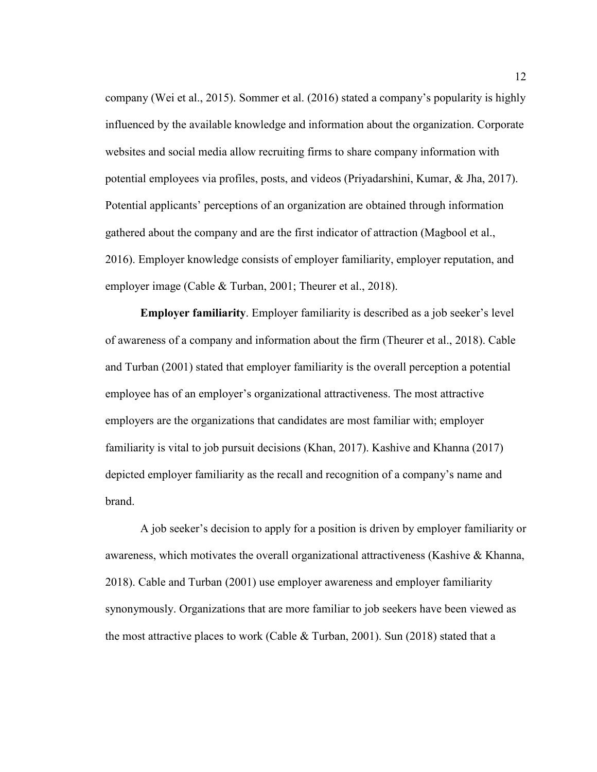company (Wei et al., 2015). Sommer et al. (2016) stated a company's popularity is highly influenced by the available knowledge and information about the organization. Corporate websites and social media allow recruiting firms to share company information with potential employees via profiles, posts, and videos (Priyadarshini, Kumar, & Jha, 2017). Potential applicants' perceptions of an organization are obtained through information gathered about the company and are the first indicator of attraction (Magbool et al., 2016). Employer knowledge consists of employer familiarity, employer reputation, and employer image (Cable & Turban, 2001; Theurer et al., 2018).

**Employer familiarity**. Employer familiarity is described as a job seeker's level of awareness of a company and information about the firm (Theurer et al., 2018). Cable and Turban (2001) stated that employer familiarity is the overall perception a potential employee has of an employer's organizational attractiveness. The most attractive employers are the organizations that candidates are most familiar with; employer familiarity is vital to job pursuit decisions (Khan, 2017). Kashive and Khanna (2017) depicted employer familiarity as the recall and recognition of a company's name and brand.

A job seeker's decision to apply for a position is driven by employer familiarity or awareness, which motivates the overall organizational attractiveness (Kashive & Khanna, 2018). Cable and Turban (2001) use employer awareness and employer familiarity synonymously. Organizations that are more familiar to job seekers have been viewed as the most attractive places to work (Cable & Turban, 2001). Sun (2018) stated that a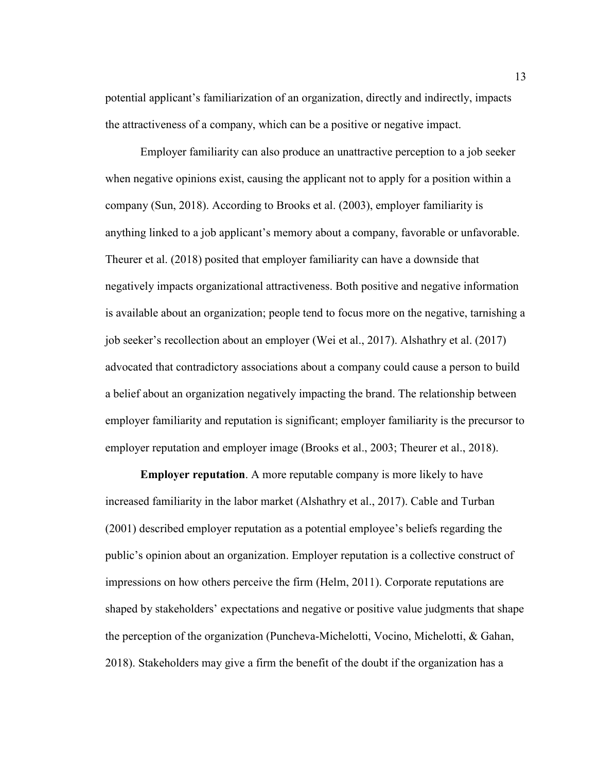potential applicant's familiarization of an organization, directly and indirectly, impacts the attractiveness of a company, which can be a positive or negative impact.

Employer familiarity can also produce an unattractive perception to a job seeker when negative opinions exist, causing the applicant not to apply for a position within a company (Sun, 2018). According to Brooks et al. (2003), employer familiarity is anything linked to a job applicant's memory about a company, favorable or unfavorable. Theurer et al. (2018) posited that employer familiarity can have a downside that negatively impacts organizational attractiveness. Both positive and negative information is available about an organization; people tend to focus more on the negative, tarnishing a job seeker's recollection about an employer (Wei et al., 2017). Alshathry et al. (2017) advocated that contradictory associations about a company could cause a person to build a belief about an organization negatively impacting the brand. The relationship between employer familiarity and reputation is significant; employer familiarity is the precursor to employer reputation and employer image (Brooks et al., 2003; Theurer et al., 2018).

**Employer reputation**. A more reputable company is more likely to have increased familiarity in the labor market (Alshathry et al., 2017). Cable and Turban (2001) described employer reputation as a potential employee's beliefs regarding the public's opinion about an organization. Employer reputation is a collective construct of impressions on how others perceive the firm (Helm, 2011). Corporate reputations are shaped by stakeholders' expectations and negative or positive value judgments that shape the perception of the organization (Puncheva-Michelotti, Vocino, Michelotti, & Gahan, 2018). Stakeholders may give a firm the benefit of the doubt if the organization has a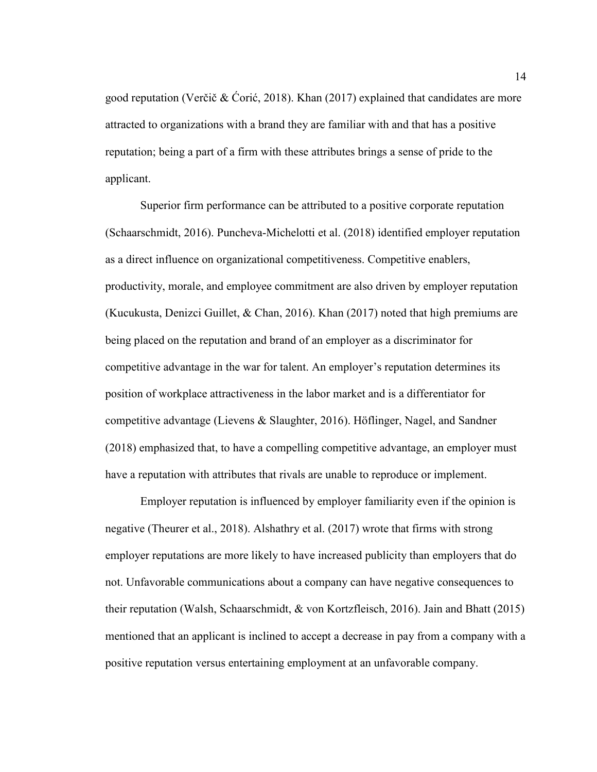good reputation (Verčič & Ćorić, 2018). Khan (2017) explained that candidates are more attracted to organizations with a brand they are familiar with and that has a positive reputation; being a part of a firm with these attributes brings a sense of pride to the applicant.

Superior firm performance can be attributed to a positive corporate reputation (Schaarschmidt, 2016). Puncheva-Michelotti et al. (2018) identified employer reputation as a direct influence on organizational competitiveness. Competitive enablers, productivity, morale, and employee commitment are also driven by employer reputation (Kucukusta, Denizci Guillet, & Chan, 2016). Khan (2017) noted that high premiums are being placed on the reputation and brand of an employer as a discriminator for competitive advantage in the war for talent. An employer's reputation determines its position of workplace attractiveness in the labor market and is a differentiator for competitive advantage (Lievens & Slaughter, 2016). Höflinger, Nagel, and Sandner (2018) emphasized that, to have a compelling competitive advantage, an employer must have a reputation with attributes that rivals are unable to reproduce or implement.

Employer reputation is influenced by employer familiarity even if the opinion is negative (Theurer et al., 2018). Alshathry et al. (2017) wrote that firms with strong employer reputations are more likely to have increased publicity than employers that do not. Unfavorable communications about a company can have negative consequences to their reputation (Walsh, Schaarschmidt, & von Kortzfleisch, 2016). Jain and Bhatt (2015) mentioned that an applicant is inclined to accept a decrease in pay from a company with a positive reputation versus entertaining employment at an unfavorable company.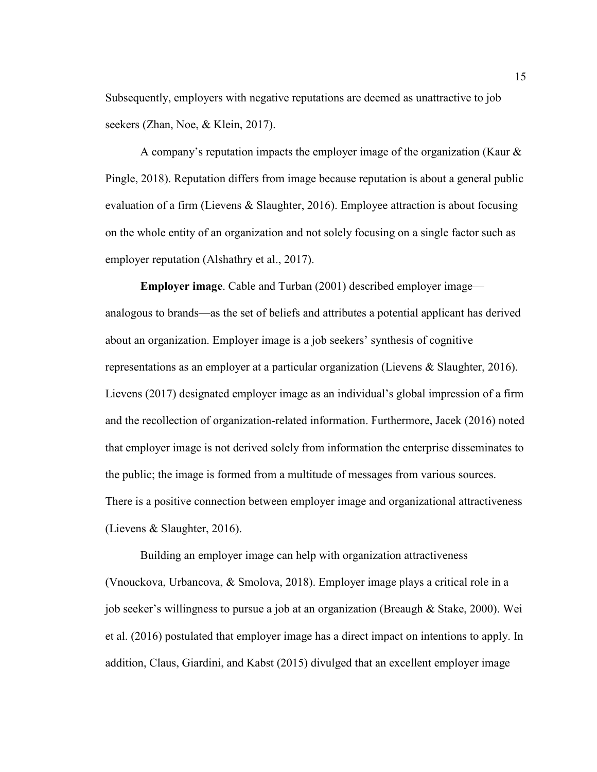Subsequently, employers with negative reputations are deemed as unattractive to job seekers (Zhan, Noe, & Klein, 2017).

A company's reputation impacts the employer image of the organization (Kaur & Pingle, 2018). Reputation differs from image because reputation is about a general public evaluation of a firm (Lievens & Slaughter, 2016). Employee attraction is about focusing on the whole entity of an organization and not solely focusing on a single factor such as employer reputation (Alshathry et al., 2017).

**Employer image**. Cable and Turban (2001) described employer image analogous to brands—as the set of beliefs and attributes a potential applicant has derived about an organization. Employer image is a job seekers' synthesis of cognitive representations as an employer at a particular organization (Lievens & Slaughter, 2016). Lievens (2017) designated employer image as an individual's global impression of a firm and the recollection of organization-related information. Furthermore, Jacek (2016) noted that employer image is not derived solely from information the enterprise disseminates to the public; the image is formed from a multitude of messages from various sources. There is a positive connection between employer image and organizational attractiveness (Lievens & Slaughter, 2016).

Building an employer image can help with organization attractiveness (Vnouckova, Urbancova, & Smolova, 2018). Employer image plays a critical role in a job seeker's willingness to pursue a job at an organization (Breaugh & Stake, 2000). Wei et al. (2016) postulated that employer image has a direct impact on intentions to apply. In addition, Claus, Giardini, and Kabst (2015) divulged that an excellent employer image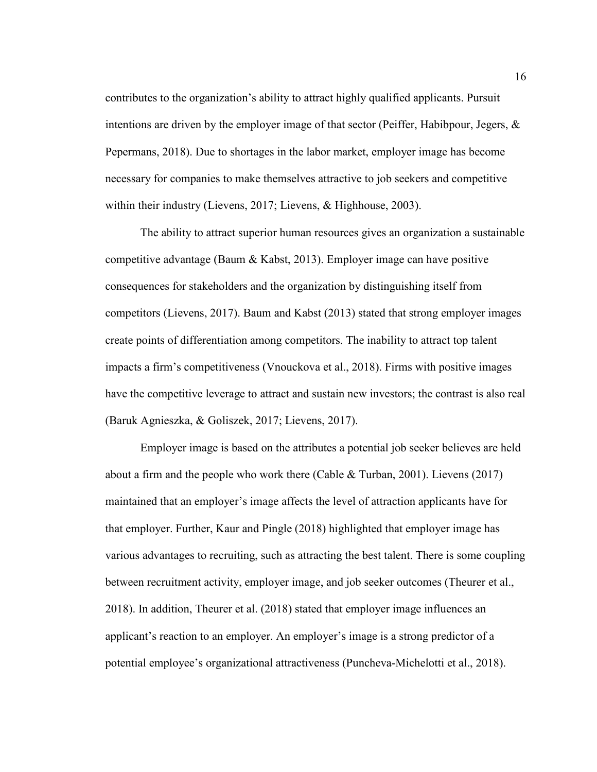contributes to the organization's ability to attract highly qualified applicants. Pursuit intentions are driven by the employer image of that sector (Peiffer, Habibpour, Jegers,  $\&$ Pepermans, 2018). Due to shortages in the labor market, employer image has become necessary for companies to make themselves attractive to job seekers and competitive within their industry (Lievens, 2017; Lievens, & Highhouse, 2003).

The ability to attract superior human resources gives an organization a sustainable competitive advantage (Baum & Kabst, 2013). Employer image can have positive consequences for stakeholders and the organization by distinguishing itself from competitors (Lievens, 2017). Baum and Kabst (2013) stated that strong employer images create points of differentiation among competitors. The inability to attract top talent impacts a firm's competitiveness (Vnouckova et al., 2018). Firms with positive images have the competitive leverage to attract and sustain new investors; the contrast is also real (Baruk Agnieszka, & Goliszek, 2017; Lievens, 2017).

Employer image is based on the attributes a potential job seeker believes are held about a firm and the people who work there (Cable & Turban, 2001). Lievens (2017) maintained that an employer's image affects the level of attraction applicants have for that employer. Further, Kaur and Pingle (2018) highlighted that employer image has various advantages to recruiting, such as attracting the best talent. There is some coupling between recruitment activity, employer image, and job seeker outcomes (Theurer et al., 2018). In addition, Theurer et al. (2018) stated that employer image influences an applicant's reaction to an employer. An employer's image is a strong predictor of a potential employee's organizational attractiveness (Puncheva-Michelotti et al., 2018).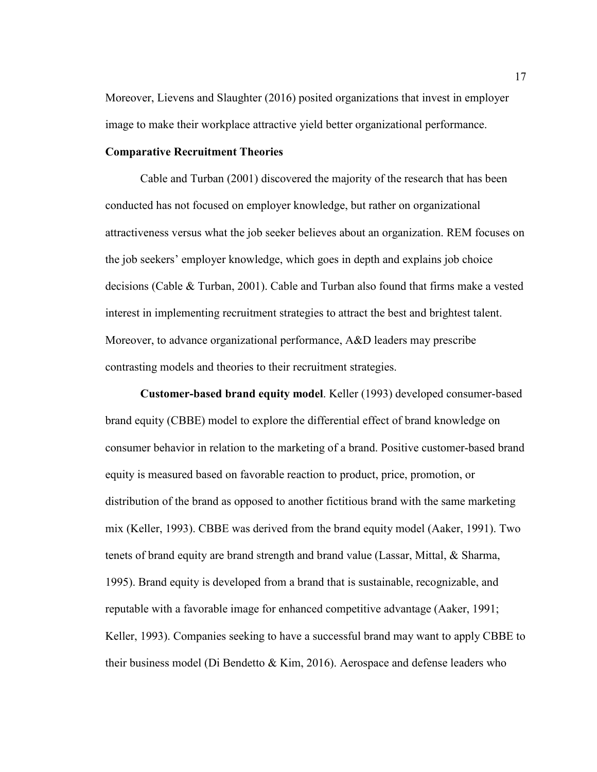Moreover, Lievens and Slaughter (2016) posited organizations that invest in employer image to make their workplace attractive yield better organizational performance.

#### **Comparative Recruitment Theories**

Cable and Turban (2001) discovered the majority of the research that has been conducted has not focused on employer knowledge, but rather on organizational attractiveness versus what the job seeker believes about an organization. REM focuses on the job seekers' employer knowledge, which goes in depth and explains job choice decisions (Cable & Turban, 2001). Cable and Turban also found that firms make a vested interest in implementing recruitment strategies to attract the best and brightest talent. Moreover, to advance organizational performance, A&D leaders may prescribe contrasting models and theories to their recruitment strategies.

**Customer-based brand equity model**. Keller (1993) developed consumer-based brand equity (CBBE) model to explore the differential effect of brand knowledge on consumer behavior in relation to the marketing of a brand. Positive customer-based brand equity is measured based on favorable reaction to product, price, promotion, or distribution of the brand as opposed to another fictitious brand with the same marketing mix (Keller, 1993). CBBE was derived from the brand equity model (Aaker, 1991). Two tenets of brand equity are brand strength and brand value (Lassar, Mittal, & Sharma, 1995). Brand equity is developed from a brand that is sustainable, recognizable, and reputable with a favorable image for enhanced competitive advantage (Aaker, 1991; Keller, 1993). Companies seeking to have a successful brand may want to apply CBBE to their business model (Di Bendetto & Kim, 2016). Aerospace and defense leaders who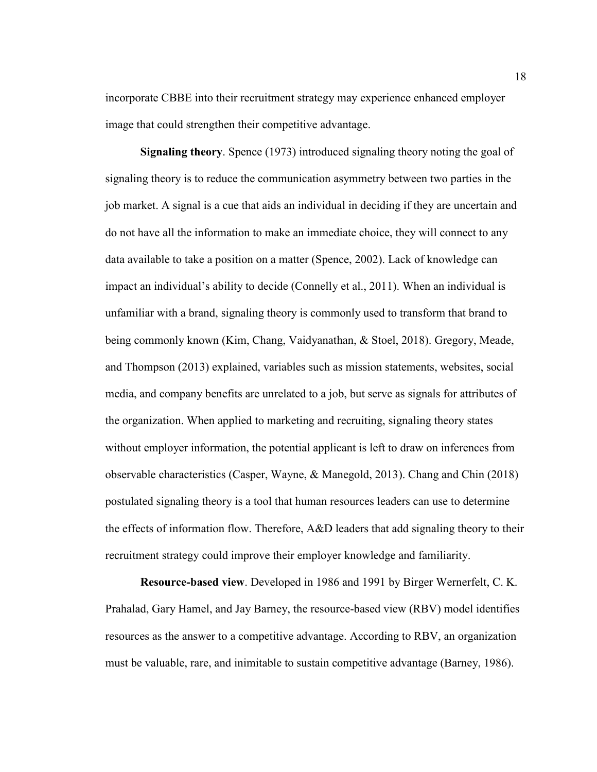incorporate CBBE into their recruitment strategy may experience enhanced employer image that could strengthen their competitive advantage.

**Signaling theory**. Spence (1973) introduced signaling theory noting the goal of signaling theory is to reduce the communication asymmetry between two parties in the job market. A signal is a cue that aids an individual in deciding if they are uncertain and do not have all the information to make an immediate choice, they will connect to any data available to take a position on a matter (Spence, 2002). Lack of knowledge can impact an individual's ability to decide (Connelly et al., 2011). When an individual is unfamiliar with a brand, signaling theory is commonly used to transform that brand to being commonly known (Kim, Chang, Vaidyanathan, & Stoel, 2018). Gregory, Meade, and Thompson (2013) explained, variables such as mission statements, websites, social media, and company benefits are unrelated to a job, but serve as signals for attributes of the organization. When applied to marketing and recruiting, signaling theory states without employer information, the potential applicant is left to draw on inferences from observable characteristics (Casper, Wayne, & Manegold, 2013). Chang and Chin (2018) postulated signaling theory is a tool that human resources leaders can use to determine the effects of information flow. Therefore, A&D leaders that add signaling theory to their recruitment strategy could improve their employer knowledge and familiarity.

**Resource-based view**. Developed in 1986 and 1991 by Birger Wernerfelt, C. K. Prahalad, Gary Hamel, and Jay Barney, the resource-based view (RBV) model identifies resources as the answer to a competitive advantage. According to RBV, an organization must be valuable, rare, and inimitable to sustain competitive advantage (Barney, 1986).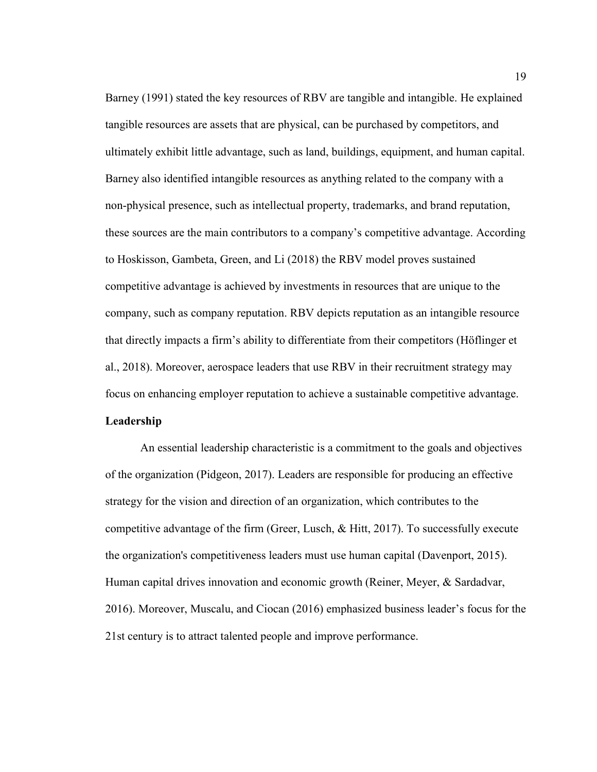Barney (1991) stated the key resources of RBV are tangible and intangible. He explained tangible resources are assets that are physical, can be purchased by competitors, and ultimately exhibit little advantage, such as land, buildings, equipment, and human capital. Barney also identified intangible resources as anything related to the company with a non-physical presence, such as intellectual property, trademarks, and brand reputation, these sources are the main contributors to a company's competitive advantage. According to Hoskisson, Gambeta, Green, and Li (2018) the RBV model proves sustained competitive advantage is achieved by investments in resources that are unique to the company, such as company reputation. RBV depicts reputation as an intangible resource that directly impacts a firm's ability to differentiate from their competitors (Höflinger et al., 2018). Moreover, aerospace leaders that use RBV in their recruitment strategy may focus on enhancing employer reputation to achieve a sustainable competitive advantage. **Leadership** 

An essential leadership characteristic is a commitment to the goals and objectives of the organization (Pidgeon, 2017). Leaders are responsible for producing an effective strategy for the vision and direction of an organization, which contributes to the competitive advantage of the firm (Greer, Lusch, & Hitt, 2017). To successfully execute the organization's competitiveness leaders must use human capital (Davenport, 2015). Human capital drives innovation and economic growth (Reiner, Meyer, & Sardadvar, 2016). Moreover, Muscalu, and Ciocan (2016) emphasized business leader's focus for the 21st century is to attract talented people and improve performance.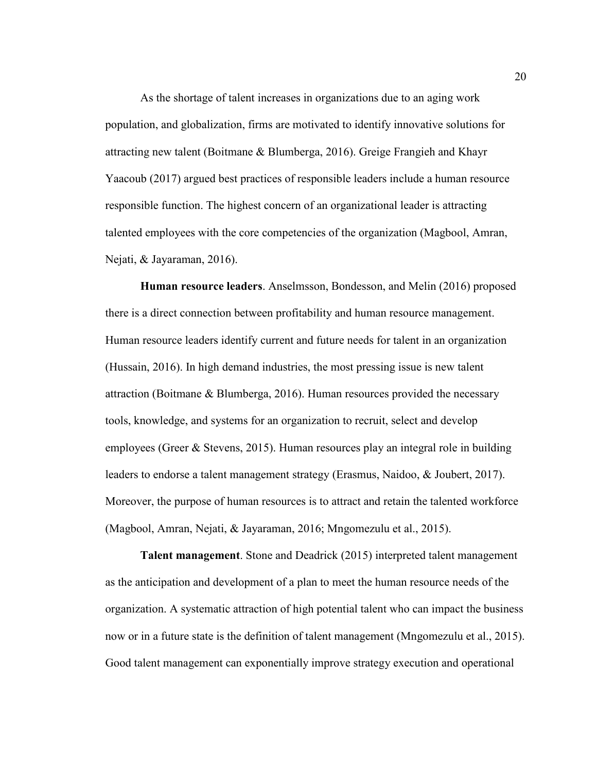As the shortage of talent increases in organizations due to an aging work population, and globalization, firms are motivated to identify innovative solutions for attracting new talent (Boitmane & Blumberga, 2016). Greige Frangieh and Khayr Yaacoub (2017) argued best practices of responsible leaders include a human resource responsible function. The highest concern of an organizational leader is attracting talented employees with the core competencies of the organization (Magbool, Amran, Nejati, & Jayaraman, 2016).

**Human resource leaders**. Anselmsson, Bondesson, and Melin (2016) proposed there is a direct connection between profitability and human resource management. Human resource leaders identify current and future needs for talent in an organization (Hussain, 2016). In high demand industries, the most pressing issue is new talent attraction (Boitmane & Blumberga, 2016). Human resources provided the necessary tools, knowledge, and systems for an organization to recruit, select and develop employees (Greer & Stevens, 2015). Human resources play an integral role in building leaders to endorse a talent management strategy (Erasmus, Naidoo, & Joubert, 2017). Moreover, the purpose of human resources is to attract and retain the talented workforce (Magbool, Amran, Nejati, & Jayaraman, 2016; Mngomezulu et al., 2015).

**Talent management**. Stone and Deadrick (2015) interpreted talent management as the anticipation and development of a plan to meet the human resource needs of the organization. A systematic attraction of high potential talent who can impact the business now or in a future state is the definition of talent management (Mngomezulu et al., 2015). Good talent management can exponentially improve strategy execution and operational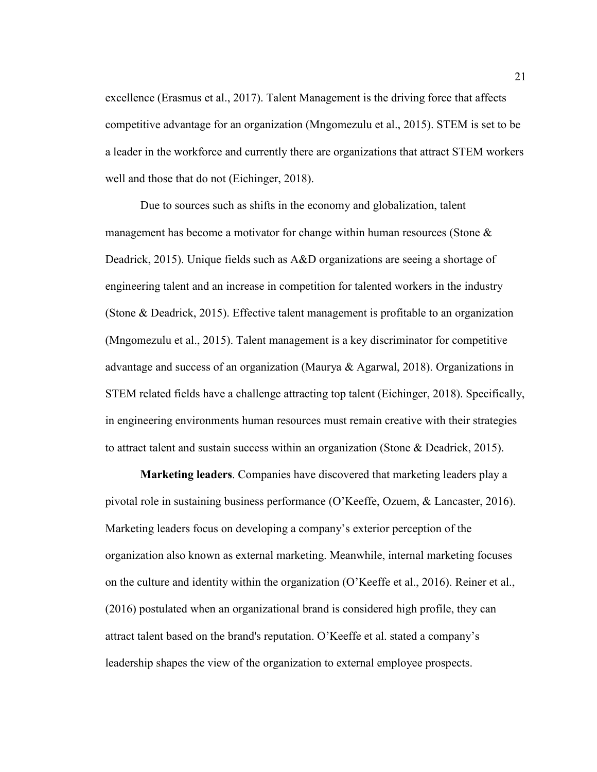excellence (Erasmus et al., 2017). Talent Management is the driving force that affects competitive advantage for an organization (Mngomezulu et al., 2015). STEM is set to be a leader in the workforce and currently there are organizations that attract STEM workers well and those that do not (Eichinger, 2018).

Due to sources such as shifts in the economy and globalization, talent management has become a motivator for change within human resources (Stone & Deadrick, 2015). Unique fields such as A&D organizations are seeing a shortage of engineering talent and an increase in competition for talented workers in the industry (Stone & Deadrick, 2015). Effective talent management is profitable to an organization (Mngomezulu et al., 2015). Talent management is a key discriminator for competitive advantage and success of an organization (Maurya & Agarwal, 2018). Organizations in STEM related fields have a challenge attracting top talent (Eichinger, 2018). Specifically, in engineering environments human resources must remain creative with their strategies to attract talent and sustain success within an organization (Stone & Deadrick, 2015).

**Marketing leaders**. Companies have discovered that marketing leaders play a pivotal role in sustaining business performance (O'Keeffe, Ozuem, & Lancaster, 2016). Marketing leaders focus on developing a company's exterior perception of the organization also known as external marketing. Meanwhile, internal marketing focuses on the culture and identity within the organization (O'Keeffe et al., 2016). Reiner et al., (2016) postulated when an organizational brand is considered high profile, they can attract talent based on the brand's reputation. O'Keeffe et al. stated a company's leadership shapes the view of the organization to external employee prospects.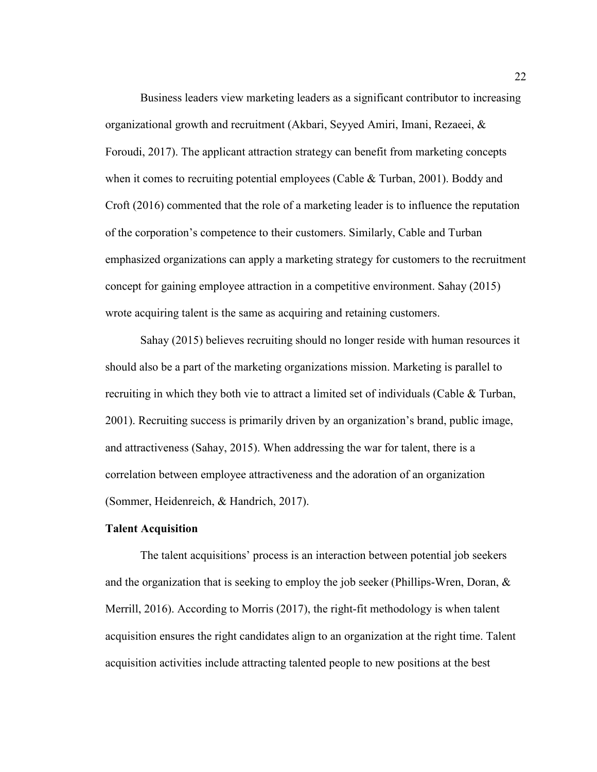Business leaders view marketing leaders as a significant contributor to increasing organizational growth and recruitment (Akbari, Seyyed Amiri, Imani, Rezaeei, & Foroudi, 2017). The applicant attraction strategy can benefit from marketing concepts when it comes to recruiting potential employees (Cable & Turban, 2001). Boddy and Croft (2016) commented that the role of a marketing leader is to influence the reputation of the corporation's competence to their customers. Similarly, Cable and Turban emphasized organizations can apply a marketing strategy for customers to the recruitment concept for gaining employee attraction in a competitive environment. Sahay (2015) wrote acquiring talent is the same as acquiring and retaining customers.

Sahay (2015) believes recruiting should no longer reside with human resources it should also be a part of the marketing organizations mission. Marketing is parallel to recruiting in which they both vie to attract a limited set of individuals (Cable & Turban, 2001). Recruiting success is primarily driven by an organization's brand, public image, and attractiveness (Sahay, 2015). When addressing the war for talent, there is a correlation between employee attractiveness and the adoration of an organization (Sommer, Heidenreich, & Handrich, 2017).

#### **Talent Acquisition**

The talent acquisitions' process is an interaction between potential job seekers and the organization that is seeking to employ the job seeker (Phillips-Wren, Doran,  $\&$ Merrill, 2016). According to Morris (2017), the right-fit methodology is when talent acquisition ensures the right candidates align to an organization at the right time. Talent acquisition activities include attracting talented people to new positions at the best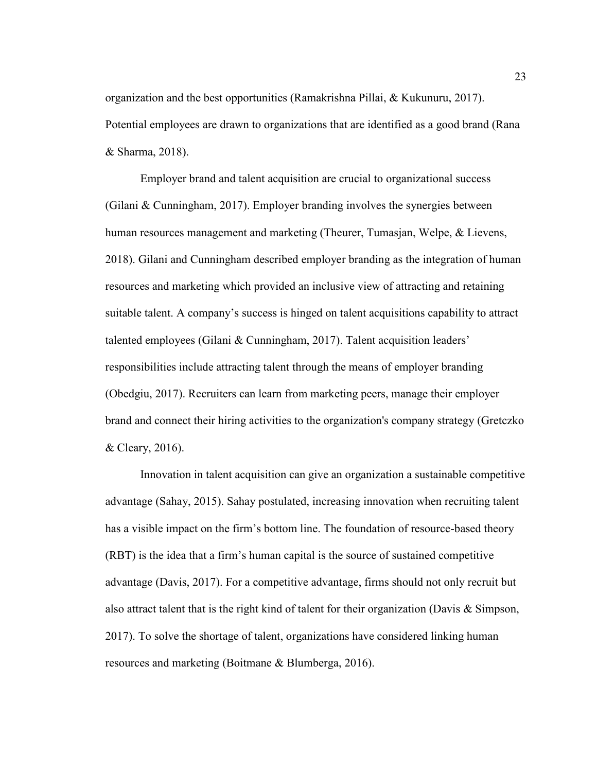organization and the best opportunities (Ramakrishna Pillai, & Kukunuru, 2017). Potential employees are drawn to organizations that are identified as a good brand (Rana & Sharma, 2018).

Employer brand and talent acquisition are crucial to organizational success (Gilani & Cunningham, 2017). Employer branding involves the synergies between human resources management and marketing (Theurer, Tumasjan, Welpe, & Lievens, 2018). Gilani and Cunningham described employer branding as the integration of human resources and marketing which provided an inclusive view of attracting and retaining suitable talent. A company's success is hinged on talent acquisitions capability to attract talented employees (Gilani & Cunningham, 2017). Talent acquisition leaders' responsibilities include attracting talent through the means of employer branding (Obedgiu, 2017). Recruiters can learn from marketing peers, manage their employer brand and connect their hiring activities to the organization's company strategy (Gretczko & Cleary, 2016).

Innovation in talent acquisition can give an organization a sustainable competitive advantage (Sahay, 2015). Sahay postulated, increasing innovation when recruiting talent has a visible impact on the firm's bottom line. The foundation of resource-based theory (RBT) is the idea that a firm's human capital is the source of sustained competitive advantage (Davis, 2017). For a competitive advantage, firms should not only recruit but also attract talent that is the right kind of talent for their organization (Davis & Simpson, 2017). To solve the shortage of talent, organizations have considered linking human resources and marketing (Boitmane & Blumberga, 2016).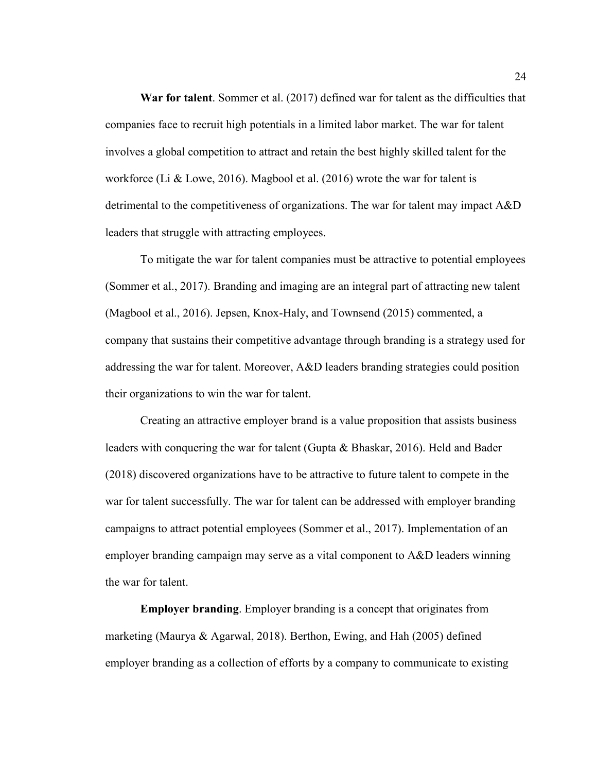**War for talent**. Sommer et al. (2017) defined war for talent as the difficulties that companies face to recruit high potentials in a limited labor market. The war for talent involves a global competition to attract and retain the best highly skilled talent for the workforce (Li & Lowe, 2016). Magbool et al. (2016) wrote the war for talent is detrimental to the competitiveness of organizations. The war for talent may impact A&D leaders that struggle with attracting employees.

To mitigate the war for talent companies must be attractive to potential employees (Sommer et al., 2017). Branding and imaging are an integral part of attracting new talent (Magbool et al., 2016). Jepsen, Knox-Haly, and Townsend (2015) commented, a company that sustains their competitive advantage through branding is a strategy used for addressing the war for talent. Moreover, A&D leaders branding strategies could position their organizations to win the war for talent.

Creating an attractive employer brand is a value proposition that assists business leaders with conquering the war for talent (Gupta & Bhaskar, 2016). Held and Bader (2018) discovered organizations have to be attractive to future talent to compete in the war for talent successfully. The war for talent can be addressed with employer branding campaigns to attract potential employees (Sommer et al., 2017). Implementation of an employer branding campaign may serve as a vital component to A&D leaders winning the war for talent.

**Employer branding**. Employer branding is a concept that originates from marketing (Maurya & Agarwal, 2018). Berthon, Ewing, and Hah (2005) defined employer branding as a collection of efforts by a company to communicate to existing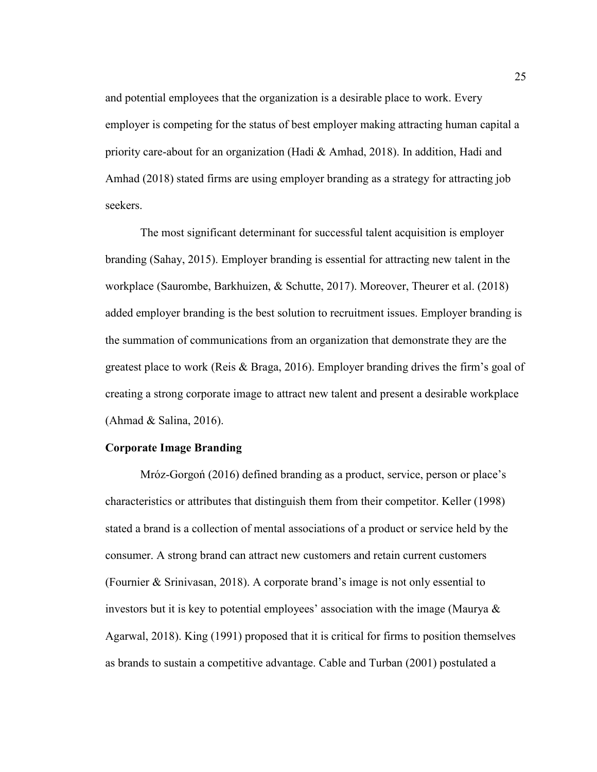and potential employees that the organization is a desirable place to work. Every employer is competing for the status of best employer making attracting human capital a priority care-about for an organization (Hadi & Amhad, 2018). In addition, Hadi and Amhad (2018) stated firms are using employer branding as a strategy for attracting job seekers.

The most significant determinant for successful talent acquisition is employer branding (Sahay, 2015). Employer branding is essential for attracting new talent in the workplace (Saurombe, Barkhuizen, & Schutte, 2017). Moreover, Theurer et al. (2018) added employer branding is the best solution to recruitment issues. Employer branding is the summation of communications from an organization that demonstrate they are the greatest place to work (Reis & Braga, 2016). Employer branding drives the firm's goal of creating a strong corporate image to attract new talent and present a desirable workplace (Ahmad & Salina, 2016).

#### **Corporate Image Branding**

Mróz-Gorgoń (2016) defined branding as a product, service, person or place's characteristics or attributes that distinguish them from their competitor. Keller (1998) stated a brand is a collection of mental associations of a product or service held by the consumer. A strong brand can attract new customers and retain current customers (Fournier & Srinivasan, 2018). A corporate brand's image is not only essential to investors but it is key to potential employees' association with the image (Maurya & Agarwal, 2018). King (1991) proposed that it is critical for firms to position themselves as brands to sustain a competitive advantage. Cable and Turban (2001) postulated a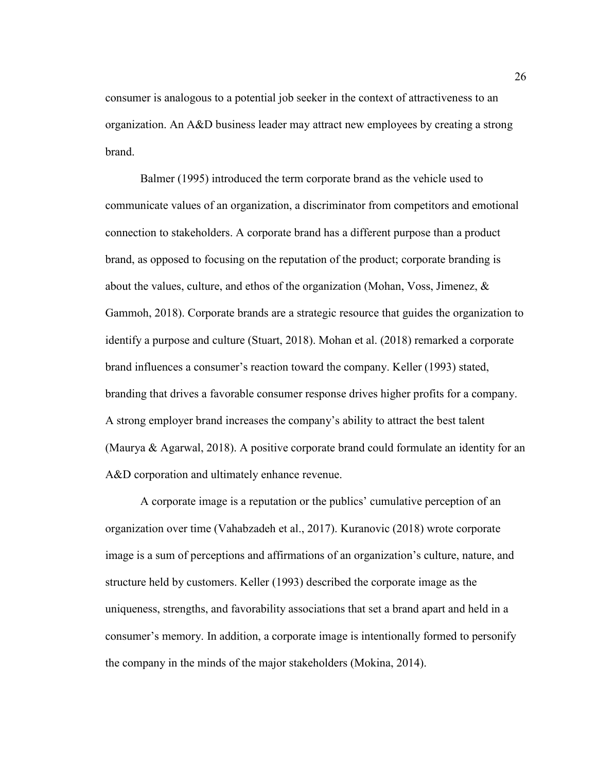consumer is analogous to a potential job seeker in the context of attractiveness to an organization. An A&D business leader may attract new employees by creating a strong brand.

Balmer (1995) introduced the term corporate brand as the vehicle used to communicate values of an organization, a discriminator from competitors and emotional connection to stakeholders. A corporate brand has a different purpose than a product brand, as opposed to focusing on the reputation of the product; corporate branding is about the values, culture, and ethos of the organization (Mohan, Voss, Jimenez,  $\&$ Gammoh, 2018). Corporate brands are a strategic resource that guides the organization to identify a purpose and culture (Stuart, 2018). Mohan et al. (2018) remarked a corporate brand influences a consumer's reaction toward the company. Keller (1993) stated, branding that drives a favorable consumer response drives higher profits for a company. A strong employer brand increases the company's ability to attract the best talent (Maurya & Agarwal, 2018). A positive corporate brand could formulate an identity for an A&D corporation and ultimately enhance revenue.

A corporate image is a reputation or the publics' cumulative perception of an organization over time (Vahabzadeh et al., 2017). Kuranovic (2018) wrote corporate image is a sum of perceptions and affirmations of an organization's culture, nature, and structure held by customers. Keller (1993) described the corporate image as the uniqueness, strengths, and favorability associations that set a brand apart and held in a consumer's memory. In addition, a corporate image is intentionally formed to personify the company in the minds of the major stakeholders (Mokina, 2014).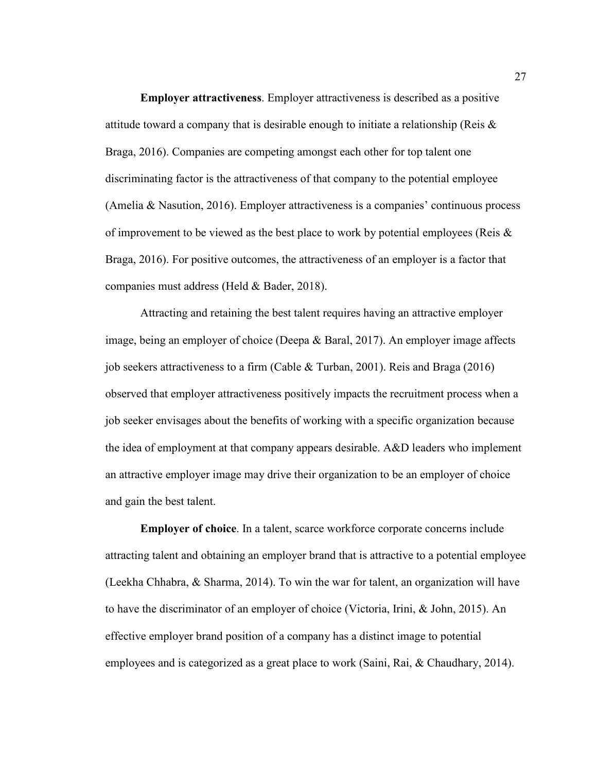**Employer attractiveness**. Employer attractiveness is described as a positive attitude toward a company that is desirable enough to initiate a relationship (Reis  $\&$ Braga, 2016). Companies are competing amongst each other for top talent one discriminating factor is the attractiveness of that company to the potential employee (Amelia & Nasution, 2016). Employer attractiveness is a companies' continuous process of improvement to be viewed as the best place to work by potential employees (Reis & Braga, 2016). For positive outcomes, the attractiveness of an employer is a factor that companies must address (Held & Bader, 2018).

Attracting and retaining the best talent requires having an attractive employer image, being an employer of choice (Deepa & Baral, 2017). An employer image affects job seekers attractiveness to a firm (Cable & Turban, 2001). Reis and Braga (2016) observed that employer attractiveness positively impacts the recruitment process when a job seeker envisages about the benefits of working with a specific organization because the idea of employment at that company appears desirable. A&D leaders who implement an attractive employer image may drive their organization to be an employer of choice and gain the best talent.

**Employer of choice**. In a talent, scarce workforce corporate concerns include attracting talent and obtaining an employer brand that is attractive to a potential employee (Leekha Chhabra, & Sharma, 2014). To win the war for talent, an organization will have to have the discriminator of an employer of choice (Victoria, Irini, & John, 2015). An effective employer brand position of a company has a distinct image to potential employees and is categorized as a great place to work (Saini, Rai, & Chaudhary, 2014).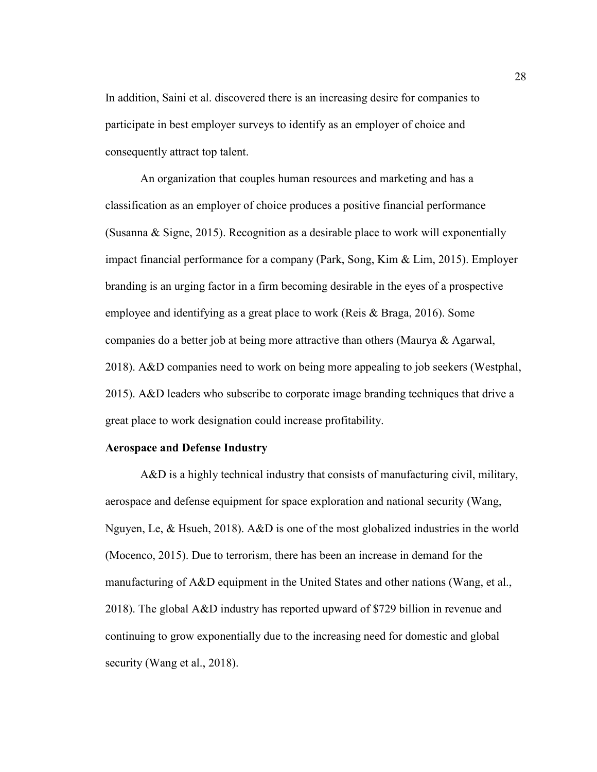In addition, Saini et al. discovered there is an increasing desire for companies to participate in best employer surveys to identify as an employer of choice and consequently attract top talent.

An organization that couples human resources and marketing and has a classification as an employer of choice produces a positive financial performance (Susanna & Signe, 2015). Recognition as a desirable place to work will exponentially impact financial performance for a company (Park, Song, Kim & Lim, 2015). Employer branding is an urging factor in a firm becoming desirable in the eyes of a prospective employee and identifying as a great place to work (Reis & Braga, 2016). Some companies do a better job at being more attractive than others (Maurya & Agarwal, 2018). A&D companies need to work on being more appealing to job seekers (Westphal, 2015). A&D leaders who subscribe to corporate image branding techniques that drive a great place to work designation could increase profitability.

# **Aerospace and Defense Industry**

A&D is a highly technical industry that consists of manufacturing civil, military, aerospace and defense equipment for space exploration and national security (Wang, Nguyen, Le, & Hsueh, 2018). A&D is one of the most globalized industries in the world (Mocenco, 2015). Due to terrorism, there has been an increase in demand for the manufacturing of A&D equipment in the United States and other nations (Wang, et al., 2018). The global A&D industry has reported upward of \$729 billion in revenue and continuing to grow exponentially due to the increasing need for domestic and global security (Wang et al., 2018).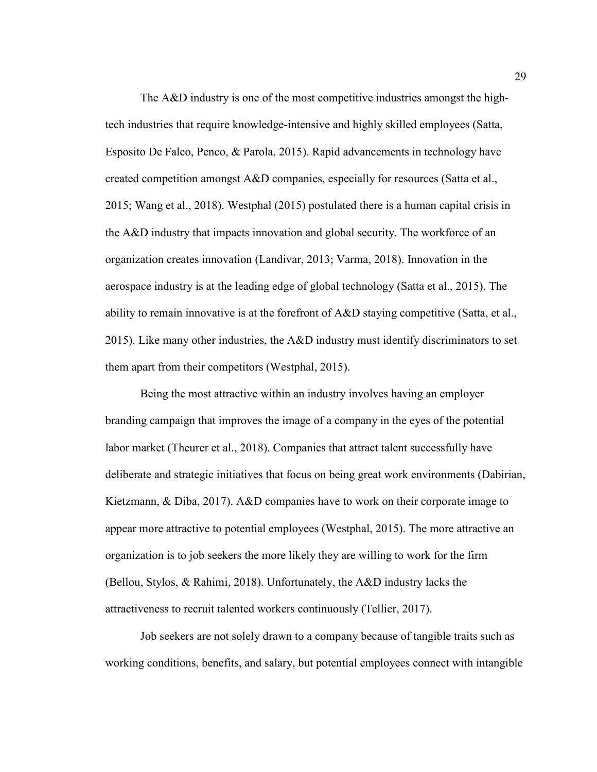The A&D industry is one of the most competitive industries amongst the hightech industries that require knowledge-intensive and highly skilled employees (Satta, Esposito De Falco, Penco, & Parola, 2015). Rapid advancements in technology have created competition amongst A&D companies, especially for resources (Satta et al., 2015; Wang et al., 2018). Westphal (2015) postulated there is a human capital crisis in the A&D industry that impacts innovation and global security. The workforce of an organization creates innovation (Landivar, 2013; Varma, 2018). Innovation in the aerospace industry is at the leading edge of global technology (Satta et al., 2015). The ability to remain innovative is at the forefront of  $A\&D$  staying competitive (Satta, et al., 2015). Like many other industries, the A&D industry must identify discriminators to set them apart from their competitors (Westphal, 2015).

Being the most attractive within an industry involves having an employer branding campaign that improves the image of a company in the eyes of the potential labor market (Theurer et al., 2018). Companies that attract talent successfully have deliberate and strategic initiatives that focus on being great work environments (Dabirian, Kietzmann, & Diba, 2017). A&D companies have to work on their corporate image to appear more attractive to potential employees (Westphal, 2015). The more attractive an organization is to job seekers the more likely they are willing to work for the firm (Bellou, Stylos, & Rahimi, 2018). Unfortunately, the A&D industry lacks the attractiveness to recruit talented workers continuously (Tellier, 2017).

Job seekers are not solely drawn to a company because of tangible traits such as working conditions, benefits, and salary, but potential employees connect with intangible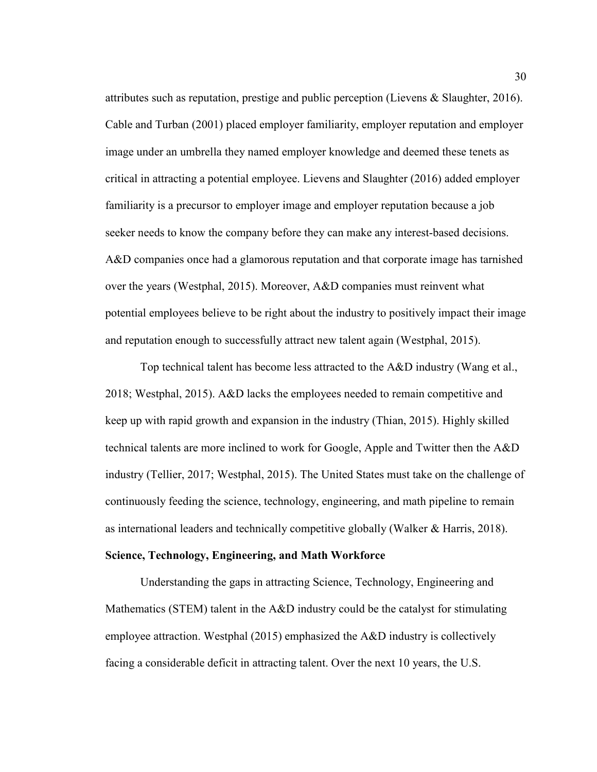attributes such as reputation, prestige and public perception (Lievens & Slaughter, 2016). Cable and Turban (2001) placed employer familiarity, employer reputation and employer image under an umbrella they named employer knowledge and deemed these tenets as critical in attracting a potential employee. Lievens and Slaughter (2016) added employer familiarity is a precursor to employer image and employer reputation because a job seeker needs to know the company before they can make any interest-based decisions. A&D companies once had a glamorous reputation and that corporate image has tarnished over the years (Westphal, 2015). Moreover, A&D companies must reinvent what potential employees believe to be right about the industry to positively impact their image and reputation enough to successfully attract new talent again (Westphal, 2015).

Top technical talent has become less attracted to the A&D industry (Wang et al., 2018; Westphal, 2015). A&D lacks the employees needed to remain competitive and keep up with rapid growth and expansion in the industry (Thian, 2015). Highly skilled technical talents are more inclined to work for Google, Apple and Twitter then the A&D industry (Tellier, 2017; Westphal, 2015). The United States must take on the challenge of continuously feeding the science, technology, engineering, and math pipeline to remain as international leaders and technically competitive globally (Walker & Harris, 2018).

#### **Science, Technology, Engineering, and Math Workforce**

Understanding the gaps in attracting Science, Technology, Engineering and Mathematics (STEM) talent in the A&D industry could be the catalyst for stimulating employee attraction. Westphal (2015) emphasized the A&D industry is collectively facing a considerable deficit in attracting talent. Over the next 10 years, the U.S.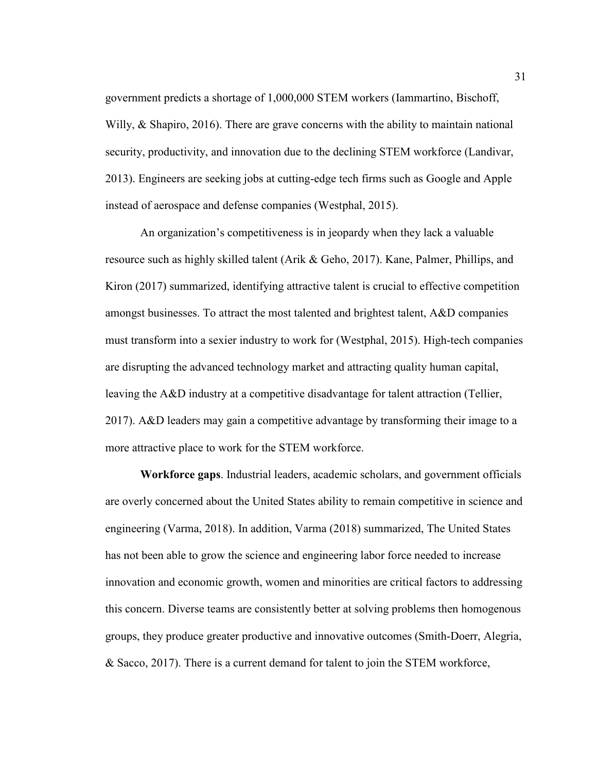government predicts a shortage of 1,000,000 STEM workers (Iammartino, Bischoff, Willy, & Shapiro, 2016). There are grave concerns with the ability to maintain national security, productivity, and innovation due to the declining STEM workforce (Landivar, 2013). Engineers are seeking jobs at cutting-edge tech firms such as Google and Apple instead of aerospace and defense companies (Westphal, 2015).

An organization's competitiveness is in jeopardy when they lack a valuable resource such as highly skilled talent (Arik & Geho, 2017). Kane, Palmer, Phillips, and Kiron (2017) summarized, identifying attractive talent is crucial to effective competition amongst businesses. To attract the most talented and brightest talent, A&D companies must transform into a sexier industry to work for (Westphal, 2015). High-tech companies are disrupting the advanced technology market and attracting quality human capital, leaving the A&D industry at a competitive disadvantage for talent attraction (Tellier, 2017). A&D leaders may gain a competitive advantage by transforming their image to a more attractive place to work for the STEM workforce.

**Workforce gaps**. Industrial leaders, academic scholars, and government officials are overly concerned about the United States ability to remain competitive in science and engineering (Varma, 2018). In addition, Varma (2018) summarized, The United States has not been able to grow the science and engineering labor force needed to increase innovation and economic growth, women and minorities are critical factors to addressing this concern. Diverse teams are consistently better at solving problems then homogenous groups, they produce greater productive and innovative outcomes (Smith-Doerr, Alegria, & Sacco, 2017). There is a current demand for talent to join the STEM workforce,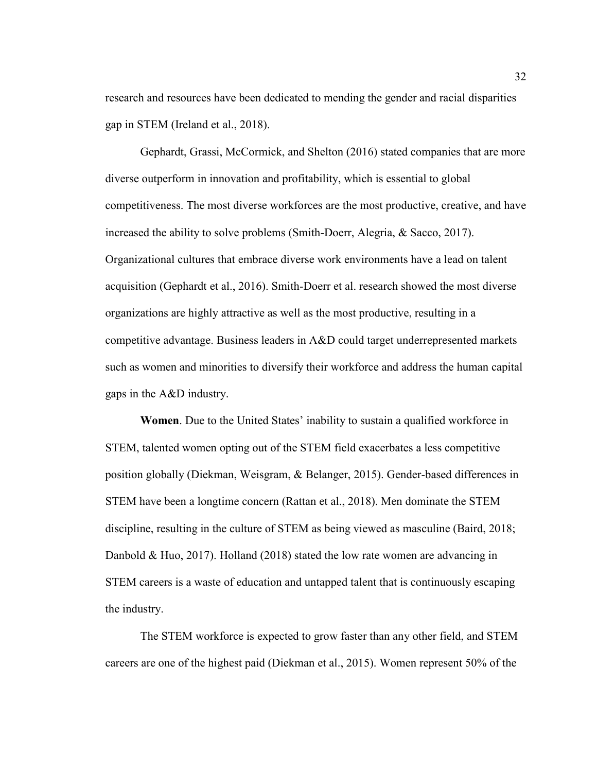research and resources have been dedicated to mending the gender and racial disparities gap in STEM (Ireland et al., 2018).

Gephardt, Grassi, McCormick, and Shelton (2016) stated companies that are more diverse outperform in innovation and profitability, which is essential to global competitiveness. The most diverse workforces are the most productive, creative, and have increased the ability to solve problems (Smith-Doerr, Alegria, & Sacco, 2017). Organizational cultures that embrace diverse work environments have a lead on talent acquisition (Gephardt et al., 2016). Smith-Doerr et al. research showed the most diverse organizations are highly attractive as well as the most productive, resulting in a competitive advantage. Business leaders in A&D could target underrepresented markets such as women and minorities to diversify their workforce and address the human capital gaps in the A&D industry.

**Women**. Due to the United States' inability to sustain a qualified workforce in STEM, talented women opting out of the STEM field exacerbates a less competitive position globally (Diekman, Weisgram, & Belanger, 2015). Gender-based differences in STEM have been a longtime concern (Rattan et al., 2018). Men dominate the STEM discipline, resulting in the culture of STEM as being viewed as masculine (Baird, 2018; Danbold & Huo, 2017). Holland (2018) stated the low rate women are advancing in STEM careers is a waste of education and untapped talent that is continuously escaping the industry.

The STEM workforce is expected to grow faster than any other field, and STEM careers are one of the highest paid (Diekman et al., 2015). Women represent 50% of the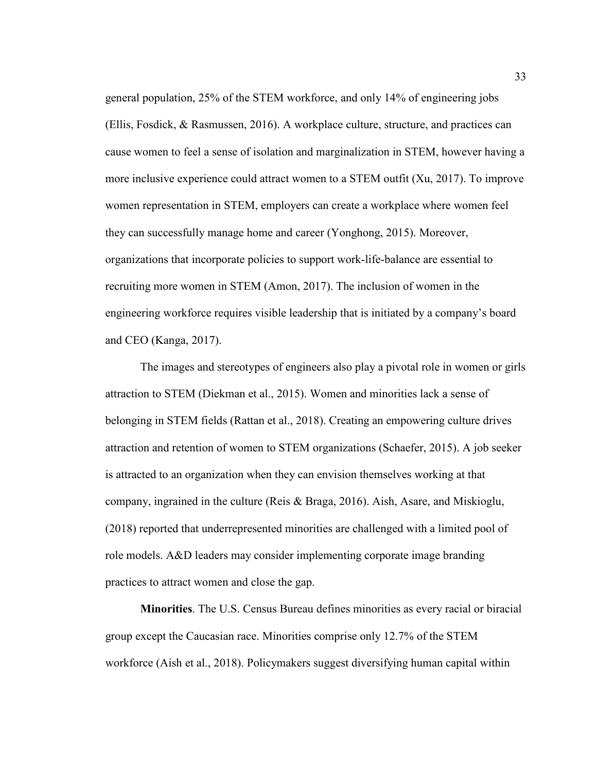general population, 25% of the STEM workforce, and only 14% of engineering jobs (Ellis, Fosdick, & Rasmussen, 2016). A workplace culture, structure, and practices can cause women to feel a sense of isolation and marginalization in STEM, however having a more inclusive experience could attract women to a STEM outfit (Xu, 2017). To improve women representation in STEM, employers can create a workplace where women feel they can successfully manage home and career (Yonghong, 2015). Moreover, organizations that incorporate policies to support work-life-balance are essential to recruiting more women in STEM (Amon, 2017). The inclusion of women in the engineering workforce requires visible leadership that is initiated by a company's board and CEO (Kanga, 2017).

The images and stereotypes of engineers also play a pivotal role in women or girls attraction to STEM (Diekman et al., 2015). Women and minorities lack a sense of belonging in STEM fields (Rattan et al., 2018). Creating an empowering culture drives attraction and retention of women to STEM organizations (Schaefer, 2015). A job seeker is attracted to an organization when they can envision themselves working at that company, ingrained in the culture (Reis & Braga, 2016). Aish, Asare, and Miskioglu, (2018) reported that underrepresented minorities are challenged with a limited pool of role models. A&D leaders may consider implementing corporate image branding practices to attract women and close the gap.

**Minorities**. The U.S. Census Bureau defines minorities as every racial or biracial group except the Caucasian race. Minorities comprise only 12.7% of the STEM workforce (Aish et al., 2018). Policymakers suggest diversifying human capital within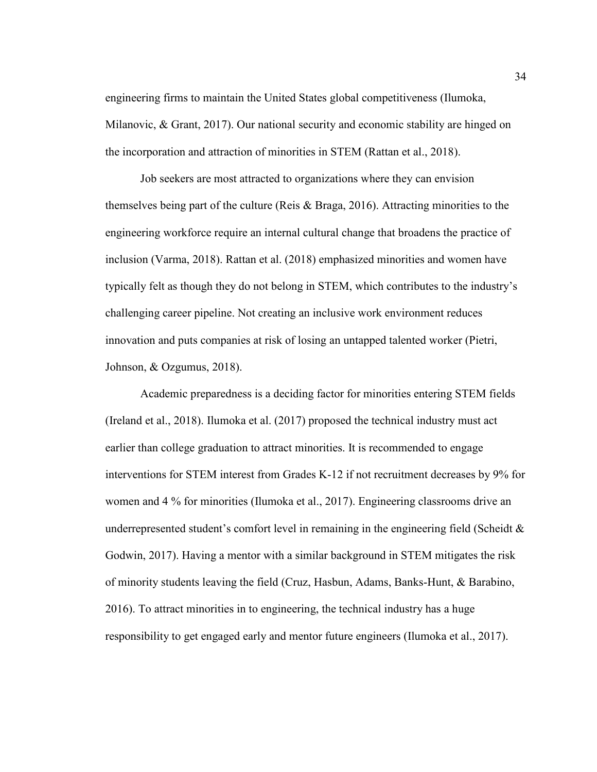engineering firms to maintain the United States global competitiveness (Ilumoka, Milanovic, & Grant, 2017). Our national security and economic stability are hinged on the incorporation and attraction of minorities in STEM (Rattan et al., 2018).

Job seekers are most attracted to organizations where they can envision themselves being part of the culture (Reis & Braga, 2016). Attracting minorities to the engineering workforce require an internal cultural change that broadens the practice of inclusion (Varma, 2018). Rattan et al. (2018) emphasized minorities and women have typically felt as though they do not belong in STEM, which contributes to the industry's challenging career pipeline. Not creating an inclusive work environment reduces innovation and puts companies at risk of losing an untapped talented worker (Pietri, Johnson, & Ozgumus, 2018).

Academic preparedness is a deciding factor for minorities entering STEM fields (Ireland et al., 2018). Ilumoka et al. (2017) proposed the technical industry must act earlier than college graduation to attract minorities. It is recommended to engage interventions for STEM interest from Grades K-12 if not recruitment decreases by 9% for women and 4 % for minorities (Ilumoka et al., 2017). Engineering classrooms drive an underrepresented student's comfort level in remaining in the engineering field (Scheidt  $\&$ Godwin, 2017). Having a mentor with a similar background in STEM mitigates the risk of minority students leaving the field (Cruz, Hasbun, Adams, Banks-Hunt, & Barabino, 2016). To attract minorities in to engineering, the technical industry has a huge responsibility to get engaged early and mentor future engineers (Ilumoka et al., 2017).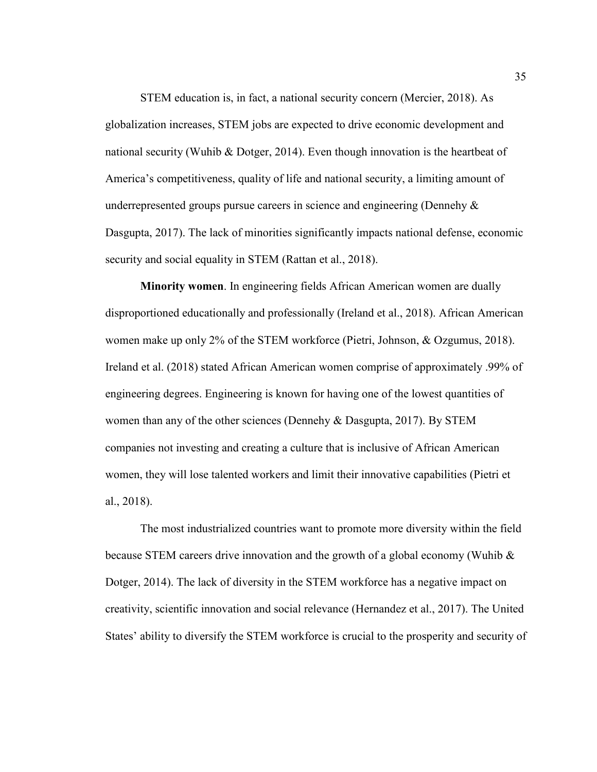STEM education is, in fact, a national security concern (Mercier, 2018). As globalization increases, STEM jobs are expected to drive economic development and national security (Wuhib & Dotger, 2014). Even though innovation is the heartbeat of America's competitiveness, quality of life and national security, a limiting amount of underrepresented groups pursue careers in science and engineering (Dennehy  $\&$ Dasgupta, 2017). The lack of minorities significantly impacts national defense, economic security and social equality in STEM (Rattan et al., 2018).

**Minority women**. In engineering fields African American women are dually disproportioned educationally and professionally (Ireland et al., 2018). African American women make up only 2% of the STEM workforce (Pietri, Johnson, & Ozgumus, 2018). Ireland et al. (2018) stated African American women comprise of approximately .99% of engineering degrees. Engineering is known for having one of the lowest quantities of women than any of the other sciences (Dennehy & Dasgupta, 2017). By STEM companies not investing and creating a culture that is inclusive of African American women, they will lose talented workers and limit their innovative capabilities (Pietri et al., 2018).

The most industrialized countries want to promote more diversity within the field because STEM careers drive innovation and the growth of a global economy (Wuhib  $\&$ Dotger, 2014). The lack of diversity in the STEM workforce has a negative impact on creativity, scientific innovation and social relevance (Hernandez et al., 2017). The United States' ability to diversify the STEM workforce is crucial to the prosperity and security of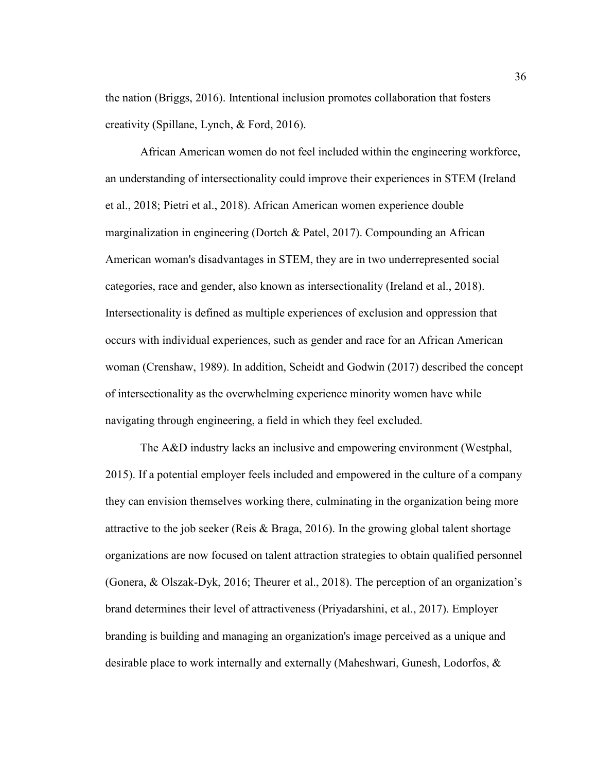the nation (Briggs, 2016). Intentional inclusion promotes collaboration that fosters creativity (Spillane, Lynch, & Ford, 2016).

African American women do not feel included within the engineering workforce, an understanding of intersectionality could improve their experiences in STEM (Ireland et al., 2018; Pietri et al., 2018). African American women experience double marginalization in engineering (Dortch & Patel, 2017). Compounding an African American woman's disadvantages in STEM, they are in two underrepresented social categories, race and gender, also known as intersectionality (Ireland et al., 2018). Intersectionality is defined as multiple experiences of exclusion and oppression that occurs with individual experiences, such as gender and race for an African American woman (Crenshaw, 1989). In addition, Scheidt and Godwin (2017) described the concept of intersectionality as the overwhelming experience minority women have while navigating through engineering, a field in which they feel excluded.

The A&D industry lacks an inclusive and empowering environment (Westphal, 2015). If a potential employer feels included and empowered in the culture of a company they can envision themselves working there, culminating in the organization being more attractive to the job seeker (Reis & Braga, 2016). In the growing global talent shortage organizations are now focused on talent attraction strategies to obtain qualified personnel (Gonera, & Olszak-Dyk, 2016; Theurer et al., 2018). The perception of an organization's brand determines their level of attractiveness (Priyadarshini, et al., 2017). Employer branding is building and managing an organization's image perceived as a unique and desirable place to work internally and externally (Maheshwari, Gunesh, Lodorfos, &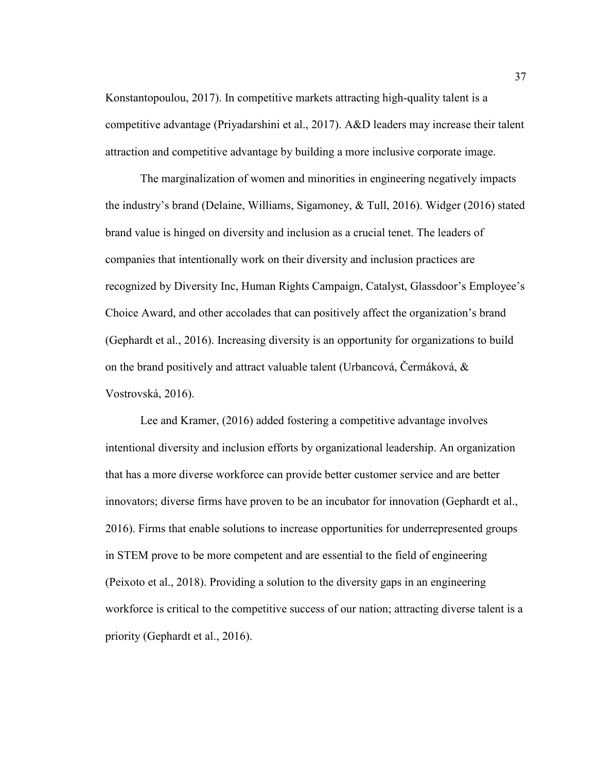Konstantopoulou, 2017). In competitive markets attracting high-quality talent is a competitive advantage (Priyadarshini et al., 2017). A&D leaders may increase their talent attraction and competitive advantage by building a more inclusive corporate image.

The marginalization of women and minorities in engineering negatively impacts the industry's brand (Delaine, Williams, Sigamoney, & Tull, 2016). Widger (2016) stated brand value is hinged on diversity and inclusion as a crucial tenet. The leaders of companies that intentionally work on their diversity and inclusion practices are recognized by Diversity Inc, Human Rights Campaign, Catalyst, Glassdoor's Employee's Choice Award, and other accolades that can positively affect the organization's brand (Gephardt et al., 2016). Increasing diversity is an opportunity for organizations to build on the brand positively and attract valuable talent (Urbancová, Čermáková, & Vostrovská, 2016).

Lee and Kramer, (2016) added fostering a competitive advantage involves intentional diversity and inclusion efforts by organizational leadership. An organization that has a more diverse workforce can provide better customer service and are better innovators; diverse firms have proven to be an incubator for innovation (Gephardt et al., 2016). Firms that enable solutions to increase opportunities for underrepresented groups in STEM prove to be more competent and are essential to the field of engineering (Peixoto et al., 2018). Providing a solution to the diversity gaps in an engineering workforce is critical to the competitive success of our nation; attracting diverse talent is a priority (Gephardt et al., 2016).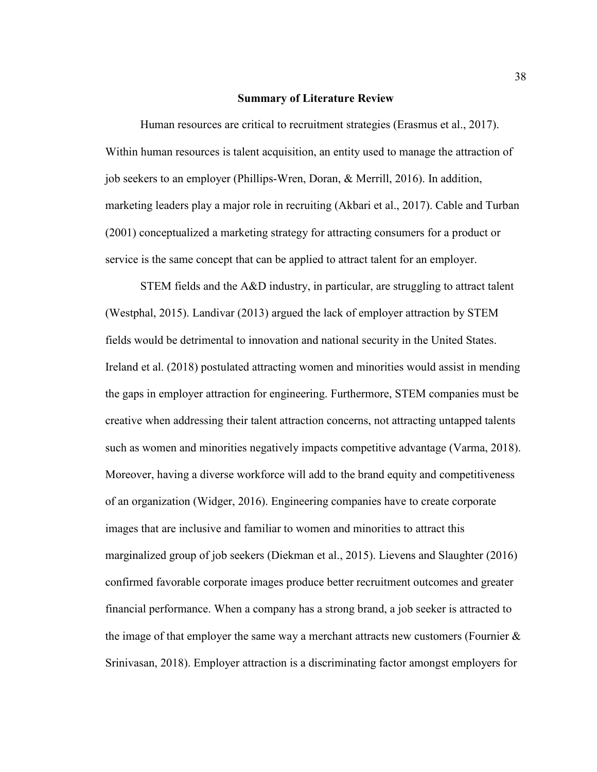#### **Summary of Literature Review**

Human resources are critical to recruitment strategies (Erasmus et al., 2017). Within human resources is talent acquisition, an entity used to manage the attraction of job seekers to an employer (Phillips-Wren, Doran, & Merrill, 2016). In addition, marketing leaders play a major role in recruiting (Akbari et al., 2017). Cable and Turban (2001) conceptualized a marketing strategy for attracting consumers for a product or service is the same concept that can be applied to attract talent for an employer.

STEM fields and the A&D industry, in particular, are struggling to attract talent (Westphal, 2015). Landivar (2013) argued the lack of employer attraction by STEM fields would be detrimental to innovation and national security in the United States. Ireland et al. (2018) postulated attracting women and minorities would assist in mending the gaps in employer attraction for engineering. Furthermore, STEM companies must be creative when addressing their talent attraction concerns, not attracting untapped talents such as women and minorities negatively impacts competitive advantage (Varma, 2018). Moreover, having a diverse workforce will add to the brand equity and competitiveness of an organization (Widger, 2016). Engineering companies have to create corporate images that are inclusive and familiar to women and minorities to attract this marginalized group of job seekers (Diekman et al., 2015). Lievens and Slaughter (2016) confirmed favorable corporate images produce better recruitment outcomes and greater financial performance. When a company has a strong brand, a job seeker is attracted to the image of that employer the same way a merchant attracts new customers (Fournier  $\&$ Srinivasan, 2018). Employer attraction is a discriminating factor amongst employers for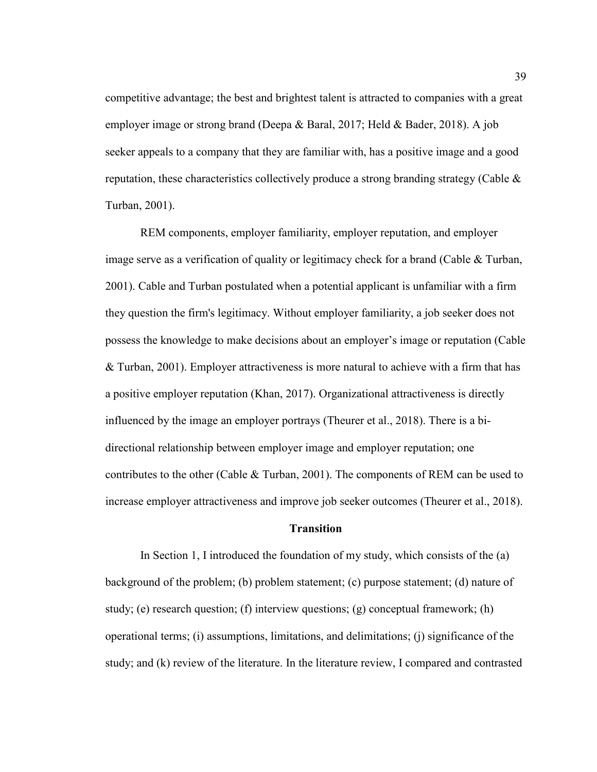competitive advantage; the best and brightest talent is attracted to companies with a great employer image or strong brand (Deepa & Baral, 2017; Held & Bader, 2018). A job seeker appeals to a company that they are familiar with, has a positive image and a good reputation, these characteristics collectively produce a strong branding strategy (Cable  $\&$ Turban, 2001).

REM components, employer familiarity, employer reputation, and employer image serve as a verification of quality or legitimacy check for a brand (Cable & Turban, 2001). Cable and Turban postulated when a potential applicant is unfamiliar with a firm they question the firm's legitimacy. Without employer familiarity, a job seeker does not possess the knowledge to make decisions about an employer's image or reputation (Cable & Turban, 2001). Employer attractiveness is more natural to achieve with a firm that has a positive employer reputation (Khan, 2017). Organizational attractiveness is directly influenced by the image an employer portrays (Theurer et al., 2018). There is a bidirectional relationship between employer image and employer reputation; one contributes to the other (Cable & Turban, 2001). The components of REM can be used to increase employer attractiveness and improve job seeker outcomes (Theurer et al., 2018).

#### **Transition**

In Section 1, I introduced the foundation of my study, which consists of the (a) background of the problem; (b) problem statement; (c) purpose statement; (d) nature of study; (e) research question; (f) interview questions; (g) conceptual framework; (h) operational terms; (i) assumptions, limitations, and delimitations; (j) significance of the study; and (k) review of the literature. In the literature review, I compared and contrasted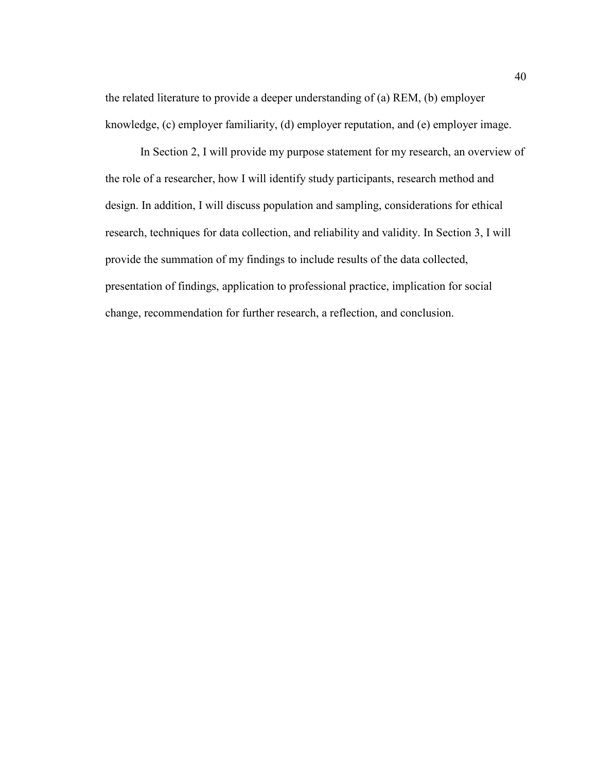the related literature to provide a deeper understanding of (a) REM, (b) employer knowledge, (c) employer familiarity, (d) employer reputation, and (e) employer image.

In Section 2, I will provide my purpose statement for my research, an overview of the role of a researcher, how I will identify study participants, research method and design. In addition, I will discuss population and sampling, considerations for ethical research, techniques for data collection, and reliability and validity. In Section 3, I will provide the summation of my findings to include results of the data collected, presentation of findings, application to professional practice, implication for social change, recommendation for further research, a reflection, and conclusion.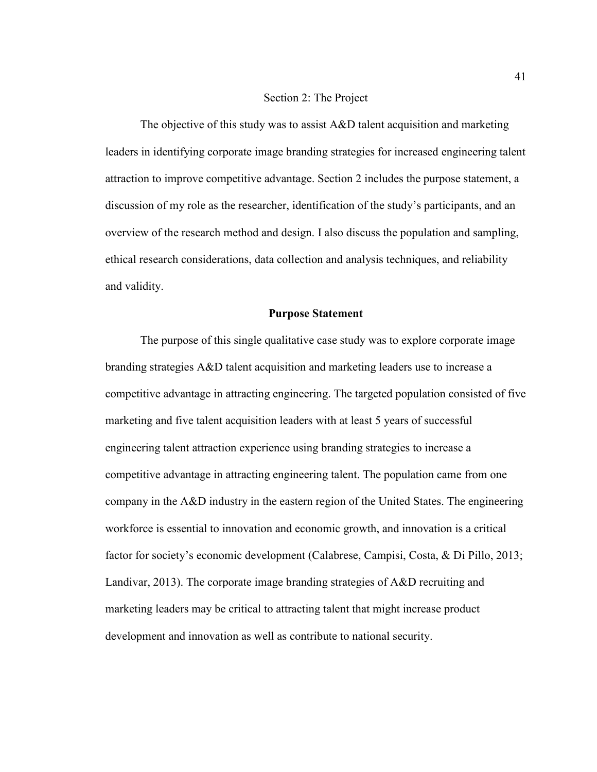#### Section 2: The Project

The objective of this study was to assist A&D talent acquisition and marketing leaders in identifying corporate image branding strategies for increased engineering talent attraction to improve competitive advantage. Section 2 includes the purpose statement, a discussion of my role as the researcher, identification of the study's participants, and an overview of the research method and design. I also discuss the population and sampling, ethical research considerations, data collection and analysis techniques, and reliability and validity.

### **Purpose Statement**

The purpose of this single qualitative case study was to explore corporate image branding strategies A&D talent acquisition and marketing leaders use to increase a competitive advantage in attracting engineering. The targeted population consisted of five marketing and five talent acquisition leaders with at least 5 years of successful engineering talent attraction experience using branding strategies to increase a competitive advantage in attracting engineering talent. The population came from one company in the A&D industry in the eastern region of the United States. The engineering workforce is essential to innovation and economic growth, and innovation is a critical factor for society's economic development (Calabrese, Campisi, Costa, & Di Pillo, 2013; Landivar, 2013). The corporate image branding strategies of A&D recruiting and marketing leaders may be critical to attracting talent that might increase product development and innovation as well as contribute to national security.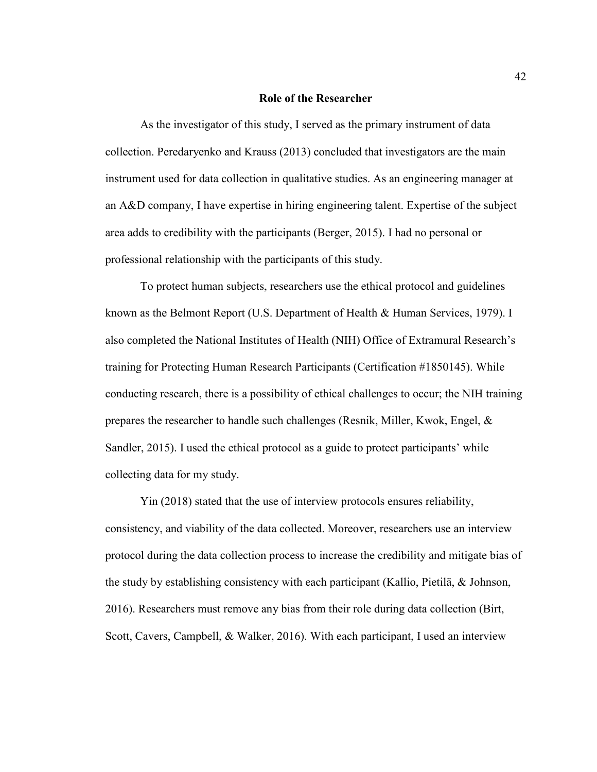#### **Role of the Researcher**

As the investigator of this study, I served as the primary instrument of data collection. Peredaryenko and Krauss (2013) concluded that investigators are the main instrument used for data collection in qualitative studies. As an engineering manager at an A&D company, I have expertise in hiring engineering talent. Expertise of the subject area adds to credibility with the participants (Berger, 2015). I had no personal or professional relationship with the participants of this study.

To protect human subjects, researchers use the ethical protocol and guidelines known as the Belmont Report (U.S. Department of Health & Human Services, 1979). I also completed the National Institutes of Health (NIH) Office of Extramural Research's training for Protecting Human Research Participants (Certification #1850145). While conducting research, there is a possibility of ethical challenges to occur; the NIH training prepares the researcher to handle such challenges (Resnik, Miller, Kwok, Engel, & Sandler, 2015). I used the ethical protocol as a guide to protect participants' while collecting data for my study.

Yin (2018) stated that the use of interview protocols ensures reliability, consistency, and viability of the data collected. Moreover, researchers use an interview protocol during the data collection process to increase the credibility and mitigate bias of the study by establishing consistency with each participant (Kallio, Pietilä, & Johnson, 2016). Researchers must remove any bias from their role during data collection (Birt, Scott, Cavers, Campbell, & Walker, 2016). With each participant, I used an interview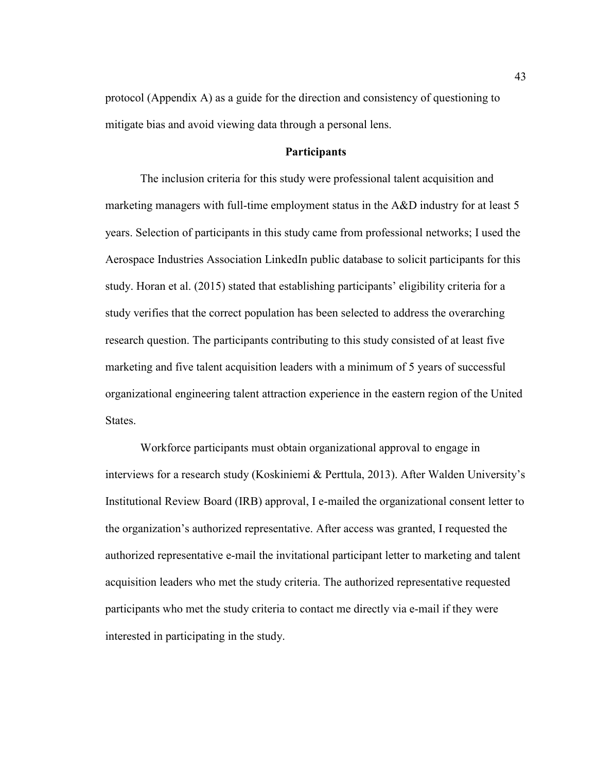protocol (Appendix A) as a guide for the direction and consistency of questioning to mitigate bias and avoid viewing data through a personal lens.

# **Participants**

The inclusion criteria for this study were professional talent acquisition and marketing managers with full-time employment status in the A&D industry for at least 5 years. Selection of participants in this study came from professional networks; I used the Aerospace Industries Association LinkedIn public database to solicit participants for this study. Horan et al. (2015) stated that establishing participants' eligibility criteria for a study verifies that the correct population has been selected to address the overarching research question. The participants contributing to this study consisted of at least five marketing and five talent acquisition leaders with a minimum of 5 years of successful organizational engineering talent attraction experience in the eastern region of the United States.

Workforce participants must obtain organizational approval to engage in interviews for a research study (Koskiniemi & Perttula, 2013). After Walden University's Institutional Review Board (IRB) approval, I e-mailed the organizational consent letter to the organization's authorized representative. After access was granted, I requested the authorized representative e-mail the invitational participant letter to marketing and talent acquisition leaders who met the study criteria. The authorized representative requested participants who met the study criteria to contact me directly via e-mail if they were interested in participating in the study.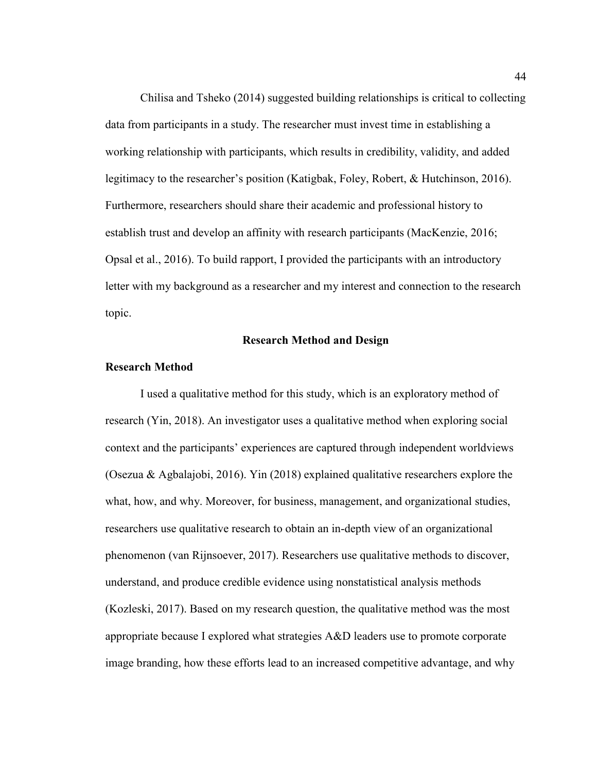Chilisa and Tsheko (2014) suggested building relationships is critical to collecting data from participants in a study. The researcher must invest time in establishing a working relationship with participants, which results in credibility, validity, and added legitimacy to the researcher's position (Katigbak, Foley, Robert, & Hutchinson, 2016). Furthermore, researchers should share their academic and professional history to establish trust and develop an affinity with research participants (MacKenzie, 2016; Opsal et al., 2016). To build rapport, I provided the participants with an introductory letter with my background as a researcher and my interest and connection to the research topic.

# **Research Method and Design**

### **Research Method**

I used a qualitative method for this study, which is an exploratory method of research (Yin, 2018). An investigator uses a qualitative method when exploring social context and the participants' experiences are captured through independent worldviews (Osezua & Agbalajobi, 2016). Yin (2018) explained qualitative researchers explore the what, how, and why. Moreover, for business, management, and organizational studies, researchers use qualitative research to obtain an in-depth view of an organizational phenomenon (van Rijnsoever, 2017). Researchers use qualitative methods to discover, understand, and produce credible evidence using nonstatistical analysis methods (Kozleski, 2017). Based on my research question, the qualitative method was the most appropriate because I explored what strategies A&D leaders use to promote corporate image branding, how these efforts lead to an increased competitive advantage, and why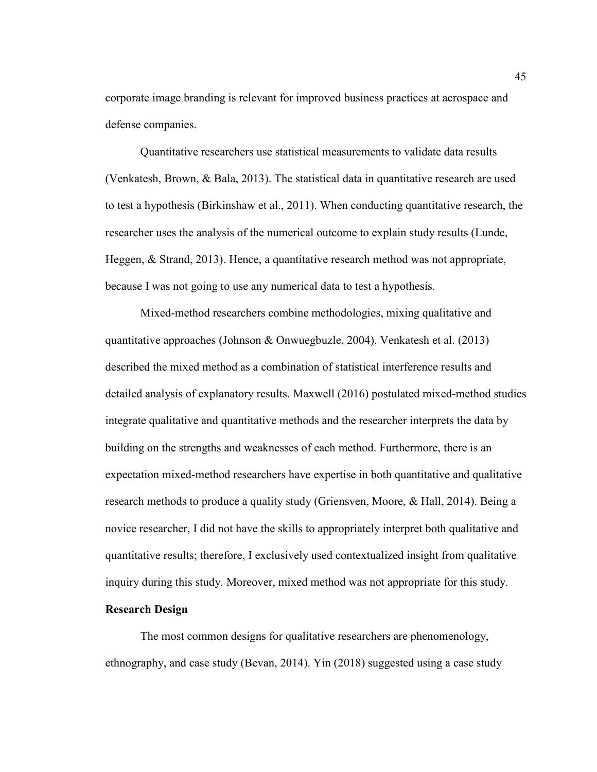corporate image branding is relevant for improved business practices at aerospace and defense companies.

Quantitative researchers use statistical measurements to validate data results (Venkatesh, Brown, & Bala, 2013). The statistical data in quantitative research are used to test a hypothesis (Birkinshaw et al., 2011). When conducting quantitative research, the researcher uses the analysis of the numerical outcome to explain study results (Lunde, Heggen, & Strand, 2013). Hence, a quantitative research method was not appropriate, because I was not going to use any numerical data to test a hypothesis.

Mixed-method researchers combine methodologies, mixing qualitative and quantitative approaches (Johnson & Onwuegbuzle, 2004). Venkatesh et al. (2013) described the mixed method as a combination of statistical interference results and detailed analysis of explanatory results. Maxwell (2016) postulated mixed-method studies integrate qualitative and quantitative methods and the researcher interprets the data by building on the strengths and weaknesses of each method. Furthermore, there is an expectation mixed-method researchers have expertise in both quantitative and qualitative research methods to produce a quality study (Griensven, Moore, & Hall, 2014). Being a novice researcher, I did not have the skills to appropriately interpret both qualitative and quantitative results; therefore, I exclusively used contextualized insight from qualitative inquiry during this study. Moreover, mixed method was not appropriate for this study.

## **Research Design**

The most common designs for qualitative researchers are phenomenology, ethnography, and case study (Bevan, 2014). Yin (2018) suggested using a case study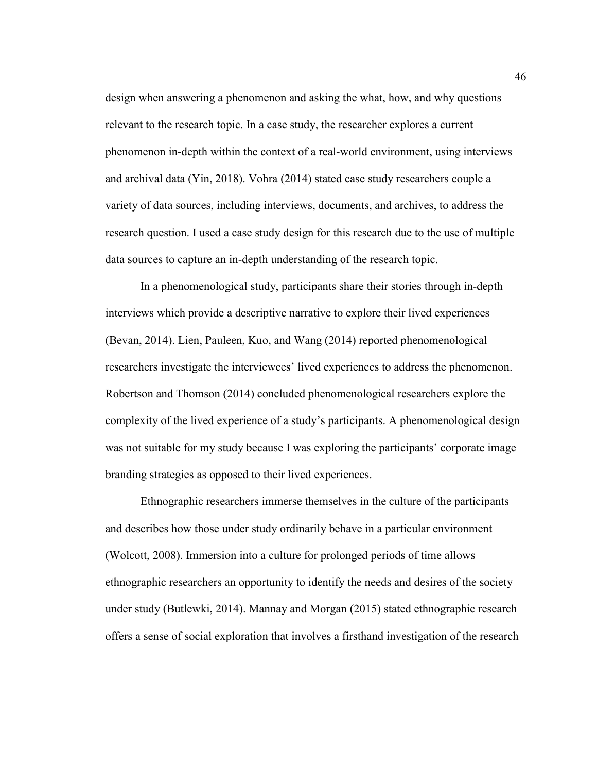design when answering a phenomenon and asking the what, how, and why questions relevant to the research topic. In a case study, the researcher explores a current phenomenon in-depth within the context of a real-world environment, using interviews and archival data (Yin, 2018). Vohra (2014) stated case study researchers couple a variety of data sources, including interviews, documents, and archives, to address the research question. I used a case study design for this research due to the use of multiple data sources to capture an in-depth understanding of the research topic.

In a phenomenological study, participants share their stories through in-depth interviews which provide a descriptive narrative to explore their lived experiences (Bevan, 2014). Lien, Pauleen, Kuo, and Wang (2014) reported phenomenological researchers investigate the interviewees' lived experiences to address the phenomenon. Robertson and Thomson (2014) concluded phenomenological researchers explore the complexity of the lived experience of a study's participants. A phenomenological design was not suitable for my study because I was exploring the participants' corporate image branding strategies as opposed to their lived experiences.

Ethnographic researchers immerse themselves in the culture of the participants and describes how those under study ordinarily behave in a particular environment (Wolcott, 2008). Immersion into a culture for prolonged periods of time allows ethnographic researchers an opportunity to identify the needs and desires of the society under study (Butlewki, 2014). Mannay and Morgan (2015) stated ethnographic research offers a sense of social exploration that involves a firsthand investigation of the research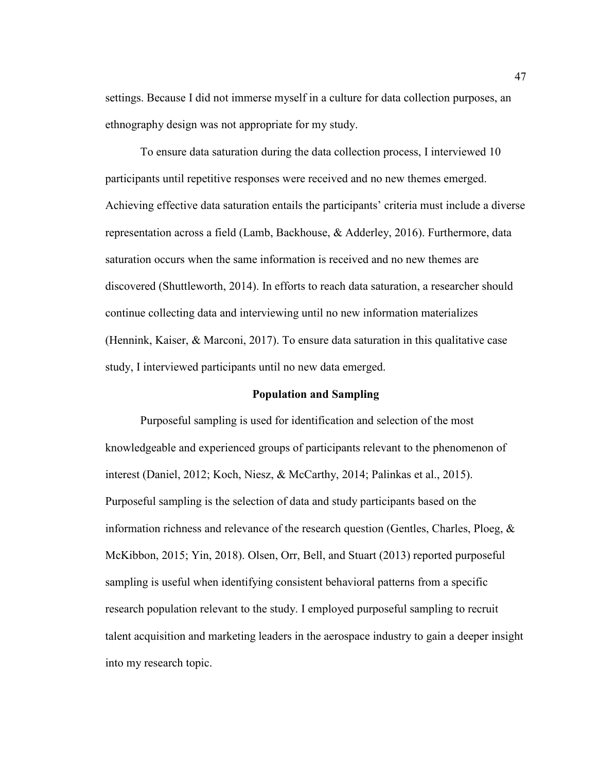settings. Because I did not immerse myself in a culture for data collection purposes, an ethnography design was not appropriate for my study.

To ensure data saturation during the data collection process, I interviewed 10 participants until repetitive responses were received and no new themes emerged. Achieving effective data saturation entails the participants' criteria must include a diverse representation across a field (Lamb, Backhouse, & Adderley, 2016). Furthermore, data saturation occurs when the same information is received and no new themes are discovered (Shuttleworth, 2014). In efforts to reach data saturation, a researcher should continue collecting data and interviewing until no new information materializes (Hennink, Kaiser, & Marconi, 2017). To ensure data saturation in this qualitative case study, I interviewed participants until no new data emerged.

# **Population and Sampling**

Purposeful sampling is used for identification and selection of the most knowledgeable and experienced groups of participants relevant to the phenomenon of interest (Daniel, 2012; Koch, Niesz, & McCarthy, 2014; Palinkas et al., 2015). Purposeful sampling is the selection of data and study participants based on the information richness and relevance of the research question (Gentles, Charles, Ploeg, & McKibbon, 2015; Yin, 2018). Olsen, Orr, Bell, and Stuart (2013) reported purposeful sampling is useful when identifying consistent behavioral patterns from a specific research population relevant to the study. I employed purposeful sampling to recruit talent acquisition and marketing leaders in the aerospace industry to gain a deeper insight into my research topic.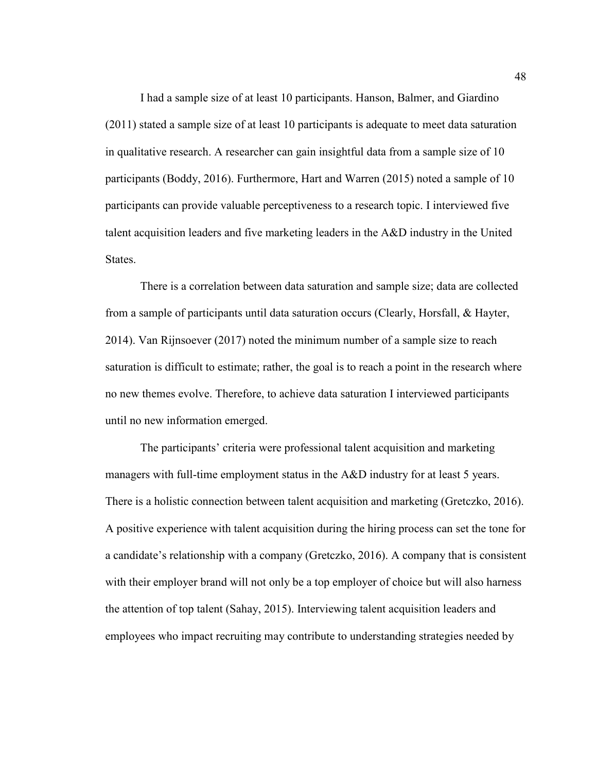I had a sample size of at least 10 participants. Hanson, Balmer, and Giardino (2011) stated a sample size of at least 10 participants is adequate to meet data saturation in qualitative research. A researcher can gain insightful data from a sample size of 10 participants (Boddy, 2016). Furthermore, Hart and Warren (2015) noted a sample of 10 participants can provide valuable perceptiveness to a research topic. I interviewed five talent acquisition leaders and five marketing leaders in the A&D industry in the United **States**.

There is a correlation between data saturation and sample size; data are collected from a sample of participants until data saturation occurs (Clearly, Horsfall, & Hayter, 2014). Van Rijnsoever (2017) noted the minimum number of a sample size to reach saturation is difficult to estimate; rather, the goal is to reach a point in the research where no new themes evolve. Therefore, to achieve data saturation I interviewed participants until no new information emerged.

The participants' criteria were professional talent acquisition and marketing managers with full-time employment status in the A&D industry for at least 5 years. There is a holistic connection between talent acquisition and marketing (Gretczko, 2016). A positive experience with talent acquisition during the hiring process can set the tone for a candidate's relationship with a company (Gretczko, 2016). A company that is consistent with their employer brand will not only be a top employer of choice but will also harness the attention of top talent (Sahay, 2015). Interviewing talent acquisition leaders and employees who impact recruiting may contribute to understanding strategies needed by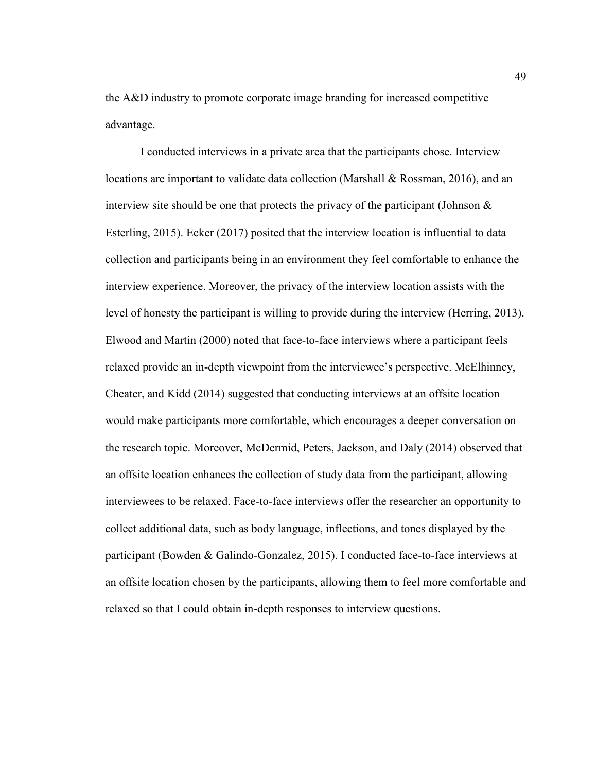the A&D industry to promote corporate image branding for increased competitive advantage.

I conducted interviews in a private area that the participants chose. Interview locations are important to validate data collection (Marshall & Rossman, 2016), and an interview site should be one that protects the privacy of the participant (Johnson  $\&$ Esterling, 2015). Ecker (2017) posited that the interview location is influential to data collection and participants being in an environment they feel comfortable to enhance the interview experience. Moreover, the privacy of the interview location assists with the level of honesty the participant is willing to provide during the interview (Herring, 2013). Elwood and Martin (2000) noted that face-to-face interviews where a participant feels relaxed provide an in-depth viewpoint from the interviewee's perspective. McElhinney, Cheater, and Kidd (2014) suggested that conducting interviews at an offsite location would make participants more comfortable, which encourages a deeper conversation on the research topic. Moreover, McDermid, Peters, Jackson, and Daly (2014) observed that an offsite location enhances the collection of study data from the participant, allowing interviewees to be relaxed. Face-to-face interviews offer the researcher an opportunity to collect additional data, such as body language, inflections, and tones displayed by the participant (Bowden & Galindo-Gonzalez, 2015). I conducted face-to-face interviews at an offsite location chosen by the participants, allowing them to feel more comfortable and relaxed so that I could obtain in-depth responses to interview questions.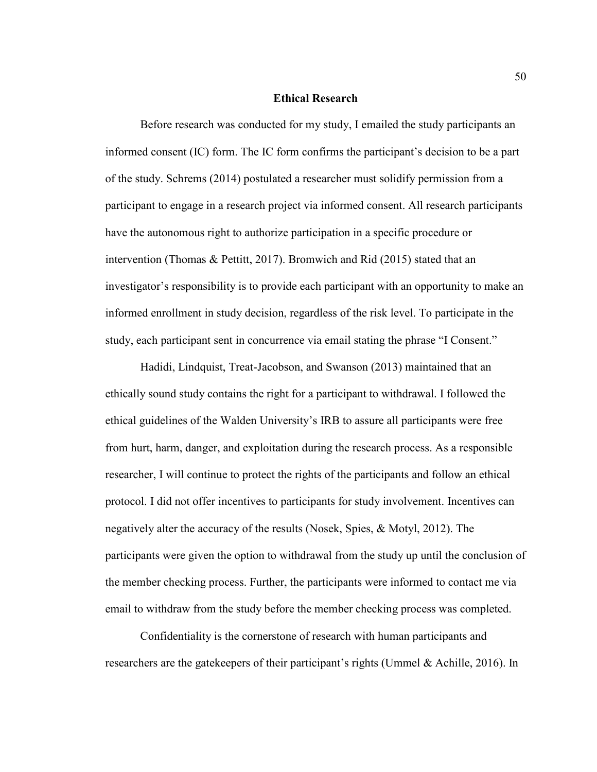### **Ethical Research**

Before research was conducted for my study, I emailed the study participants an informed consent (IC) form. The IC form confirms the participant's decision to be a part of the study. Schrems (2014) postulated a researcher must solidify permission from a participant to engage in a research project via informed consent. All research participants have the autonomous right to authorize participation in a specific procedure or intervention (Thomas & Pettitt, 2017). Bromwich and Rid (2015) stated that an investigator's responsibility is to provide each participant with an opportunity to make an informed enrollment in study decision, regardless of the risk level. To participate in the study, each participant sent in concurrence via email stating the phrase "I Consent."

Hadidi, Lindquist, Treat-Jacobson, and Swanson (2013) maintained that an ethically sound study contains the right for a participant to withdrawal. I followed the ethical guidelines of the Walden University's IRB to assure all participants were free from hurt, harm, danger, and exploitation during the research process. As a responsible researcher, I will continue to protect the rights of the participants and follow an ethical protocol. I did not offer incentives to participants for study involvement. Incentives can negatively alter the accuracy of the results (Nosek, Spies, & Motyl, 2012). The participants were given the option to withdrawal from the study up until the conclusion of the member checking process. Further, the participants were informed to contact me via email to withdraw from the study before the member checking process was completed.

Confidentiality is the cornerstone of research with human participants and researchers are the gatekeepers of their participant's rights (Ummel & Achille, 2016). In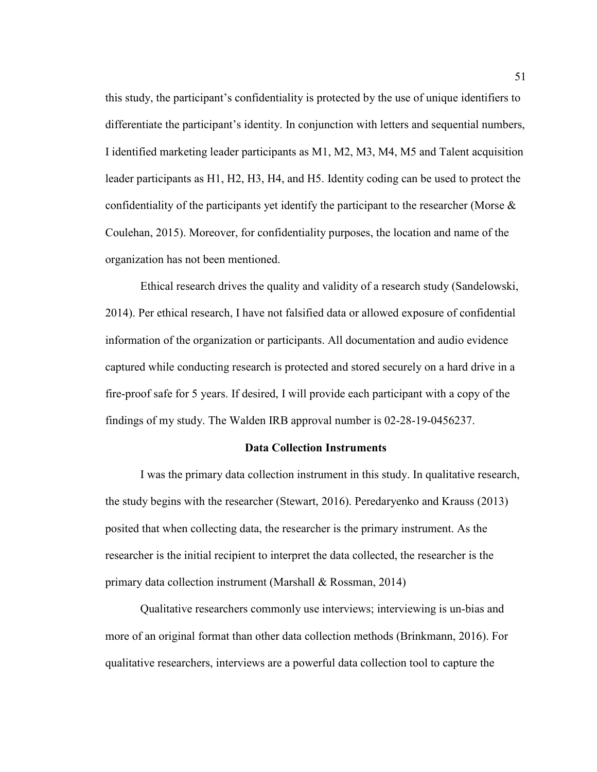this study, the participant's confidentiality is protected by the use of unique identifiers to differentiate the participant's identity. In conjunction with letters and sequential numbers, I identified marketing leader participants as M1, M2, M3, M4, M5 and Talent acquisition leader participants as H1, H2, H3, H4, and H5. Identity coding can be used to protect the confidentiality of the participants yet identify the participant to the researcher (Morse & Coulehan, 2015). Moreover, for confidentiality purposes, the location and name of the organization has not been mentioned.

Ethical research drives the quality and validity of a research study (Sandelowski, 2014). Per ethical research, I have not falsified data or allowed exposure of confidential information of the organization or participants. All documentation and audio evidence captured while conducting research is protected and stored securely on a hard drive in a fire-proof safe for 5 years. If desired, I will provide each participant with a copy of the findings of my study. The Walden IRB approval number is 02-28-19-0456237.

# **Data Collection Instruments**

I was the primary data collection instrument in this study. In qualitative research, the study begins with the researcher (Stewart, 2016). Peredaryenko and Krauss (2013) posited that when collecting data, the researcher is the primary instrument. As the researcher is the initial recipient to interpret the data collected, the researcher is the primary data collection instrument (Marshall & Rossman, 2014)

Qualitative researchers commonly use interviews; interviewing is un-bias and more of an original format than other data collection methods (Brinkmann, 2016). For qualitative researchers, interviews are a powerful data collection tool to capture the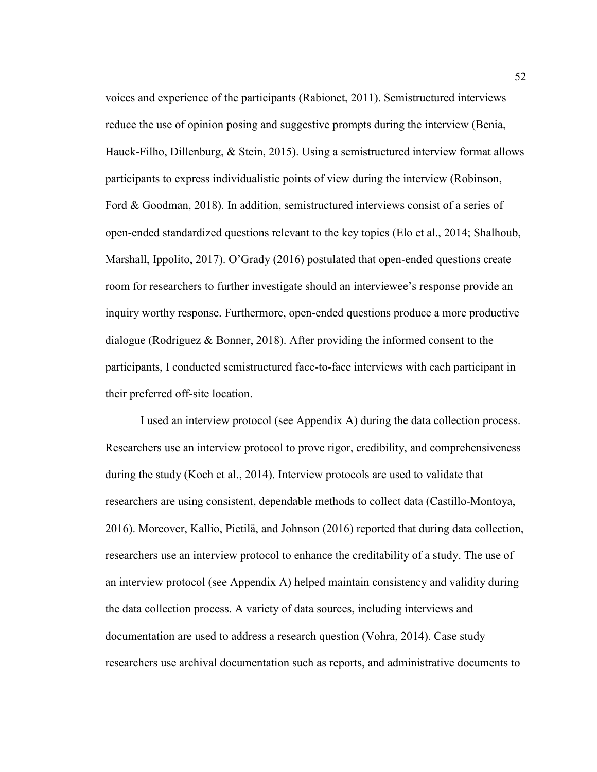voices and experience of the participants (Rabionet, 2011). Semistructured interviews reduce the use of opinion posing and suggestive prompts during the interview (Benia, Hauck-Filho, Dillenburg, & Stein, 2015). Using a semistructured interview format allows participants to express individualistic points of view during the interview (Robinson, Ford & Goodman, 2018). In addition, semistructured interviews consist of a series of open-ended standardized questions relevant to the key topics (Elo et al., 2014; Shalhoub, Marshall, Ippolito, 2017). O'Grady (2016) postulated that open-ended questions create room for researchers to further investigate should an interviewee's response provide an inquiry worthy response. Furthermore, open-ended questions produce a more productive dialogue (Rodriguez & Bonner, 2018). After providing the informed consent to the participants, I conducted semistructured face-to-face interviews with each participant in their preferred off-site location.

I used an interview protocol (see Appendix A) during the data collection process. Researchers use an interview protocol to prove rigor, credibility, and comprehensiveness during the study (Koch et al., 2014). Interview protocols are used to validate that researchers are using consistent, dependable methods to collect data (Castillo-Montoya, 2016). Moreover, Kallio, Pietilä, and Johnson (2016) reported that during data collection, researchers use an interview protocol to enhance the creditability of a study. The use of an interview protocol (see Appendix A) helped maintain consistency and validity during the data collection process. A variety of data sources, including interviews and documentation are used to address a research question (Vohra, 2014). Case study researchers use archival documentation such as reports, and administrative documents to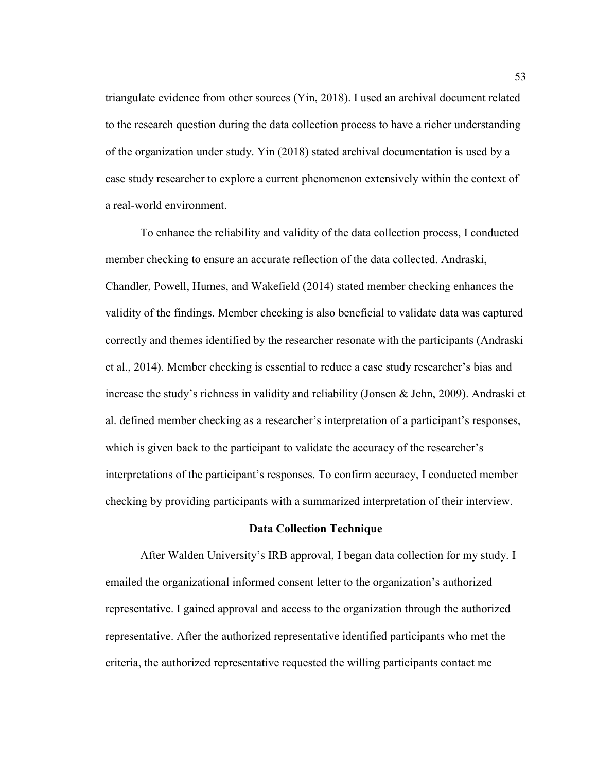triangulate evidence from other sources (Yin, 2018). I used an archival document related to the research question during the data collection process to have a richer understanding of the organization under study. Yin (2018) stated archival documentation is used by a case study researcher to explore a current phenomenon extensively within the context of a real-world environment.

To enhance the reliability and validity of the data collection process, I conducted member checking to ensure an accurate reflection of the data collected. Andraski, Chandler, Powell, Humes, and Wakefield (2014) stated member checking enhances the validity of the findings. Member checking is also beneficial to validate data was captured correctly and themes identified by the researcher resonate with the participants (Andraski et al., 2014). Member checking is essential to reduce a case study researcher's bias and increase the study's richness in validity and reliability (Jonsen & Jehn, 2009). Andraski et al. defined member checking as a researcher's interpretation of a participant's responses, which is given back to the participant to validate the accuracy of the researcher's interpretations of the participant's responses. To confirm accuracy, I conducted member checking by providing participants with a summarized interpretation of their interview.

## **Data Collection Technique**

After Walden University's IRB approval, I began data collection for my study. I emailed the organizational informed consent letter to the organization's authorized representative. I gained approval and access to the organization through the authorized representative. After the authorized representative identified participants who met the criteria, the authorized representative requested the willing participants contact me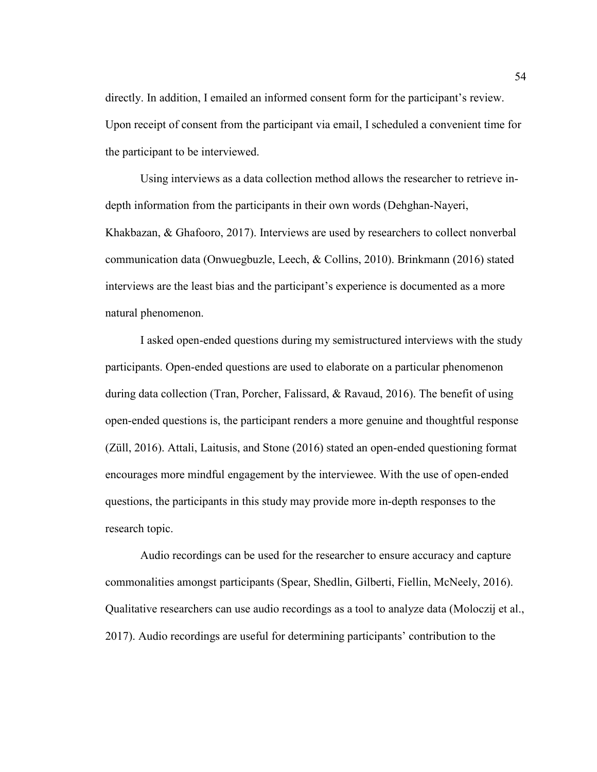directly. In addition, I emailed an informed consent form for the participant's review. Upon receipt of consent from the participant via email, I scheduled a convenient time for the participant to be interviewed.

Using interviews as a data collection method allows the researcher to retrieve indepth information from the participants in their own words (Dehghan-Nayeri, Khakbazan, & Ghafooro, 2017). Interviews are used by researchers to collect nonverbal communication data (Onwuegbuzle, Leech, & Collins, 2010). Brinkmann (2016) stated interviews are the least bias and the participant's experience is documented as a more natural phenomenon.

I asked open-ended questions during my semistructured interviews with the study participants. Open-ended questions are used to elaborate on a particular phenomenon during data collection (Tran, Porcher, Falissard, & Ravaud, 2016). The benefit of using open-ended questions is, the participant renders a more genuine and thoughtful response (Züll, 2016). Attali, Laitusis, and Stone (2016) stated an open-ended questioning format encourages more mindful engagement by the interviewee. With the use of open-ended questions, the participants in this study may provide more in-depth responses to the research topic.

Audio recordings can be used for the researcher to ensure accuracy and capture commonalities amongst participants (Spear, Shedlin, Gilberti, Fiellin, McNeely, 2016). Qualitative researchers can use audio recordings as a tool to analyze data (Moloczij et al., 2017). Audio recordings are useful for determining participants' contribution to the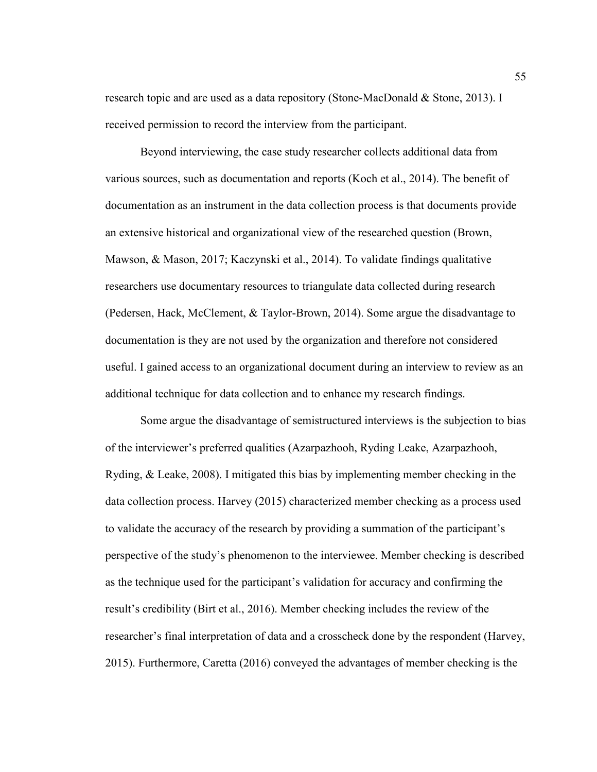research topic and are used as a data repository (Stone-MacDonald & Stone, 2013). I received permission to record the interview from the participant.

Beyond interviewing, the case study researcher collects additional data from various sources, such as documentation and reports (Koch et al., 2014). The benefit of documentation as an instrument in the data collection process is that documents provide an extensive historical and organizational view of the researched question (Brown, Mawson, & Mason, 2017; Kaczynski et al., 2014). To validate findings qualitative researchers use documentary resources to triangulate data collected during research (Pedersen, Hack, McClement, & Taylor-Brown, 2014). Some argue the disadvantage to documentation is they are not used by the organization and therefore not considered useful. I gained access to an organizational document during an interview to review as an additional technique for data collection and to enhance my research findings.

Some argue the disadvantage of semistructured interviews is the subjection to bias of the interviewer's preferred qualities (Azarpazhooh, Ryding Leake, Azarpazhooh, Ryding, & Leake, 2008). I mitigated this bias by implementing member checking in the data collection process. Harvey (2015) characterized member checking as a process used to validate the accuracy of the research by providing a summation of the participant's perspective of the study's phenomenon to the interviewee. Member checking is described as the technique used for the participant's validation for accuracy and confirming the result's credibility (Birt et al., 2016). Member checking includes the review of the researcher's final interpretation of data and a crosscheck done by the respondent (Harvey, 2015). Furthermore, Caretta (2016) conveyed the advantages of member checking is the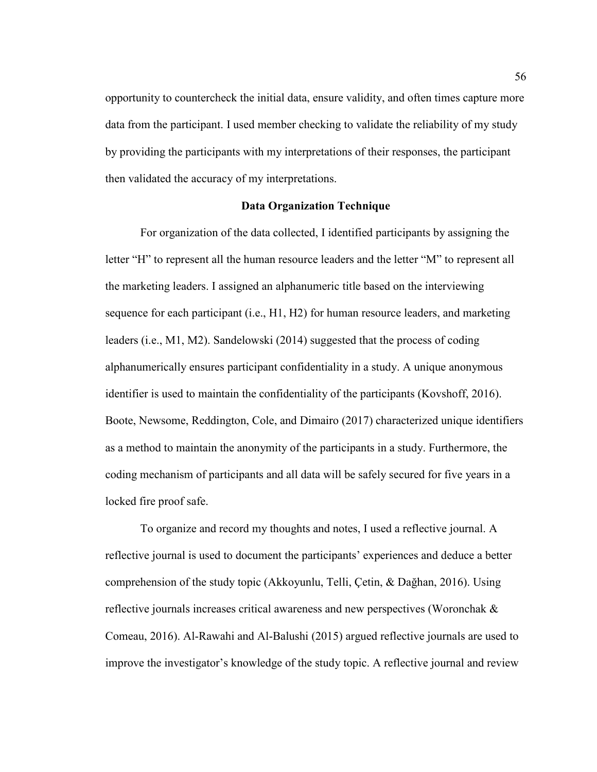opportunity to countercheck the initial data, ensure validity, and often times capture more data from the participant. I used member checking to validate the reliability of my study by providing the participants with my interpretations of their responses, the participant then validated the accuracy of my interpretations.

# **Data Organization Technique**

For organization of the data collected, I identified participants by assigning the letter "H" to represent all the human resource leaders and the letter "M" to represent all the marketing leaders. I assigned an alphanumeric title based on the interviewing sequence for each participant (i.e., H1, H2) for human resource leaders, and marketing leaders (i.e., M1, M2). Sandelowski (2014) suggested that the process of coding alphanumerically ensures participant confidentiality in a study. A unique anonymous identifier is used to maintain the confidentiality of the participants (Kovshoff, 2016). Boote, Newsome, Reddington, Cole, and Dimairo (2017) characterized unique identifiers as a method to maintain the anonymity of the participants in a study. Furthermore, the coding mechanism of participants and all data will be safely secured for five years in a locked fire proof safe.

To organize and record my thoughts and notes, I used a reflective journal. A reflective journal is used to document the participants' experiences and deduce a better comprehension of the study topic (Akkoyunlu, Telli, Çetin, & Dağhan, 2016). Using reflective journals increases critical awareness and new perspectives (Woronchak & Comeau, 2016). Al-Rawahi and Al-Balushi (2015) argued reflective journals are used to improve the investigator's knowledge of the study topic. A reflective journal and review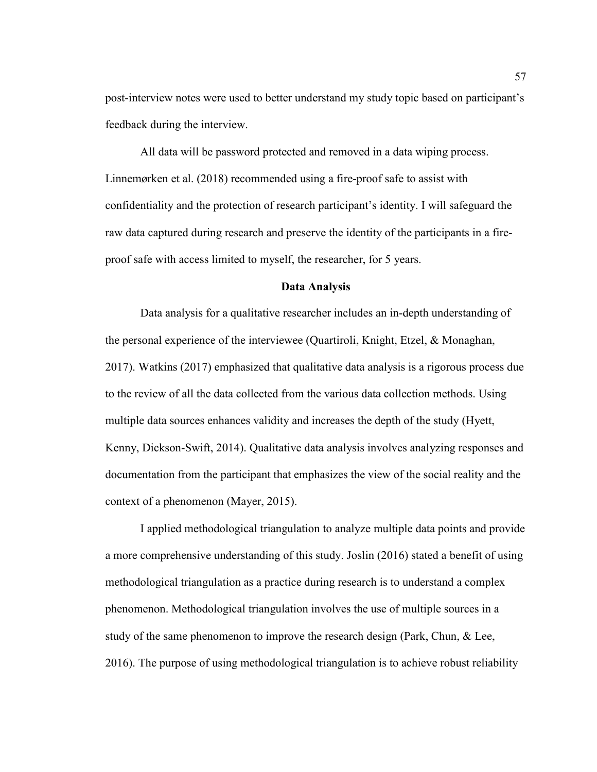post-interview notes were used to better understand my study topic based on participant's feedback during the interview.

All data will be password protected and removed in a data wiping process. Linnemørken et al. (2018) recommended using a fire-proof safe to assist with confidentiality and the protection of research participant's identity. I will safeguard the raw data captured during research and preserve the identity of the participants in a fireproof safe with access limited to myself, the researcher, for 5 years.

# **Data Analysis**

Data analysis for a qualitative researcher includes an in-depth understanding of the personal experience of the interviewee (Quartiroli, Knight, Etzel, & Monaghan, 2017). Watkins (2017) emphasized that qualitative data analysis is a rigorous process due to the review of all the data collected from the various data collection methods. Using multiple data sources enhances validity and increases the depth of the study (Hyett, Kenny, Dickson-Swift, 2014). Qualitative data analysis involves analyzing responses and documentation from the participant that emphasizes the view of the social reality and the context of a phenomenon (Mayer, 2015).

I applied methodological triangulation to analyze multiple data points and provide a more comprehensive understanding of this study. Joslin (2016) stated a benefit of using methodological triangulation as a practice during research is to understand a complex phenomenon. Methodological triangulation involves the use of multiple sources in a study of the same phenomenon to improve the research design (Park, Chun, & Lee, 2016). The purpose of using methodological triangulation is to achieve robust reliability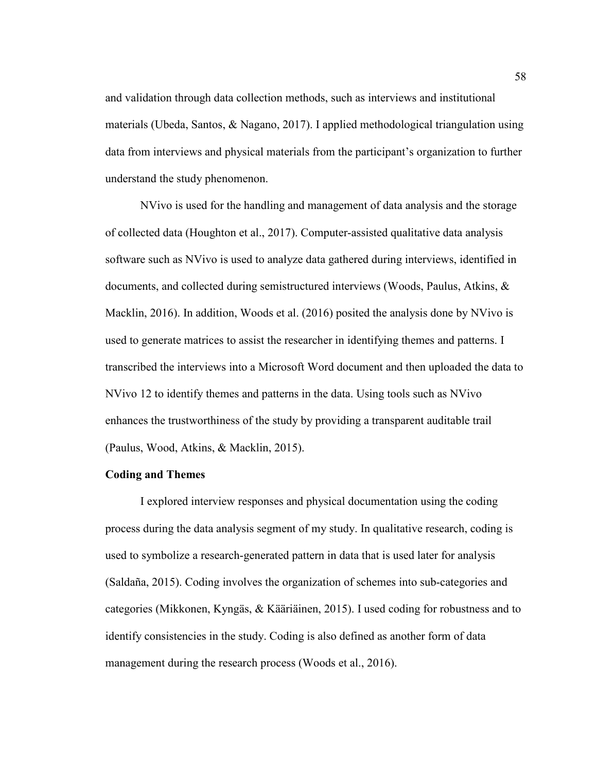and validation through data collection methods, such as interviews and institutional materials (Ubeda, Santos, & Nagano, 2017). I applied methodological triangulation using data from interviews and physical materials from the participant's organization to further understand the study phenomenon.

NVivo is used for the handling and management of data analysis and the storage of collected data (Houghton et al., 2017). Computer-assisted qualitative data analysis software such as NVivo is used to analyze data gathered during interviews, identified in documents, and collected during semistructured interviews (Woods, Paulus, Atkins, & Macklin, 2016). In addition, Woods et al. (2016) posited the analysis done by NVivo is used to generate matrices to assist the researcher in identifying themes and patterns. I transcribed the interviews into a Microsoft Word document and then uploaded the data to NVivo 12 to identify themes and patterns in the data. Using tools such as NVivo enhances the trustworthiness of the study by providing a transparent auditable trail (Paulus, Wood, Atkins, & Macklin, 2015).

#### **Coding and Themes**

I explored interview responses and physical documentation using the coding process during the data analysis segment of my study. In qualitative research, coding is used to symbolize a research-generated pattern in data that is used later for analysis (Saldaña, 2015). Coding involves the organization of schemes into sub-categories and categories (Mikkonen, Kyngäs, & Kääriäinen, 2015). I used coding for robustness and to identify consistencies in the study. Coding is also defined as another form of data management during the research process (Woods et al., 2016).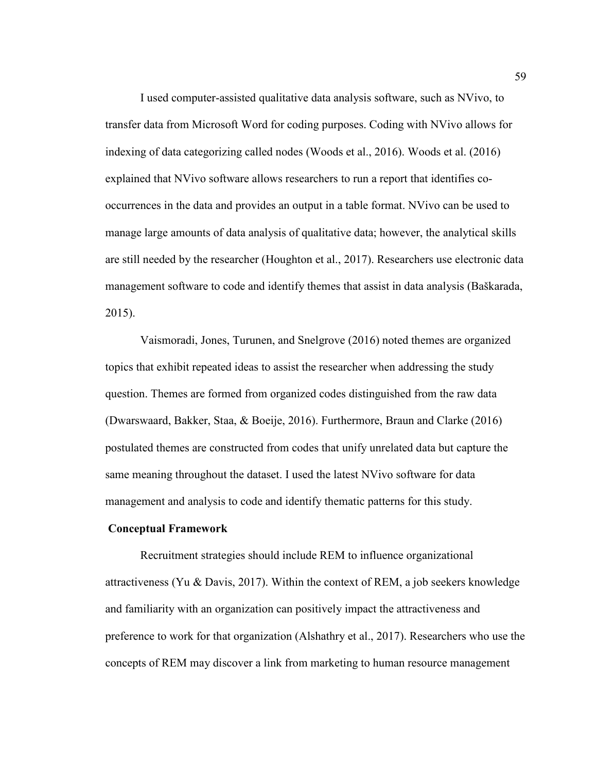I used computer-assisted qualitative data analysis software, such as NVivo, to transfer data from Microsoft Word for coding purposes. Coding with NVivo allows for indexing of data categorizing called nodes (Woods et al., 2016). Woods et al. (2016) explained that NVivo software allows researchers to run a report that identifies cooccurrences in the data and provides an output in a table format. NVivo can be used to manage large amounts of data analysis of qualitative data; however, the analytical skills are still needed by the researcher (Houghton et al., 2017). Researchers use electronic data management software to code and identify themes that assist in data analysis (Baškarada, 2015).

Vaismoradi, Jones, Turunen, and Snelgrove (2016) noted themes are organized topics that exhibit repeated ideas to assist the researcher when addressing the study question. Themes are formed from organized codes distinguished from the raw data (Dwarswaard, Bakker, Staa, & Boeije, 2016). Furthermore, Braun and Clarke (2016) postulated themes are constructed from codes that unify unrelated data but capture the same meaning throughout the dataset. I used the latest NVivo software for data management and analysis to code and identify thematic patterns for this study.

## **Conceptual Framework**

Recruitment strategies should include REM to influence organizational attractiveness (Yu & Davis, 2017). Within the context of REM, a job seekers knowledge and familiarity with an organization can positively impact the attractiveness and preference to work for that organization (Alshathry et al., 2017). Researchers who use the concepts of REM may discover a link from marketing to human resource management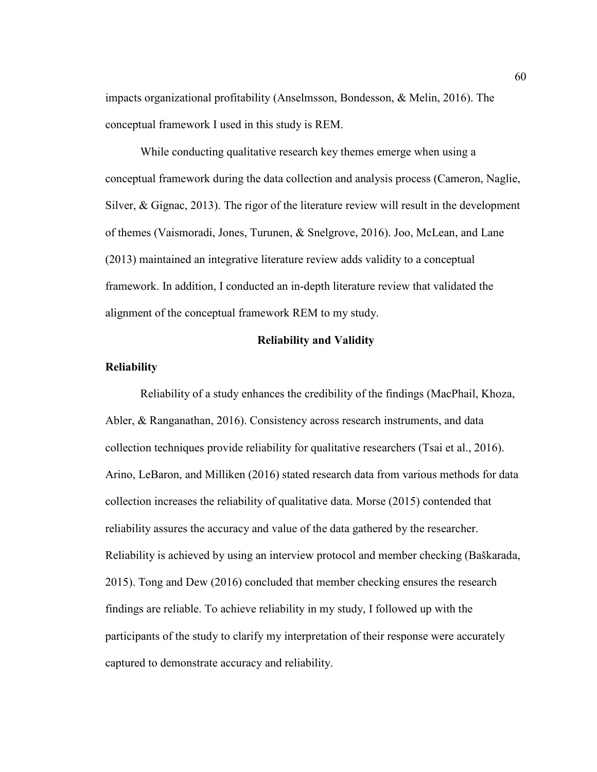impacts organizational profitability (Anselmsson, Bondesson, & Melin, 2016). The conceptual framework I used in this study is REM.

While conducting qualitative research key themes emerge when using a conceptual framework during the data collection and analysis process (Cameron, Naglie, Silver, & Gignac, 2013). The rigor of the literature review will result in the development of themes (Vaismoradi, Jones, Turunen, & Snelgrove, 2016). Joo, McLean, and Lane (2013) maintained an integrative literature review adds validity to a conceptual framework. In addition, I conducted an in-depth literature review that validated the alignment of the conceptual framework REM to my study.

# **Reliability and Validity**

#### **Reliability**

Reliability of a study enhances the credibility of the findings (MacPhail, Khoza, Abler, & Ranganathan, 2016). Consistency across research instruments, and data collection techniques provide reliability for qualitative researchers (Tsai et al., 2016). Arino, LeBaron, and Milliken (2016) stated research data from various methods for data collection increases the reliability of qualitative data. Morse (2015) contended that reliability assures the accuracy and value of the data gathered by the researcher. Reliability is achieved by using an interview protocol and member checking (Baškarada, 2015). Tong and Dew (2016) concluded that member checking ensures the research findings are reliable. To achieve reliability in my study, I followed up with the participants of the study to clarify my interpretation of their response were accurately captured to demonstrate accuracy and reliability.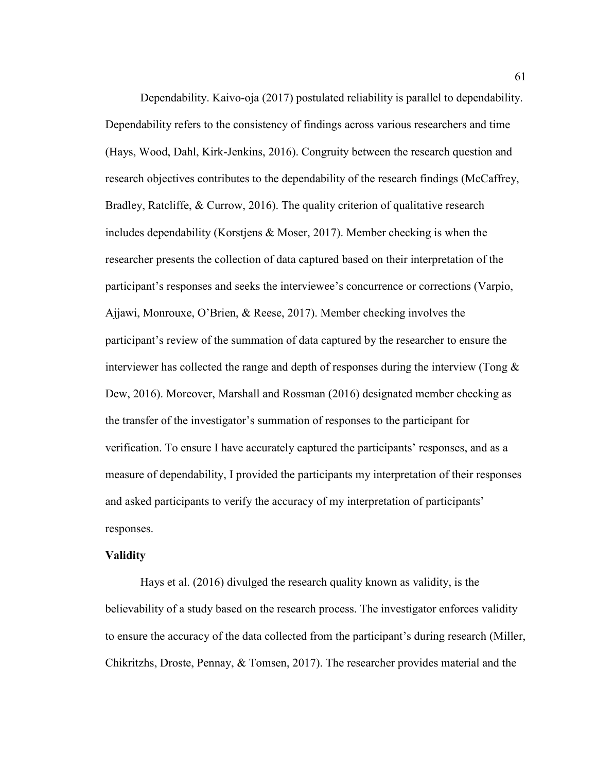Dependability. Kaivo-oja (2017) postulated reliability is parallel to dependability. Dependability refers to the consistency of findings across various researchers and time (Hays, Wood, Dahl, Kirk-Jenkins, 2016). Congruity between the research question and research objectives contributes to the dependability of the research findings (McCaffrey, Bradley, Ratcliffe, & Currow, 2016). The quality criterion of qualitative research includes dependability (Korstjens & Moser, 2017). Member checking is when the researcher presents the collection of data captured based on their interpretation of the participant's responses and seeks the interviewee's concurrence or corrections (Varpio, Ajjawi, Monrouxe, O'Brien, & Reese, 2017). Member checking involves the participant's review of the summation of data captured by the researcher to ensure the interviewer has collected the range and depth of responses during the interview (Tong  $\&$ Dew, 2016). Moreover, Marshall and Rossman (2016) designated member checking as the transfer of the investigator's summation of responses to the participant for verification. To ensure I have accurately captured the participants' responses, and as a measure of dependability, I provided the participants my interpretation of their responses and asked participants to verify the accuracy of my interpretation of participants' responses.

#### **Validity**

Hays et al. (2016) divulged the research quality known as validity, is the believability of a study based on the research process. The investigator enforces validity to ensure the accuracy of the data collected from the participant's during research (Miller, Chikritzhs, Droste, Pennay, & Tomsen, 2017). The researcher provides material and the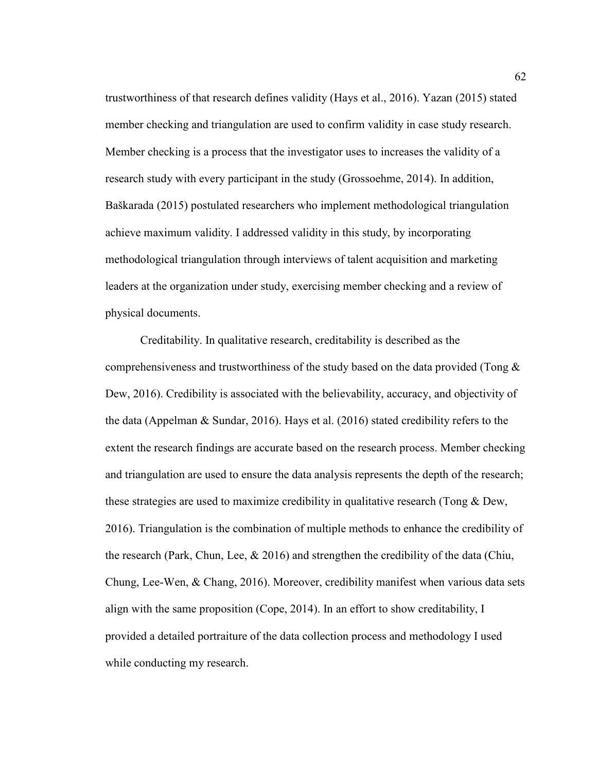trustworthiness of that research defines validity (Hays et al., 2016). Yazan (2015) stated member checking and triangulation are used to confirm validity in case study research. Member checking is a process that the investigator uses to increases the validity of a research study with every participant in the study (Grossoehme, 2014). In addition, Baškarada (2015) postulated researchers who implement methodological triangulation achieve maximum validity. I addressed validity in this study, by incorporating methodological triangulation through interviews of talent acquisition and marketing leaders at the organization under study, exercising member checking and a review of physical documents.

Creditability. In qualitative research, creditability is described as the comprehensiveness and trustworthiness of the study based on the data provided (Tong & Dew, 2016). Credibility is associated with the believability, accuracy, and objectivity of the data (Appelman & Sundar, 2016). Hays et al. (2016) stated credibility refers to the extent the research findings are accurate based on the research process. Member checking and triangulation are used to ensure the data analysis represents the depth of the research; these strategies are used to maximize credibility in qualitative research (Tong  $\&$  Dew, 2016). Triangulation is the combination of multiple methods to enhance the credibility of the research (Park, Chun, Lee, & 2016) and strengthen the credibility of the data (Chiu, Chung, Lee-Wen, & Chang, 2016). Moreover, credibility manifest when various data sets align with the same proposition (Cope, 2014). In an effort to show creditability, I provided a detailed portraiture of the data collection process and methodology I used while conducting my research.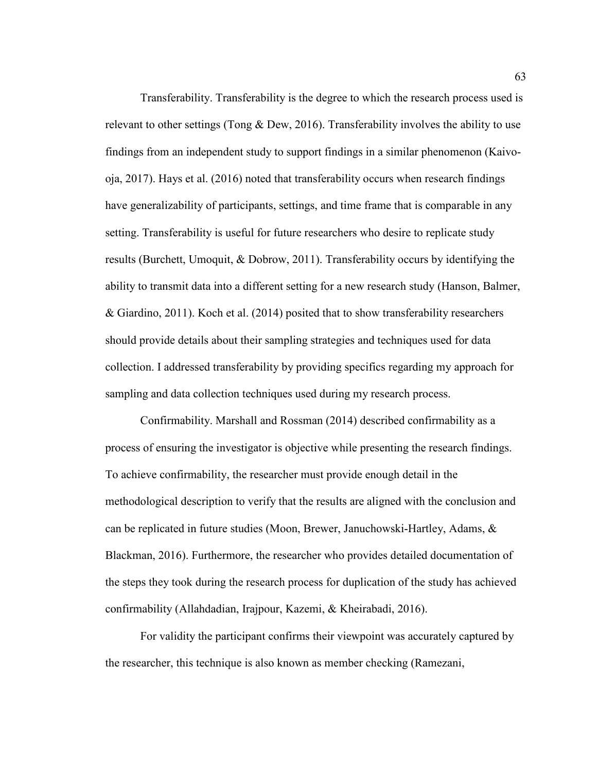Transferability. Transferability is the degree to which the research process used is relevant to other settings (Tong & Dew, 2016). Transferability involves the ability to use findings from an independent study to support findings in a similar phenomenon (Kaivooja, 2017). Hays et al. (2016) noted that transferability occurs when research findings have generalizability of participants, settings, and time frame that is comparable in any setting. Transferability is useful for future researchers who desire to replicate study results (Burchett, Umoquit, & Dobrow, 2011). Transferability occurs by identifying the ability to transmit data into a different setting for a new research study (Hanson, Balmer, & Giardino, 2011). Koch et al. (2014) posited that to show transferability researchers should provide details about their sampling strategies and techniques used for data collection. I addressed transferability by providing specifics regarding my approach for sampling and data collection techniques used during my research process.

Confirmability. Marshall and Rossman (2014) described confirmability as a process of ensuring the investigator is objective while presenting the research findings. To achieve confirmability, the researcher must provide enough detail in the methodological description to verify that the results are aligned with the conclusion and can be replicated in future studies (Moon, Brewer, Januchowski-Hartley, Adams, & Blackman, 2016). Furthermore, the researcher who provides detailed documentation of the steps they took during the research process for duplication of the study has achieved confirmability (Allahdadian, Irajpour, Kazemi, & Kheirabadi, 2016).

For validity the participant confirms their viewpoint was accurately captured by the researcher, this technique is also known as member checking (Ramezani,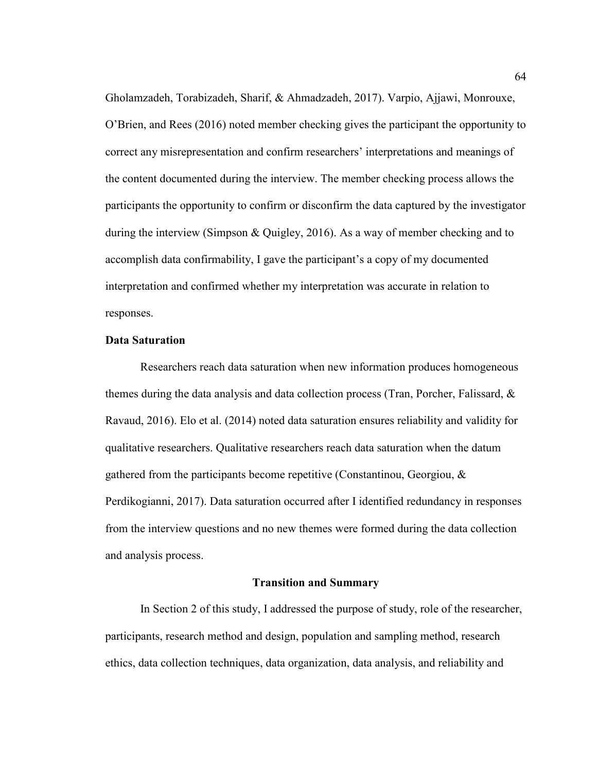Gholamzadeh, Torabizadeh, Sharif, & Ahmadzadeh, 2017). Varpio, Ajjawi, Monrouxe, O'Brien, and Rees (2016) noted member checking gives the participant the opportunity to correct any misrepresentation and confirm researchers' interpretations and meanings of the content documented during the interview. The member checking process allows the participants the opportunity to confirm or disconfirm the data captured by the investigator during the interview (Simpson & Quigley, 2016). As a way of member checking and to accomplish data confirmability, I gave the participant's a copy of my documented interpretation and confirmed whether my interpretation was accurate in relation to responses.

# **Data Saturation**

Researchers reach data saturation when new information produces homogeneous themes during the data analysis and data collection process (Tran, Porcher, Falissard,  $\&$ Ravaud, 2016). Elo et al. (2014) noted data saturation ensures reliability and validity for qualitative researchers. Qualitative researchers reach data saturation when the datum gathered from the participants become repetitive (Constantinou, Georgiou, & Perdikogianni, 2017). Data saturation occurred after I identified redundancy in responses from the interview questions and no new themes were formed during the data collection and analysis process.

#### **Transition and Summary**

In Section 2 of this study, I addressed the purpose of study, role of the researcher, participants, research method and design, population and sampling method, research ethics, data collection techniques, data organization, data analysis, and reliability and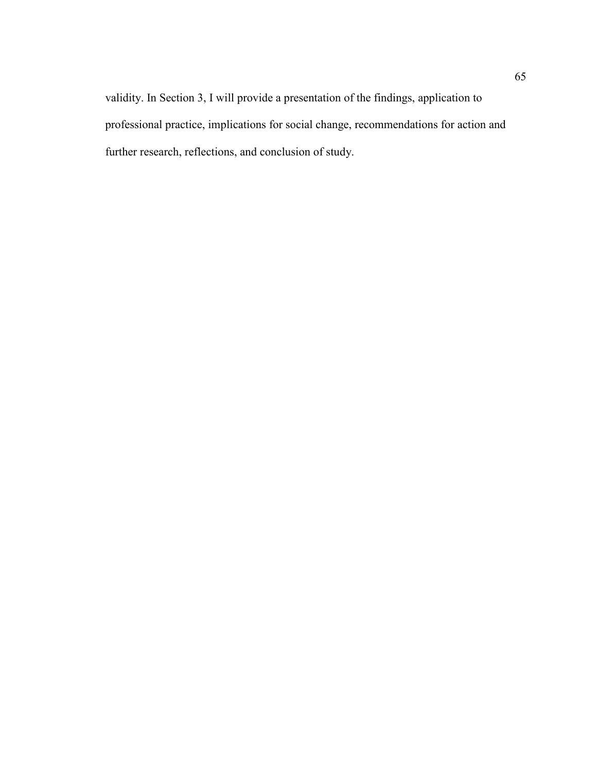validity. In Section 3, I will provide a presentation of the findings, application to professional practice, implications for social change, recommendations for action and further research, reflections, and conclusion of study.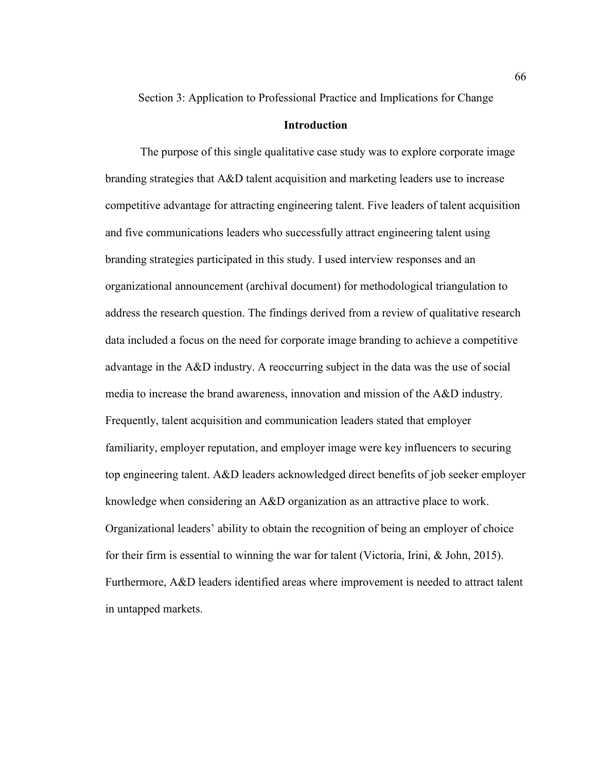Section 3: Application to Professional Practice and Implications for Change

# **Introduction**

The purpose of this single qualitative case study was to explore corporate image branding strategies that A&D talent acquisition and marketing leaders use to increase competitive advantage for attracting engineering talent. Five leaders of talent acquisition and five communications leaders who successfully attract engineering talent using branding strategies participated in this study. I used interview responses and an organizational announcement (archival document) for methodological triangulation to address the research question. The findings derived from a review of qualitative research data included a focus on the need for corporate image branding to achieve a competitive advantage in the A&D industry. A reoccurring subject in the data was the use of social media to increase the brand awareness, innovation and mission of the A&D industry. Frequently, talent acquisition and communication leaders stated that employer familiarity, employer reputation, and employer image were key influencers to securing top engineering talent. A&D leaders acknowledged direct benefits of job seeker employer knowledge when considering an A&D organization as an attractive place to work. Organizational leaders' ability to obtain the recognition of being an employer of choice for their firm is essential to winning the war for talent (Victoria, Irini, & John, 2015). Furthermore, A&D leaders identified areas where improvement is needed to attract talent in untapped markets.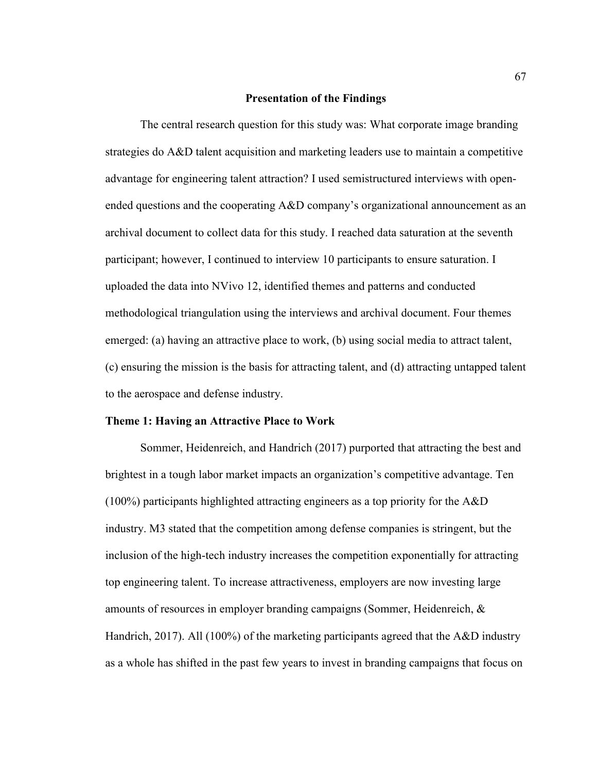#### **Presentation of the Findings**

The central research question for this study was: What corporate image branding strategies do A&D talent acquisition and marketing leaders use to maintain a competitive advantage for engineering talent attraction? I used semistructured interviews with openended questions and the cooperating A&D company's organizational announcement as an archival document to collect data for this study. I reached data saturation at the seventh participant; however, I continued to interview 10 participants to ensure saturation. I uploaded the data into NVivo 12, identified themes and patterns and conducted methodological triangulation using the interviews and archival document. Four themes emerged: (a) having an attractive place to work, (b) using social media to attract talent, (c) ensuring the mission is the basis for attracting talent, and (d) attracting untapped talent to the aerospace and defense industry.

# **Theme 1: Having an Attractive Place to Work**

Sommer, Heidenreich, and Handrich (2017) purported that attracting the best and brightest in a tough labor market impacts an organization's competitive advantage. Ten (100%) participants highlighted attracting engineers as a top priority for the A&D industry. M3 stated that the competition among defense companies is stringent, but the inclusion of the high-tech industry increases the competition exponentially for attracting top engineering talent. To increase attractiveness, employers are now investing large amounts of resources in employer branding campaigns (Sommer, Heidenreich, & Handrich, 2017). All (100%) of the marketing participants agreed that the A&D industry as a whole has shifted in the past few years to invest in branding campaigns that focus on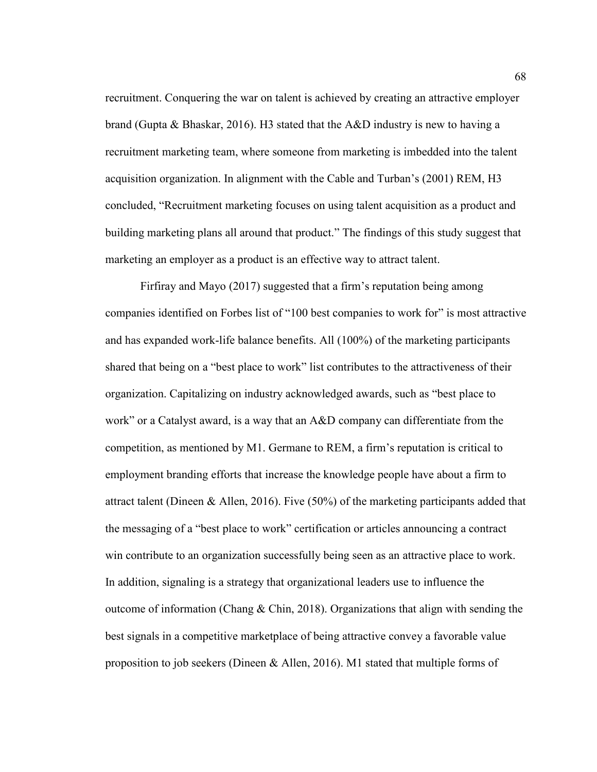recruitment. Conquering the war on talent is achieved by creating an attractive employer brand (Gupta & Bhaskar, 2016). H3 stated that the A&D industry is new to having a recruitment marketing team, where someone from marketing is imbedded into the talent acquisition organization. In alignment with the Cable and Turban's (2001) REM, H3 concluded, "Recruitment marketing focuses on using talent acquisition as a product and building marketing plans all around that product." The findings of this study suggest that marketing an employer as a product is an effective way to attract talent.

Firfiray and Mayo (2017) suggested that a firm's reputation being among companies identified on Forbes list of "100 best companies to work for" is most attractive and has expanded work-life balance benefits. All (100%) of the marketing participants shared that being on a "best place to work" list contributes to the attractiveness of their organization. Capitalizing on industry acknowledged awards, such as "best place to work" or a Catalyst award, is a way that an A&D company can differentiate from the competition, as mentioned by M1. Germane to REM, a firm's reputation is critical to employment branding efforts that increase the knowledge people have about a firm to attract talent (Dineen & Allen, 2016). Five (50%) of the marketing participants added that the messaging of a "best place to work" certification or articles announcing a contract win contribute to an organization successfully being seen as an attractive place to work. In addition, signaling is a strategy that organizational leaders use to influence the outcome of information (Chang & Chin, 2018). Organizations that align with sending the best signals in a competitive marketplace of being attractive convey a favorable value proposition to job seekers (Dineen & Allen, 2016). M1 stated that multiple forms of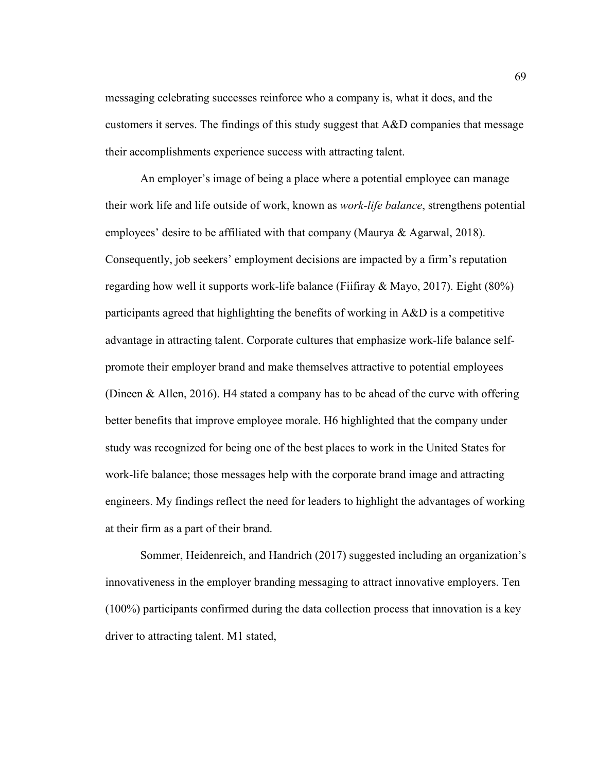messaging celebrating successes reinforce who a company is, what it does, and the customers it serves. The findings of this study suggest that  $A\&D$  companies that message their accomplishments experience success with attracting talent.

An employer's image of being a place where a potential employee can manage their work life and life outside of work, known as *work-life balance*, strengthens potential employees' desire to be affiliated with that company (Maurya & Agarwal, 2018). Consequently, job seekers' employment decisions are impacted by a firm's reputation regarding how well it supports work-life balance (Fiifiray  $\&$  Mayo, 2017). Eight (80%) participants agreed that highlighting the benefits of working in A&D is a competitive advantage in attracting talent. Corporate cultures that emphasize work-life balance selfpromote their employer brand and make themselves attractive to potential employees (Dineen & Allen, 2016). H4 stated a company has to be ahead of the curve with offering better benefits that improve employee morale. H6 highlighted that the company under study was recognized for being one of the best places to work in the United States for work-life balance; those messages help with the corporate brand image and attracting engineers. My findings reflect the need for leaders to highlight the advantages of working at their firm as a part of their brand.

Sommer, Heidenreich, and Handrich (2017) suggested including an organization's innovativeness in the employer branding messaging to attract innovative employers. Ten (100%) participants confirmed during the data collection process that innovation is a key driver to attracting talent. M1 stated,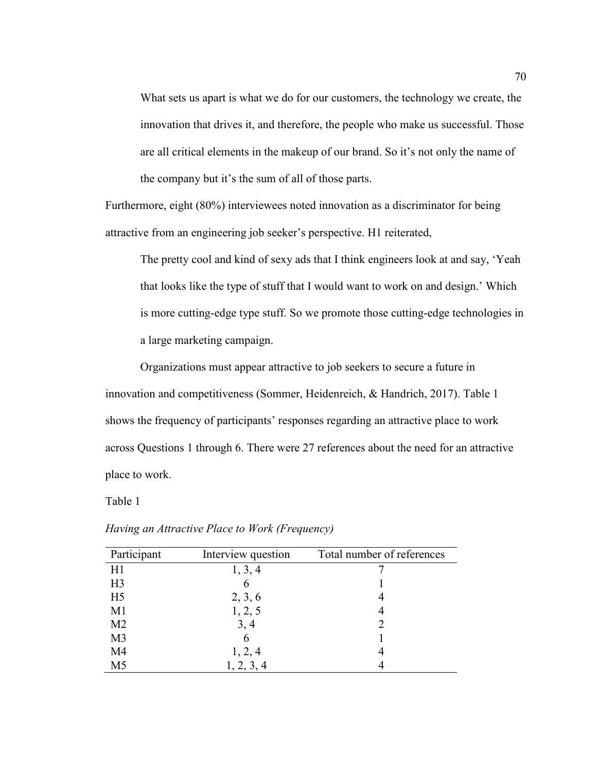What sets us apart is what we do for our customers, the technology we create, the innovation that drives it, and therefore, the people who make us successful. Those are all critical elements in the makeup of our brand. So it's not only the name of the company but it's the sum of all of those parts.

Furthermore, eight (80%) interviewees noted innovation as a discriminator for being attractive from an engineering job seeker's perspective. H1 reiterated,

The pretty cool and kind of sexy ads that I think engineers look at and say, 'Yeah that looks like the type of stuff that I would want to work on and design.' Which is more cutting-edge type stuff. So we promote those cutting-edge technologies in a large marketing campaign.

Organizations must appear attractive to job seekers to secure a future in innovation and competitiveness (Sommer, Heidenreich, & Handrich, 2017). Table 1 shows the frequency of participants' responses regarding an attractive place to work across Questions 1 through 6. There were 27 references about the need for an attractive place to work.

Table 1

| Participant    | Interview question | Total number of references |
|----------------|--------------------|----------------------------|
| H1             | 1, 3, 4            |                            |
| H <sub>3</sub> | 6                  |                            |
| H <sub>5</sub> | 2, 3, 6            |                            |
| M <sub>1</sub> | 1, 2, 5            | 4                          |
| M <sub>2</sub> | 3, 4               | 2                          |
| M <sub>3</sub> | 6                  |                            |
| M4             | 1, 2, 4            |                            |
| M <sub>5</sub> | 1, 2, 3, 4         |                            |

*Having an Attractive Place to Work (Frequency)*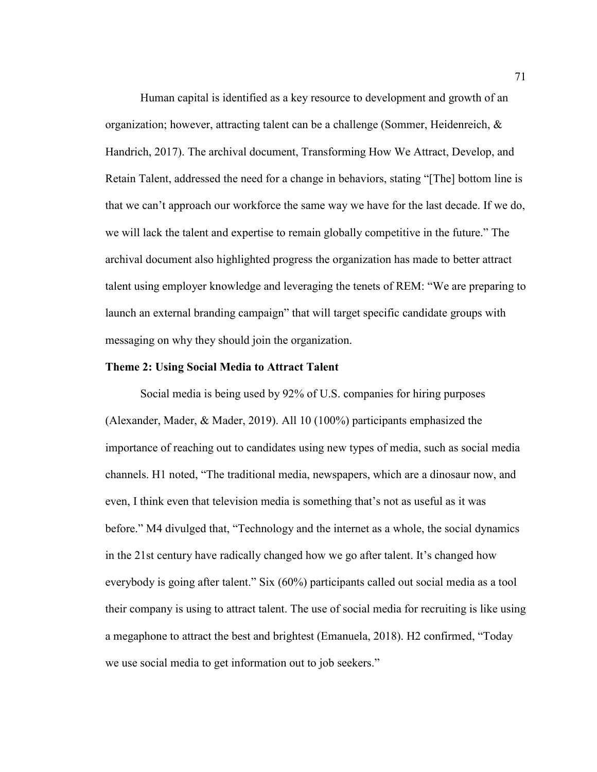Human capital is identified as a key resource to development and growth of an organization; however, attracting talent can be a challenge (Sommer, Heidenreich,  $\&$ Handrich, 2017). The archival document, Transforming How We Attract, Develop, and Retain Talent, addressed the need for a change in behaviors, stating "[The] bottom line is that we can't approach our workforce the same way we have for the last decade. If we do, we will lack the talent and expertise to remain globally competitive in the future." The archival document also highlighted progress the organization has made to better attract talent using employer knowledge and leveraging the tenets of REM: "We are preparing to launch an external branding campaign" that will target specific candidate groups with messaging on why they should join the organization.

#### **Theme 2: Using Social Media to Attract Talent**

Social media is being used by 92% of U.S. companies for hiring purposes (Alexander, Mader, & Mader, 2019). All 10 (100%) participants emphasized the importance of reaching out to candidates using new types of media, such as social media channels. H1 noted, "The traditional media, newspapers, which are a dinosaur now, and even, I think even that television media is something that's not as useful as it was before." M4 divulged that, "Technology and the internet as a whole, the social dynamics in the 21st century have radically changed how we go after talent. It's changed how everybody is going after talent." Six (60%) participants called out social media as a tool their company is using to attract talent. The use of social media for recruiting is like using a megaphone to attract the best and brightest (Emanuela, 2018). H2 confirmed, "Today we use social media to get information out to job seekers."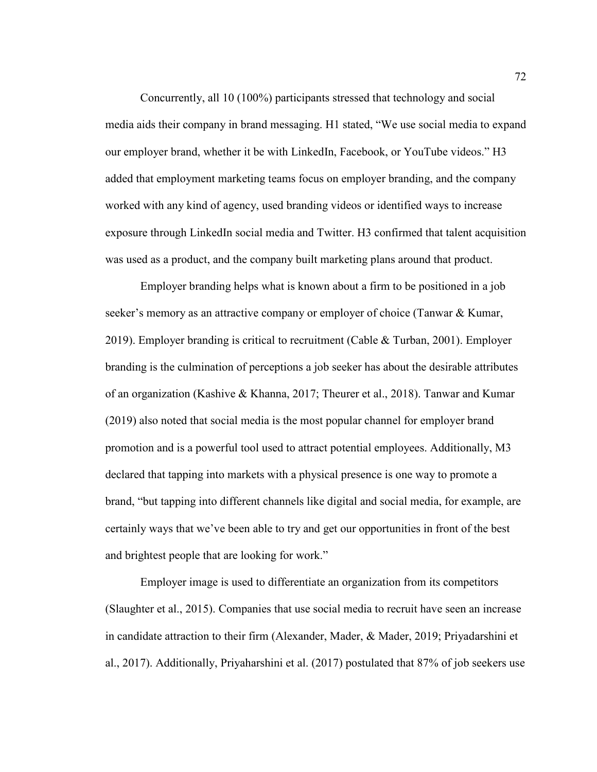Concurrently, all 10 (100%) participants stressed that technology and social media aids their company in brand messaging. H1 stated, "We use social media to expand our employer brand, whether it be with LinkedIn, Facebook, or YouTube videos." H3 added that employment marketing teams focus on employer branding, and the company worked with any kind of agency, used branding videos or identified ways to increase exposure through LinkedIn social media and Twitter. H3 confirmed that talent acquisition was used as a product, and the company built marketing plans around that product.

Employer branding helps what is known about a firm to be positioned in a job seeker's memory as an attractive company or employer of choice (Tanwar & Kumar, 2019). Employer branding is critical to recruitment (Cable  $&$  Turban, 2001). Employer branding is the culmination of perceptions a job seeker has about the desirable attributes of an organization (Kashive & Khanna, 2017; Theurer et al., 2018). Tanwar and Kumar (2019) also noted that social media is the most popular channel for employer brand promotion and is a powerful tool used to attract potential employees. Additionally, M3 declared that tapping into markets with a physical presence is one way to promote a brand, "but tapping into different channels like digital and social media, for example, are certainly ways that we've been able to try and get our opportunities in front of the best and brightest people that are looking for work."

Employer image is used to differentiate an organization from its competitors (Slaughter et al., 2015). Companies that use social media to recruit have seen an increase in candidate attraction to their firm (Alexander, Mader, & Mader, 2019; Priyadarshini et al., 2017). Additionally, Priyaharshini et al. (2017) postulated that 87% of job seekers use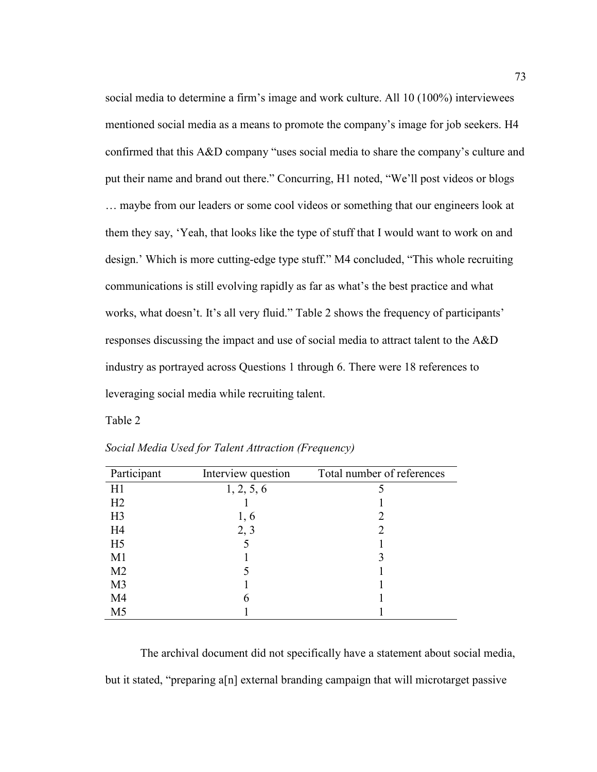social media to determine a firm's image and work culture. All 10 (100%) interviewees mentioned social media as a means to promote the company's image for job seekers. H4 confirmed that this A&D company "uses social media to share the company's culture and put their name and brand out there." Concurring, H1 noted, "We'll post videos or blogs … maybe from our leaders or some cool videos or something that our engineers look at them they say, 'Yeah, that looks like the type of stuff that I would want to work on and design.' Which is more cutting-edge type stuff." M4 concluded, "This whole recruiting communications is still evolving rapidly as far as what's the best practice and what works, what doesn't. It's all very fluid." Table 2 shows the frequency of participants' responses discussing the impact and use of social media to attract talent to the A&D industry as portrayed across Questions 1 through 6. There were 18 references to leveraging social media while recruiting talent.

Table 2

| Participant    | Interview question | Total number of references |
|----------------|--------------------|----------------------------|
| H1             | 1, 2, 5, 6         |                            |
| H <sub>2</sub> |                    |                            |
| H <sub>3</sub> | 1, 6               |                            |
| H <sub>4</sub> | 2, 3               |                            |
| H <sub>5</sub> |                    |                            |
| M1             |                    |                            |
| M <sub>2</sub> |                    |                            |
| M <sub>3</sub> |                    |                            |
| M <sub>4</sub> |                    |                            |
| M <sub>5</sub> |                    |                            |

*Social Media Used for Talent Attraction (Frequency)*

The archival document did not specifically have a statement about social media, but it stated, "preparing a[n] external branding campaign that will microtarget passive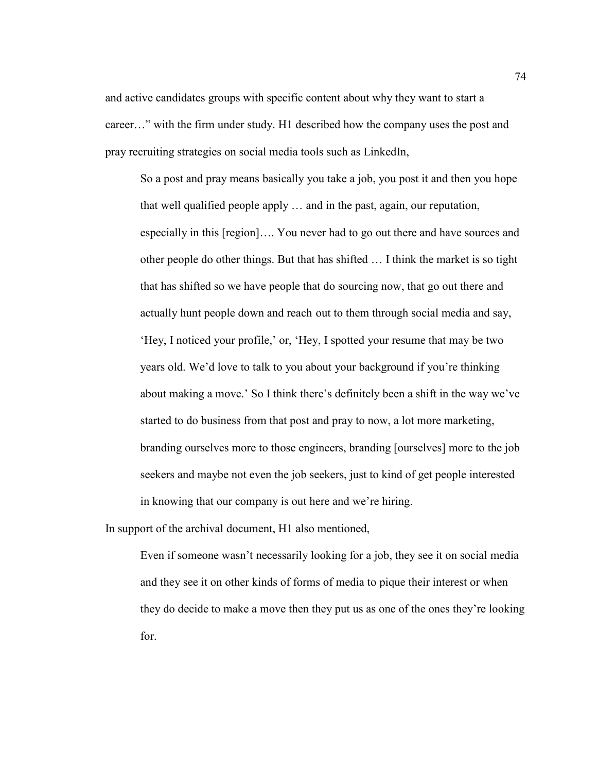and active candidates groups with specific content about why they want to start a career…" with the firm under study. H1 described how the company uses the post and pray recruiting strategies on social media tools such as LinkedIn,

So a post and pray means basically you take a job, you post it and then you hope that well qualified people apply … and in the past, again, our reputation, especially in this [region]…. You never had to go out there and have sources and other people do other things. But that has shifted … I think the market is so tight that has shifted so we have people that do sourcing now, that go out there and actually hunt people down and reach out to them through social media and say, 'Hey, I noticed your profile,' or, 'Hey, I spotted your resume that may be two years old. We'd love to talk to you about your background if you're thinking about making a move.' So I think there's definitely been a shift in the way we've started to do business from that post and pray to now, a lot more marketing, branding ourselves more to those engineers, branding [ourselves] more to the job seekers and maybe not even the job seekers, just to kind of get people interested in knowing that our company is out here and we're hiring.

In support of the archival document, H1 also mentioned,

Even if someone wasn't necessarily looking for a job, they see it on social media and they see it on other kinds of forms of media to pique their interest or when they do decide to make a move then they put us as one of the ones they're looking for.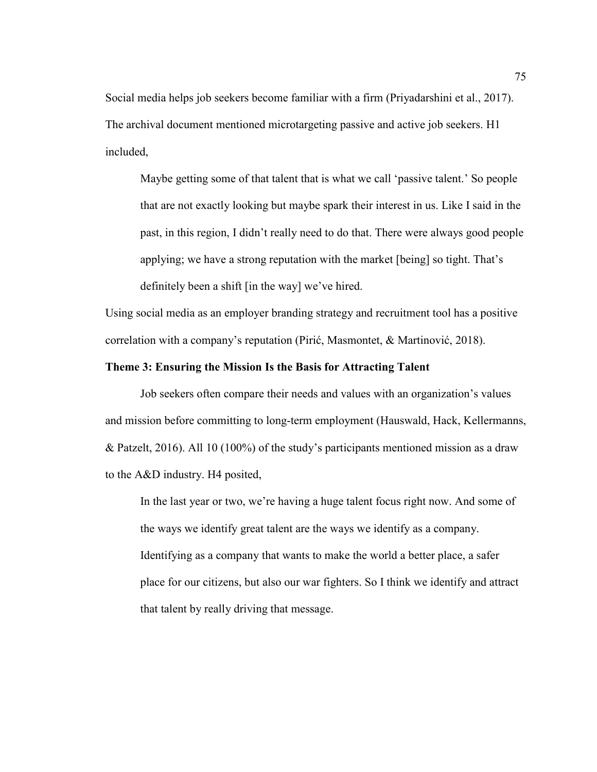Social media helps job seekers become familiar with a firm (Priyadarshini et al., 2017). The archival document mentioned microtargeting passive and active job seekers. H1 included,

Maybe getting some of that talent that is what we call 'passive talent.' So people that are not exactly looking but maybe spark their interest in us. Like I said in the past, in this region, I didn't really need to do that. There were always good people applying; we have a strong reputation with the market [being] so tight. That's definitely been a shift [in the way] we've hired.

Using social media as an employer branding strategy and recruitment tool has a positive correlation with a company's reputation (Pirić, Masmontet, & Martinović, 2018).

# **Theme 3: Ensuring the Mission Is the Basis for Attracting Talent**

Job seekers often compare their needs and values with an organization's values and mission before committing to long-term employment (Hauswald, Hack, Kellermanns, & Patzelt, 2016). All 10 (100%) of the study's participants mentioned mission as a draw to the A&D industry. H4 posited,

In the last year or two, we're having a huge talent focus right now. And some of the ways we identify great talent are the ways we identify as a company. Identifying as a company that wants to make the world a better place, a safer place for our citizens, but also our war fighters. So I think we identify and attract that talent by really driving that message.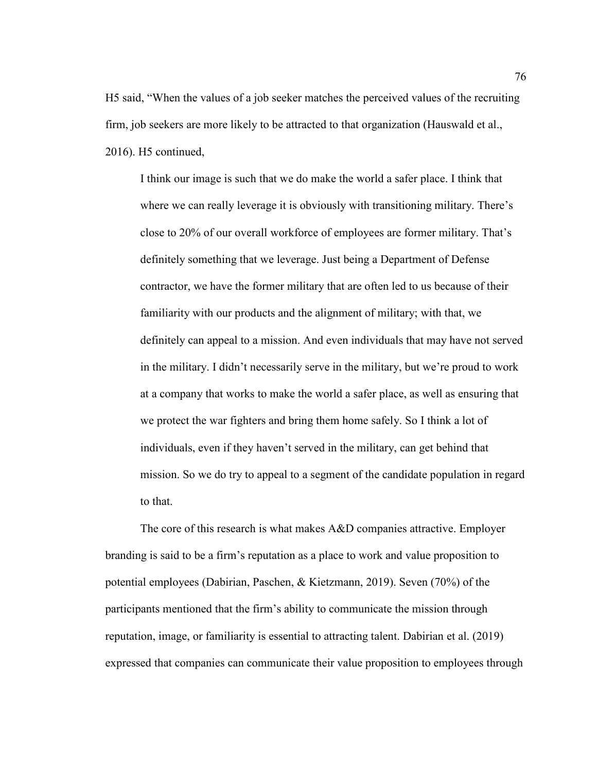H5 said, "When the values of a job seeker matches the perceived values of the recruiting firm, job seekers are more likely to be attracted to that organization (Hauswald et al., 2016). H5 continued,

I think our image is such that we do make the world a safer place. I think that where we can really leverage it is obviously with transitioning military. There's close to 20% of our overall workforce of employees are former military. That's definitely something that we leverage. Just being a Department of Defense contractor, we have the former military that are often led to us because of their familiarity with our products and the alignment of military; with that, we definitely can appeal to a mission. And even individuals that may have not served in the military. I didn't necessarily serve in the military, but we're proud to work at a company that works to make the world a safer place, as well as ensuring that we protect the war fighters and bring them home safely. So I think a lot of individuals, even if they haven't served in the military, can get behind that mission. So we do try to appeal to a segment of the candidate population in regard to that.

The core of this research is what makes A&D companies attractive. Employer branding is said to be a firm's reputation as a place to work and value proposition to potential employees (Dabirian, Paschen, & Kietzmann, 2019). Seven (70%) of the participants mentioned that the firm's ability to communicate the mission through reputation, image, or familiarity is essential to attracting talent. Dabirian et al. (2019) expressed that companies can communicate their value proposition to employees through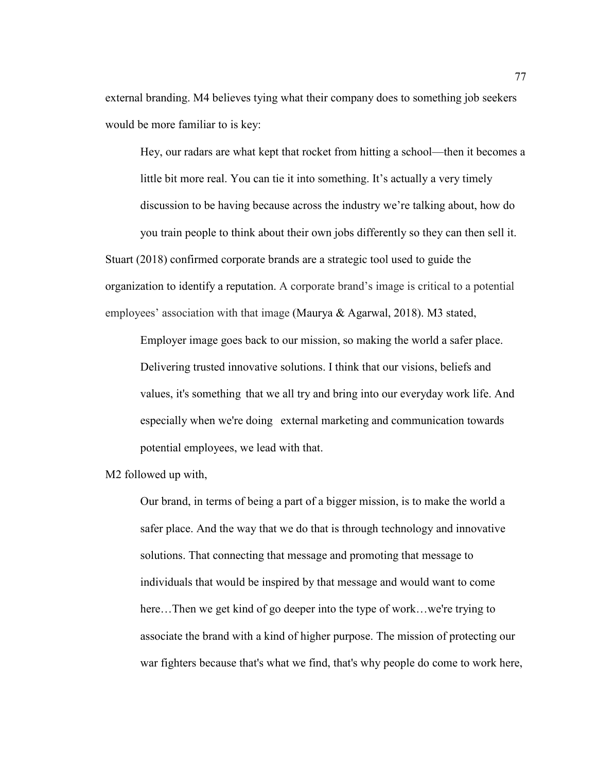external branding. M4 believes tying what their company does to something job seekers would be more familiar to is key:

Hey, our radars are what kept that rocket from hitting a school—then it becomes a little bit more real. You can tie it into something. It's actually a very timely discussion to be having because across the industry we're talking about, how do you train people to think about their own jobs differently so they can then sell it. Stuart (2018) confirmed corporate brands are a strategic tool used to guide the organization to identify a reputation. A corporate brand's image is critical to a potential employees' association with that image (Maurya & Agarwal, 2018). M3 stated,

Employer image goes back to our mission, so making the world a safer place. Delivering trusted innovative solutions. I think that our visions, beliefs and values, it's something that we all try and bring into our everyday work life. And especially when we're doing external marketing and communication towards potential employees, we lead with that.

M2 followed up with,

Our brand, in terms of being a part of a bigger mission, is to make the world a safer place. And the way that we do that is through technology and innovative solutions. That connecting that message and promoting that message to individuals that would be inspired by that message and would want to come here...Then we get kind of go deeper into the type of work...we're trying to associate the brand with a kind of higher purpose. The mission of protecting our war fighters because that's what we find, that's why people do come to work here,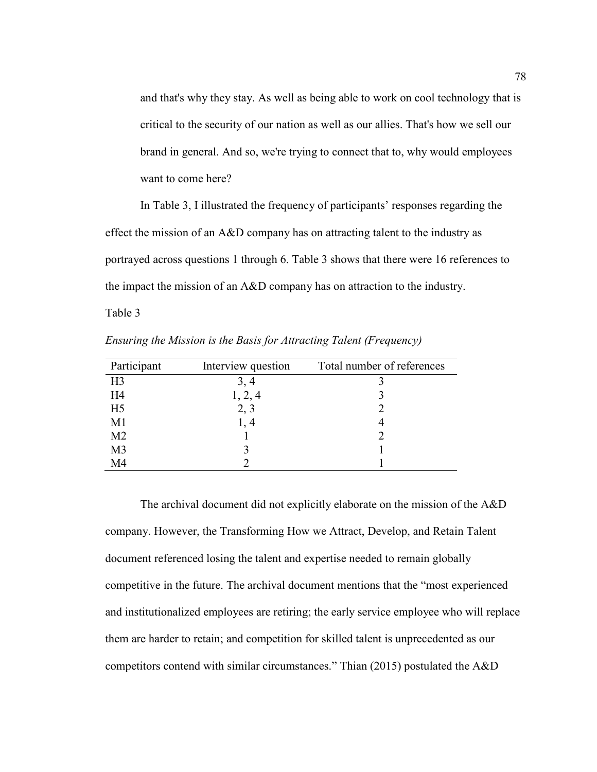and that's why they stay. As well as being able to work on cool technology that is critical to the security of our nation as well as our allies. That's how we sell our brand in general. And so, we're trying to connect that to, why would employees want to come here?

In Table 3, I illustrated the frequency of participants' responses regarding the effect the mission of an A&D company has on attracting talent to the industry as portrayed across questions 1 through 6. Table 3 shows that there were 16 references to the impact the mission of an A&D company has on attraction to the industry.

Table 3

*Ensuring the Mission is the Basis for Attracting Talent (Frequency)*

| Participant    | Interview question | Total number of references |
|----------------|--------------------|----------------------------|
| H <sub>3</sub> | 3, 4               |                            |
| H <sub>4</sub> | 1, 2, 4            |                            |
| H <sub>5</sub> | 2, 3               |                            |
| M1             | 1.4                |                            |
| M <sub>2</sub> |                    |                            |
| M <sub>3</sub> |                    |                            |
| M <sub>4</sub> |                    |                            |

The archival document did not explicitly elaborate on the mission of the A&D company. However, the Transforming How we Attract, Develop, and Retain Talent document referenced losing the talent and expertise needed to remain globally competitive in the future. The archival document mentions that the "most experienced and institutionalized employees are retiring; the early service employee who will replace them are harder to retain; and competition for skilled talent is unprecedented as our competitors contend with similar circumstances." Thian (2015) postulated the A&D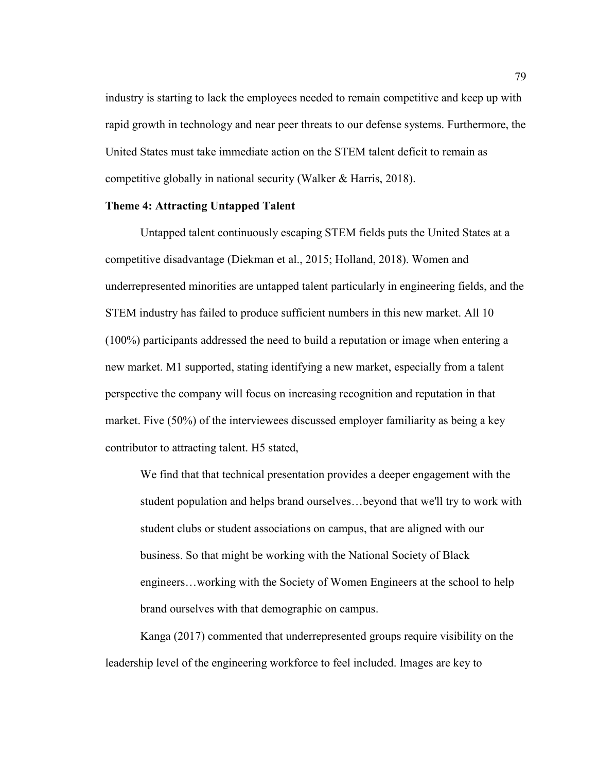industry is starting to lack the employees needed to remain competitive and keep up with rapid growth in technology and near peer threats to our defense systems. Furthermore, the United States must take immediate action on the STEM talent deficit to remain as competitive globally in national security (Walker & Harris, 2018).

# **Theme 4: Attracting Untapped Talent**

Untapped talent continuously escaping STEM fields puts the United States at a competitive disadvantage (Diekman et al., 2015; Holland, 2018). Women and underrepresented minorities are untapped talent particularly in engineering fields, and the STEM industry has failed to produce sufficient numbers in this new market. All 10 (100%) participants addressed the need to build a reputation or image when entering a new market. M1 supported, stating identifying a new market, especially from a talent perspective the company will focus on increasing recognition and reputation in that market. Five (50%) of the interviewees discussed employer familiarity as being a key contributor to attracting talent. H5 stated,

We find that that technical presentation provides a deeper engagement with the student population and helps brand ourselves…beyond that we'll try to work with student clubs or student associations on campus, that are aligned with our business. So that might be working with the National Society of Black engineers…working with the Society of Women Engineers at the school to help brand ourselves with that demographic on campus.

Kanga (2017) commented that underrepresented groups require visibility on the leadership level of the engineering workforce to feel included. Images are key to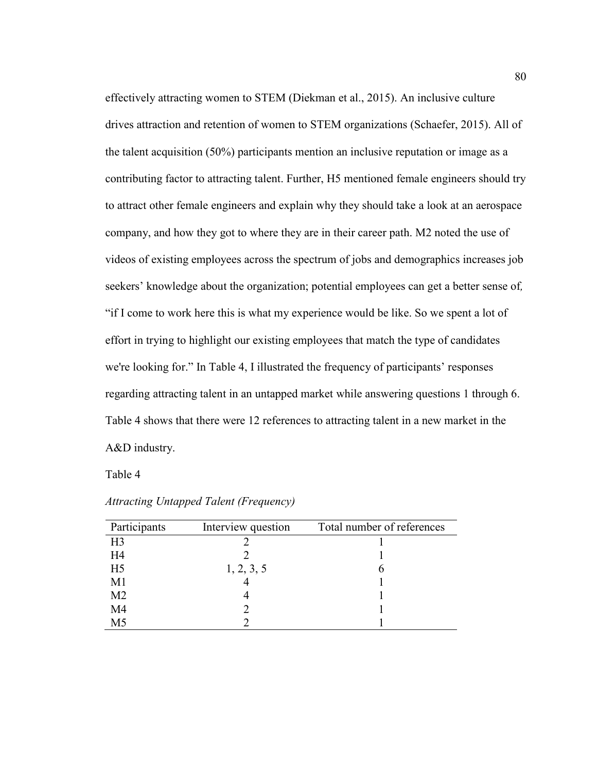effectively attracting women to STEM (Diekman et al., 2015). An inclusive culture drives attraction and retention of women to STEM organizations (Schaefer, 2015). All of the talent acquisition (50%) participants mention an inclusive reputation or image as a contributing factor to attracting talent. Further, H5 mentioned female engineers should try to attract other female engineers and explain why they should take a look at an aerospace company, and how they got to where they are in their career path. M2 noted the use of videos of existing employees across the spectrum of jobs and demographics increases job seekers' knowledge about the organization; potential employees can get a better sense of*,*  "if I come to work here this is what my experience would be like. So we spent a lot of effort in trying to highlight our existing employees that match the type of candidates we're looking for." In Table 4, I illustrated the frequency of participants' responses regarding attracting talent in an untapped market while answering questions 1 through 6. Table 4 shows that there were 12 references to attracting talent in a new market in the A&D industry.

Table 4

| Participants   | Interview question | Total number of references |
|----------------|--------------------|----------------------------|
| H <sub>3</sub> |                    |                            |
| H4             |                    |                            |
| H <sub>5</sub> | 1, 2, 3, 5         |                            |
| M1             |                    |                            |
| M <sub>2</sub> |                    |                            |
| M <sub>4</sub> |                    |                            |
| M <sub>5</sub> |                    |                            |

*Attracting Untapped Talent (Frequency)*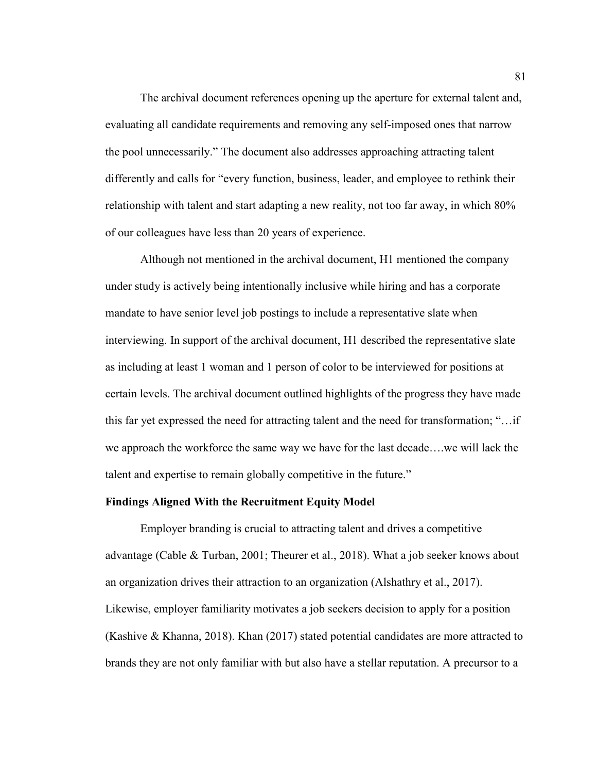The archival document references opening up the aperture for external talent and, evaluating all candidate requirements and removing any self-imposed ones that narrow the pool unnecessarily." The document also addresses approaching attracting talent differently and calls for "every function, business, leader, and employee to rethink their relationship with talent and start adapting a new reality, not too far away, in which 80% of our colleagues have less than 20 years of experience.

Although not mentioned in the archival document, H1 mentioned the company under study is actively being intentionally inclusive while hiring and has a corporate mandate to have senior level job postings to include a representative slate when interviewing. In support of the archival document, H1 described the representative slate as including at least 1 woman and 1 person of color to be interviewed for positions at certain levels. The archival document outlined highlights of the progress they have made this far yet expressed the need for attracting talent and the need for transformation; "…if we approach the workforce the same way we have for the last decade….we will lack the talent and expertise to remain globally competitive in the future."

#### **Findings Aligned With the Recruitment Equity Model**

Employer branding is crucial to attracting talent and drives a competitive advantage (Cable & Turban, 2001; Theurer et al., 2018). What a job seeker knows about an organization drives their attraction to an organization (Alshathry et al., 2017). Likewise, employer familiarity motivates a job seekers decision to apply for a position (Kashive & Khanna, 2018). Khan (2017) stated potential candidates are more attracted to brands they are not only familiar with but also have a stellar reputation. A precursor to a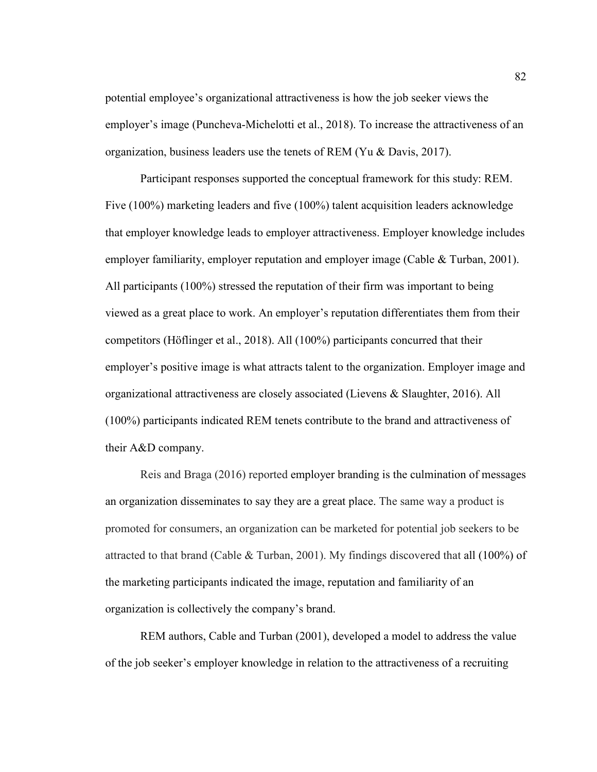potential employee's organizational attractiveness is how the job seeker views the employer's image (Puncheva-Michelotti et al., 2018). To increase the attractiveness of an organization, business leaders use the tenets of REM (Yu & Davis, 2017).

Participant responses supported the conceptual framework for this study: REM. Five (100%) marketing leaders and five (100%) talent acquisition leaders acknowledge that employer knowledge leads to employer attractiveness. Employer knowledge includes employer familiarity, employer reputation and employer image (Cable & Turban, 2001). All participants (100%) stressed the reputation of their firm was important to being viewed as a great place to work. An employer's reputation differentiates them from their competitors (Höflinger et al., 2018). All (100%) participants concurred that their employer's positive image is what attracts talent to the organization. Employer image and organizational attractiveness are closely associated (Lievens & Slaughter, 2016). All (100%) participants indicated REM tenets contribute to the brand and attractiveness of their A&D company.

Reis and Braga (2016) reported employer branding is the culmination of messages an organization disseminates to say they are a great place. The same way a product is promoted for consumers, an organization can be marketed for potential job seekers to be attracted to that brand (Cable  $&$  Turban, 2001). My findings discovered that all (100%) of the marketing participants indicated the image, reputation and familiarity of an organization is collectively the company's brand.

REM authors, Cable and Turban (2001), developed a model to address the value of the job seeker's employer knowledge in relation to the attractiveness of a recruiting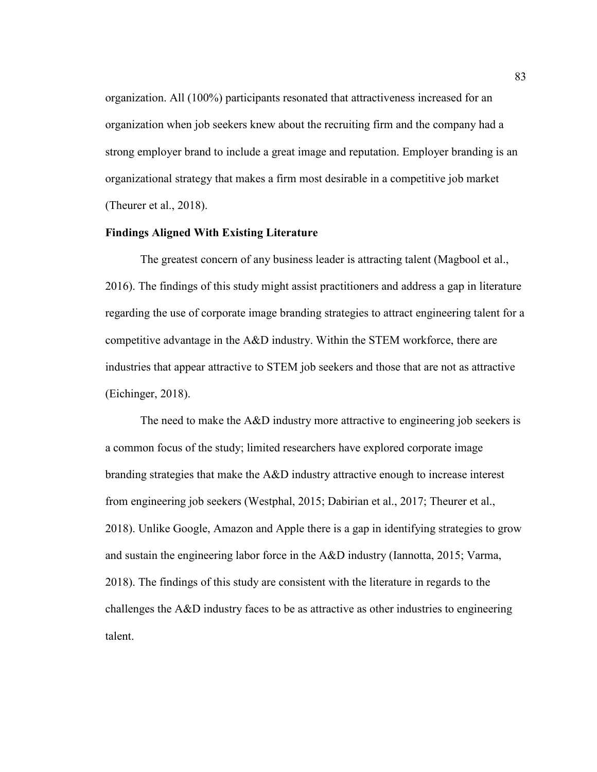organization. All (100%) participants resonated that attractiveness increased for an organization when job seekers knew about the recruiting firm and the company had a strong employer brand to include a great image and reputation. Employer branding is an organizational strategy that makes a firm most desirable in a competitive job market (Theurer et al., 2018).

# **Findings Aligned With Existing Literature**

The greatest concern of any business leader is attracting talent (Magbool et al., 2016). The findings of this study might assist practitioners and address a gap in literature regarding the use of corporate image branding strategies to attract engineering talent for a competitive advantage in the A&D industry. Within the STEM workforce, there are industries that appear attractive to STEM job seekers and those that are not as attractive (Eichinger, 2018).

The need to make the A&D industry more attractive to engineering job seekers is a common focus of the study; limited researchers have explored corporate image branding strategies that make the A&D industry attractive enough to increase interest from engineering job seekers (Westphal, 2015; Dabirian et al., 2017; Theurer et al., 2018). Unlike Google, Amazon and Apple there is a gap in identifying strategies to grow and sustain the engineering labor force in the A&D industry (Iannotta, 2015; Varma, 2018). The findings of this study are consistent with the literature in regards to the challenges the A&D industry faces to be as attractive as other industries to engineering talent.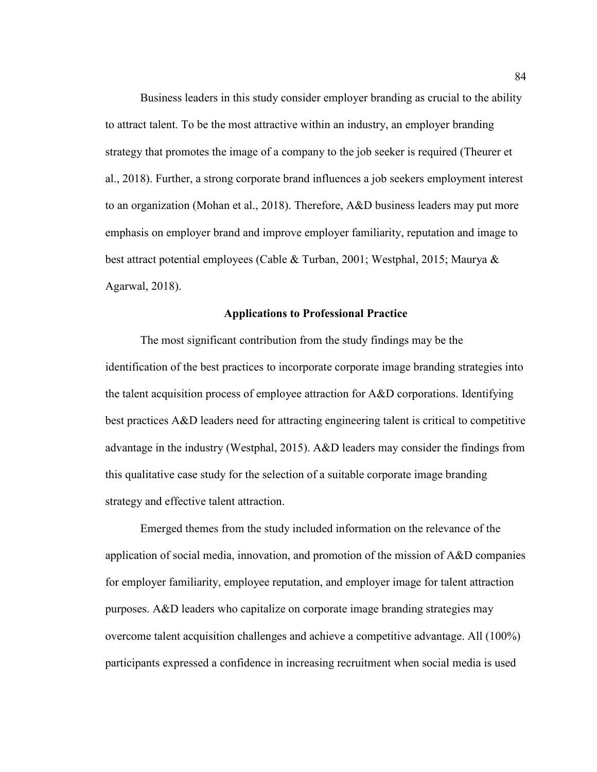Business leaders in this study consider employer branding as crucial to the ability to attract talent. To be the most attractive within an industry, an employer branding strategy that promotes the image of a company to the job seeker is required (Theurer et al., 2018). Further, a strong corporate brand influences a job seekers employment interest to an organization (Mohan et al., 2018). Therefore, A&D business leaders may put more emphasis on employer brand and improve employer familiarity, reputation and image to best attract potential employees (Cable & Turban, 2001; Westphal, 2015; Maurya & Agarwal, 2018).

# **Applications to Professional Practice**

The most significant contribution from the study findings may be the identification of the best practices to incorporate corporate image branding strategies into the talent acquisition process of employee attraction for A&D corporations. Identifying best practices A&D leaders need for attracting engineering talent is critical to competitive advantage in the industry (Westphal, 2015). A&D leaders may consider the findings from this qualitative case study for the selection of a suitable corporate image branding strategy and effective talent attraction.

Emerged themes from the study included information on the relevance of the application of social media, innovation, and promotion of the mission of A&D companies for employer familiarity, employee reputation, and employer image for talent attraction purposes. A&D leaders who capitalize on corporate image branding strategies may overcome talent acquisition challenges and achieve a competitive advantage. All (100%) participants expressed a confidence in increasing recruitment when social media is used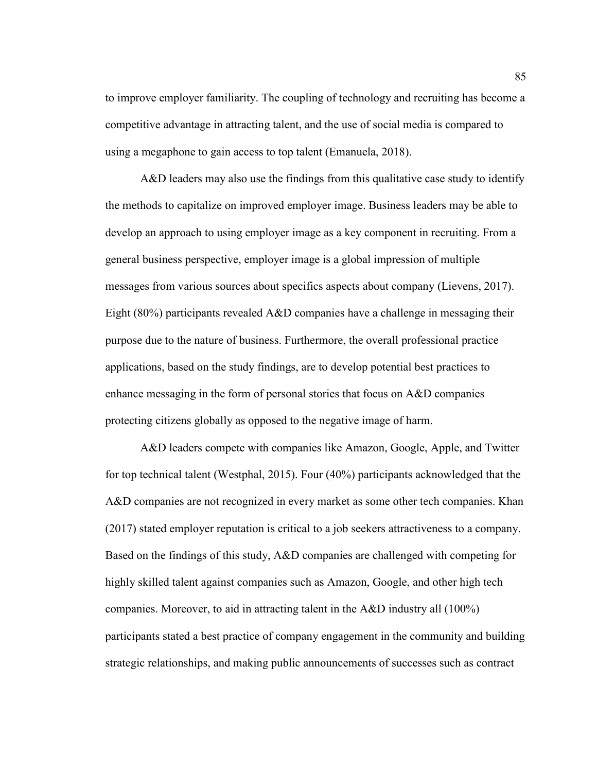to improve employer familiarity. The coupling of technology and recruiting has become a competitive advantage in attracting talent, and the use of social media is compared to using a megaphone to gain access to top talent (Emanuela, 2018).

A&D leaders may also use the findings from this qualitative case study to identify the methods to capitalize on improved employer image. Business leaders may be able to develop an approach to using employer image as a key component in recruiting. From a general business perspective, employer image is a global impression of multiple messages from various sources about specifics aspects about company (Lievens, 2017). Eight (80%) participants revealed A&D companies have a challenge in messaging their purpose due to the nature of business. Furthermore, the overall professional practice applications, based on the study findings, are to develop potential best practices to enhance messaging in the form of personal stories that focus on A&D companies protecting citizens globally as opposed to the negative image of harm.

A&D leaders compete with companies like Amazon, Google, Apple, and Twitter for top technical talent (Westphal, 2015). Four (40%) participants acknowledged that the A&D companies are not recognized in every market as some other tech companies. Khan (2017) stated employer reputation is critical to a job seekers attractiveness to a company. Based on the findings of this study, A&D companies are challenged with competing for highly skilled talent against companies such as Amazon, Google, and other high tech companies. Moreover, to aid in attracting talent in the A&D industry all (100%) participants stated a best practice of company engagement in the community and building strategic relationships, and making public announcements of successes such as contract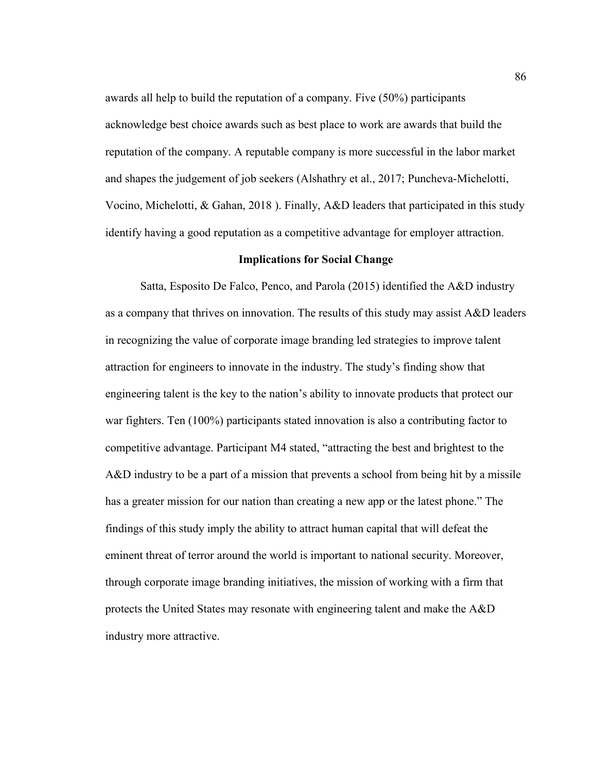awards all help to build the reputation of a company. Five (50%) participants acknowledge best choice awards such as best place to work are awards that build the reputation of the company. A reputable company is more successful in the labor market and shapes the judgement of job seekers (Alshathry et al., 2017; Puncheva-Michelotti, Vocino, Michelotti, & Gahan, 2018 ). Finally, A&D leaders that participated in this study identify having a good reputation as a competitive advantage for employer attraction.

# **Implications for Social Change**

Satta, Esposito De Falco, Penco, and Parola (2015) identified the A&D industry as a company that thrives on innovation. The results of this study may assist A&D leaders in recognizing the value of corporate image branding led strategies to improve talent attraction for engineers to innovate in the industry. The study's finding show that engineering talent is the key to the nation's ability to innovate products that protect our war fighters. Ten (100%) participants stated innovation is also a contributing factor to competitive advantage. Participant M4 stated, "attracting the best and brightest to the A&D industry to be a part of a mission that prevents a school from being hit by a missile has a greater mission for our nation than creating a new app or the latest phone." The findings of this study imply the ability to attract human capital that will defeat the eminent threat of terror around the world is important to national security. Moreover, through corporate image branding initiatives, the mission of working with a firm that protects the United States may resonate with engineering talent and make the A&D industry more attractive.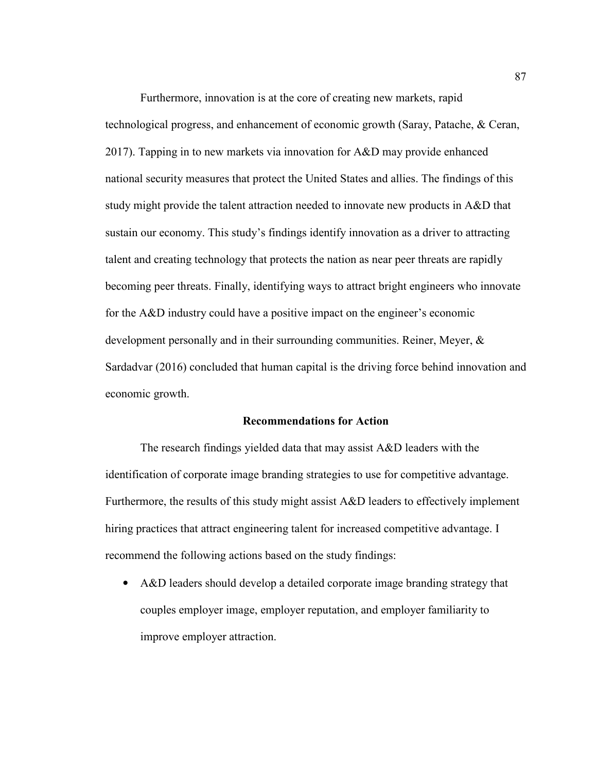Furthermore, innovation is at the core of creating new markets, rapid technological progress, and enhancement of economic growth (Saray, Patache, & Ceran, 2017). Tapping in to new markets via innovation for A&D may provide enhanced national security measures that protect the United States and allies. The findings of this study might provide the talent attraction needed to innovate new products in A&D that sustain our economy. This study's findings identify innovation as a driver to attracting talent and creating technology that protects the nation as near peer threats are rapidly becoming peer threats. Finally, identifying ways to attract bright engineers who innovate for the A&D industry could have a positive impact on the engineer's economic development personally and in their surrounding communities. Reiner, Meyer, & Sardadvar (2016) concluded that human capital is the driving force behind innovation and economic growth.

# **Recommendations for Action**

The research findings yielded data that may assist A&D leaders with the identification of corporate image branding strategies to use for competitive advantage. Furthermore, the results of this study might assist A&D leaders to effectively implement hiring practices that attract engineering talent for increased competitive advantage. I recommend the following actions based on the study findings:

• A&D leaders should develop a detailed corporate image branding strategy that couples employer image, employer reputation, and employer familiarity to improve employer attraction.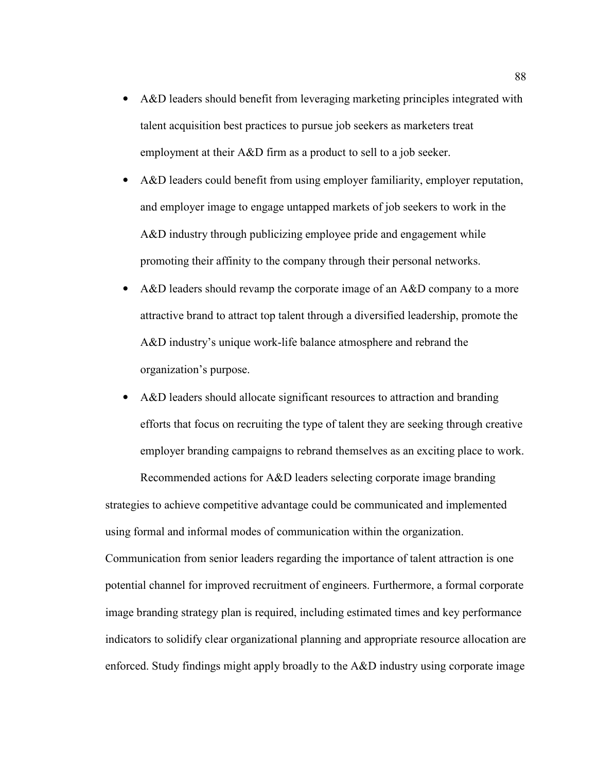- A&D leaders should benefit from leveraging marketing principles integrated with talent acquisition best practices to pursue job seekers as marketers treat employment at their A&D firm as a product to sell to a job seeker.
- A&D leaders could benefit from using employer familiarity, employer reputation, and employer image to engage untapped markets of job seekers to work in the A&D industry through publicizing employee pride and engagement while promoting their affinity to the company through their personal networks.
- A&D leaders should revamp the corporate image of an A&D company to a more attractive brand to attract top talent through a diversified leadership, promote the A&D industry's unique work-life balance atmosphere and rebrand the organization's purpose.
- A&D leaders should allocate significant resources to attraction and branding efforts that focus on recruiting the type of talent they are seeking through creative employer branding campaigns to rebrand themselves as an exciting place to work.

Recommended actions for A&D leaders selecting corporate image branding strategies to achieve competitive advantage could be communicated and implemented using formal and informal modes of communication within the organization. Communication from senior leaders regarding the importance of talent attraction is one potential channel for improved recruitment of engineers. Furthermore, a formal corporate image branding strategy plan is required, including estimated times and key performance indicators to solidify clear organizational planning and appropriate resource allocation are enforced. Study findings might apply broadly to the A&D industry using corporate image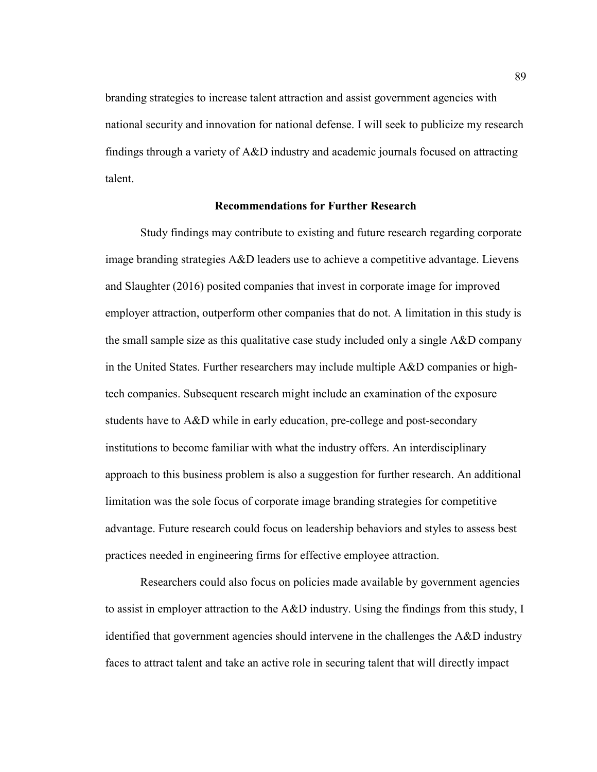branding strategies to increase talent attraction and assist government agencies with national security and innovation for national defense. I will seek to publicize my research findings through a variety of A&D industry and academic journals focused on attracting talent.

# **Recommendations for Further Research**

Study findings may contribute to existing and future research regarding corporate image branding strategies A&D leaders use to achieve a competitive advantage. Lievens and Slaughter (2016) posited companies that invest in corporate image for improved employer attraction, outperform other companies that do not. A limitation in this study is the small sample size as this qualitative case study included only a single A&D company in the United States. Further researchers may include multiple A&D companies or hightech companies. Subsequent research might include an examination of the exposure students have to A&D while in early education, pre-college and post-secondary institutions to become familiar with what the industry offers. An interdisciplinary approach to this business problem is also a suggestion for further research. An additional limitation was the sole focus of corporate image branding strategies for competitive advantage. Future research could focus on leadership behaviors and styles to assess best practices needed in engineering firms for effective employee attraction.

Researchers could also focus on policies made available by government agencies to assist in employer attraction to the A&D industry. Using the findings from this study, I identified that government agencies should intervene in the challenges the A&D industry faces to attract talent and take an active role in securing talent that will directly impact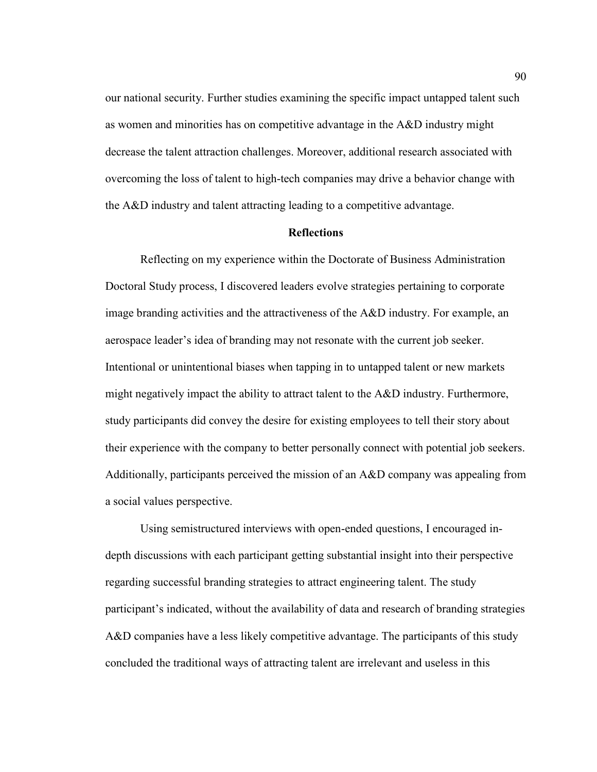our national security. Further studies examining the specific impact untapped talent such as women and minorities has on competitive advantage in the A&D industry might decrease the talent attraction challenges. Moreover, additional research associated with overcoming the loss of talent to high-tech companies may drive a behavior change with the A&D industry and talent attracting leading to a competitive advantage.

#### **Reflections**

Reflecting on my experience within the Doctorate of Business Administration Doctoral Study process, I discovered leaders evolve strategies pertaining to corporate image branding activities and the attractiveness of the A&D industry. For example, an aerospace leader's idea of branding may not resonate with the current job seeker. Intentional or unintentional biases when tapping in to untapped talent or new markets might negatively impact the ability to attract talent to the A&D industry. Furthermore, study participants did convey the desire for existing employees to tell their story about their experience with the company to better personally connect with potential job seekers. Additionally, participants perceived the mission of an A&D company was appealing from a social values perspective.

Using semistructured interviews with open-ended questions, I encouraged indepth discussions with each participant getting substantial insight into their perspective regarding successful branding strategies to attract engineering talent. The study participant's indicated, without the availability of data and research of branding strategies A&D companies have a less likely competitive advantage. The participants of this study concluded the traditional ways of attracting talent are irrelevant and useless in this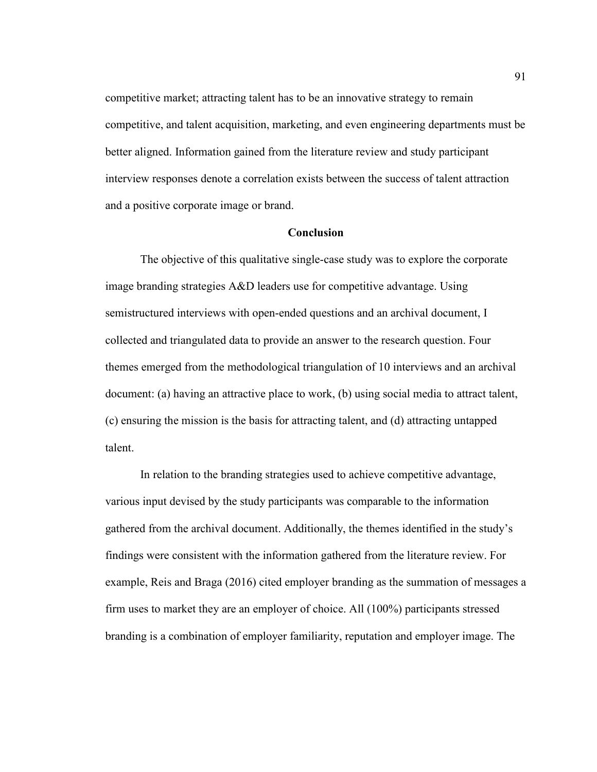competitive market; attracting talent has to be an innovative strategy to remain competitive, and talent acquisition, marketing, and even engineering departments must be better aligned. Information gained from the literature review and study participant interview responses denote a correlation exists between the success of talent attraction and a positive corporate image or brand.

# **Conclusion**

The objective of this qualitative single-case study was to explore the corporate image branding strategies A&D leaders use for competitive advantage. Using semistructured interviews with open-ended questions and an archival document, I collected and triangulated data to provide an answer to the research question. Four themes emerged from the methodological triangulation of 10 interviews and an archival document: (a) having an attractive place to work, (b) using social media to attract talent, (c) ensuring the mission is the basis for attracting talent, and (d) attracting untapped talent.

In relation to the branding strategies used to achieve competitive advantage, various input devised by the study participants was comparable to the information gathered from the archival document. Additionally, the themes identified in the study's findings were consistent with the information gathered from the literature review. For example, Reis and Braga (2016) cited employer branding as the summation of messages a firm uses to market they are an employer of choice. All (100%) participants stressed branding is a combination of employer familiarity, reputation and employer image. The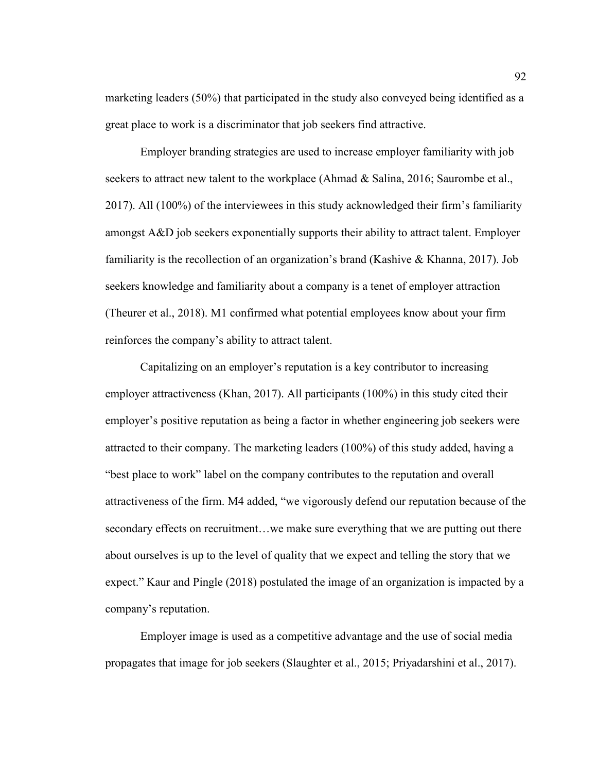marketing leaders (50%) that participated in the study also conveyed being identified as a great place to work is a discriminator that job seekers find attractive.

Employer branding strategies are used to increase employer familiarity with job seekers to attract new talent to the workplace (Ahmad & Salina, 2016; Saurombe et al., 2017). All (100%) of the interviewees in this study acknowledged their firm's familiarity amongst A&D job seekers exponentially supports their ability to attract talent. Employer familiarity is the recollection of an organization's brand (Kashive & Khanna, 2017). Job seekers knowledge and familiarity about a company is a tenet of employer attraction (Theurer et al., 2018). M1 confirmed what potential employees know about your firm reinforces the company's ability to attract talent.

Capitalizing on an employer's reputation is a key contributor to increasing employer attractiveness (Khan, 2017). All participants (100%) in this study cited their employer's positive reputation as being a factor in whether engineering job seekers were attracted to their company. The marketing leaders (100%) of this study added, having a "best place to work" label on the company contributes to the reputation and overall attractiveness of the firm. M4 added, "we vigorously defend our reputation because of the secondary effects on recruitment...we make sure everything that we are putting out there about ourselves is up to the level of quality that we expect and telling the story that we expect." Kaur and Pingle (2018) postulated the image of an organization is impacted by a company's reputation.

Employer image is used as a competitive advantage and the use of social media propagates that image for job seekers (Slaughter et al., 2015; Priyadarshini et al., 2017).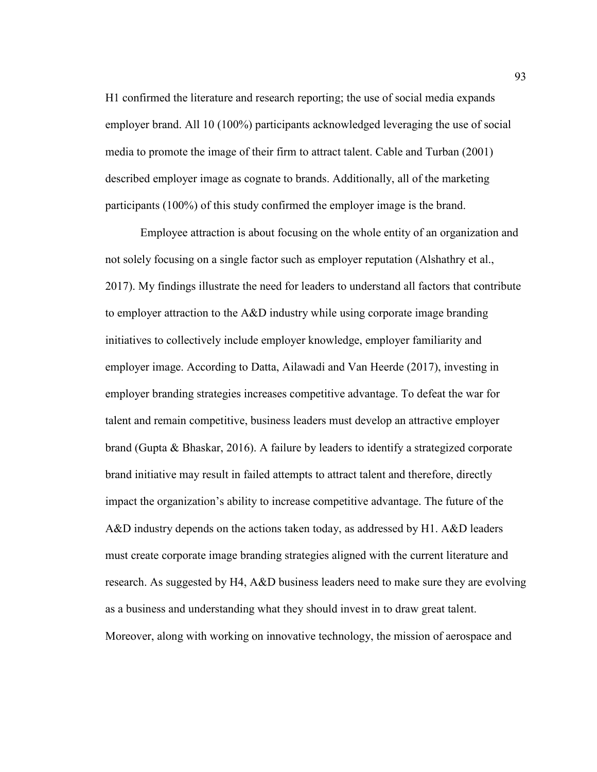H1 confirmed the literature and research reporting; the use of social media expands employer brand. All 10 (100%) participants acknowledged leveraging the use of social media to promote the image of their firm to attract talent. Cable and Turban (2001) described employer image as cognate to brands. Additionally, all of the marketing participants (100%) of this study confirmed the employer image is the brand.

Employee attraction is about focusing on the whole entity of an organization and not solely focusing on a single factor such as employer reputation (Alshathry et al., 2017). My findings illustrate the need for leaders to understand all factors that contribute to employer attraction to the A&D industry while using corporate image branding initiatives to collectively include employer knowledge, employer familiarity and employer image. According to Datta, Ailawadi and Van Heerde (2017), investing in employer branding strategies increases competitive advantage. To defeat the war for talent and remain competitive, business leaders must develop an attractive employer brand (Gupta & Bhaskar, 2016). A failure by leaders to identify a strategized corporate brand initiative may result in failed attempts to attract talent and therefore, directly impact the organization's ability to increase competitive advantage. The future of the A&D industry depends on the actions taken today, as addressed by H1. A&D leaders must create corporate image branding strategies aligned with the current literature and research. As suggested by H4, A&D business leaders need to make sure they are evolving as a business and understanding what they should invest in to draw great talent. Moreover, along with working on innovative technology, the mission of aerospace and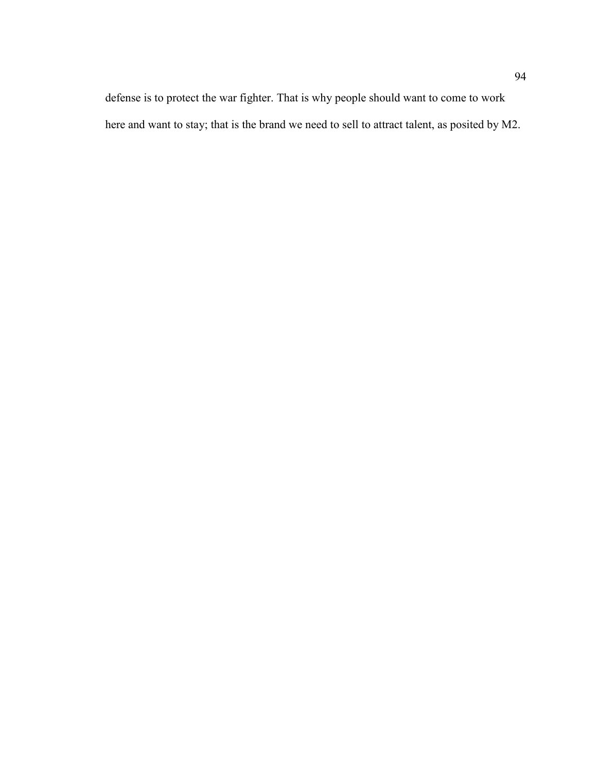defense is to protect the war fighter. That is why people should want to come to work here and want to stay; that is the brand we need to sell to attract talent, as posited by M2.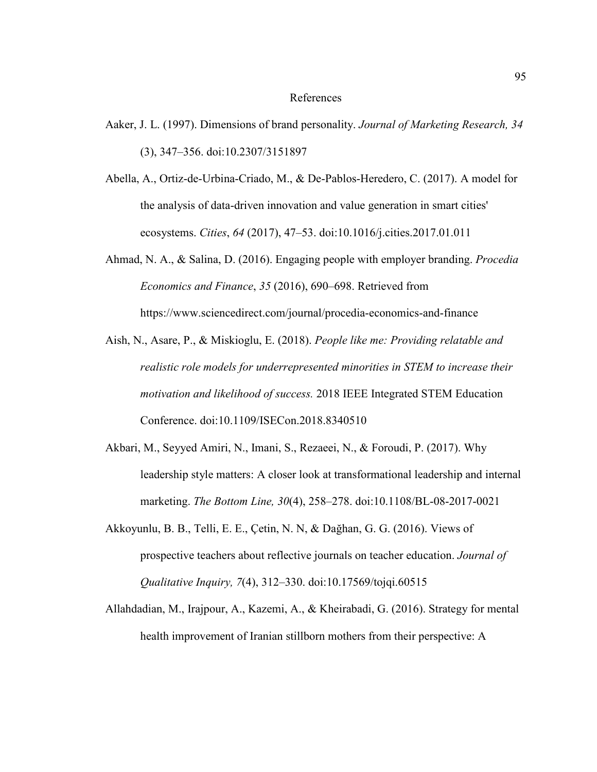#### References

- Aaker, J. L. (1997). Dimensions of brand personality. *Journal of Marketing Research, 34*  (3), 347–356. doi:10.2307/3151897
- Abella, A., Ortiz-de-Urbina-Criado, M., & De-Pablos-Heredero, C. (2017). A model for the analysis of data-driven innovation and value generation in smart cities' ecosystems. *Cities*, *64* (2017), 47–53. doi:10.1016/j.cities.2017.01.011
- Ahmad, N. A., & Salina, D. (2016). Engaging people with employer branding. *Procedia Economics and Finance*, *35* (2016), 690–698. Retrieved from https://www.sciencedirect.com/journal/procedia-economics-and-finance
- Aish, N., Asare, P., & Miskioglu, E. (2018). *People like me: Providing relatable and realistic role models for underrepresented minorities in STEM to increase their motivation and likelihood of success.* 2018 IEEE Integrated STEM Education Conference. doi:10.1109/ISECon.2018.8340510
- Akbari, M., Seyyed Amiri, N., Imani, S., Rezaeei, N., & Foroudi, P. (2017). Why leadership style matters: A closer look at transformational leadership and internal marketing. *The Bottom Line, 30*(4), 258–278. doi:10.1108/BL-08-2017-0021
- Akkoyunlu, B. B., Telli, E. E., Çetin, N. N, & Dağhan, G. G. (2016). Views of prospective teachers about reflective journals on teacher education. *Journal of Qualitative Inquiry, 7*(4), 312–330. doi:10.17569/tojqi.60515
- Allahdadian, M., Irajpour, A., Kazemi, A., & Kheirabadi, G. (2016). Strategy for mental health improvement of Iranian stillborn mothers from their perspective: A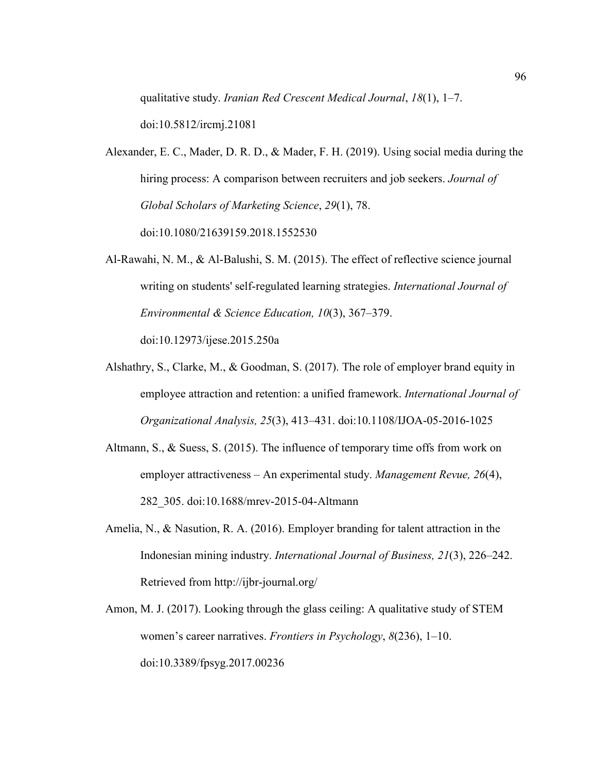qualitative study. *Iranian Red Crescent Medical Journal*, *18*(1), 1–7.

doi:10.5812/ircmj.21081

- Alexander, E. C., Mader, D. R. D., & Mader, F. H. (2019). Using social media during the hiring process: A comparison between recruiters and job seekers. *Journal of Global Scholars of Marketing Science*, *29*(1), 78. doi:10.1080/21639159.2018.1552530
- Al-Rawahi, N. M., & Al-Balushi, S. M. (2015). The effect of reflective science journal writing on students' self-regulated learning strategies. *International Journal of Environmental & Science Education, 10*(3), 367–379. doi:10.12973/ijese.2015.250a
- Alshathry, S., Clarke, M., & Goodman, S. (2017). The role of employer brand equity in employee attraction and retention: a unified framework. *International Journal of Organizational Analysis, 25*(3), 413–431. doi:10.1108/IJOA-05-2016-1025
- Altmann, S., & Suess, S. (2015). The influence of temporary time offs from work on employer attractiveness – An experimental study. *Management Revue, 26*(4), 282\_305. doi:10.1688/mrev-2015-04-Altmann
- Amelia, N., & Nasution, R. A. (2016). Employer branding for talent attraction in the Indonesian mining industry. *International Journal of Business, 21*(3), 226–242. Retrieved from http://ijbr-journal.org/
- Amon, M. J. (2017). Looking through the glass ceiling: A qualitative study of STEM women's career narratives. *Frontiers in Psychology*, *8*(236), 1–10. doi:10.3389/fpsyg.2017.00236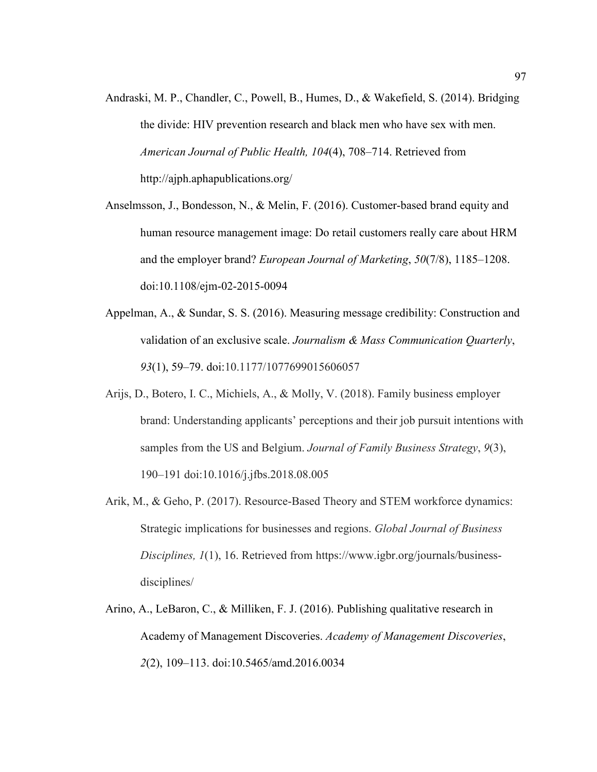- Andraski, M. P., Chandler, C., Powell, B., Humes, D., & Wakefield, S. (2014). Bridging the divide: HIV prevention research and black men who have sex with men. *American Journal of Public Health, 104*(4), 708–714. Retrieved from http://ajph.aphapublications.org/
- Anselmsson, J., Bondesson, N., & Melin, F. (2016). Customer-based brand equity and human resource management image: Do retail customers really care about HRM and the employer brand? *European Journal of Marketing*, *50*(7/8), 1185–1208. doi:10.1108/ejm-02-2015-0094
- Appelman, A., & Sundar, S. S. (2016). Measuring message credibility: Construction and validation of an exclusive scale. *Journalism & Mass Communication Quarterly*, *93*(1), 59–79. doi:10.1177/1077699015606057
- Arijs, D., Botero, I. C., Michiels, A., & Molly, V. (2018). Family business employer brand: Understanding applicants' perceptions and their job pursuit intentions with samples from the US and Belgium. *Journal of Family Business Strategy*, *9*(3), 190–191 doi:10.1016/j.jfbs.2018.08.005
- Arik, M., & Geho, P. (2017). Resource-Based Theory and STEM workforce dynamics: Strategic implications for businesses and regions. *Global Journal of Business Disciplines, 1*(1), 16. Retrieved from https://www.igbr.org/journals/businessdisciplines/
- Arino, A., LeBaron, C., & Milliken, F. J. (2016). Publishing qualitative research in Academy of Management Discoveries. *Academy of Management Discoveries*, *2*(2), 109–113. doi:10.5465/amd.2016.0034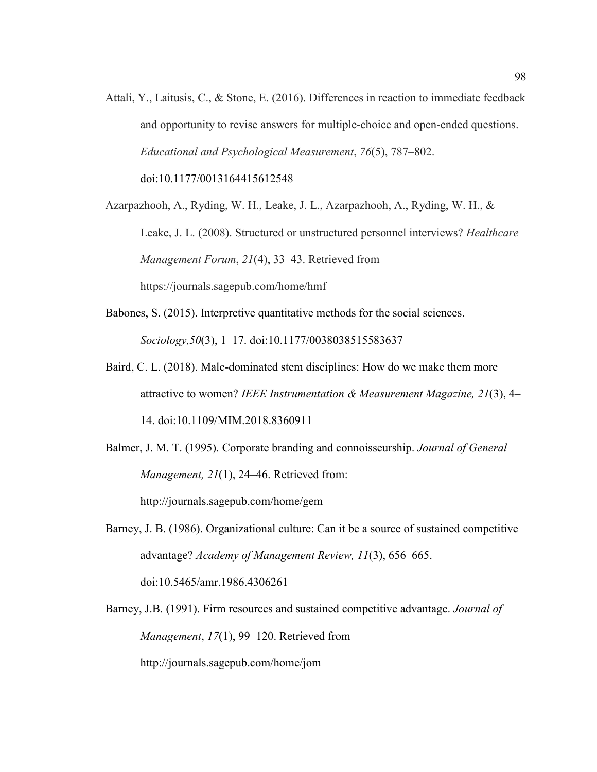Attali, Y., Laitusis, C., & Stone, E. (2016). Differences in reaction to immediate feedback and opportunity to revise answers for multiple-choice and open-ended questions. *Educational and Psychological Measurement*, *76*(5), 787–802.

doi:10.1177/0013164415612548

Azarpazhooh, A., Ryding, W. H., Leake, J. L., Azarpazhooh, A., Ryding, W. H., & Leake, J. L. (2008). Structured or unstructured personnel interviews? *Healthcare Management Forum*, *21*(4), 33–43. Retrieved from https://journals.sagepub.com/home/hmf

- Babones, S. (2015). Interpretive quantitative methods for the social sciences. *Sociology,50*(3), 1–17. doi:10.1177/0038038515583637
- Baird, C. L. (2018). Male-dominated stem disciplines: How do we make them more attractive to women? *IEEE Instrumentation & Measurement Magazine, 21*(3), 4– 14. doi:10.1109/MIM.2018.8360911
- Balmer, J. M. T. (1995). Corporate branding and connoisseurship. *Journal of General Management, 21*(1), 24–46. Retrieved from: http://journals.sagepub.com/home/gem
- Barney, J. B. (1986). Organizational culture: Can it be a source of sustained competitive advantage? *Academy of Management Review, 11*(3), 656–665. doi:10.5465/amr.1986.4306261

Barney, J.B. (1991). Firm resources and sustained competitive advantage. *Journal of Management*, *17*(1), 99–120. Retrieved from

http://journals.sagepub.com/home/jom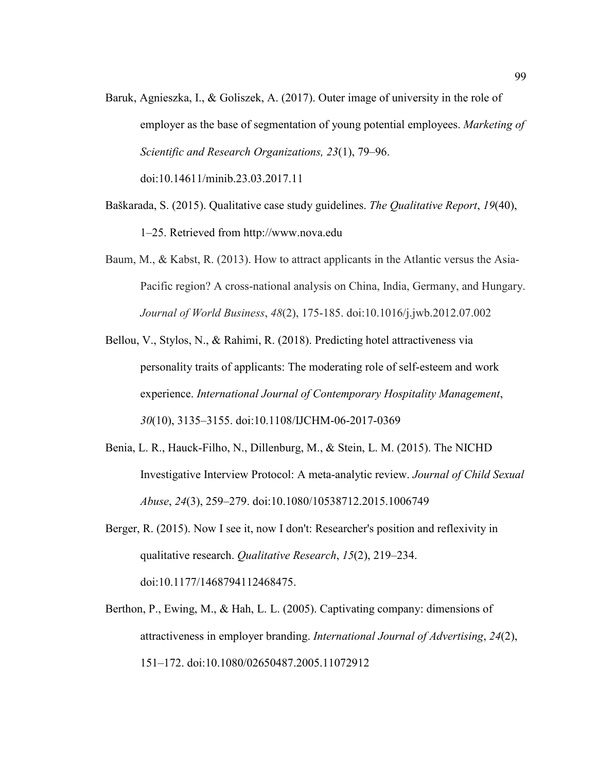Baruk, Agnieszka, I., & Goliszek, A. (2017). Outer image of university in the role of employer as the base of segmentation of young potential employees. *Marketing of Scientific and Research Organizations, 23*(1), 79–96.

doi:10.14611/minib.23.03.2017.11

- Baškarada, S. (2015). Qualitative case study guidelines. *The Qualitative Report*, *19*(40), 1–25. Retrieved from http://www.nova.edu
- Baum, M., & Kabst, R. (2013). How to attract applicants in the Atlantic versus the Asia-Pacific region? A cross-national analysis on China, India, Germany, and Hungary. *Journal of World Business*, *48*(2), 175-185. doi:10.1016/j.jwb.2012.07.002
- Bellou, V., Stylos, N., & Rahimi, R. (2018). Predicting hotel attractiveness via personality traits of applicants: The moderating role of self-esteem and work experience. *International Journal of Contemporary Hospitality Management*, *30*(10), 3135–3155. doi:10.1108/IJCHM-06-2017-0369
- Benia, L. R., Hauck-Filho, N., Dillenburg, M., & Stein, L. M. (2015). The NICHD Investigative Interview Protocol: A meta-analytic review. *Journal of Child Sexual Abuse*, *24*(3), 259–279. doi:10.1080/10538712.2015.1006749
- Berger, R. (2015). Now I see it, now I don't: Researcher's position and reflexivity in qualitative research. *Qualitative Research*, *15*(2), 219–234. doi:10.1177/1468794112468475.
- Berthon, P., Ewing, M., & Hah, L. L. (2005). Captivating company: dimensions of attractiveness in employer branding. *International Journal of Advertising*, *24*(2), 151–172. doi:10.1080/02650487.2005.11072912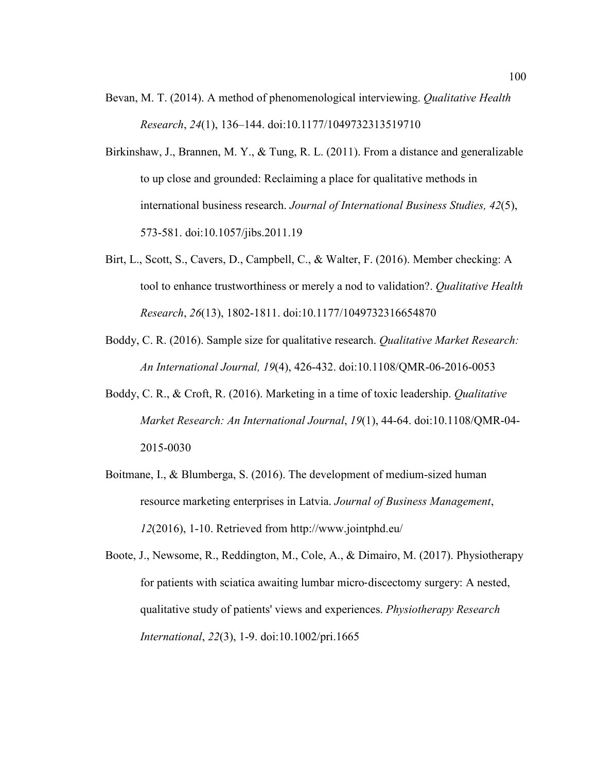- Bevan, M. T. (2014). A method of phenomenological interviewing. *Qualitative Health Research*, *24*(1), 136–144. doi:10.1177/1049732313519710
- Birkinshaw, J., Brannen, M. Y., & Tung, R. L. (2011). From a distance and generalizable to up close and grounded: Reclaiming a place for qualitative methods in international business research. *Journal of International Business Studies, 42*(5), 573-581. doi:10.1057/jibs.2011.19
- Birt, L., Scott, S., Cavers, D., Campbell, C., & Walter, F. (2016). Member checking: A tool to enhance trustworthiness or merely a nod to validation?. *Qualitative Health Research*, *26*(13), 1802-1811. doi:10.1177/1049732316654870
- Boddy, C. R. (2016). Sample size for qualitative research. *Qualitative Market Research: An International Journal, 19*(4), 426-432. doi:10.1108/QMR-06-2016-0053
- Boddy, C. R., & Croft, R. (2016). Marketing in a time of toxic leadership. *Qualitative Market Research: An International Journal*, *19*(1), 44-64. doi:10.1108/QMR-04- 2015-0030
- Boitmane, I., & Blumberga, S. (2016). The development of medium-sized human resource marketing enterprises in Latvia. *Journal of Business Management*, *12*(2016), 1-10. Retrieved from http://www.jointphd.eu/
- Boote, J., Newsome, R., Reddington, M., Cole, A., & Dimairo, M. (2017). Physiotherapy for patients with sciatica awaiting lumbar micro-discectomy surgery: A nested, qualitative study of patients' views and experiences. *Physiotherapy Research International*, *22*(3), 1-9. doi:10.1002/pri.1665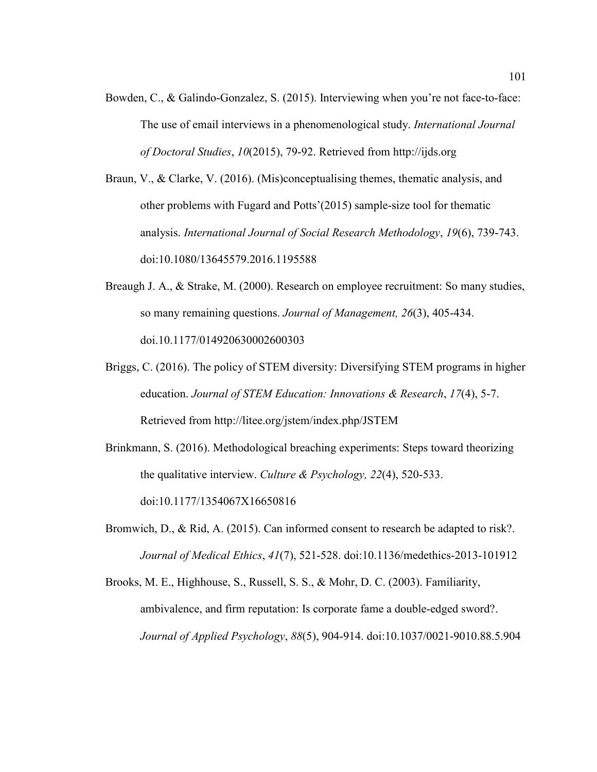Bowden, C., & Galindo-Gonzalez, S. (2015). Interviewing when you're not face-to-face: The use of email interviews in a phenomenological study. *International Journal of Doctoral Studies*, *10*(2015), 79-92. Retrieved from http://ijds.org

Braun, V., & Clarke, V. (2016). (Mis)conceptualising themes, thematic analysis, and other problems with Fugard and Potts'(2015) sample-size tool for thematic analysis. *International Journal of Social Research Methodology*, *19*(6), 739-743. doi:10.1080/13645579.2016.1195588

- Breaugh J. A., & Strake, M. (2000). Research on employee recruitment: So many studies, so many remaining questions. *Journal of Management, 26*(3), 405-434. doi.10.1177/014920630002600303
- Briggs, C. (2016). The policy of STEM diversity: Diversifying STEM programs in higher education. *Journal of STEM Education: Innovations & Research*, *17*(4), 5-7. Retrieved from http://litee.org/jstem/index.php/JSTEM
- Brinkmann, S. (2016). Methodological breaching experiments: Steps toward theorizing the qualitative interview. *Culture & Psychology, 22*(4), 520-533. doi:10.1177/1354067X16650816
- Bromwich, D., & Rid, A. (2015). Can informed consent to research be adapted to risk?. *Journal of Medical Ethics*, *41*(7), 521-528. doi:10.1136/medethics-2013-101912
- Brooks, M. E., Highhouse, S., Russell, S. S., & Mohr, D. C. (2003). Familiarity, ambivalence, and firm reputation: Is corporate fame a double-edged sword?. *Journal of Applied Psychology*, *88*(5), 904-914. doi:10.1037/0021-9010.88.5.904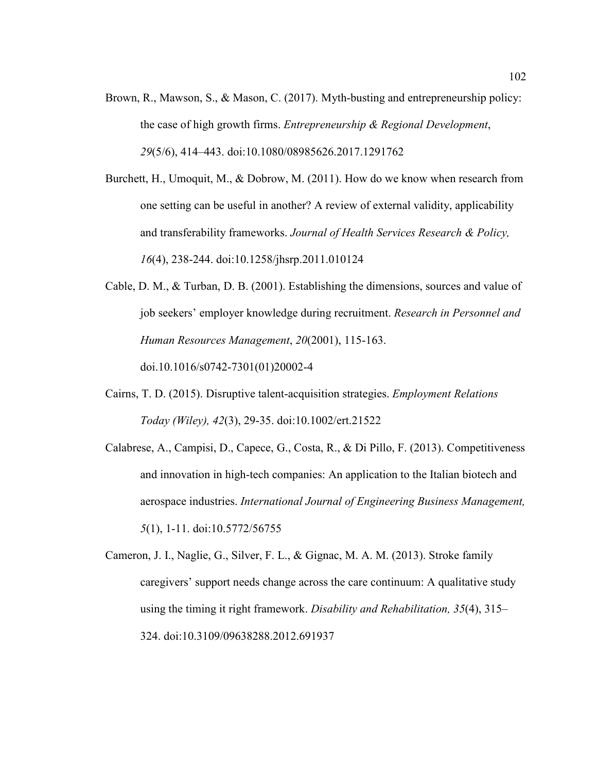Brown, R., Mawson, S., & Mason, C. (2017). Myth-busting and entrepreneurship policy: the case of high growth firms. *Entrepreneurship & Regional Development*, *29*(5/6), 414–443. doi:10.1080/08985626.2017.1291762

Burchett, H., Umoquit, M., & Dobrow, M. (2011). How do we know when research from one setting can be useful in another? A review of external validity, applicability and transferability frameworks. *Journal of Health Services Research & Policy, 16*(4), 238-244. doi:10.1258/jhsrp.2011.010124

- Cable, D. M., & Turban, D. B. (2001). Establishing the dimensions, sources and value of job seekers' employer knowledge during recruitment. *Research in Personnel and Human Resources Management*, *20*(2001), 115-163. doi.10.1016/s0742-7301(01)20002-4
- Cairns, T. D. (2015). Disruptive talent-acquisition strategies. *Employment Relations Today (Wiley), 42*(3), 29-35. doi:10.1002/ert.21522
- Calabrese, A., Campisi, D., Capece, G., Costa, R., & Di Pillo, F. (2013). Competitiveness and innovation in high-tech companies: An application to the Italian biotech and aerospace industries. *International Journal of Engineering Business Management, 5*(1), 1-11. doi:10.5772/56755
- Cameron, J. I., Naglie, G., Silver, F. L., & Gignac, M. A. M. (2013). Stroke family caregivers' support needs change across the care continuum: A qualitative study using the timing it right framework. *Disability and Rehabilitation, 35*(4), 315– 324. doi:10.3109/09638288.2012.691937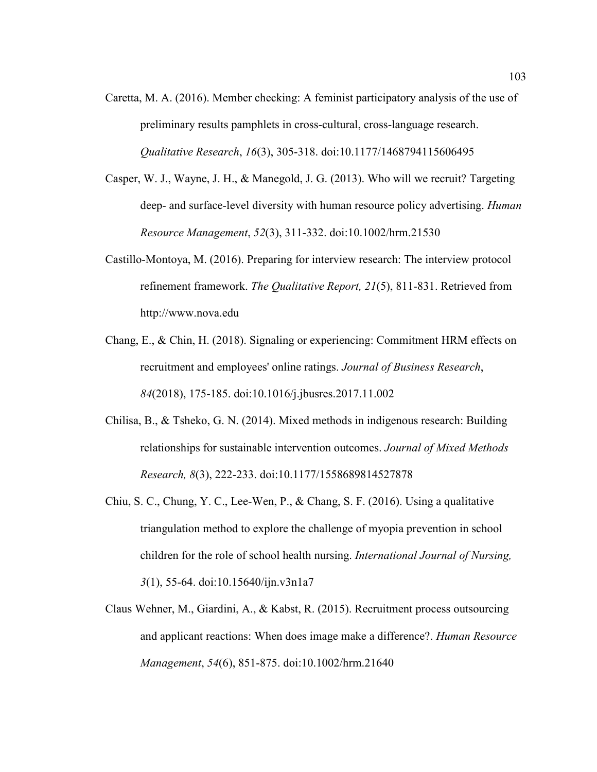- Caretta, M. A. (2016). Member checking: A feminist participatory analysis of the use of preliminary results pamphlets in cross-cultural, cross-language research. *Qualitative Research*, *16*(3), 305-318. doi:10.1177/1468794115606495
- Casper, W. J., Wayne, J. H., & Manegold, J. G. (2013). Who will we recruit? Targeting deep- and surface-level diversity with human resource policy advertising. *Human Resource Management*, *52*(3), 311-332. doi:10.1002/hrm.21530
- Castillo-Montoya, M. (2016). Preparing for interview research: The interview protocol refinement framework. *The Qualitative Report, 21*(5), 811-831. Retrieved from http://www.nova.edu
- Chang, E., & Chin, H. (2018). Signaling or experiencing: Commitment HRM effects on recruitment and employees' online ratings. *Journal of Business Research*, *84*(2018), 175-185. doi:10.1016/j.jbusres.2017.11.002
- Chilisa, B., & Tsheko, G. N. (2014). Mixed methods in indigenous research: Building relationships for sustainable intervention outcomes. *Journal of Mixed Methods Research, 8*(3), 222-233. doi:10.1177/1558689814527878
- Chiu, S. C., Chung, Y. C., Lee-Wen, P., & Chang, S. F. (2016). Using a qualitative triangulation method to explore the challenge of myopia prevention in school children for the role of school health nursing. *International Journal of Nursing, 3*(1), 55-64. doi:10.15640/ijn.v3n1a7
- Claus Wehner, M., Giardini, A., & Kabst, R. (2015). Recruitment process outsourcing and applicant reactions: When does image make a difference?. *Human Resource Management*, *54*(6), 851-875. doi:10.1002/hrm.21640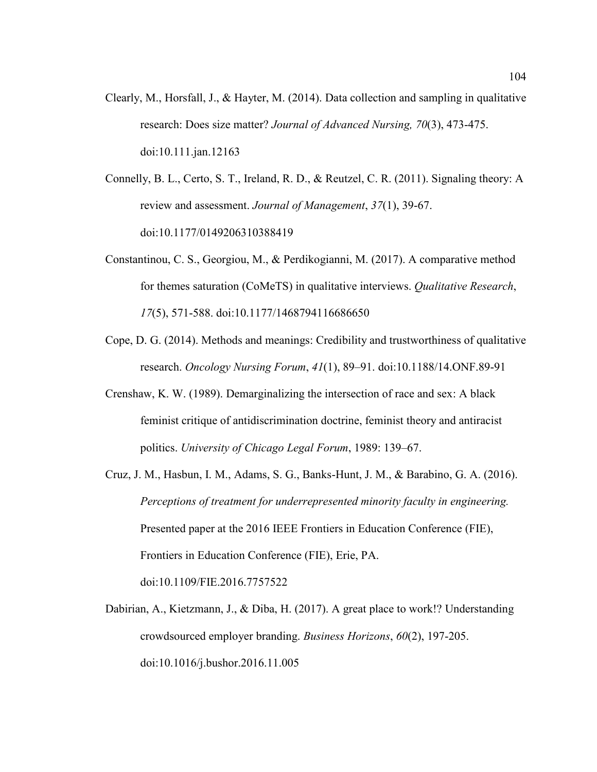- Clearly, M., Horsfall, J., & Hayter, M. (2014). Data collection and sampling in qualitative research: Does size matter? *Journal of Advanced Nursing, 70*(3), 473-475. doi:10.111.jan.12163
- Connelly, B. L., Certo, S. T., Ireland, R. D., & Reutzel, C. R. (2011). Signaling theory: A review and assessment. *Journal of Management*, *37*(1), 39-67. doi:10.1177/0149206310388419
- Constantinou, C. S., Georgiou, M., & Perdikogianni, M. (2017). A comparative method for themes saturation (CoMeTS) in qualitative interviews. *Qualitative Research*, *17*(5), 571-588. doi:10.1177/1468794116686650
- Cope, D. G. (2014). Methods and meanings: Credibility and trustworthiness of qualitative research. *Oncology Nursing Forum*, *41*(1), 89–91. doi:10.1188/14.ONF.89-91
- Crenshaw, K. W. (1989). Demarginalizing the intersection of race and sex: A black feminist critique of antidiscrimination doctrine, feminist theory and antiracist politics. *University of Chicago Legal Forum*, 1989: 139–67.
- Cruz, J. M., Hasbun, I. M., Adams, S. G., Banks-Hunt, J. M., & Barabino, G. A. (2016). *Perceptions of treatment for underrepresented minority faculty in engineering.* Presented paper at the 2016 IEEE Frontiers in Education Conference (FIE), Frontiers in Education Conference (FIE), Erie, PA. doi:10.1109/FIE.2016.7757522
- Dabirian, A., Kietzmann, J., & Diba, H. (2017). A great place to work!? Understanding crowdsourced employer branding. *Business Horizons*, *60*(2), 197-205. doi:10.1016/j.bushor.2016.11.005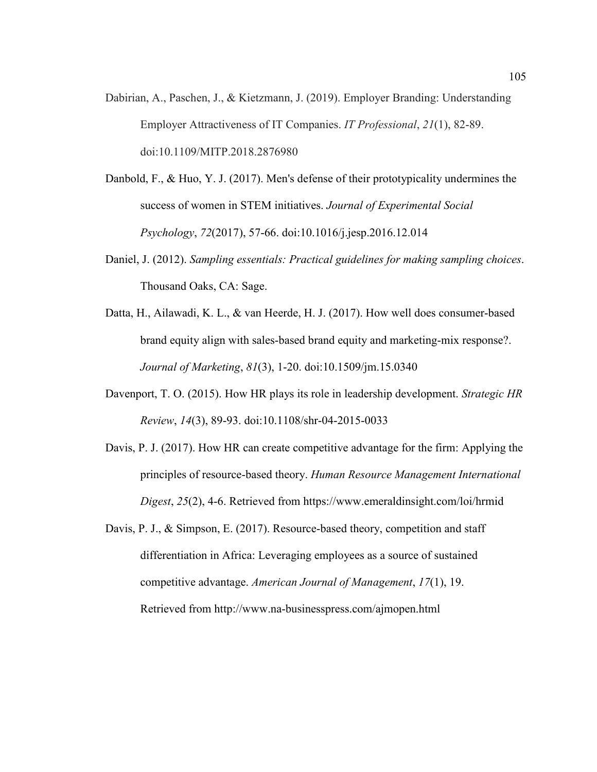- Dabirian, A., Paschen, J., & Kietzmann, J. (2019). Employer Branding: Understanding Employer Attractiveness of IT Companies. *IT Professional*, *21*(1), 82-89. doi:10.1109/MITP.2018.2876980
- Danbold, F., & Huo, Y. J. (2017). Men's defense of their prototypicality undermines the success of women in STEM initiatives. *Journal of Experimental Social Psychology*, *72*(2017), 57-66. doi:10.1016/j.jesp.2016.12.014
- Daniel, J. (2012). *Sampling essentials: Practical guidelines for making sampling choices*. Thousand Oaks, CA: Sage.
- Datta, H., Ailawadi, K. L., & van Heerde, H. J. (2017). How well does consumer-based brand equity align with sales-based brand equity and marketing-mix response?. *Journal of Marketing*, *81*(3), 1-20. doi:10.1509/jm.15.0340
- Davenport, T. O. (2015). How HR plays its role in leadership development. *Strategic HR Review*, *14*(3), 89-93. doi:10.1108/shr-04-2015-0033
- Davis, P. J. (2017). How HR can create competitive advantage for the firm: Applying the principles of resource-based theory. *Human Resource Management International Digest*, *25*(2), 4-6. Retrieved from https://www.emeraldinsight.com/loi/hrmid
- Davis, P. J., & Simpson, E. (2017). Resource-based theory, competition and staff differentiation in Africa: Leveraging employees as a source of sustained competitive advantage. *American Journal of Management*, *17*(1), 19. Retrieved from http://www.na-businesspress.com/ajmopen.html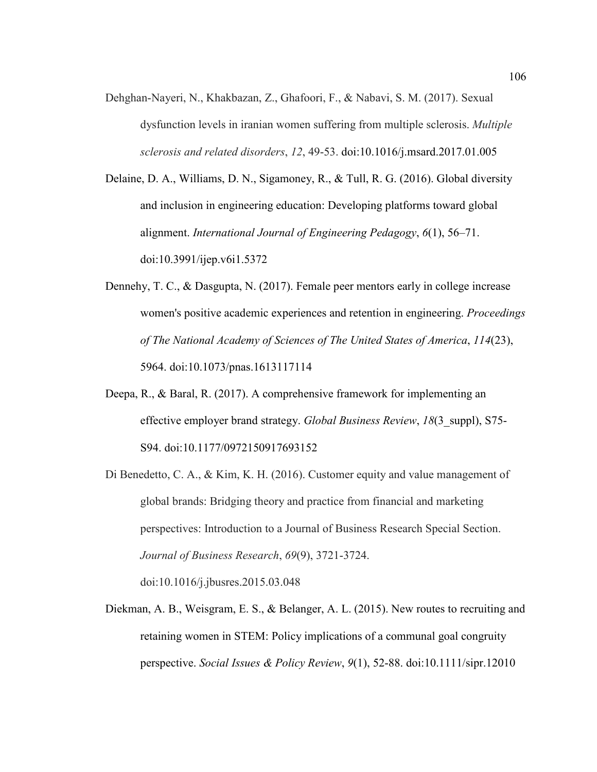Dehghan-Nayeri, N., Khakbazan, Z., Ghafoori, F., & Nabavi, S. M. (2017). Sexual dysfunction levels in iranian women suffering from multiple sclerosis. *Multiple sclerosis and related disorders*, *12*, 49-53. doi:10.1016/j.msard.2017.01.005

Delaine, D. A., Williams, D. N., Sigamoney, R., & Tull, R. G. (2016). Global diversity and inclusion in engineering education: Developing platforms toward global alignment. *International Journal of Engineering Pedagogy*, *6*(1), 56–71. doi:10.3991/ijep.v6i1.5372

- Dennehy, T. C., & Dasgupta, N. (2017). Female peer mentors early in college increase women's positive academic experiences and retention in engineering. *Proceedings of The National Academy of Sciences of The United States of America*, *114*(23), 5964. doi:10.1073/pnas.1613117114
- Deepa, R., & Baral, R. (2017). A comprehensive framework for implementing an effective employer brand strategy. *Global Business Review*, *18*(3\_suppl), S75- S94. doi:10.1177/0972150917693152
- Di Benedetto, C. A., & Kim, K. H. (2016). Customer equity and value management of global brands: Bridging theory and practice from financial and marketing perspectives: Introduction to a Journal of Business Research Special Section. *Journal of Business Research*, *69*(9), 3721-3724.

doi:10.1016/j.jbusres.2015.03.048

Diekman, A. B., Weisgram, E. S., & Belanger, A. L. (2015). New routes to recruiting and retaining women in STEM: Policy implications of a communal goal congruity perspective. *Social Issues & Policy Review*, *9*(1), 52-88. doi:10.1111/sipr.12010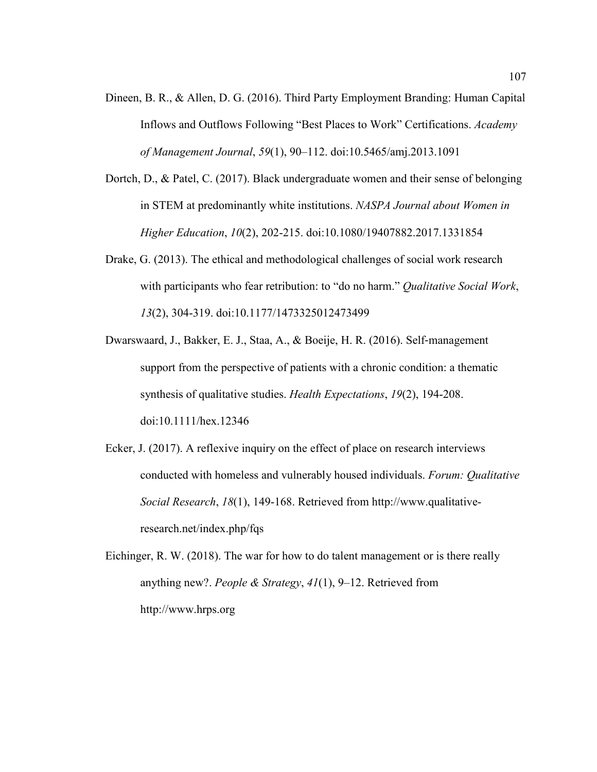- Dineen, B. R., & Allen, D. G. (2016). Third Party Employment Branding: Human Capital Inflows and Outflows Following "Best Places to Work" Certifications. *Academy of Management Journal*, *59*(1), 90–112. doi:10.5465/amj.2013.1091
- Dortch, D., & Patel, C. (2017). Black undergraduate women and their sense of belonging in STEM at predominantly white institutions. *NASPA Journal about Women in Higher Education*, *10*(2), 202-215. doi:10.1080/19407882.2017.1331854
- Drake, G. (2013). The ethical and methodological challenges of social work research with participants who fear retribution: to "do no harm." *Qualitative Social Work*, *13*(2), 304-319. doi:10.1177/1473325012473499
- Dwarswaard, J., Bakker, E. J., Staa, A., & Boeije, H. R. (2016). Self‐management support from the perspective of patients with a chronic condition: a thematic synthesis of qualitative studies. *Health Expectations*, *19*(2), 194-208. doi:10.1111/hex.12346
- Ecker, J. (2017). A reflexive inquiry on the effect of place on research interviews conducted with homeless and vulnerably housed individuals. *Forum: Qualitative Social Research*, *18*(1), 149-168. Retrieved from http://www.qualitativeresearch.net/index.php/fqs
- Eichinger, R. W. (2018). The war for how to do talent management or is there really anything new?. *People & Strategy*, *41*(1), 9–12. Retrieved from http://www.hrps.org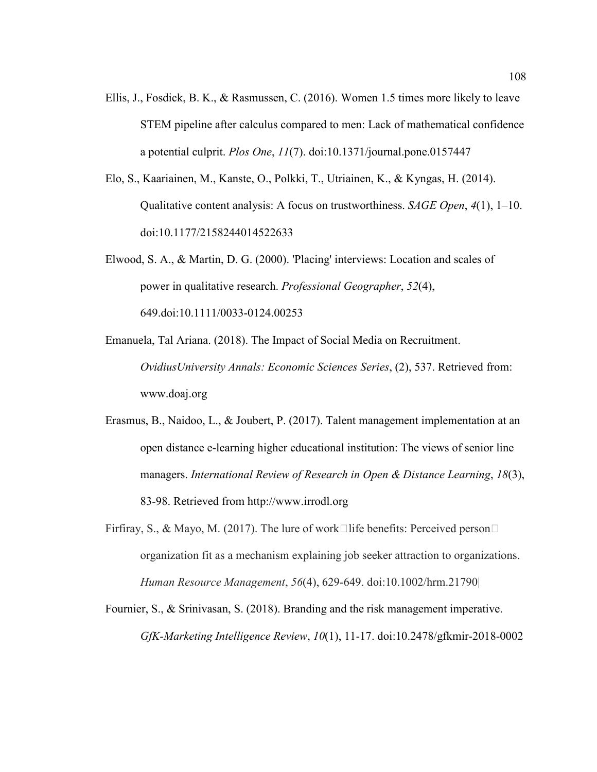- Ellis, J., Fosdick, B. K., & Rasmussen, C. (2016). Women 1.5 times more likely to leave STEM pipeline after calculus compared to men: Lack of mathematical confidence a potential culprit. *Plos One*, *11*(7). doi:10.1371/journal.pone.0157447
- Elo, S., Kaariainen, M., Kanste, O., Polkki, T., Utriainen, K., & Kyngas, H. (2014). Qualitative content analysis: A focus on trustworthiness. *SAGE Open*, *4*(1), 1–10. doi:10.1177/2158244014522633
- Elwood, S. A., & Martin, D. G. (2000). 'Placing' interviews: Location and scales of power in qualitative research. *Professional Geographer*, *52*(4), 649.doi:10.1111/0033-0124.00253
- Emanuela, Tal Ariana. (2018). The Impact of Social Media on Recruitment. *OvidiusUniversity Annals: Economic Sciences Series*, (2), 537. Retrieved from: www.doaj.org
- Erasmus, B., Naidoo, L., & Joubert, P. (2017). Talent management implementation at an open distance e-learning higher educational institution: The views of senior line managers. *International Review of Research in Open & Distance Learning*, *18*(3), 83-98. Retrieved from http://www.irrodl.org
- Firfiray, S., & Mayo, M. (2017). The lure of work $\Box$ life benefits: Perceived person $\Box$ organization fit as a mechanism explaining job seeker attraction to organizations. *Human Resource Management*, *56*(4), 629-649. doi:10.1002/hrm.21790|
- Fournier, S., & Srinivasan, S. (2018). Branding and the risk management imperative. *GfK-Marketing Intelligence Review*, *10*(1), 11-17. doi:10.2478/gfkmir-2018-0002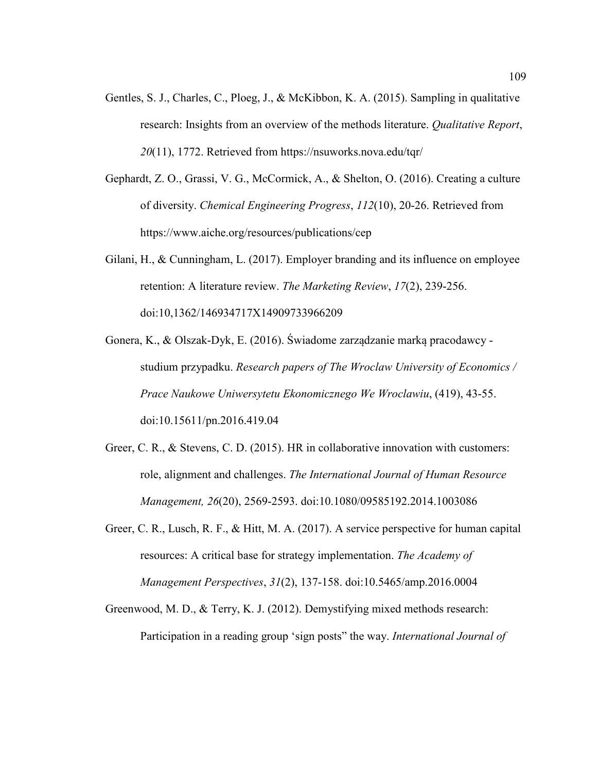- Gentles, S. J., Charles, C., Ploeg, J., & McKibbon, K. A. (2015). Sampling in qualitative research: Insights from an overview of the methods literature. *Qualitative Report*, *20*(11), 1772. Retrieved from https://nsuworks.nova.edu/tqr/
- Gephardt, Z. O., Grassi, V. G., McCormick, A., & Shelton, O. (2016). Creating a culture of diversity. *Chemical Engineering Progress*, *112*(10), 20-26. Retrieved from https://www.aiche.org/resources/publications/cep
- Gilani, H., & Cunningham, L. (2017). Employer branding and its influence on employee retention: A literature review. *The Marketing Review*, *17*(2), 239-256. doi:10,1362/146934717X14909733966209
- Gonera, K., & Olszak-Dyk, E. (2016). Świadome zarządzanie marką pracodawcy studium przypadku. *Research papers of The Wroclaw University of Economics / Prace Naukowe Uniwersytetu Ekonomicznego We Wroclawiu*, (419), 43-55. doi:10.15611/pn.2016.419.04
- Greer, C. R., & Stevens, C. D. (2015). HR in collaborative innovation with customers: role, alignment and challenges. *The International Journal of Human Resource Management, 26*(20), 2569-2593. doi:10.1080/09585192.2014.1003086
- Greer, C. R., Lusch, R. F., & Hitt, M. A. (2017). A service perspective for human capital resources: A critical base for strategy implementation. *The Academy of Management Perspectives*, *31*(2), 137-158. doi:10.5465/amp.2016.0004
- Greenwood, M. D., & Terry, K. J. (2012). Demystifying mixed methods research: Participation in a reading group 'sign posts" the way. *International Journal of*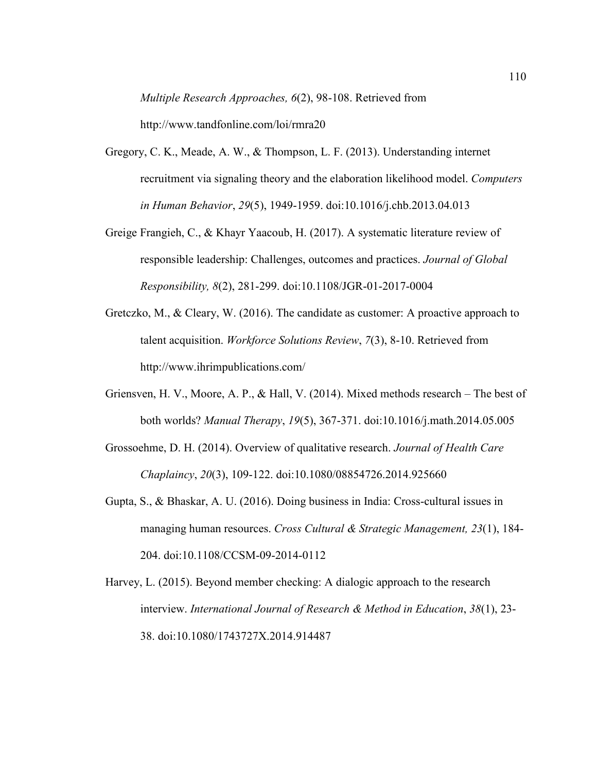*Multiple Research Approaches, 6*(2), 98-108. Retrieved from

http://www.tandfonline.com/loi/rmra20

- Gregory, C. K., Meade, A. W., & Thompson, L. F. (2013). Understanding internet recruitment via signaling theory and the elaboration likelihood model. *Computers in Human Behavior*, *29*(5), 1949-1959. doi:10.1016/j.chb.2013.04.013
- Greige Frangieh, C., & Khayr Yaacoub, H. (2017). A systematic literature review of responsible leadership: Challenges, outcomes and practices. *Journal of Global Responsibility, 8*(2), 281-299. doi:10.1108/JGR-01-2017-0004
- Gretczko, M., & Cleary, W. (2016). The candidate as customer: A proactive approach to talent acquisition. *Workforce Solutions Review*, *7*(3), 8-10. Retrieved from http://www.ihrimpublications.com/
- Griensven, H. V., Moore, A. P., & Hall, V. (2014). Mixed methods research The best of both worlds? *Manual Therapy*, *19*(5), 367-371. doi:10.1016/j.math.2014.05.005
- Grossoehme, D. H. (2014). Overview of qualitative research. *Journal of Health Care Chaplaincy*, *20*(3), 109-122. doi:10.1080/08854726.2014.925660
- Gupta, S., & Bhaskar, A. U. (2016). Doing business in India: Cross-cultural issues in managing human resources. *Cross Cultural & Strategic Management, 23*(1), 184- 204. doi:10.1108/CCSM-09-2014-0112
- Harvey, L. (2015). Beyond member checking: A dialogic approach to the research interview. *International Journal of Research & Method in Education*, *38*(1), 23- 38. doi:10.1080/1743727X.2014.914487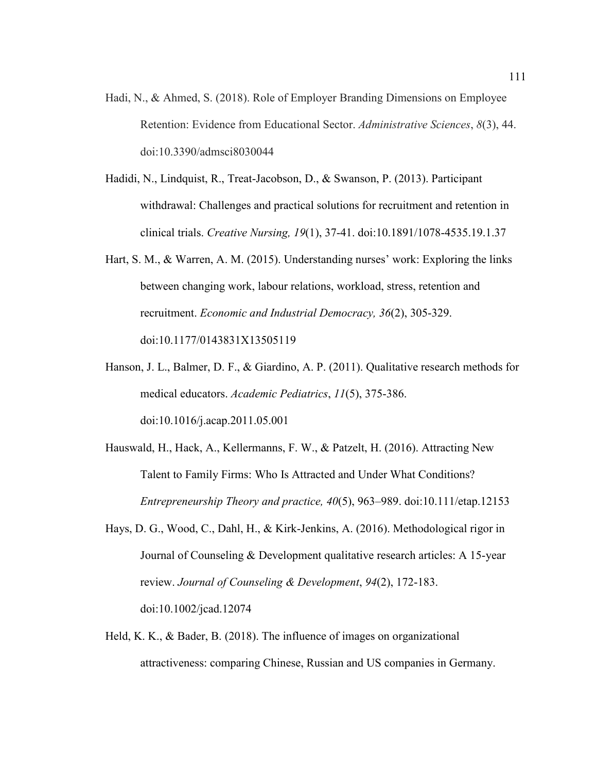- Hadi, N., & Ahmed, S. (2018). Role of Employer Branding Dimensions on Employee Retention: Evidence from Educational Sector. *Administrative Sciences*, *8*(3), 44. doi:10.3390/admsci8030044
- Hadidi, N., Lindquist, R., Treat-Jacobson, D., & Swanson, P. (2013). Participant withdrawal: Challenges and practical solutions for recruitment and retention in clinical trials. *Creative Nursing, 19*(1), 37-41. doi:10.1891/1078-4535.19.1.37
- Hart, S. M., & Warren, A. M. (2015). Understanding nurses' work: Exploring the links between changing work, labour relations, workload, stress, retention and recruitment. *Economic and Industrial Democracy, 36*(2), 305-329. doi:10.1177/0143831X13505119
- Hanson, J. L., Balmer, D. F., & Giardino, A. P. (2011). Qualitative research methods for medical educators. *Academic Pediatrics*, *11*(5), 375-386. doi:10.1016/j.acap.2011.05.001
- Hauswald, H., Hack, A., Kellermanns, F. W., & Patzelt, H. (2016). Attracting New Talent to Family Firms: Who Is Attracted and Under What Conditions? *Entrepreneurship Theory and practice, 40*(5), 963–989. doi:10.111/etap.12153
- Hays, D. G., Wood, C., Dahl, H., & Kirk-Jenkins, A. (2016). Methodological rigor in Journal of Counseling & Development qualitative research articles: A 15-year review. *Journal of Counseling & Development*, *94*(2), 172-183. doi:10.1002/jcad.12074
- Held, K. K., & Bader, B. (2018). The influence of images on organizational attractiveness: comparing Chinese, Russian and US companies in Germany.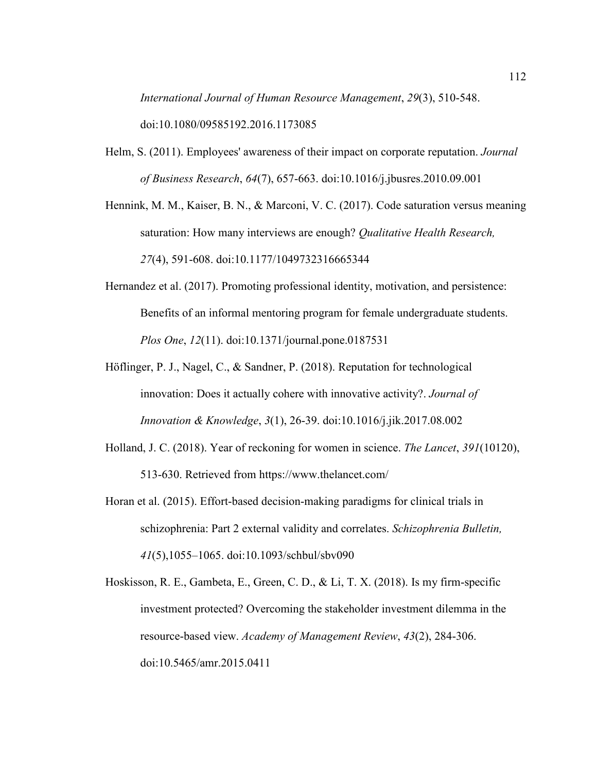*International Journal of Human Resource Management*, *29*(3), 510-548. doi:10.1080/09585192.2016.1173085

Helm, S. (2011). Employees' awareness of their impact on corporate reputation. *Journal of Business Research*, *64*(7), 657-663. doi:10.1016/j.jbusres.2010.09.001

Hennink, M. M., Kaiser, B. N., & Marconi, V. C. (2017). Code saturation versus meaning saturation: How many interviews are enough? *Qualitative Health Research, 27*(4), 591-608. doi:10.1177/1049732316665344

- Hernandez et al. (2017). Promoting professional identity, motivation, and persistence: Benefits of an informal mentoring program for female undergraduate students. *Plos One*, *12*(11). doi:10.1371/journal.pone.0187531
- Höflinger, P. J., Nagel, C., & Sandner, P. (2018). Reputation for technological innovation: Does it actually cohere with innovative activity?. *Journal of Innovation & Knowledge*, *3*(1), 26-39. doi:10.1016/j.jik.2017.08.002
- Holland, J. C. (2018). Year of reckoning for women in science. *The Lancet*, *391*(10120), 513-630. Retrieved from https://www.thelancet.com/
- Horan et al. (2015). Effort-based decision-making paradigms for clinical trials in schizophrenia: Part 2 external validity and correlates. *Schizophrenia Bulletin, 41*(5),1055–1065. doi:10.1093/schbul/sbv090
- Hoskisson, R. E., Gambeta, E., Green, C. D., & Li, T. X. (2018). Is my firm-specific investment protected? Overcoming the stakeholder investment dilemma in the resource-based view. *Academy of Management Review*, *43*(2), 284-306. doi:10.5465/amr.2015.0411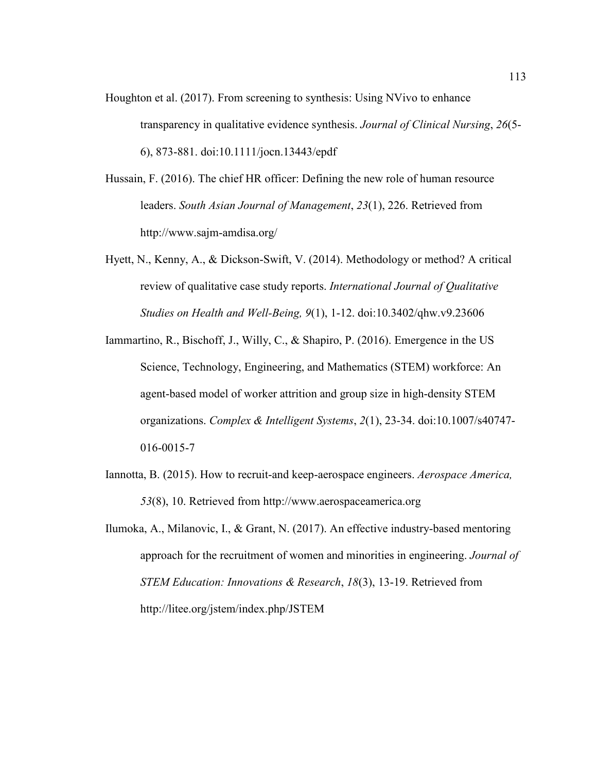- Houghton et al. (2017). From screening to synthesis: Using NVivo to enhance transparency in qualitative evidence synthesis. *Journal of Clinical Nursing*, *26*(5- 6), 873-881. doi:10.1111/jocn.13443/epdf
- Hussain, F. (2016). The chief HR officer: Defining the new role of human resource leaders. *South Asian Journal of Management*, *23*(1), 226. Retrieved from http://www.sajm-amdisa.org/
- Hyett, N., Kenny, A., & Dickson-Swift, V. (2014). Methodology or method? A critical review of qualitative case study reports. *International Journal of Qualitative Studies on Health and Well-Being, 9*(1), 1-12. doi:10.3402/qhw.v9.23606
- Iammartino, R., Bischoff, J., Willy, C., & Shapiro, P. (2016). Emergence in the US Science, Technology, Engineering, and Mathematics (STEM) workforce: An agent-based model of worker attrition and group size in high-density STEM organizations. *Complex & Intelligent Systems*, *2*(1), 23-34. doi:10.1007/s40747- 016-0015-7
- Iannotta, B. (2015). How to recruit-and keep-aerospace engineers. *Aerospace America, 53*(8), 10. Retrieved from http://www.aerospaceamerica.org
- Ilumoka, A., Milanovic, I., & Grant, N. (2017). An effective industry-based mentoring approach for the recruitment of women and minorities in engineering. *Journal of STEM Education: Innovations & Research*, *18*(3), 13-19. Retrieved from http://litee.org/jstem/index.php/JSTEM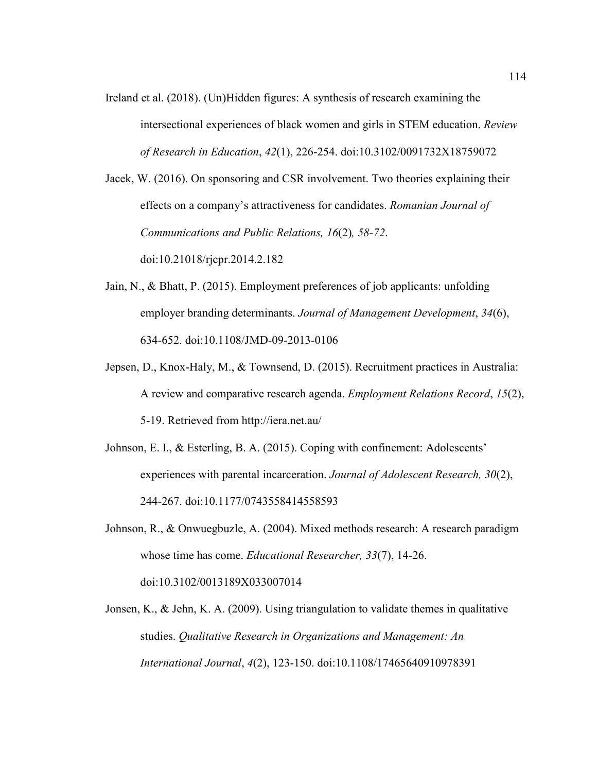Ireland et al. (2018). (Un)Hidden figures: A synthesis of research examining the intersectional experiences of black women and girls in STEM education. *Review of Research in Education*, *42*(1), 226-254. doi:10.3102/0091732X18759072

Jacek, W. (2016). On sponsoring and CSR involvement. Two theories explaining their effects on a company's attractiveness for candidates. *Romanian Journal of Communications and Public Relations, 16*(2)*, 58-72*.

doi:10.21018/rjcpr.2014.2.182

- Jain, N., & Bhatt, P. (2015). Employment preferences of job applicants: unfolding employer branding determinants. *Journal of Management Development*, *34*(6), 634-652. doi:10.1108/JMD-09-2013-0106
- Jepsen, D., Knox-Haly, M., & Townsend, D. (2015). Recruitment practices in Australia: A review and comparative research agenda. *Employment Relations Record*, *15*(2), 5-19. Retrieved from http://iera.net.au/
- Johnson, E. I., & Esterling, B. A. (2015). Coping with confinement: Adolescents' experiences with parental incarceration. *Journal of Adolescent Research, 30*(2), 244-267. doi:10.1177/0743558414558593
- Johnson, R., & Onwuegbuzle, A. (2004). Mixed methods research: A research paradigm whose time has come. *Educational Researcher, 33*(7), 14-26. doi:10.3102/0013189X033007014
- Jonsen, K., & Jehn, K. A. (2009). Using triangulation to validate themes in qualitative studies. *Qualitative Research in Organizations and Management: An International Journal*, *4*(2), 123-150. doi:10.1108/17465640910978391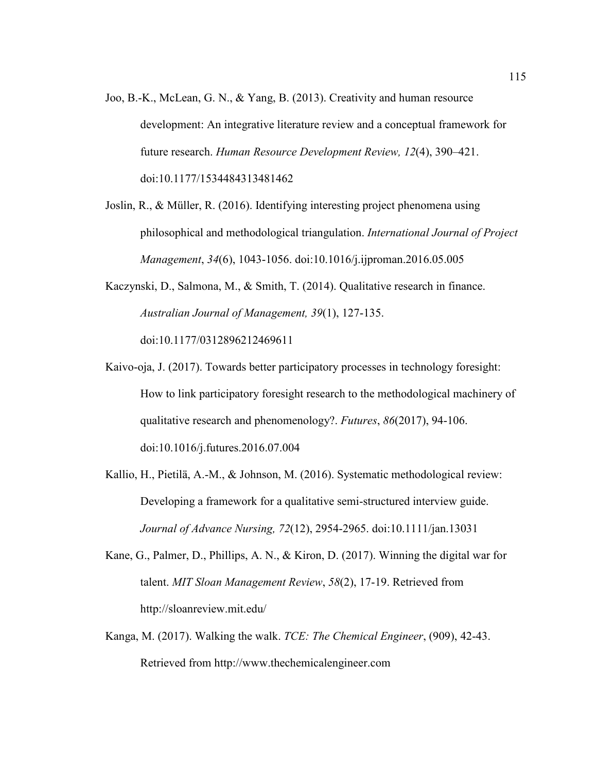- Joo, B.-K., McLean, G. N., & Yang, B. (2013). Creativity and human resource development: An integrative literature review and a conceptual framework for future research. *Human Resource Development Review, 12*(4), 390–421. doi:10.1177/1534484313481462
- Joslin, R., & Müller, R. (2016). Identifying interesting project phenomena using philosophical and methodological triangulation. *International Journal of Project Management*, *34*(6), 1043-1056. doi:10.1016/j.ijproman.2016.05.005
- Kaczynski, D., Salmona, M., & Smith, T. (2014). Qualitative research in finance. *Australian Journal of Management, 39*(1), 127-135. doi:10.1177/0312896212469611
- Kaivo-oja, J. (2017). Towards better participatory processes in technology foresight: How to link participatory foresight research to the methodological machinery of qualitative research and phenomenology?. *Futures*, *86*(2017), 94-106. doi:10.1016/j.futures.2016.07.004
- Kallio, H., Pietilä, A.-M., & Johnson, M. (2016). Systematic methodological review: Developing a framework for a qualitative semi-structured interview guide. *Journal of Advance Nursing, 72*(12), 2954-2965. doi:10.1111/jan.13031
- Kane, G., Palmer, D., Phillips, A. N., & Kiron, D. (2017). Winning the digital war for talent. *MIT Sloan Management Review*, *58*(2), 17-19. Retrieved from http://sloanreview.mit.edu/
- Kanga, M. (2017). Walking the walk. *TCE: The Chemical Engineer*, (909), 42-43. Retrieved from http://www.thechemicalengineer.com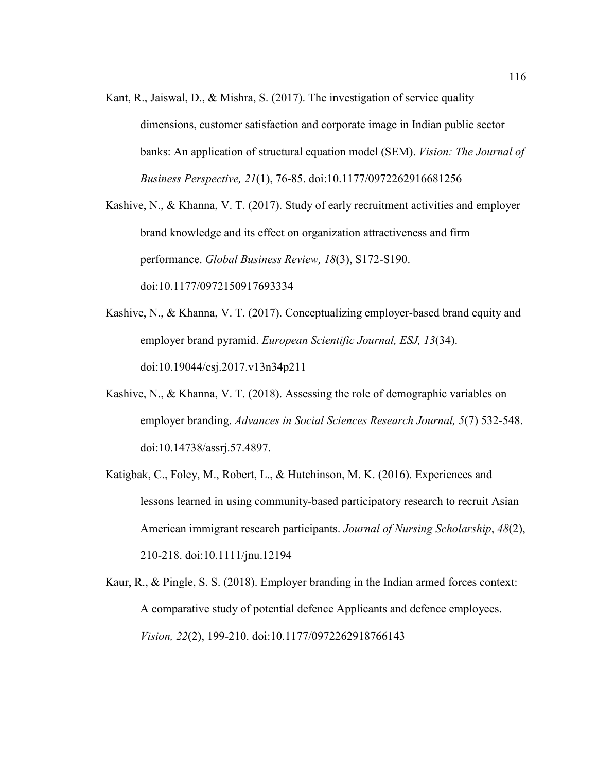Kant, R., Jaiswal, D., & Mishra, S. (2017). The investigation of service quality dimensions, customer satisfaction and corporate image in Indian public sector banks: An application of structural equation model (SEM). *Vision: The Journal of Business Perspective, 21*(1), 76-85. doi:10.1177/0972262916681256

Kashive, N., & Khanna, V. T. (2017). Study of early recruitment activities and employer brand knowledge and its effect on organization attractiveness and firm performance. *Global Business Review, 18*(3), S172-S190. doi:10.1177/0972150917693334

- Kashive, N., & Khanna, V. T. (2017). Conceptualizing employer-based brand equity and employer brand pyramid. *European Scientific Journal, ESJ, 13*(34). doi:10.19044/esj.2017.v13n34p211
- Kashive, N., & Khanna, V. T. (2018). Assessing the role of demographic variables on employer branding. *Advances in Social Sciences Research Journal, 5*(7) 532-548. doi:10.14738/assrj.57.4897.
- Katigbak, C., Foley, M., Robert, L., & Hutchinson, M. K. (2016). Experiences and lessons learned in using community-based participatory research to recruit Asian American immigrant research participants. *Journal of Nursing Scholarship*, *48*(2), 210-218. doi:10.1111/jnu.12194
- Kaur, R., & Pingle, S. S. (2018). Employer branding in the Indian armed forces context: A comparative study of potential defence Applicants and defence employees. *Vision, 22*(2), 199-210. doi:10.1177/0972262918766143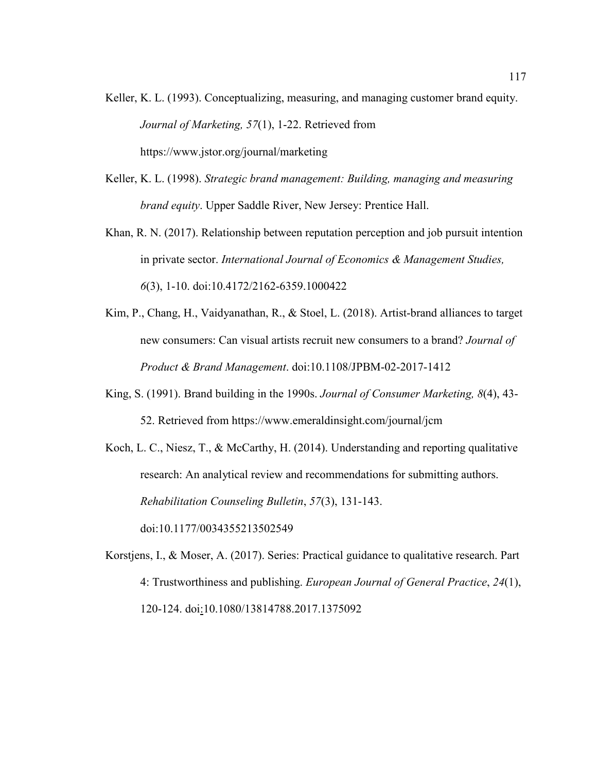- Keller, K. L. (1993). Conceptualizing, measuring, and managing customer brand equity. *Journal of Marketing, 57*(1), 1-22. Retrieved from https://www.jstor.org/journal/marketing
- Keller, K. L. (1998). *Strategic brand management: Building, managing and measuring brand equity*. Upper Saddle River, New Jersey: Prentice Hall.
- Khan, R. N. (2017). Relationship between reputation perception and job pursuit intention in private sector. *International Journal of Economics & Management Studies, 6*(3), 1-10. doi:10.4172/2162-6359.1000422
- Kim, P., Chang, H., Vaidyanathan, R., & Stoel, L. (2018). Artist-brand alliances to target new consumers: Can visual artists recruit new consumers to a brand? *Journal of Product & Brand Management*. doi:10.1108/JPBM-02-2017-1412
- King, S. (1991). Brand building in the 1990s. *Journal of Consumer Marketing, 8*(4), 43- 52. Retrieved from https://www.emeraldinsight.com/journal/jcm
- Koch, L. C., Niesz, T., & McCarthy, H. (2014). Understanding and reporting qualitative research: An analytical review and recommendations for submitting authors. *Rehabilitation Counseling Bulletin*, *57*(3), 131-143. doi:10.1177/0034355213502549

Korstjens, I., & Moser, A. (2017). Series: Practical guidance to qualitative research. Part 4: Trustworthiness and publishing. *European Journal of General Practice*, *24*(1),

120-124. doi:10.1080/13814788.2017.1375092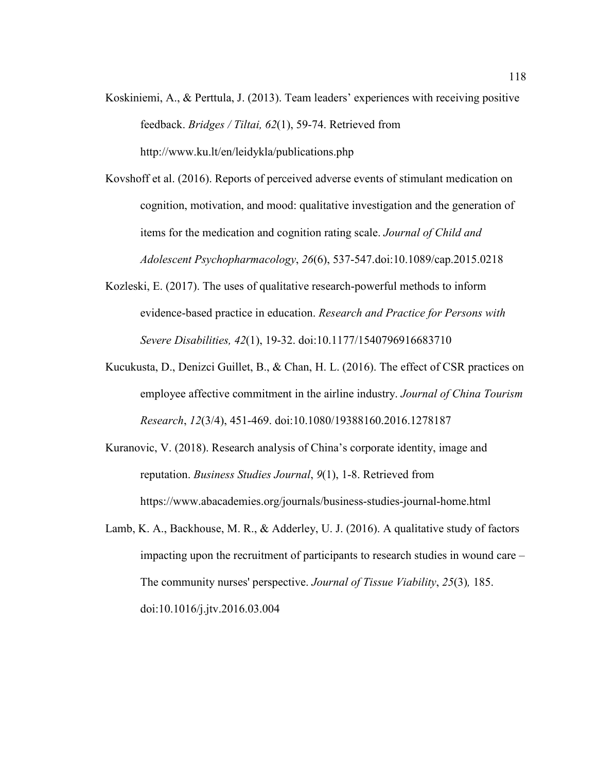- Koskiniemi, A., & Perttula, J. (2013). Team leaders' experiences with receiving positive feedback. *Bridges / Tiltai, 62*(1), 59-74. Retrieved from http://www.ku.lt/en/leidykla/publications.php
- Kovshoff et al. (2016). Reports of perceived adverse events of stimulant medication on cognition, motivation, and mood: qualitative investigation and the generation of items for the medication and cognition rating scale. *Journal of Child and Adolescent Psychopharmacology*, *26*(6), 537-547.doi:10.1089/cap.2015.0218
- Kozleski, E. (2017). The uses of qualitative research-powerful methods to inform evidence-based practice in education. *Research and Practice for Persons with Severe Disabilities, 42*(1), 19-32. doi:10.1177/1540796916683710
- Kucukusta, D., Denizci Guillet, B., & Chan, H. L. (2016). The effect of CSR practices on employee affective commitment in the airline industry. *Journal of China Tourism Research*, *12*(3/4), 451-469. doi:10.1080/19388160.2016.1278187
- Kuranovic, V. (2018). Research analysis of China's corporate identity, image and reputation. *Business Studies Journal*, *9*(1), 1-8. Retrieved from https://www.abacademies.org/journals/business-studies-journal-home.html
- Lamb, K. A., Backhouse, M. R., & Adderley, U. J. (2016). A qualitative study of factors impacting upon the recruitment of participants to research studies in wound care – The community nurses' perspective. *Journal of Tissue Viability*, *25*(3)*,* 185. doi:10.1016/j.jtv.2016.03.004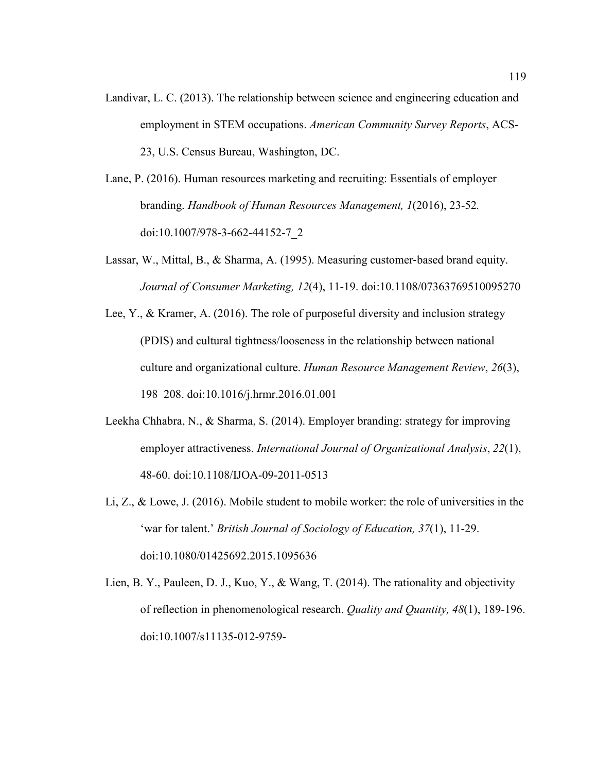- Landivar, L. C. (2013). The relationship between science and engineering education and employment in STEM occupations. *American Community Survey Reports*, ACS-23, U.S. Census Bureau, Washington, DC.
- Lane, P. (2016). Human resources marketing and recruiting: Essentials of employer branding. *Handbook of Human Resources Management, 1*(2016), 23-52*.*  doi:10.1007/978-3-662-44152-7\_2
- Lassar, W., Mittal, B., & Sharma, A. (1995). Measuring customer-based brand equity. *Journal of Consumer Marketing, 12*(4), 11-19. doi:10.1108/07363769510095270
- Lee, Y., & Kramer, A. (2016). The role of purposeful diversity and inclusion strategy (PDIS) and cultural tightness/looseness in the relationship between national culture and organizational culture. *Human Resource Management Review*, *26*(3), 198–208. doi:10.1016/j.hrmr.2016.01.001
- Leekha Chhabra, N., & Sharma, S. (2014). Employer branding: strategy for improving employer attractiveness. *International Journal of Organizational Analysis*, *22*(1), 48-60. doi:10.1108/IJOA-09-2011-0513
- Li, Z., & Lowe, J. (2016). Mobile student to mobile worker: the role of universities in the 'war for talent.' *British Journal of Sociology of Education, 37*(1), 11-29. doi:10.1080/01425692.2015.1095636
- Lien, B. Y., Pauleen, D. J., Kuo, Y., & Wang, T. (2014). The rationality and objectivity of reflection in phenomenological research. *Quality and Quantity, 48*(1), 189-196. doi:10.1007/s11135-012-9759-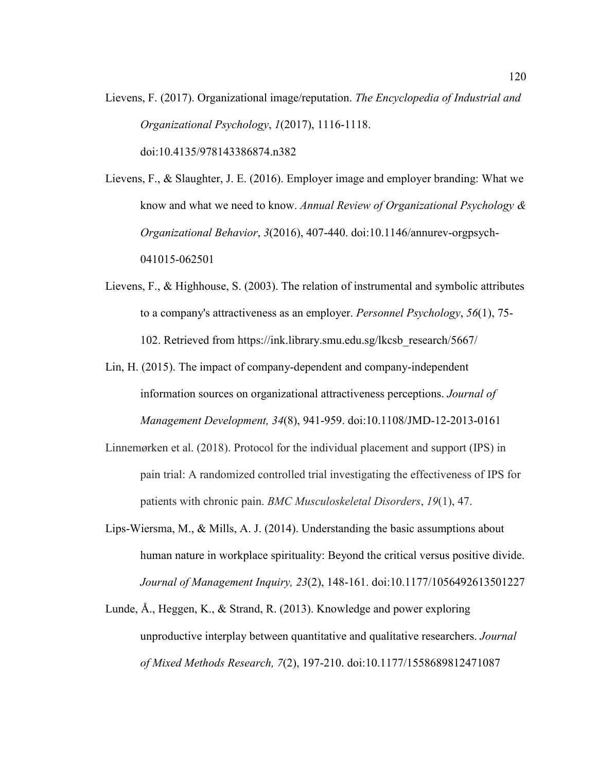Lievens, F. (2017). Organizational image/reputation. *The Encyclopedia of Industrial and Organizational Psychology*, *1*(2017), 1116-1118. doi:10.4135/978143386874.n382

Lievens, F., & Slaughter, J. E. (2016). Employer image and employer branding: What we know and what we need to know. *Annual Review of Organizational Psychology & Organizational Behavior*, *3*(2016), 407-440. doi:10.1146/annurev-orgpsych-041015-062501

- Lievens, F., & Highhouse, S. (2003). The relation of instrumental and symbolic attributes to a company's attractiveness as an employer. *Personnel Psychology*, *56*(1), 75- 102. Retrieved from https://ink.library.smu.edu.sg/lkcsb\_research/5667/
- Lin, H. (2015). The impact of company-dependent and company-independent information sources on organizational attractiveness perceptions. *Journal of Management Development, 34*(8), 941-959. doi:10.1108/JMD-12-2013-0161
- Linnemørken et al. (2018). Protocol for the individual placement and support (IPS) in pain trial: A randomized controlled trial investigating the effectiveness of IPS for patients with chronic pain. *BMC Musculoskeletal Disorders*, *19*(1), 47.
- Lips-Wiersma, M., & Mills, A. J. (2014). Understanding the basic assumptions about human nature in workplace spirituality: Beyond the critical versus positive divide. *Journal of Management Inquiry, 23*(2), 148-161. doi:10.1177/1056492613501227
- Lunde, Å., Heggen, K., & Strand, R. (2013). Knowledge and power exploring unproductive interplay between quantitative and qualitative researchers. *Journal of Mixed Methods Research, 7*(2), 197-210. doi:10.1177/1558689812471087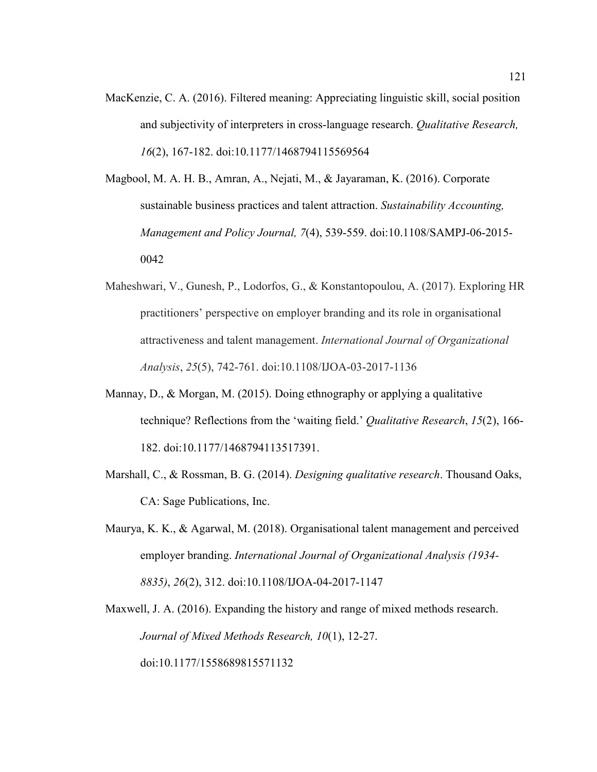- MacKenzie, C. A. (2016). Filtered meaning: Appreciating linguistic skill, social position and subjectivity of interpreters in cross-language research. *Qualitative Research, 16*(2), 167-182. doi:10.1177/1468794115569564
- Magbool, M. A. H. B., Amran, A., Nejati, M., & Jayaraman, K. (2016). Corporate sustainable business practices and talent attraction. *Sustainability Accounting, Management and Policy Journal, 7*(4), 539-559. doi:10.1108/SAMPJ-06-2015- 0042
- Maheshwari, V., Gunesh, P., Lodorfos, G., & Konstantopoulou, A. (2017). Exploring HR practitioners' perspective on employer branding and its role in organisational attractiveness and talent management. *International Journal of Organizational Analysis*, *25*(5), 742-761. doi:10.1108/IJOA-03-2017-1136
- Mannay, D., & Morgan, M. (2015). Doing ethnography or applying a qualitative technique? Reflections from the 'waiting field.' *Qualitative Research*, *15*(2), 166- 182. doi:10.1177/1468794113517391.
- Marshall, C., & Rossman, B. G. (2014). *Designing qualitative research*. Thousand Oaks, CA: Sage Publications, Inc.
- Maurya, K. K., & Agarwal, M. (2018). Organisational talent management and perceived employer branding. *International Journal of Organizational Analysis (1934- 8835)*, *26*(2), 312. doi:10.1108/IJOA-04-2017-1147

Maxwell, J. A. (2016). Expanding the history and range of mixed methods research. *Journal of Mixed Methods Research, 10*(1), 12-27. doi:10.1177/1558689815571132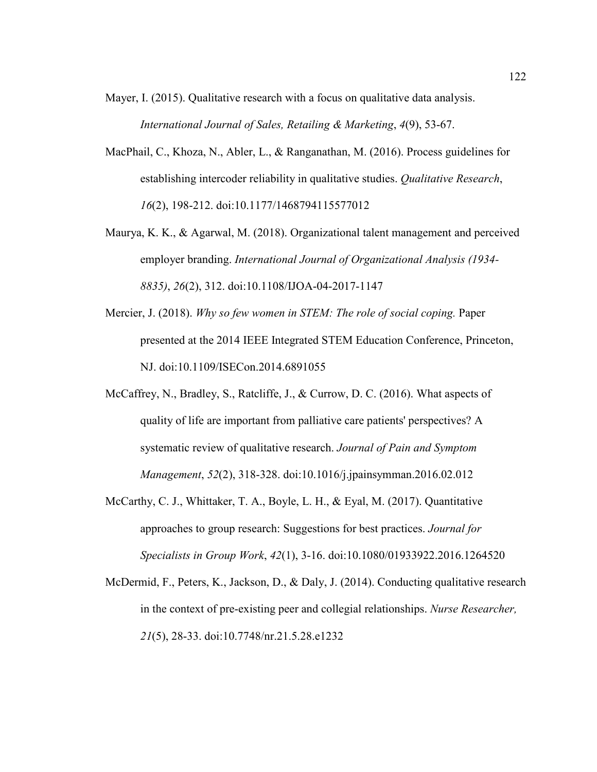Mayer, I. (2015). Qualitative research with a focus on qualitative data analysis. *International Journal of Sales, Retailing & Marketing*, *4*(9), 53-67.

- MacPhail, C., Khoza, N., Abler, L., & Ranganathan, M. (2016). Process guidelines for establishing intercoder reliability in qualitative studies. *Qualitative Research*, *16*(2), 198-212. doi:10.1177/1468794115577012
- Maurya, K. K., & Agarwal, M. (2018). Organizational talent management and perceived employer branding. *International Journal of Organizational Analysis (1934- 8835)*, *26*(2), 312. doi:10.1108/IJOA-04-2017-1147
- Mercier, J. (2018). *Why so few women in STEM: The role of social coping.* Paper presented at the 2014 IEEE Integrated STEM Education Conference, Princeton, NJ. doi:10.1109/ISECon.2014.6891055
- McCaffrey, N., Bradley, S., Ratcliffe, J., & Currow, D. C. (2016). What aspects of quality of life are important from palliative care patients' perspectives? A systematic review of qualitative research. *Journal of Pain and Symptom Management*, *52*(2), 318-328. doi:10.1016/j.jpainsymman.2016.02.012
- McCarthy, C. J., Whittaker, T. A., Boyle, L. H., & Eyal, M. (2017). Quantitative approaches to group research: Suggestions for best practices. *Journal for Specialists in Group Work*, *42*(1), 3-16. doi:10.1080/01933922.2016.1264520
- McDermid, F., Peters, K., Jackson, D., & Daly, J. (2014). Conducting qualitative research in the context of pre-existing peer and collegial relationships. *Nurse Researcher, 21*(5), 28-33. doi:10.7748/nr.21.5.28.e1232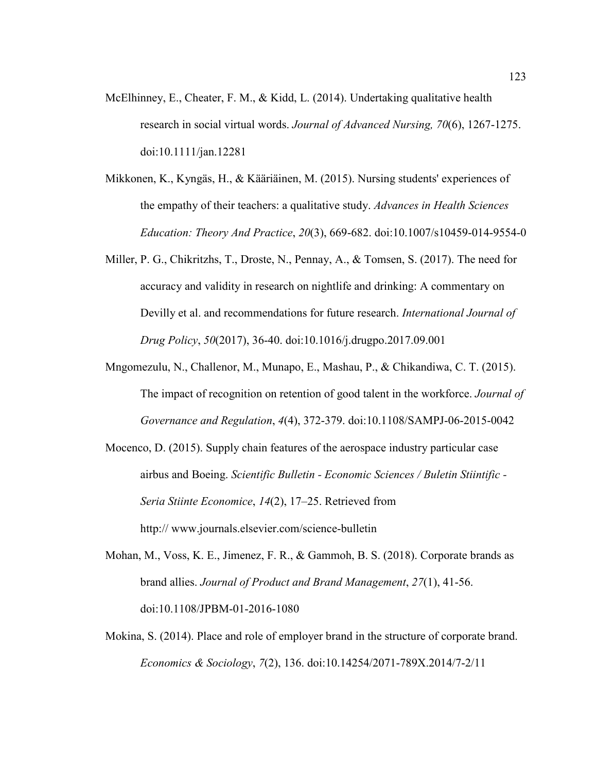- McElhinney, E., Cheater, F. M., & Kidd, L.  $(2014)$ . Undertaking qualitative health research in social virtual words. *Journal of Advanced Nursing, 70*(6), 1267-1275. doi:10.1111/jan.12281
- Mikkonen, K., Kyngäs, H., & Kääriäinen, M. (2015). Nursing students' experiences of the empathy of their teachers: a qualitative study. *Advances in Health Sciences Education: Theory And Practice*, *20*(3), 669-682. doi:10.1007/s10459-014-9554-0
- Miller, P. G., Chikritzhs, T., Droste, N., Pennay, A., & Tomsen, S. (2017). The need for accuracy and validity in research on nightlife and drinking: A commentary on Devilly et al. and recommendations for future research. *International Journal of Drug Policy*, *50*(2017), 36-40. doi:10.1016/j.drugpo.2017.09.001
- Mngomezulu, N., Challenor, M., Munapo, E., Mashau, P., & Chikandiwa, C. T. (2015). The impact of recognition on retention of good talent in the workforce. *Journal of Governance and Regulation*, *4*(4), 372-379. doi:10.1108/SAMPJ-06-2015-0042
- Mocenco, D. (2015). Supply chain features of the aerospace industry particular case airbus and Boeing. *Scientific Bulletin - Economic Sciences / Buletin Stiintific - Seria Stiinte Economice*, *14*(2), 17–25. Retrieved from http:// www.journals.elsevier.com/science-bulletin
- Mohan, M., Voss, K. E., Jimenez, F. R., & Gammoh, B. S. (2018). Corporate brands as brand allies. *Journal of Product and Brand Management*, *27*(1), 41-56. doi:10.1108/JPBM-01-2016-1080
- Mokina, S. (2014). Place and role of employer brand in the structure of corporate brand. *Economics & Sociology*, *7*(2), 136. doi:10.14254/2071-789X.2014/7-2/11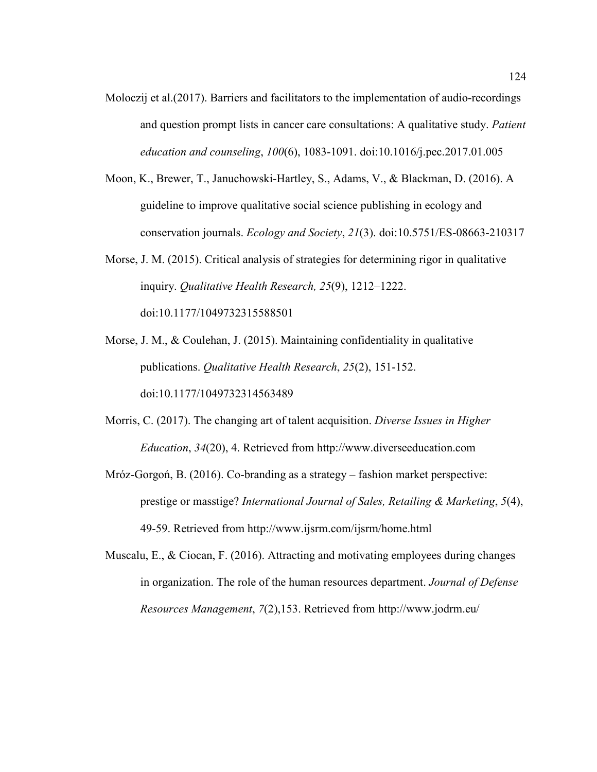- Moloczij et al.(2017). Barriers and facilitators to the implementation of audio-recordings and question prompt lists in cancer care consultations: A qualitative study. *Patient education and counseling*, *100*(6), 1083-1091. doi:10.1016/j.pec.2017.01.005
- Moon, K., Brewer, T., Januchowski-Hartley, S., Adams, V., & Blackman, D. (2016). A guideline to improve qualitative social science publishing in ecology and conservation journals. *Ecology and Society*, *21*(3). doi:10.5751/ES-08663-210317
- Morse, J. M. (2015). Critical analysis of strategies for determining rigor in qualitative inquiry. *Qualitative Health Research, 25*(9), 1212–1222. doi:10.1177/1049732315588501
- Morse, J. M., & Coulehan, J. (2015). Maintaining confidentiality in qualitative publications. *Qualitative Health Research*, *25*(2), 151-152. doi:10.1177/1049732314563489
- Morris, C. (2017). The changing art of talent acquisition. *Diverse Issues in Higher Education*, *34*(20), 4. Retrieved from http://www.diverseeducation.com
- Mróz-Gorgoń, B. (2016). Co-branding as a strategy fashion market perspective: prestige or masstige? *International Journal of Sales, Retailing & Marketing*, *5*(4), 49-59. Retrieved from http://www.ijsrm.com/ijsrm/home.html
- Muscalu, E., & Ciocan, F. (2016). Attracting and motivating employees during changes in organization. The role of the human resources department. *Journal of Defense Resources Management*, *7*(2),153. Retrieved from http://www.jodrm.eu/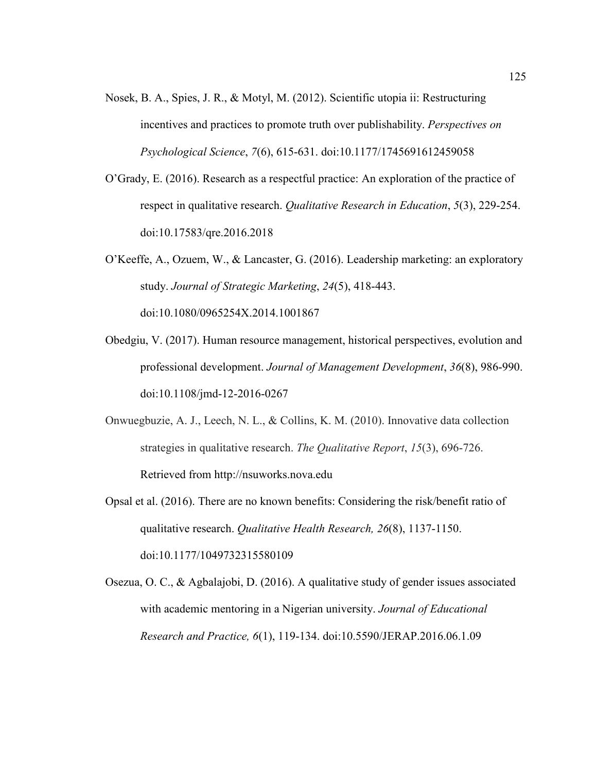- Nosek, B. A., Spies, J. R., & Motyl, M. (2012). Scientific utopia ii: Restructuring incentives and practices to promote truth over publishability. *Perspectives on Psychological Science*, *7*(6), 615-631. doi:10.1177/1745691612459058
- O'Grady, E. (2016). Research as a respectful practice: An exploration of the practice of respect in qualitative research. *Qualitative Research in Education*, *5*(3), 229-254. doi:10.17583/qre.2016.2018
- O'Keeffe, A., Ozuem, W., & Lancaster, G. (2016). Leadership marketing: an exploratory study. *Journal of Strategic Marketing*, *24*(5), 418-443. doi:10.1080/0965254X.2014.1001867
- Obedgiu, V. (2017). Human resource management, historical perspectives, evolution and professional development. *Journal of Management Development*, *36*(8), 986-990. doi:10.1108/jmd-12-2016-0267
- Onwuegbuzie, A. J., Leech, N. L., & Collins, K. M. (2010). Innovative data collection strategies in qualitative research. *The Qualitative Report*, *15*(3), 696-726. Retrieved from http://nsuworks.nova.edu
- Opsal et al. (2016). There are no known benefits: Considering the risk/benefit ratio of qualitative research. *Qualitative Health Research, 26*(8), 1137-1150. doi:10.1177/1049732315580109
- Osezua, O. C., & Agbalajobi, D. (2016). A qualitative study of gender issues associated with academic mentoring in a Nigerian university. *Journal of Educational Research and Practice, 6*(1), 119-134. doi:10.5590/JERAP.2016.06.1.09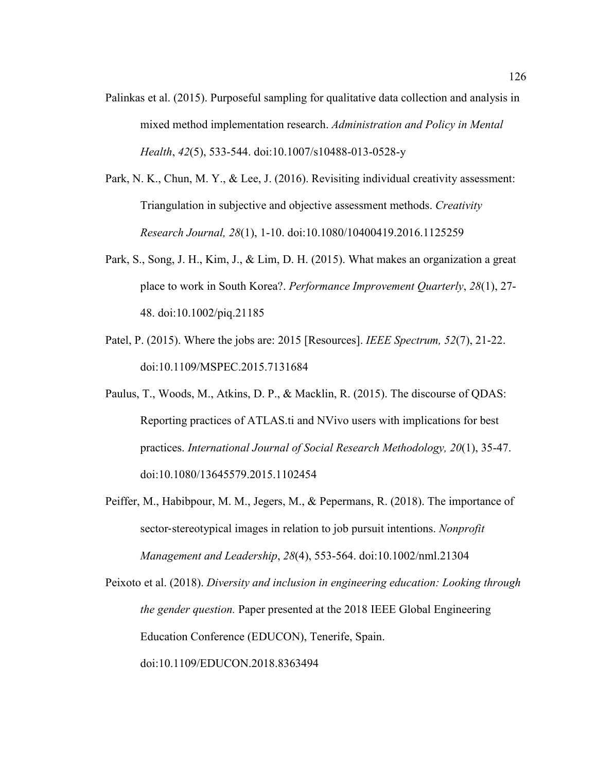- Palinkas et al. (2015). Purposeful sampling for qualitative data collection and analysis in mixed method implementation research. *Administration and Policy in Mental Health*, *42*(5), 533-544. doi:10.1007/s10488-013-0528-y
- Park, N. K., Chun, M. Y., & Lee, J. (2016). Revisiting individual creativity assessment: Triangulation in subjective and objective assessment methods. *Creativity Research Journal, 28*(1), 1-10. doi:10.1080/10400419.2016.1125259
- Park, S., Song, J. H., Kim, J., & Lim, D. H. (2015). What makes an organization a great place to work in South Korea?. *Performance Improvement Quarterly*, *28*(1), 27- 48. doi:10.1002/piq.21185
- Patel, P. (2015). Where the jobs are: 2015 [Resources]. *IEEE Spectrum, 52*(7), 21-22. doi:10.1109/MSPEC.2015.7131684
- Paulus, T., Woods, M., Atkins, D. P., & Macklin, R. (2015). The discourse of QDAS: Reporting practices of ATLAS.ti and NVivo users with implications for best practices. *International Journal of Social Research Methodology, 20*(1), 35-47. doi:10.1080/13645579.2015.1102454
- Peiffer, M., Habibpour, M. M., Jegers, M., & Pepermans, R. (2018). The importance of sector-stereotypical images in relation to job pursuit intentions. *Nonprofit Management and Leadership*, *28*(4), 553-564. doi:10.1002/nml.21304

Peixoto et al. (2018). *Diversity and inclusion in engineering education: Looking through the gender question.* Paper presented at the 2018 IEEE Global Engineering Education Conference (EDUCON), Tenerife, Spain. doi:10.1109/EDUCON.2018.8363494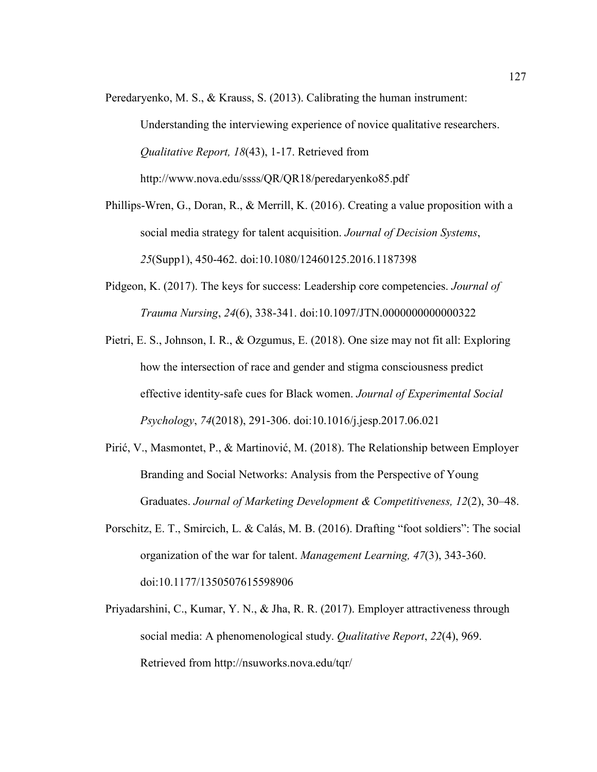- Peredaryenko, M. S., & Krauss, S. (2013). Calibrating the human instrument: Understanding the interviewing experience of novice qualitative researchers. *Qualitative Report, 18*(43), 1-17. Retrieved from http://www.nova.edu/ssss/QR/QR18/peredaryenko85.pdf
- Phillips-Wren, G., Doran, R., & Merrill, K. (2016). Creating a value proposition with a social media strategy for talent acquisition. *Journal of Decision Systems*, *25*(Supp1), 450-462. doi:10.1080/12460125.2016.1187398
- Pidgeon, K. (2017). The keys for success: Leadership core competencies. *Journal of Trauma Nursing*, *24*(6), 338-341. doi:10.1097/JTN.0000000000000322
- Pietri, E. S., Johnson, I. R., & Ozgumus, E. (2018). One size may not fit all: Exploring how the intersection of race and gender and stigma consciousness predict effective identity-safe cues for Black women. *Journal of Experimental Social Psychology*, *74*(2018), 291-306. doi:10.1016/j.jesp.2017.06.021
- Pirić, V., Masmontet, P., & Martinović, M. (2018). The Relationship between Employer Branding and Social Networks: Analysis from the Perspective of Young Graduates. *Journal of Marketing Development & Competitiveness, 12*(2), 30–48.
- Porschitz, E. T., Smircich, L. & Calás, M. B. (2016). Drafting "foot soldiers": The social organization of the war for talent. *Management Learning, 47*(3), 343-360. doi:10.1177/1350507615598906
- Priyadarshini, C., Kumar, Y. N., & Jha, R. R. (2017). Employer attractiveness through social media: A phenomenological study. *Qualitative Report*, *22*(4), 969. Retrieved from http://nsuworks.nova.edu/tqr/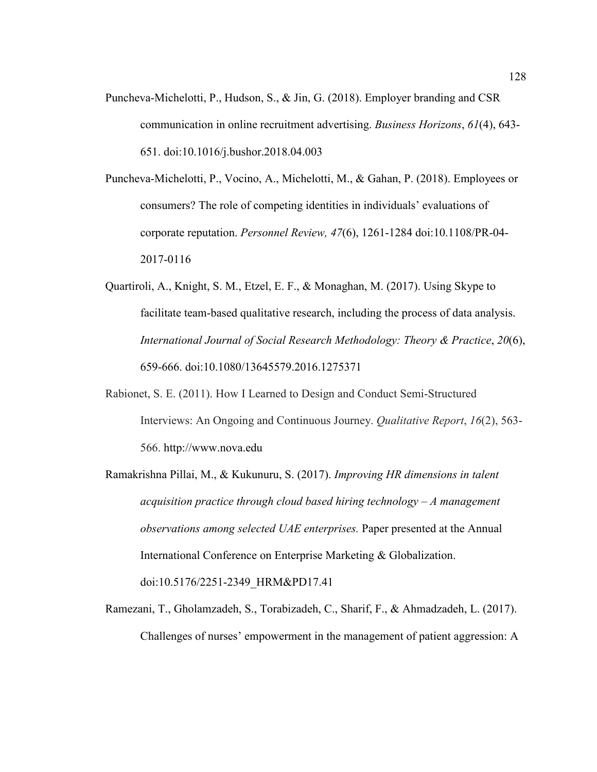- Puncheva-Michelotti, P., Hudson, S., & Jin, G. (2018). Employer branding and CSR communication in online recruitment advertising. *Business Horizons*, *61*(4), 643- 651. doi:10.1016/j.bushor.2018.04.003
- Puncheva-Michelotti, P., Vocino, A., Michelotti, M., & Gahan, P. (2018). Employees or consumers? The role of competing identities in individuals' evaluations of corporate reputation. *Personnel Review, 47*(6), 1261-1284 doi:10.1108/PR-04- 2017-0116
- Quartiroli, A., Knight, S. M., Etzel, E. F., & Monaghan, M. (2017). Using Skype to facilitate team-based qualitative research, including the process of data analysis. *International Journal of Social Research Methodology: Theory & Practice*, *20*(6), 659-666. doi:10.1080/13645579.2016.1275371
- Rabionet, S. E. (2011). How I Learned to Design and Conduct Semi-Structured Interviews: An Ongoing and Continuous Journey. *Qualitative Report*, *16*(2), 563- 566. http://www.nova.edu
- Ramakrishna Pillai, M., & Kukunuru, S. (2017). *Improving HR dimensions in talent acquisition practice through cloud based hiring technology – A management observations among selected UAE enterprises.* Paper presented at the Annual International Conference on Enterprise Marketing & Globalization. doi:10.5176/2251-2349\_HRM&PD17.41
- Ramezani, T., Gholamzadeh, S., Torabizadeh, C., Sharif, F., & Ahmadzadeh, L. (2017). Challenges of nurses' empowerment in the management of patient aggression: A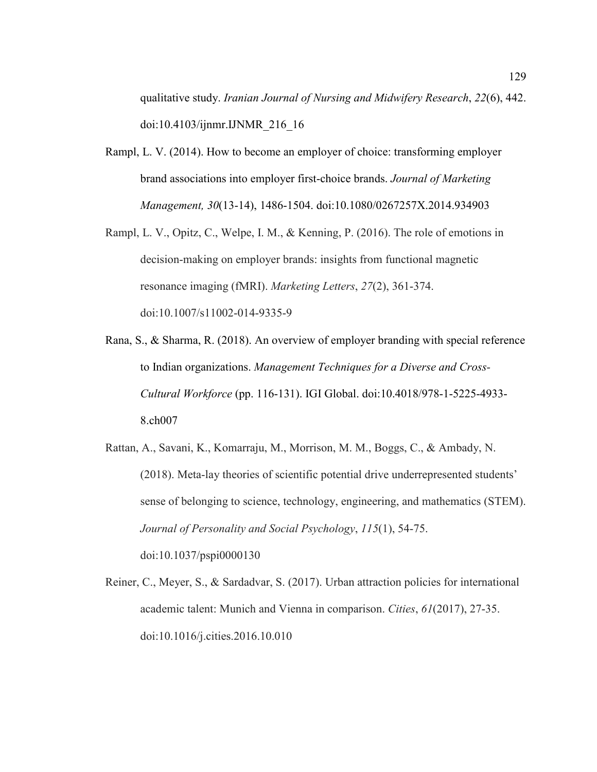qualitative study. *Iranian Journal of Nursing and Midwifery Research*, *22*(6), 442. doi:10.4103/ijnmr.IJNMR\_216\_16

- Rampl, L. V. (2014). How to become an employer of choice: transforming employer brand associations into employer first-choice brands. *Journal of Marketing Management, 30*(13-14), 1486-1504. doi:10.1080/0267257X.2014.934903
- Rampl, L. V., Opitz, C., Welpe, I. M., & Kenning, P. (2016). The role of emotions in decision-making on employer brands: insights from functional magnetic resonance imaging (fMRI). *Marketing Letters*, *27*(2), 361-374. doi:10.1007/s11002-014-9335-9
- Rana, S., & Sharma, R. (2018). An overview of employer branding with special reference to Indian organizations. *Management Techniques for a Diverse and Cross-Cultural Workforce* (pp. 116-131). IGI Global. doi:10.4018/978-1-5225-4933- 8.ch007
- Rattan, A., Savani, K., Komarraju, M., Morrison, M. M., Boggs, C., & Ambady, N. (2018). Meta-lay theories of scientific potential drive underrepresented students' sense of belonging to science, technology, engineering, and mathematics (STEM). *Journal of Personality and Social Psychology*, *115*(1), 54-75. doi:10.1037/pspi0000130
- Reiner, C., Meyer, S., & Sardadvar, S. (2017). Urban attraction policies for international academic talent: Munich and Vienna in comparison. *Cities*, *61*(2017), 27-35. doi:10.1016/j.cities.2016.10.010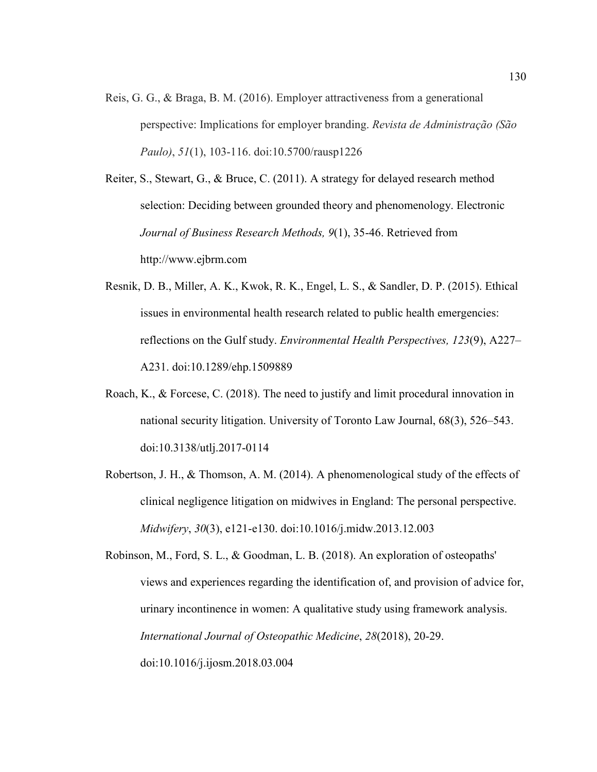Reis, G. G., & Braga, B. M. (2016). Employer attractiveness from a generational perspective: Implications for employer branding. *Revista de Administração (São Paulo)*, *51*(1), 103-116. doi:10.5700/rausp1226

Reiter, S., Stewart, G., & Bruce, C. (2011). A strategy for delayed research method selection: Deciding between grounded theory and phenomenology. Electronic *Journal of Business Research Methods, 9*(1), 35-46. Retrieved from http://www.ejbrm.com

- Resnik, D. B., Miller, A. K., Kwok, R. K., Engel, L. S., & Sandler, D. P. (2015). Ethical issues in environmental health research related to public health emergencies: reflections on the Gulf study. *Environmental Health Perspectives, 123*(9), A227– A231. doi:10.1289/ehp.1509889
- Roach, K., & Forcese, C. (2018). The need to justify and limit procedural innovation in national security litigation. University of Toronto Law Journal, 68(3), 526–543. doi:10.3138/utlj.2017-0114
- Robertson, J. H., & Thomson, A. M. (2014). A phenomenological study of the effects of clinical negligence litigation on midwives in England: The personal perspective. *Midwifery*, *30*(3), e121-e130. doi:10.1016/j.midw.2013.12.003

Robinson, M., Ford, S. L., & Goodman, L. B. (2018). An exploration of osteopaths' views and experiences regarding the identification of, and provision of advice for, urinary incontinence in women: A qualitative study using framework analysis. *International Journal of Osteopathic Medicine*, *28*(2018), 20-29. doi:10.1016/j.ijosm.2018.03.004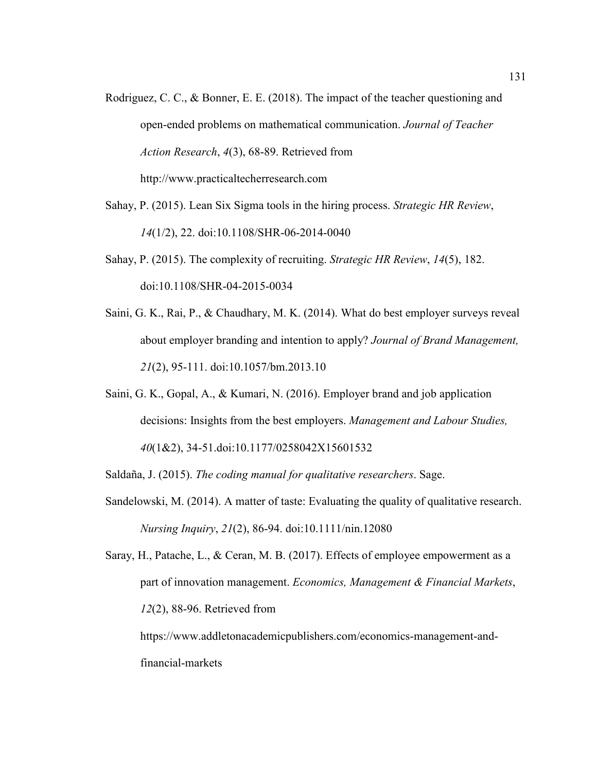- Rodriguez, C. C., & Bonner, E. E. (2018). The impact of the teacher questioning and open-ended problems on mathematical communication. *Journal of Teacher Action Research*, *4*(3), 68-89. Retrieved from http://www.practicaltecherresearch.com
- Sahay, P. (2015). Lean Six Sigma tools in the hiring process. *Strategic HR Review*, *14*(1/2), 22. doi:10.1108/SHR-06-2014-0040
- Sahay, P. (2015). The complexity of recruiting. *Strategic HR Review*, *14*(5), 182. doi:10.1108/SHR-04-2015-0034
- Saini, G. K., Rai, P., & Chaudhary, M. K. (2014). What do best employer surveys reveal about employer branding and intention to apply? *Journal of Brand Management, 21*(2), 95-111. doi:10.1057/bm.2013.10
- Saini, G. K., Gopal, A., & Kumari, N. (2016). Employer brand and job application decisions: Insights from the best employers. *Management and Labour Studies, 40*(1&2), 34-51.doi:10.1177/0258042X15601532

Saldaña, J. (2015). *The coding manual for qualitative researchers*. Sage.

- Sandelowski, M. (2014). A matter of taste: Evaluating the quality of qualitative research. *Nursing Inquiry*, *21*(2), 86-94. doi:10.1111/nin.12080
- Saray, H., Patache, L., & Ceran, M. B. (2017). Effects of employee empowerment as a part of innovation management. *Economics, Management & Financial Markets*, *12*(2), 88-96. Retrieved from

https://www.addletonacademicpublishers.com/economics-management-andfinancial-markets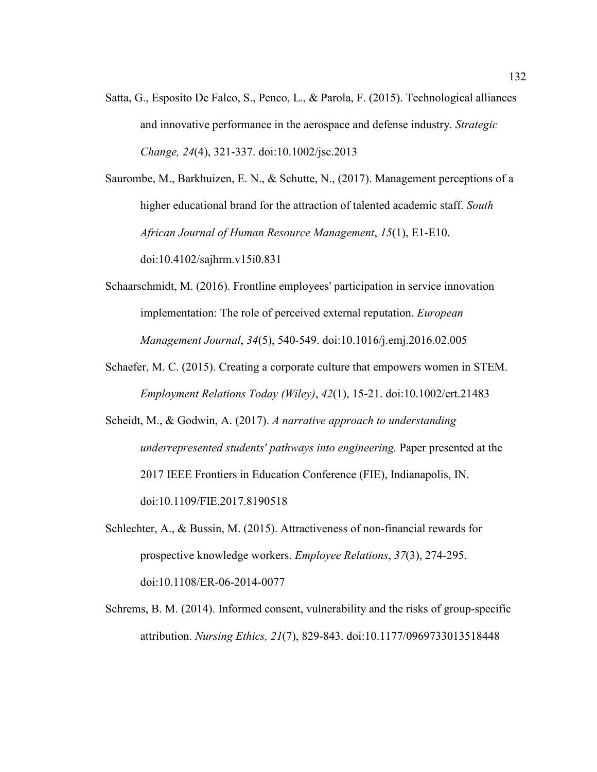Satta, G., Esposito De Falco, S., Penco, L., & Parola, F. (2015). Technological alliances and innovative performance in the aerospace and defense industry. *Strategic Change, 24*(4), 321-337. doi:10.1002/jsc.2013

Saurombe, M., Barkhuizen, E. N., & Schutte, N., (2017). Management perceptions of a higher educational brand for the attraction of talented academic staff. *South African Journal of Human Resource Management*, *15*(1), E1-E10. doi:10.4102/sajhrm.v15i0.831

- Schaarschmidt, M. (2016). Frontline employees' participation in service innovation implementation: The role of perceived external reputation. *European Management Journal*, *34*(5), 540-549. doi:10.1016/j.emj.2016.02.005
- Schaefer, M. C. (2015). Creating a corporate culture that empowers women in STEM. *Employment Relations Today (Wiley)*, *42*(1), 15-21. doi:10.1002/ert.21483
- Scheidt, M., & Godwin, A. (2017). *A narrative approach to understanding underrepresented students' pathways into engineering.* Paper presented at the 2017 IEEE Frontiers in Education Conference (FIE), Indianapolis, IN. doi:10.1109/FIE.2017.8190518
- Schlechter, A., & Bussin, M. (2015). Attractiveness of non-financial rewards for prospective knowledge workers. *Employee Relations*, *37*(3), 274-295. doi:10.1108/ER-06-2014-0077
- Schrems, B. M. (2014). Informed consent, vulnerability and the risks of group-specific attribution. *Nursing Ethics, 21*(7), 829-843. doi:10.1177/0969733013518448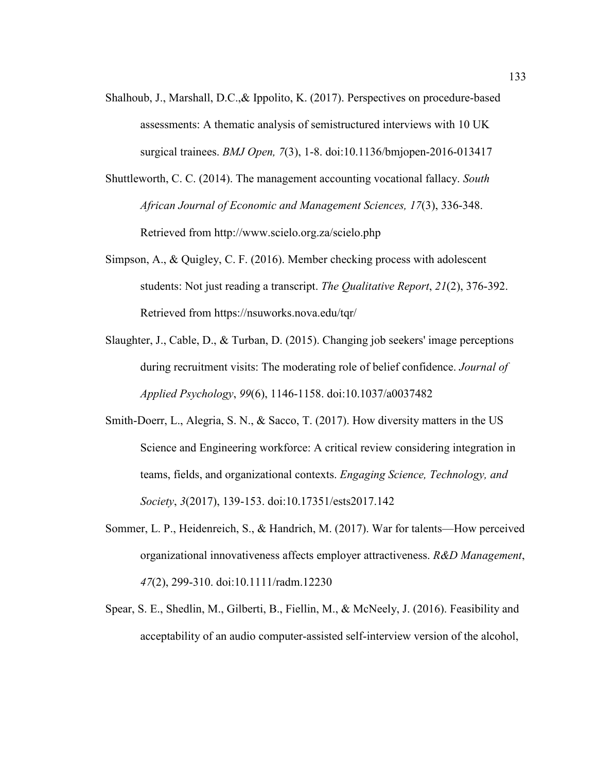- Shalhoub, J., Marshall, D.C.,& Ippolito, K. (2017). Perspectives on procedure-based assessments: A thematic analysis of semistructured interviews with 10 UK surgical trainees. *BMJ Open, 7*(3), 1-8. doi:10.1136/bmjopen-2016-013417
- Shuttleworth, C. C. (2014). The management accounting vocational fallacy. *South African Journal of Economic and Management Sciences, 17*(3), 336-348. Retrieved from http://www.scielo.org.za/scielo.php
- Simpson, A., & Quigley, C. F. (2016). Member checking process with adolescent students: Not just reading a transcript. *The Qualitative Report*, *21*(2), 376-392. Retrieved from https://nsuworks.nova.edu/tqr/
- Slaughter, J., Cable, D., & Turban, D. (2015). Changing job seekers' image perceptions during recruitment visits: The moderating role of belief confidence. *Journal of Applied Psychology*, *99*(6), 1146-1158. doi:10.1037/a0037482
- Smith-Doerr, L., Alegria, S. N., & Sacco, T. (2017). How diversity matters in the US Science and Engineering workforce: A critical review considering integration in teams, fields, and organizational contexts. *Engaging Science, Technology, and Society*, *3*(2017), 139-153. doi:10.17351/ests2017.142
- Sommer, L. P., Heidenreich, S., & Handrich, M. (2017). War for talents—How perceived organizational innovativeness affects employer attractiveness. *R&D Management*, *47*(2), 299-310. doi:10.1111/radm.12230
- Spear, S. E., Shedlin, M., Gilberti, B., Fiellin, M., & McNeely, J. (2016). Feasibility and acceptability of an audio computer-assisted self-interview version of the alcohol,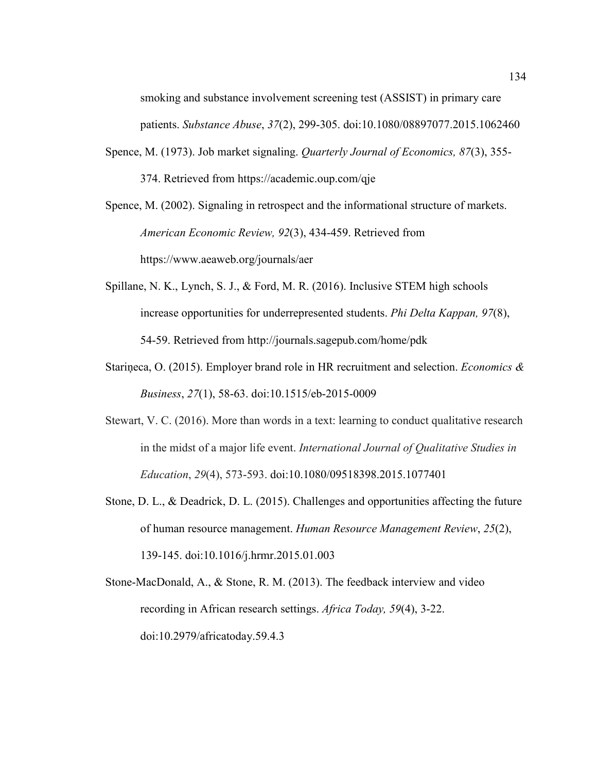smoking and substance involvement screening test (ASSIST) in primary care patients. *Substance Abuse*, *37*(2), 299-305. doi:10.1080/08897077.2015.1062460

Spence, M. (1973). Job market signaling. *Quarterly Journal of Economics, 87*(3), 355- 374. Retrieved from https://academic.oup.com/qje

Spence, M. (2002). Signaling in retrospect and the informational structure of markets. *American Economic Review, 92*(3), 434-459. Retrieved from https://www.aeaweb.org/journals/aer

- Spillane, N. K., Lynch, S. J., & Ford, M. R. (2016). Inclusive STEM high schools increase opportunities for underrepresented students. *Phi Delta Kappan, 97*(8), 54-59. Retrieved from http://journals.sagepub.com/home/pdk
- Stariņeca, O. (2015). Employer brand role in HR recruitment and selection. *Economics & Business*, *27*(1), 58-63. doi:10.1515/eb-2015-0009
- Stewart, V. C. (2016). More than words in a text: learning to conduct qualitative research in the midst of a major life event. *International Journal of Qualitative Studies in Education*, *29*(4), 573-593. doi:10.1080/09518398.2015.1077401
- Stone, D. L., & Deadrick, D. L. (2015). Challenges and opportunities affecting the future of human resource management. *Human Resource Management Review*, *25*(2), 139-145. doi:10.1016/j.hrmr.2015.01.003
- Stone-MacDonald, A., & Stone, R. M. (2013). The feedback interview and video recording in African research settings. *Africa Today, 59*(4), 3-22. doi:10.2979/africatoday.59.4.3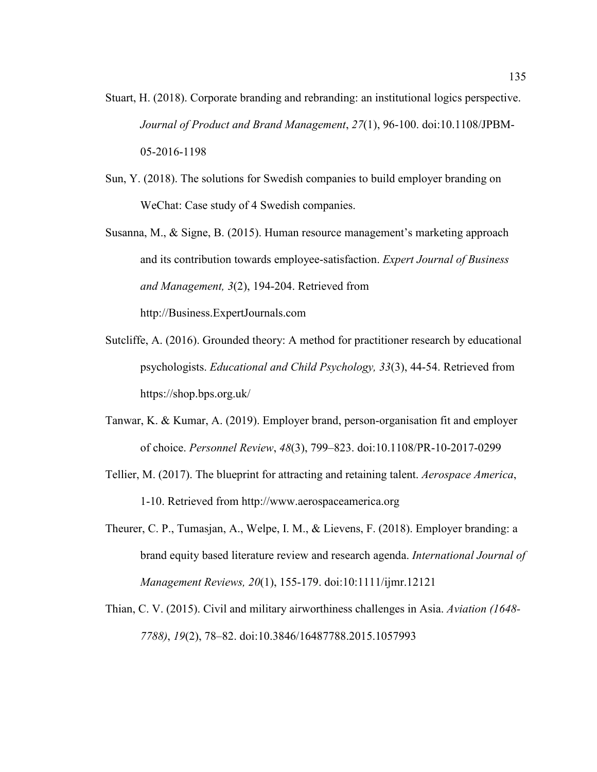- Stuart, H. (2018). Corporate branding and rebranding: an institutional logics perspective. *Journal of Product and Brand Management*, *27*(1), 96-100. doi:10.1108/JPBM-05-2016-1198
- Sun, Y. (2018). The solutions for Swedish companies to build employer branding on WeChat: Case study of 4 Swedish companies.
- Susanna, M., & Signe, B. (2015). Human resource management's marketing approach and its contribution towards employee-satisfaction. *Expert Journal of Business and Management, 3*(2), 194-204. Retrieved from http://Business.ExpertJournals.com
- Sutcliffe, A. (2016). Grounded theory: A method for practitioner research by educational psychologists. *Educational and Child Psychology, 33*(3), 44-54. Retrieved from https://shop.bps.org.uk/
- Tanwar, K. & Kumar, A. (2019). Employer brand, person-organisation fit and employer of choice. *Personnel Review*, *48*(3), 799–823. doi:10.1108/PR-10-2017-0299
- Tellier, M. (2017). The blueprint for attracting and retaining talent. *Aerospace America*, 1-10. Retrieved from http://www.aerospaceamerica.org
- Theurer, C. P., Tumasjan, A., Welpe, I. M., & Lievens, F. (2018). Employer branding: a brand equity based literature review and research agenda. *International Journal of Management Reviews, 20*(1), 155-179. doi:10:1111/ijmr.12121
- Thian, C. V. (2015). Civil and military airworthiness challenges in Asia. *Aviation (1648- 7788)*, *19*(2), 78–82. doi:10.3846/16487788.2015.1057993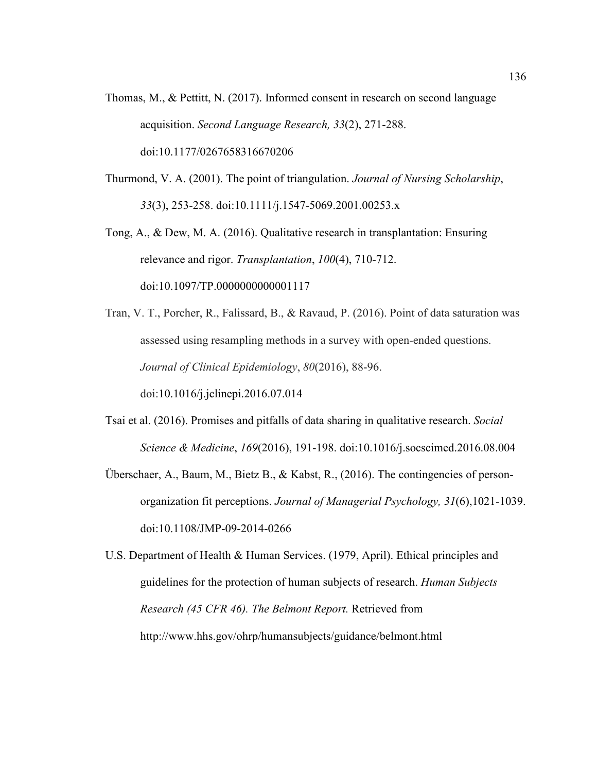- Thomas, M., & Pettitt, N. (2017). Informed consent in research on second language acquisition. *Second Language Research, 33*(2), 271-288. doi:10.1177/0267658316670206
- Thurmond, V. A. (2001). The point of triangulation. *Journal of Nursing Scholarship*, *33*(3), 253-258. doi:10.1111/j.1547-5069.2001.00253.x
- Tong, A., & Dew, M. A. (2016). Qualitative research in transplantation: Ensuring relevance and rigor. *Transplantation*, *100*(4), 710-712. doi:10.1097/TP.0000000000001117
- Tran, V. T., Porcher, R., Falissard, B., & Ravaud, P. (2016). Point of data saturation was assessed using resampling methods in a survey with open-ended questions. *Journal of Clinical Epidemiology*, *80*(2016), 88-96. doi:10.1016/j.jclinepi.2016.07.014
- Tsai et al. (2016). Promises and pitfalls of data sharing in qualitative research. *Social Science & Medicine*, *169*(2016), 191-198. doi:10.1016/j.socscimed.2016.08.004
- Überschaer, A., Baum, M., Bietz B., & Kabst, R., (2016). The contingencies of personorganization fit perceptions. *Journal of Managerial Psychology, 31*(6),1021-1039. doi:10.1108/JMP-09-2014-0266
- U.S. Department of Health & Human Services. (1979, April). Ethical principles and guidelines for the protection of human subjects of research. *Human Subjects Research (45 CFR 46). The Belmont Report.* Retrieved from http://www.hhs.gov/ohrp/humansubjects/guidance/belmont.html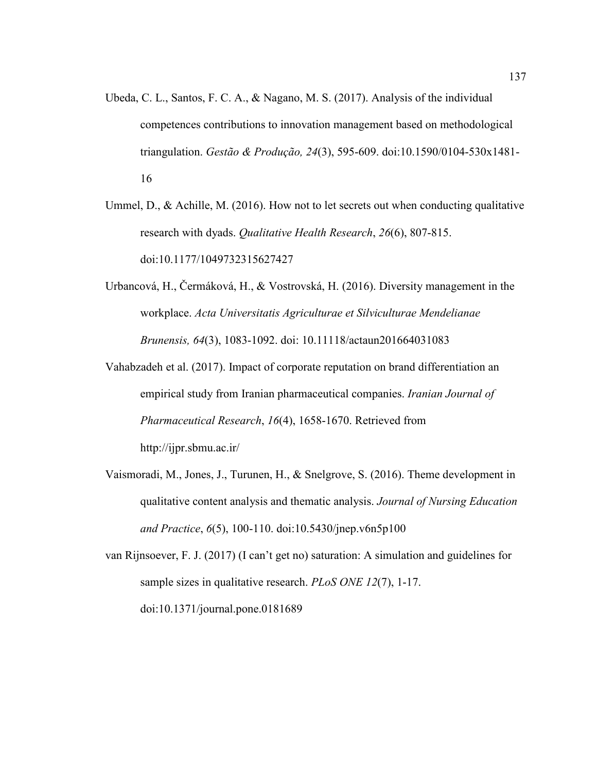- Ubeda, C. L., Santos, F. C. A., & Nagano, M. S. (2017). Analysis of the individual competences contributions to innovation management based on methodological triangulation. *Gestão & Produção, 24*(3), 595-609. doi:10.1590/0104-530x1481- 16
- Ummel, D.,  $\&$  Achille, M. (2016). How not to let secrets out when conducting qualitative research with dyads. *Qualitative Health Research*, *26*(6), 807-815. doi:10.1177/1049732315627427
- Urbancová, H., Čermáková, H., & Vostrovská, H. (2016). Diversity management in the workplace. *Acta Universitatis Agriculturae et Silviculturae Mendelianae Brunensis, 64*(3), 1083-1092. doi: 10.11118/actaun201664031083
- Vahabzadeh et al. (2017). Impact of corporate reputation on brand differentiation an empirical study from Iranian pharmaceutical companies. *Iranian Journal of Pharmaceutical Research*, *16*(4), 1658-1670. Retrieved from http://ijpr.sbmu.ac.ir/
- Vaismoradi, M., Jones, J., Turunen, H., & Snelgrove, S. (2016). Theme development in qualitative content analysis and thematic analysis. *Journal of Nursing Education and Practice*, *6*(5), 100-110. doi:10.5430/jnep.v6n5p100
- van Rijnsoever, F. J. (2017) (I can't get no) saturation: A simulation and guidelines for sample sizes in qualitative research. *PLoS ONE 12*(7), 1-17. doi:10.1371/journal.pone.0181689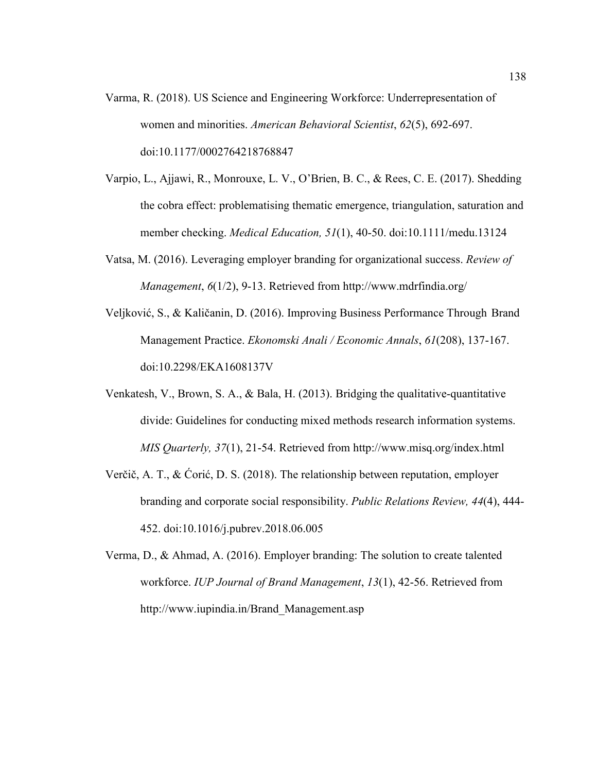- Varma, R. (2018). US Science and Engineering Workforce: Underrepresentation of women and minorities. *American Behavioral Scientist*, *62*(5), 692-697. doi:10.1177/0002764218768847
- Varpio, L., Ajjawi, R., Monrouxe, L. V., O'Brien, B. C., & Rees, C. E. (2017). Shedding the cobra effect: problematising thematic emergence, triangulation, saturation and member checking. *Medical Education, 51*(1), 40-50. doi:10.1111/medu.13124
- Vatsa, M. (2016). Leveraging employer branding for organizational success. *Review of Management*, *6*(1/2), 9-13. Retrieved from http://www.mdrfindia.org/
- Veljković, S., & Kaličanin, D. (2016). Improving Business Performance Through Brand Management Practice. *Ekonomski Anali / Economic Annals*, *61*(208), 137-167. doi:10.2298/EKA1608137V
- Venkatesh, V., Brown, S. A., & Bala, H. (2013). Bridging the qualitative-quantitative divide: Guidelines for conducting mixed methods research information systems. *MIS Quarterly, 37*(1), 21-54. Retrieved from http://www.misq.org/index.html
- Verčič, A. T., & Ćorić, D. S. (2018). The relationship between reputation, employer branding and corporate social responsibility. *Public Relations Review, 44*(4), 444- 452. doi:10.1016/j.pubrev.2018.06.005
- Verma, D., & Ahmad, A. (2016). Employer branding: The solution to create talented workforce. *IUP Journal of Brand Management*, *13*(1), 42-56. Retrieved from http://www.iupindia.in/Brand\_Management.asp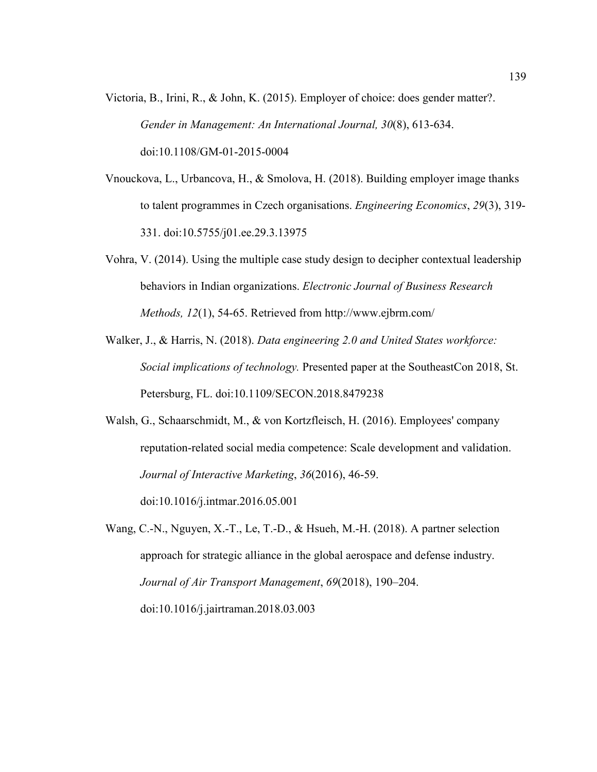- Victoria, B., Irini, R., & John, K. (2015). Employer of choice: does gender matter?. *Gender in Management: An International Journal, 30*(8), 613-634. doi:10.1108/GM-01-2015-0004
- Vnouckova, L., Urbancova, H., & Smolova, H. (2018). Building employer image thanks to talent programmes in Czech organisations. *Engineering Economics*, *29*(3), 319- 331. doi:10.5755/j01.ee.29.3.13975
- Vohra, V. (2014). Using the multiple case study design to decipher contextual leadership behaviors in Indian organizations. *Electronic Journal of Business Research Methods, 12*(1), 54-65. Retrieved from http://www.ejbrm.com/
- Walker, J., & Harris, N. (2018). *Data engineering 2.0 and United States workforce: Social implications of technology.* Presented paper at the SoutheastCon 2018, St. Petersburg, FL. doi:10.1109/SECON.2018.8479238
- Walsh, G., Schaarschmidt, M., & von Kortzfleisch, H. (2016). Employees' company reputation-related social media competence: Scale development and validation. *Journal of Interactive Marketing*, *36*(2016), 46-59.

doi:10.1016/j.intmar.2016.05.001

Wang, C.-N., Nguyen, X.-T., Le, T.-D., & Hsueh, M.-H. (2018). A partner selection approach for strategic alliance in the global aerospace and defense industry. *Journal of Air Transport Management*, *69*(2018), 190–204. doi:10.1016/j.jairtraman.2018.03.003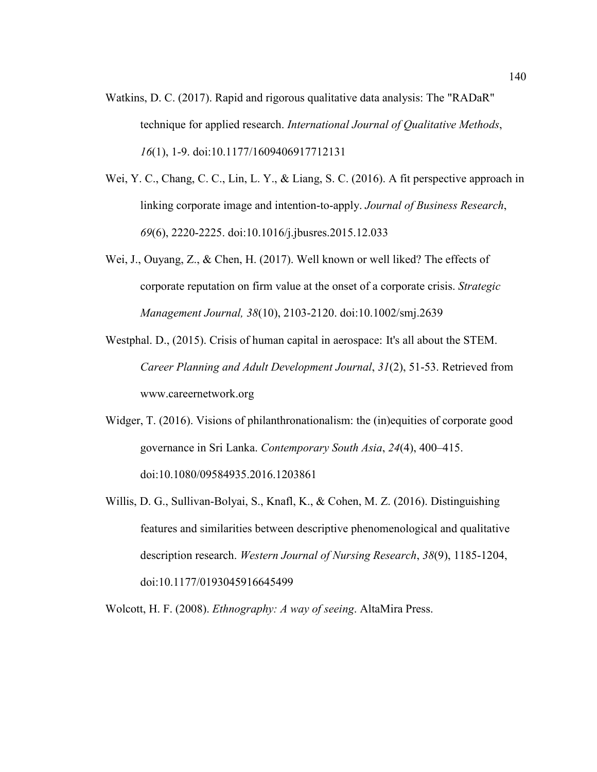- Watkins, D. C. (2017). Rapid and rigorous qualitative data analysis: The "RADaR" technique for applied research. *International Journal of Qualitative Methods*, *16*(1), 1-9. doi:10.1177/1609406917712131
- Wei, Y. C., Chang, C. C., Lin, L. Y., & Liang, S. C. (2016). A fit perspective approach in linking corporate image and intention-to-apply. *Journal of Business Research*, *69*(6), 2220-2225. doi:10.1016/j.jbusres.2015.12.033
- Wei, J., Ouyang, Z., & Chen, H. (2017). Well known or well liked? The effects of corporate reputation on firm value at the onset of a corporate crisis. *Strategic Management Journal, 38*(10), 2103-2120. doi:10.1002/smj.2639
- Westphal. D., (2015). Crisis of human capital in aerospace: It's all about the STEM. *Career Planning and Adult Development Journal*, *31*(2), 51-53. Retrieved from www.careernetwork.org
- Widger, T. (2016). Visions of philanthronationalism: the (in)equities of corporate good governance in Sri Lanka. *Contemporary South Asia*, *24*(4), 400–415. doi:10.1080/09584935.2016.1203861
- Willis, D. G., Sullivan-Bolyai, S., Knafl, K., & Cohen, M. Z. (2016). Distinguishing features and similarities between descriptive phenomenological and qualitative description research. *Western Journal of Nursing Research*, *38*(9), 1185-1204, doi:10.1177/0193045916645499

Wolcott, H. F. (2008). *Ethnography: A way of seeing*. AltaMira Press.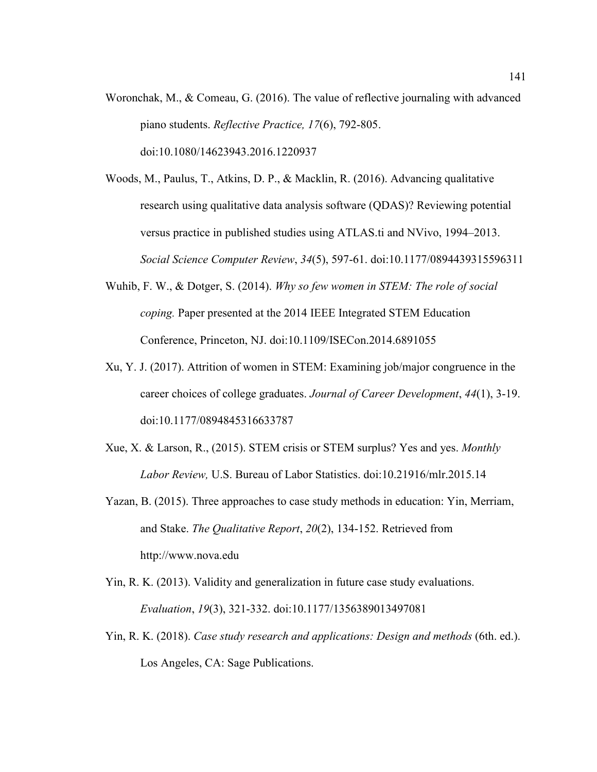- Woronchak, M., & Comeau, G. (2016). The value of reflective journaling with advanced piano students. *Reflective Practice, 17*(6), 792-805. doi:10.1080/14623943.2016.1220937
- Woods, M., Paulus, T., Atkins, D. P., & Macklin, R. (2016). Advancing qualitative research using qualitative data analysis software (QDAS)? Reviewing potential versus practice in published studies using ATLAS.ti and NVivo, 1994–2013. *Social Science Computer Review*, *34*(5), 597-61. doi:10.1177/0894439315596311
- Wuhib, F. W., & Dotger, S. (2014). *Why so few women in STEM: The role of social coping.* Paper presented at the 2014 IEEE Integrated STEM Education Conference, Princeton, NJ. doi:10.1109/ISECon.2014.6891055
- Xu, Y. J. (2017). Attrition of women in STEM: Examining job/major congruence in the career choices of college graduates. *Journal of Career Development*, *44*(1), 3-19. doi:10.1177/0894845316633787
- Xue, X. & Larson, R., (2015). STEM crisis or STEM surplus? Yes and yes. *Monthly Labor Review,* U.S. Bureau of Labor Statistics. doi:10.21916/mlr.2015.14
- Yazan, B. (2015). Three approaches to case study methods in education: Yin, Merriam, and Stake. *The Qualitative Report*, *20*(2), 134-152. Retrieved from http://www.nova.edu
- Yin, R. K. (2013). Validity and generalization in future case study evaluations. *Evaluation*, *19*(3), 321-332. doi:10.1177/1356389013497081
- Yin, R. K. (2018). *Case study research and applications: Design and methods* (6th. ed.). Los Angeles, CA: Sage Publications.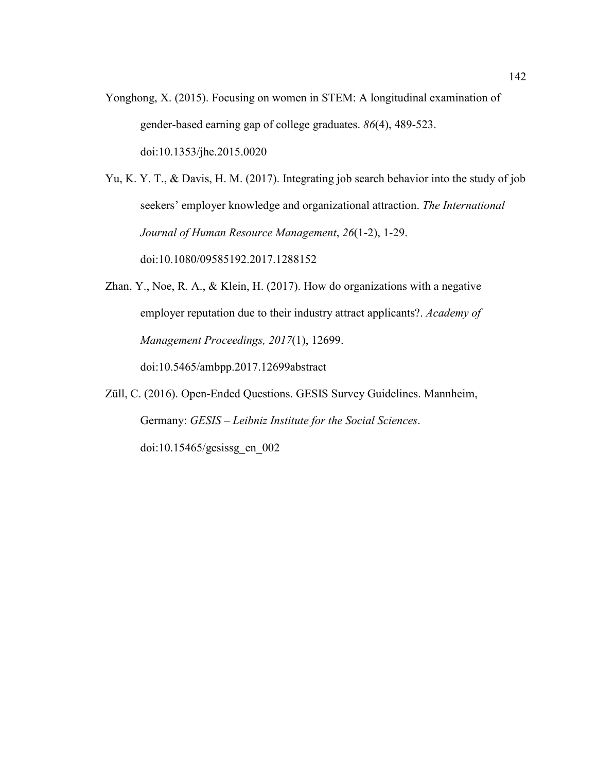Yonghong, X. (2015). Focusing on women in STEM: A longitudinal examination of gender-based earning gap of college graduates. *86*(4), 489-523. doi:10.1353/jhe.2015.0020

Yu, K. Y. T., & Davis, H. M. (2017). Integrating job search behavior into the study of job seekers' employer knowledge and organizational attraction. *The International Journal of Human Resource Management*, *26*(1-2), 1-29. doi:10.1080/09585192.2017.1288152

Zhan, Y., Noe, R. A., & Klein, H. (2017). How do organizations with a negative employer reputation due to their industry attract applicants?. *Academy of Management Proceedings, 2017*(1), 12699.

doi:10.5465/ambpp.2017.12699abstract

Züll, C. (2016). Open-Ended Questions. GESIS Survey Guidelines. Mannheim, Germany: *GESIS – Leibniz Institute for the Social Sciences*. doi:10.15465/gesissg\_en\_002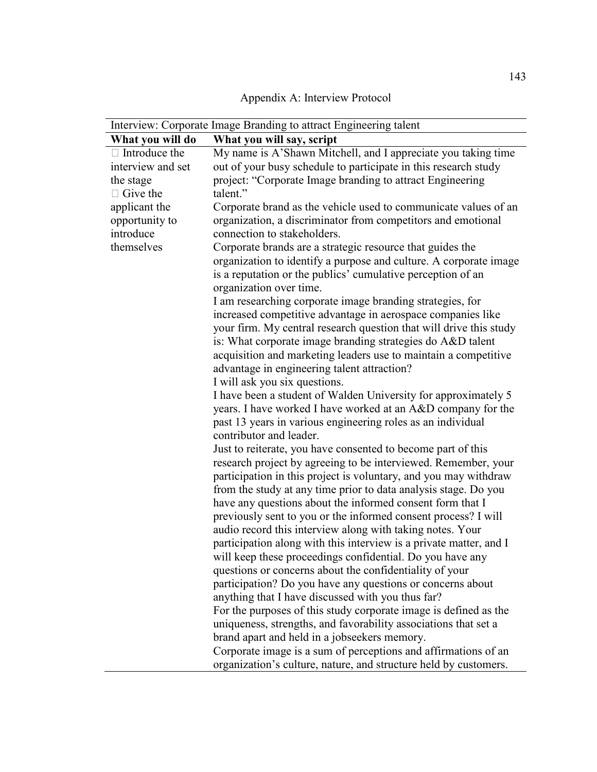| Appendix A: Interview Protocol |  |  |
|--------------------------------|--|--|
|--------------------------------|--|--|

| Interview: Corporate Image Branding to attract Engineering talent |                                                                                                                                                                                                                                                                                                                                                                                                                 |  |
|-------------------------------------------------------------------|-----------------------------------------------------------------------------------------------------------------------------------------------------------------------------------------------------------------------------------------------------------------------------------------------------------------------------------------------------------------------------------------------------------------|--|
| What you will do                                                  | What you will say, script                                                                                                                                                                                                                                                                                                                                                                                       |  |
| $\Box$ Introduce the                                              | My name is A'Shawn Mitchell, and I appreciate you taking time                                                                                                                                                                                                                                                                                                                                                   |  |
| interview and set                                                 | out of your busy schedule to participate in this research study                                                                                                                                                                                                                                                                                                                                                 |  |
| the stage                                                         | project: "Corporate Image branding to attract Engineering                                                                                                                                                                                                                                                                                                                                                       |  |
| $\Box$ Give the                                                   | talent."                                                                                                                                                                                                                                                                                                                                                                                                        |  |
| applicant the                                                     | Corporate brand as the vehicle used to communicate values of an                                                                                                                                                                                                                                                                                                                                                 |  |
| opportunity to<br>introduce                                       | organization, a discriminator from competitors and emotional<br>connection to stakeholders.                                                                                                                                                                                                                                                                                                                     |  |
| themselves                                                        | Corporate brands are a strategic resource that guides the                                                                                                                                                                                                                                                                                                                                                       |  |
|                                                                   | organization to identify a purpose and culture. A corporate image<br>is a reputation or the publics' cumulative perception of an<br>organization over time.                                                                                                                                                                                                                                                     |  |
|                                                                   | I am researching corporate image branding strategies, for<br>increased competitive advantage in aerospace companies like<br>your firm. My central research question that will drive this study<br>is: What corporate image branding strategies do A&D talent<br>acquisition and marketing leaders use to maintain a competitive<br>advantage in engineering talent attraction?<br>I will ask you six questions. |  |
|                                                                   | I have been a student of Walden University for approximately 5                                                                                                                                                                                                                                                                                                                                                  |  |
|                                                                   | years. I have worked I have worked at an A&D company for the<br>past 13 years in various engineering roles as an individual<br>contributor and leader.                                                                                                                                                                                                                                                          |  |
|                                                                   | Just to reiterate, you have consented to become part of this                                                                                                                                                                                                                                                                                                                                                    |  |
|                                                                   | research project by agreeing to be interviewed. Remember, your                                                                                                                                                                                                                                                                                                                                                  |  |
|                                                                   | participation in this project is voluntary, and you may withdraw                                                                                                                                                                                                                                                                                                                                                |  |
|                                                                   | from the study at any time prior to data analysis stage. Do you                                                                                                                                                                                                                                                                                                                                                 |  |
|                                                                   | have any questions about the informed consent form that I                                                                                                                                                                                                                                                                                                                                                       |  |
|                                                                   | previously sent to you or the informed consent process? I will                                                                                                                                                                                                                                                                                                                                                  |  |
|                                                                   | audio record this interview along with taking notes. Your                                                                                                                                                                                                                                                                                                                                                       |  |
|                                                                   | participation along with this interview is a private matter, and I                                                                                                                                                                                                                                                                                                                                              |  |
|                                                                   | will keep these proceedings confidential. Do you have any                                                                                                                                                                                                                                                                                                                                                       |  |
|                                                                   | questions or concerns about the confidentiality of your                                                                                                                                                                                                                                                                                                                                                         |  |
|                                                                   | participation? Do you have any questions or concerns about                                                                                                                                                                                                                                                                                                                                                      |  |
|                                                                   | anything that I have discussed with you thus far?                                                                                                                                                                                                                                                                                                                                                               |  |
|                                                                   | For the purposes of this study corporate image is defined as the                                                                                                                                                                                                                                                                                                                                                |  |
|                                                                   | uniqueness, strengths, and favorability associations that set a                                                                                                                                                                                                                                                                                                                                                 |  |
|                                                                   | brand apart and held in a jobseekers memory.                                                                                                                                                                                                                                                                                                                                                                    |  |
|                                                                   | Corporate image is a sum of perceptions and affirmations of an<br>organization's culture, nature, and structure held by customers.                                                                                                                                                                                                                                                                              |  |
|                                                                   |                                                                                                                                                                                                                                                                                                                                                                                                                 |  |